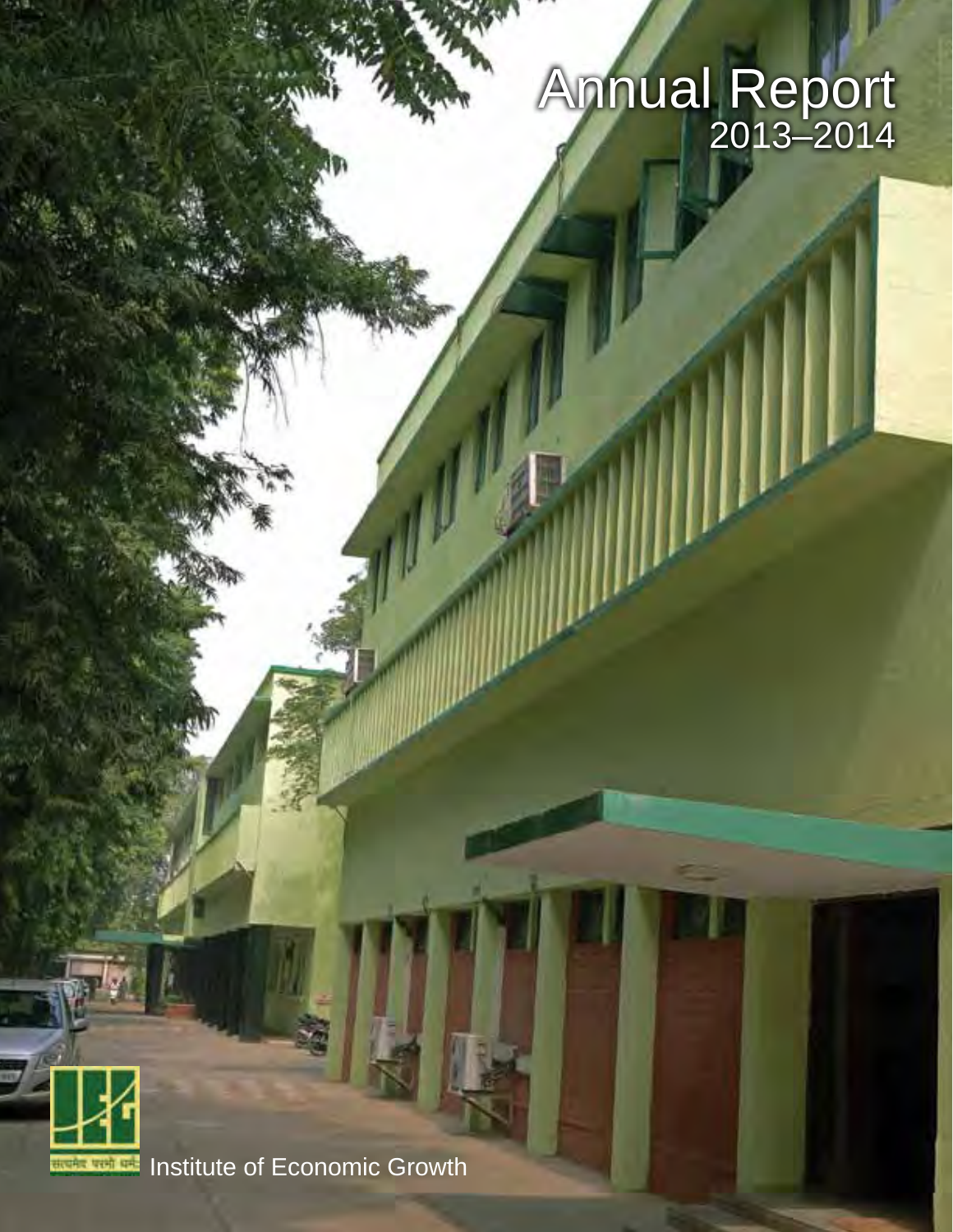# Annual Report 2013–2014



Institute of Economic Growth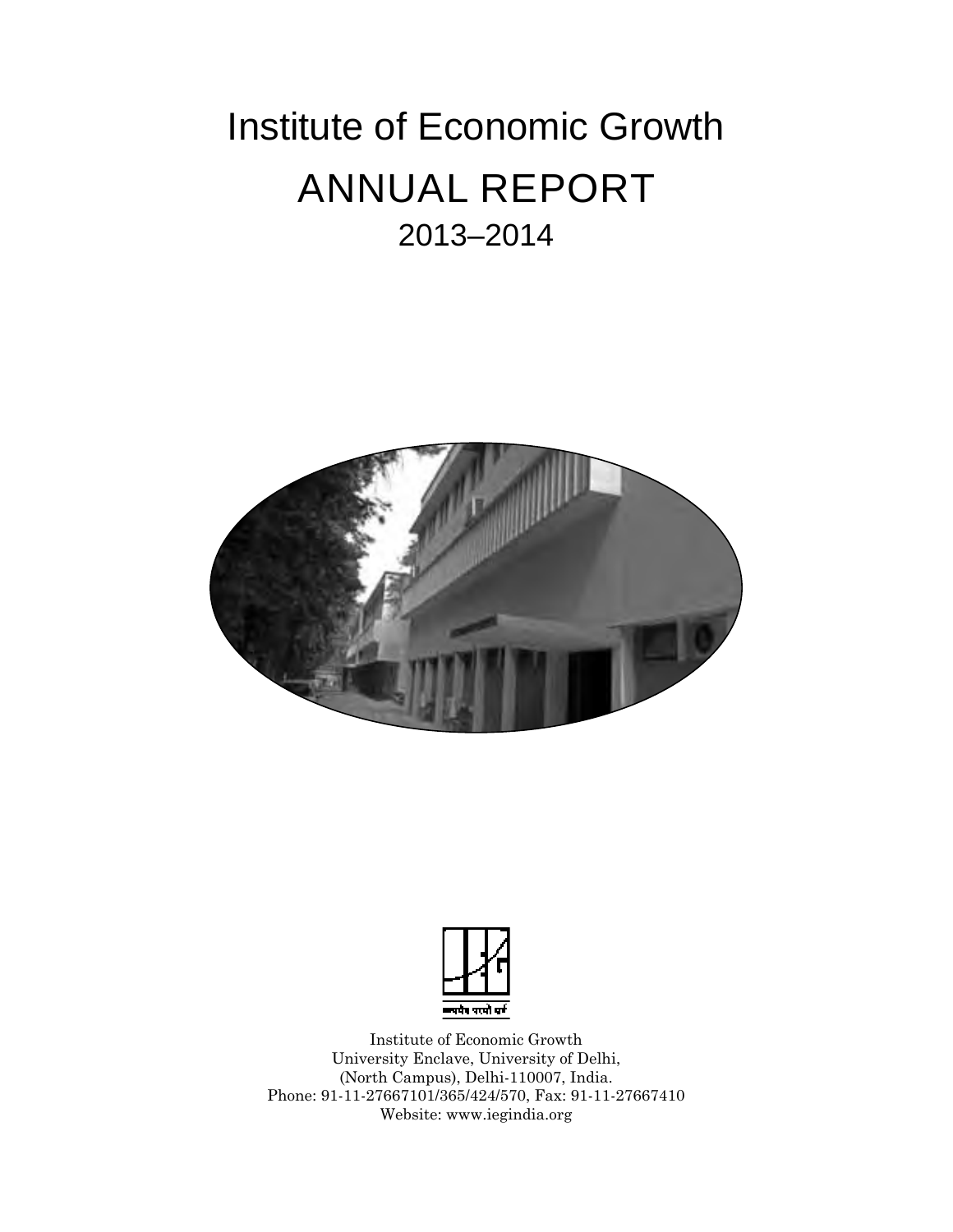# Institute of Economic Growth Annual Report 2013–2014





Institute of Economic Growth University Enclave, University of Delhi, (North Campus), Delhi-110007, India. Phone: 91-11-27667101/365/424/570, Fax: 91-11-27667410 Website: www.iegindia.org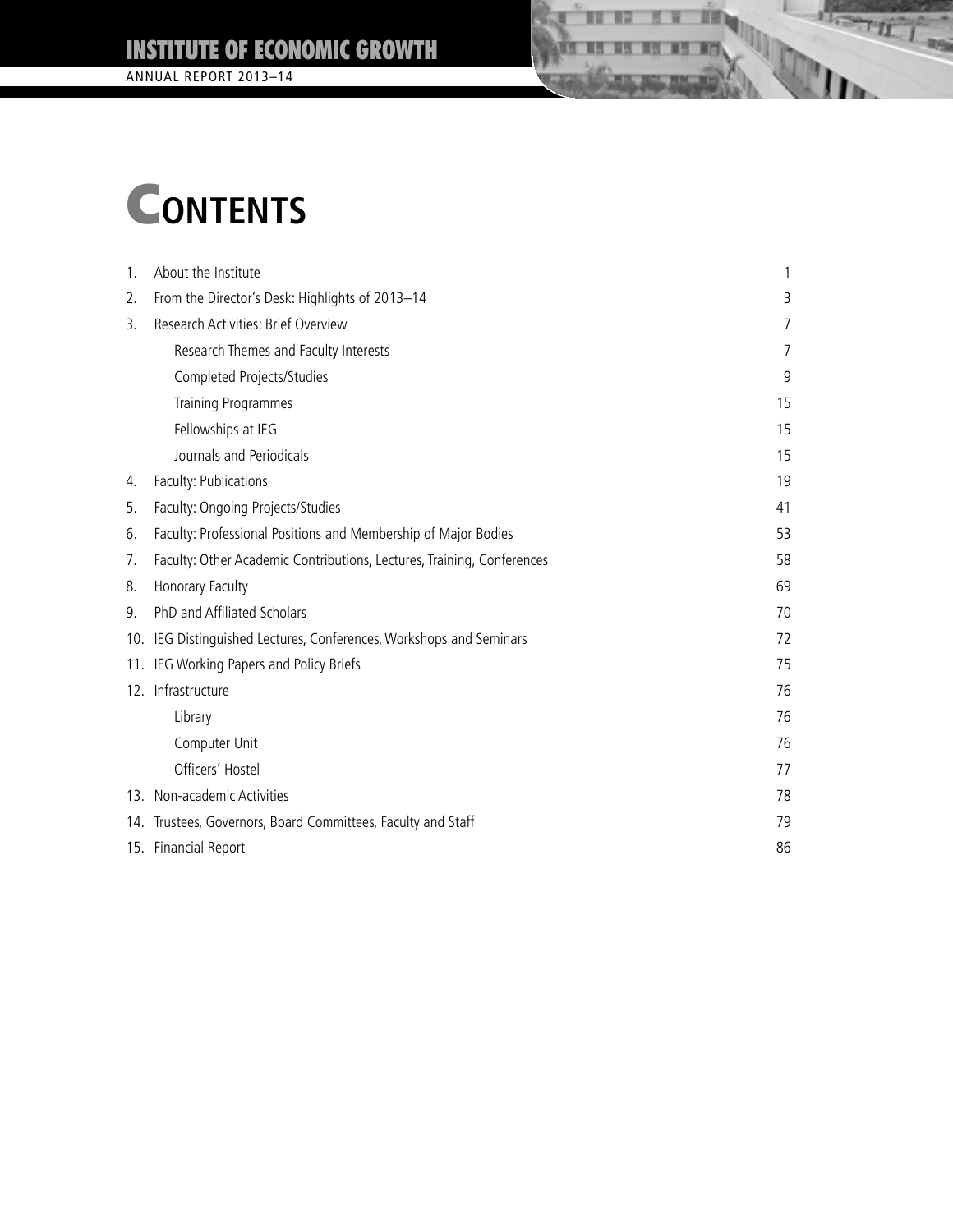## Institute of Economic Growth Annual Report 2013–14

# C**ONTENTS**

| 1. | About the Institute                                                    | 1  |
|----|------------------------------------------------------------------------|----|
| 2. | From the Director's Desk: Highlights of 2013-14                        | 3  |
| 3. | Research Activities: Brief Overview                                    | 7  |
|    | Research Themes and Faculty Interests                                  | 7  |
|    | Completed Projects/Studies                                             | 9  |
|    | <b>Training Programmes</b>                                             | 15 |
|    | Fellowships at IEG                                                     | 15 |
|    | Journals and Periodicals                                               | 15 |
| 4. | Faculty: Publications                                                  | 19 |
| 5. | Faculty: Ongoing Projects/Studies                                      | 41 |
| 6. | Faculty: Professional Positions and Membership of Major Bodies         | 53 |
| 7. | Faculty: Other Academic Contributions, Lectures, Training, Conferences | 58 |
| 8. | Honorary Faculty                                                       | 69 |
| 9. | PhD and Affiliated Scholars                                            | 70 |
|    | 10. IEG Distinguished Lectures, Conferences, Workshops and Seminars    | 72 |
|    | 11. IEG Working Papers and Policy Briefs                               | 75 |
|    | 12. Infrastructure                                                     | 76 |
|    | Library                                                                | 76 |
|    | Computer Unit                                                          | 76 |
|    | Officers' Hostel                                                       | 77 |
|    | 13. Non-academic Activities                                            | 78 |
|    | 14. Trustees, Governors, Board Committees, Faculty and Staff           | 79 |
|    | 15. Financial Report                                                   | 86 |

 $\mathbf{r}_{\mathbf{r}}$ 

日日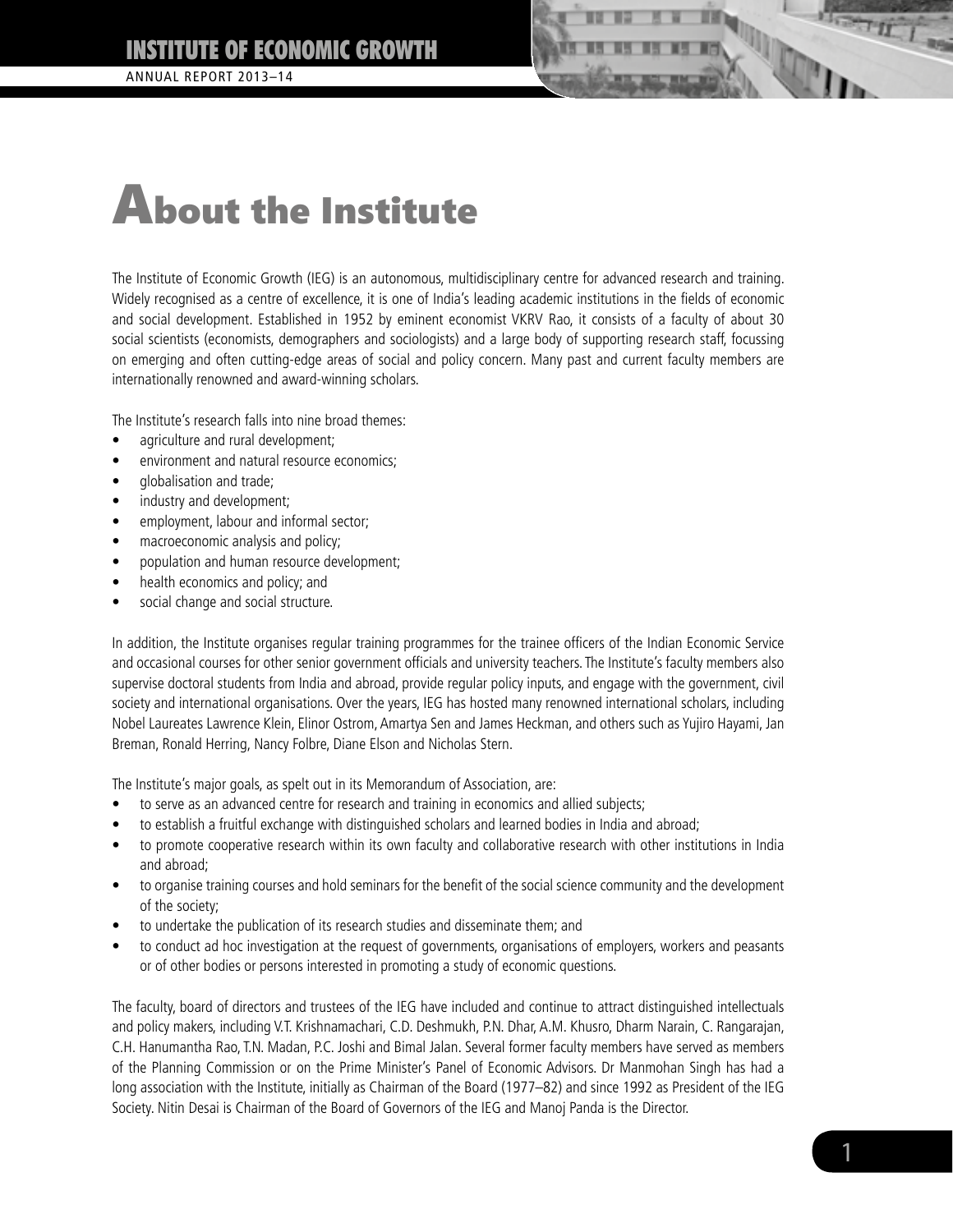# About the Institute

The Institute of Economic Growth (IEG) is an autonomous, multidisciplinary centre for advanced research and training. Widely recognised as a centre of excellence, it is one of India's leading academic institutions in the fields of economic and social development. Established in 1952 by eminent economist VKRV Rao, it consists of a faculty of about 30 social scientists (economists, demographers and sociologists) and a large body of supporting research staff, focussing on emerging and often cutting-edge areas of social and policy concern. Many past and current faculty members are internationally renowned and award-winning scholars.

The Institute's research falls into nine broad themes:

- agriculture and rural development;
- environment and natural resource economics;
- globalisation and trade;
- industry and development;
- employment, labour and informal sector;
- macroeconomic analysis and policy;
- population and human resource development;
- health economics and policy; and
- • social change and social structure.

In addition, the Institute organises regular training programmes for the trainee officers of the Indian Economic Service and occasional courses for other senior government officials and university teachers. The Institute's faculty members also supervise doctoral students from India and abroad, provide regular policy inputs, and engage with the government, civil society and international organisations. Over the years, IEG has hosted many renowned international scholars, including Nobel Laureates Lawrence Klein, Elinor Ostrom, Amartya Sen and James Heckman, and others such as Yujiro Hayami, Jan Breman, Ronald Herring, Nancy Folbre, Diane Elson and Nicholas Stern.

The Institute's major goals, as spelt out in its Memorandum of Association, are:

- to serve as an advanced centre for research and training in economics and allied subjects;
- to establish a fruitful exchange with distinguished scholars and learned bodies in India and abroad;
- • to promote cooperative research within its own faculty and collaborative research with other institutions in India and abroad;
- to organise training courses and hold seminars for the benefit of the social science community and the development of the society;
- to undertake the publication of its research studies and disseminate them; and
- to conduct ad hoc investigation at the request of governments, organisations of employers, workers and peasants or of other bodies or persons interested in promoting a study of economic questions.

The faculty, board of directors and trustees of the IEG have included and continue to attract distinguished intellectuals and policy makers, including V.T. Krishnamachari, C.D. Deshmukh, P.N. Dhar, A.M. Khusro, Dharm Narain, C. Rangarajan, C.H. Hanumantha Rao, T.N. Madan, P.C. Joshi and Bimal Jalan. Several former faculty members have served as members of the Planning Commission or on the Prime Minister's Panel of Economic Advisors. Dr Manmohan Singh has had a long association with the Institute, initially as Chairman of the Board (1977–82) and since 1992 as President of the IEG Society. Nitin Desai is Chairman of the Board of Governors of the IEG and Manoj Panda is the Director.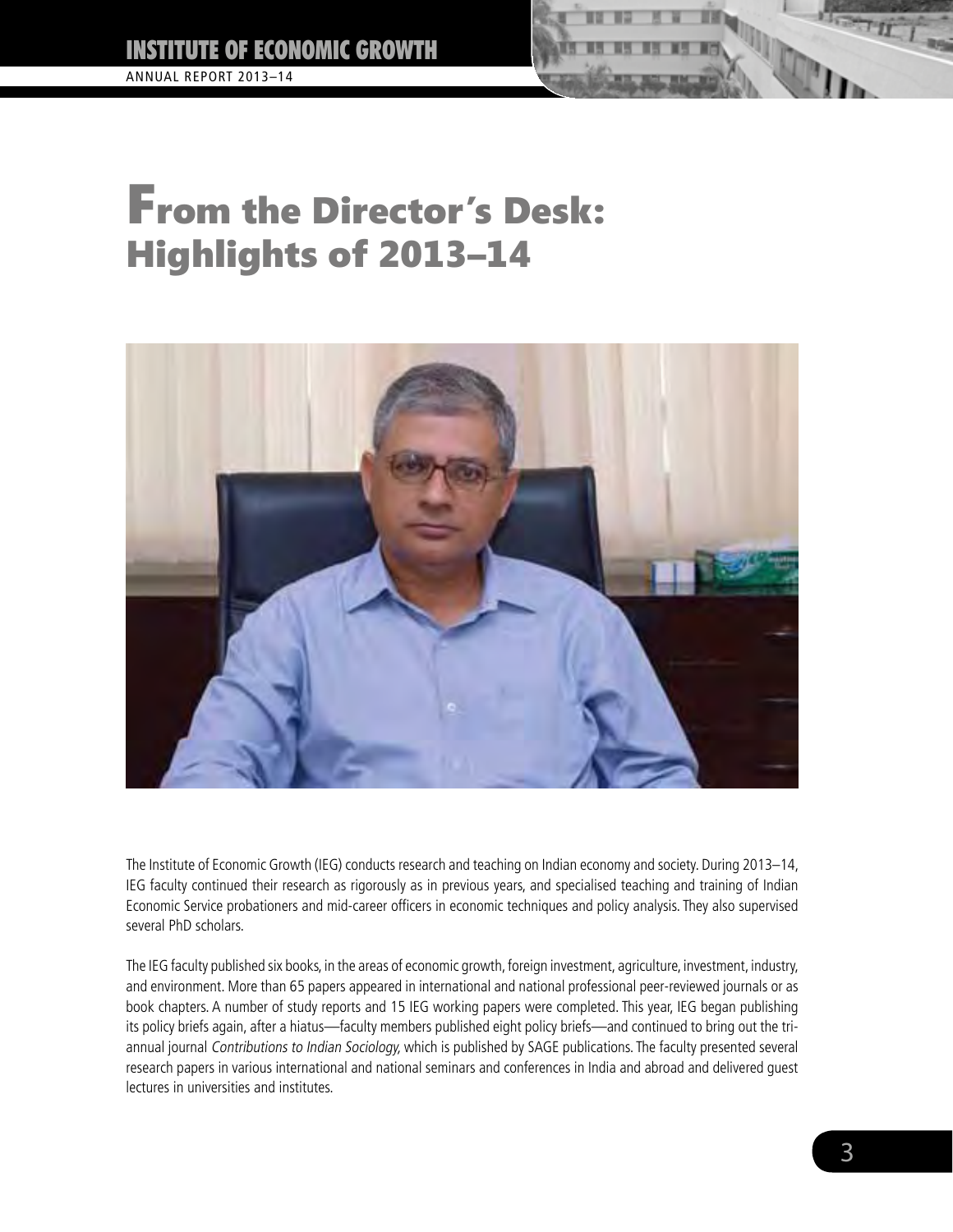# From the Director's Desk: Highlights of 2013–14



The Institute of Economic Growth (IEG) conducts research and teaching on Indian economy and society. During 2013–14, IEG faculty continued their research as rigorously as in previous years, and specialised teaching and training of Indian Economic Service probationers and mid-career officers in economic techniques and policy analysis. They also supervised several PhD scholars.

The IEG faculty published six books, in the areas of economic growth, foreign investment, agriculture, investment, industry, and environment. More than 65 papers appeared in international and national professional peer-reviewed journals or as book chapters. A number of study reports and 15 IEG working papers were completed. This year, IEG began publishing its policy briefs again, after a hiatus—faculty members published eight policy briefs—and continued to bring out the triannual journal Contributions to Indian Sociology, which is published by SAGE publications. The faculty presented several research papers in various international and national seminars and conferences in India and abroad and delivered guest lectures in universities and institutes.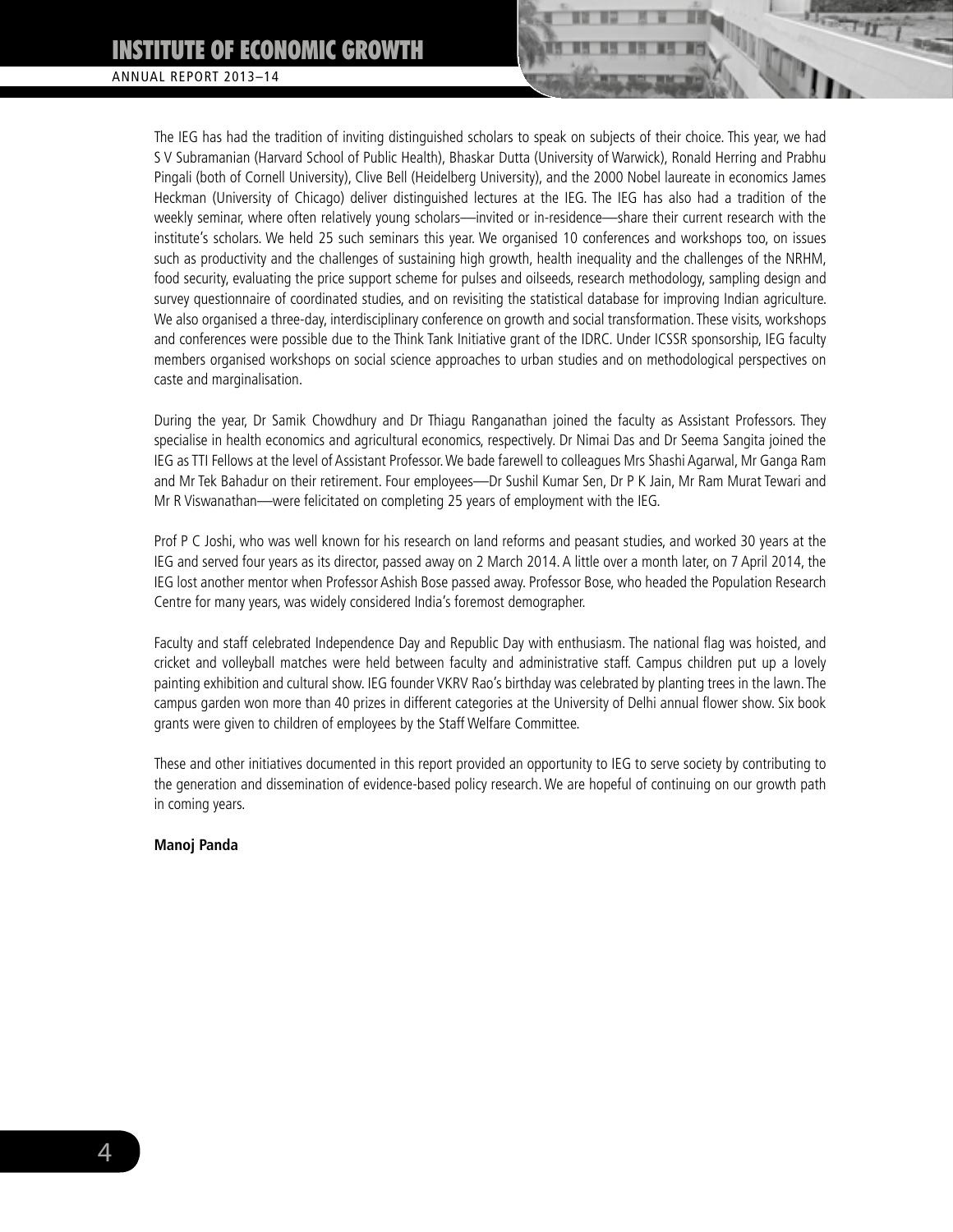The IEG has had the tradition of inviting distinguished scholars to speak on subjects of their choice. This year, we had S V Subramanian (Harvard School of Public Health), Bhaskar Dutta (University of Warwick), Ronald Herring and Prabhu Pingali (both of Cornell University), Clive Bell (Heidelberg University), and the 2000 Nobel laureate in economics James Heckman (University of Chicago) deliver distinguished lectures at the IEG. The IEG has also had a tradition of the weekly seminar, where often relatively young scholars—invited or in-residence—share their current research with the institute's scholars. We held 25 such seminars this year. We organised 10 conferences and workshops too, on issues such as productivity and the challenges of sustaining high growth, health inequality and the challenges of the NRHM, food security, evaluating the price support scheme for pulses and oilseeds, research methodology, sampling design and survey questionnaire of coordinated studies, and on revisiting the statistical database for improving Indian agriculture. We also organised a three-day, interdisciplinary conference on growth and social transformation. These visits, workshops and conferences were possible due to the Think Tank Initiative grant of the IDRC. Under ICSSR sponsorship, IEG faculty members organised workshops on social science approaches to urban studies and on methodological perspectives on caste and marginalisation.

During the year, Dr Samik Chowdhury and Dr Thiagu Ranganathan joined the faculty as Assistant Professors. They specialise in health economics and agricultural economics, respectively. Dr Nimai Das and Dr Seema Sangita joined the IEG as TTI Fellows at the level of Assistant Professor. We bade farewell to colleagues Mrs Shashi Agarwal, Mr Ganga Ram and Mr Tek Bahadur on their retirement. Four employees—Dr Sushil Kumar Sen, Dr P K Jain, Mr Ram Murat Tewari and Mr R Viswanathan—were felicitated on completing 25 years of employment with the IEG.

Prof P C Joshi, who was well known for his research on land reforms and peasant studies, and worked 30 years at the IEG and served four years as its director, passed away on 2 March 2014. A little over a month later, on 7 April 2014, the IEG lost another mentor when Professor Ashish Bose passed away. Professor Bose, who headed the Population Research Centre for many years, was widely considered India's foremost demographer.

Faculty and staff celebrated Independence Day and Republic Day with enthusiasm. The national flag was hoisted, and cricket and volleyball matches were held between faculty and administrative staff. Campus children put up a lovely painting exhibition and cultural show. IEG founder VKRV Rao's birthday was celebrated by planting trees in the lawn. The campus garden won more than 40 prizes in different categories at the University of Delhi annual flower show. Six book grants were given to children of employees by the Staff Welfare Committee.

These and other initiatives documented in this report provided an opportunity to IEG to serve society by contributing to the generation and dissemination of evidence-based policy research. We are hopeful of continuing on our growth path in coming years.

#### **Manoj Panda**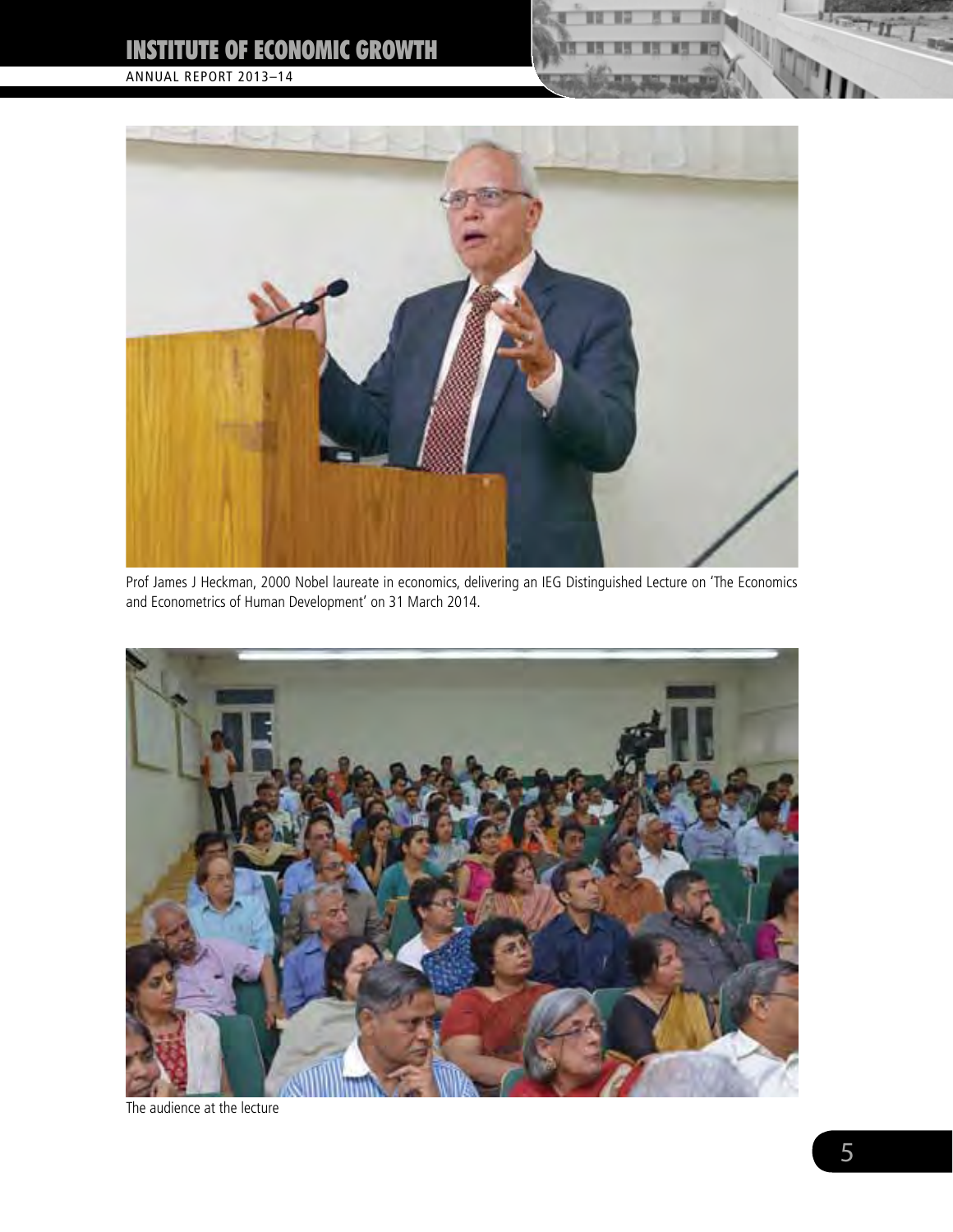

Prof James J Heckman, 2000 Nobel laureate in economics, delivering an IEG Distinguished Lecture on 'The Economics and Econometrics of Human Development' on 31 March 2014.



The audience at the lecture

 $7 \pi$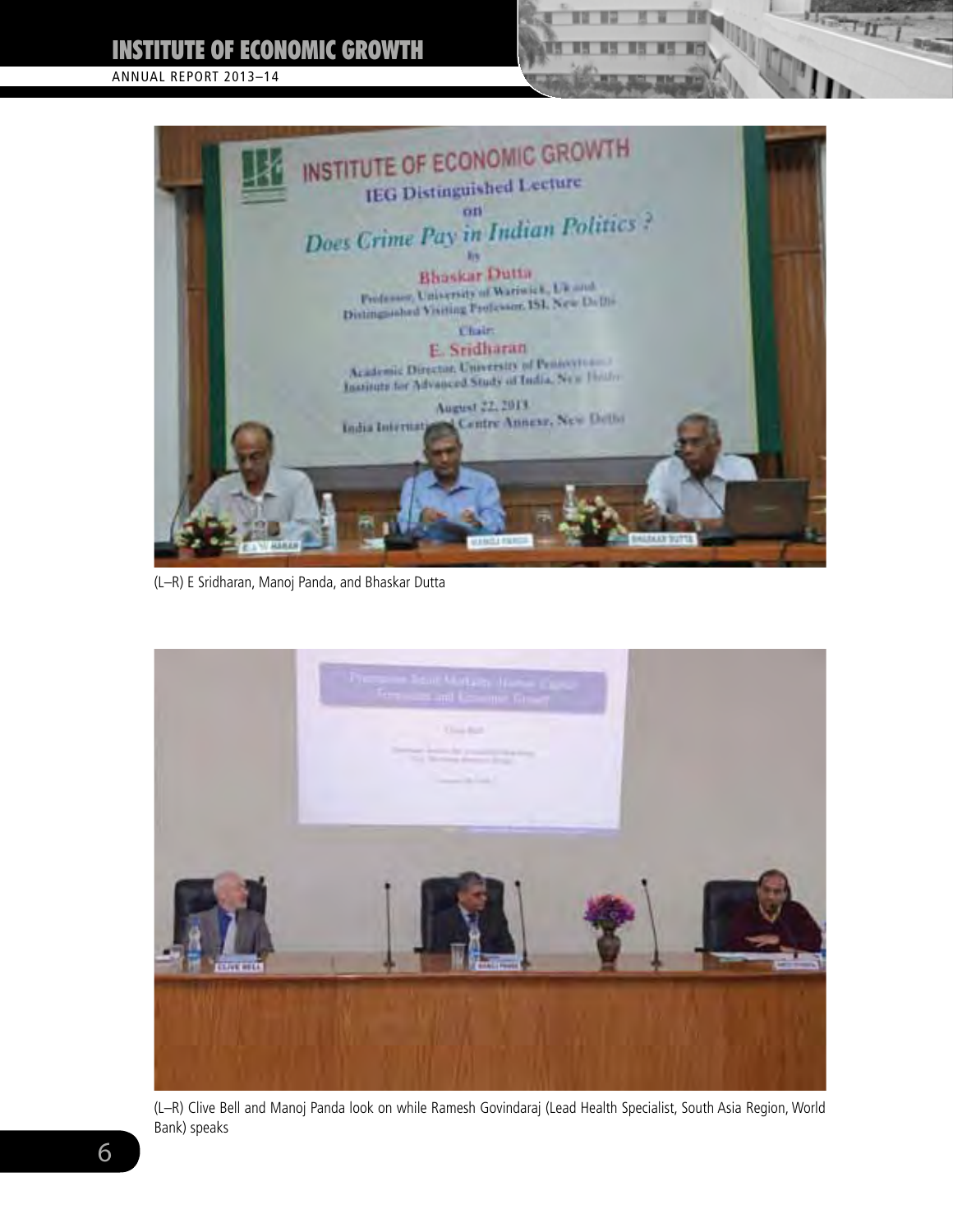Annual Report 2013–14



(L–R) E Sridharan, Manoj Panda, and Bhaskar Dutta



(L–R) Clive Bell and Manoj Panda look on while Ramesh Govindaraj (Lead Health Specialist, South Asia Region, World Bank) speaks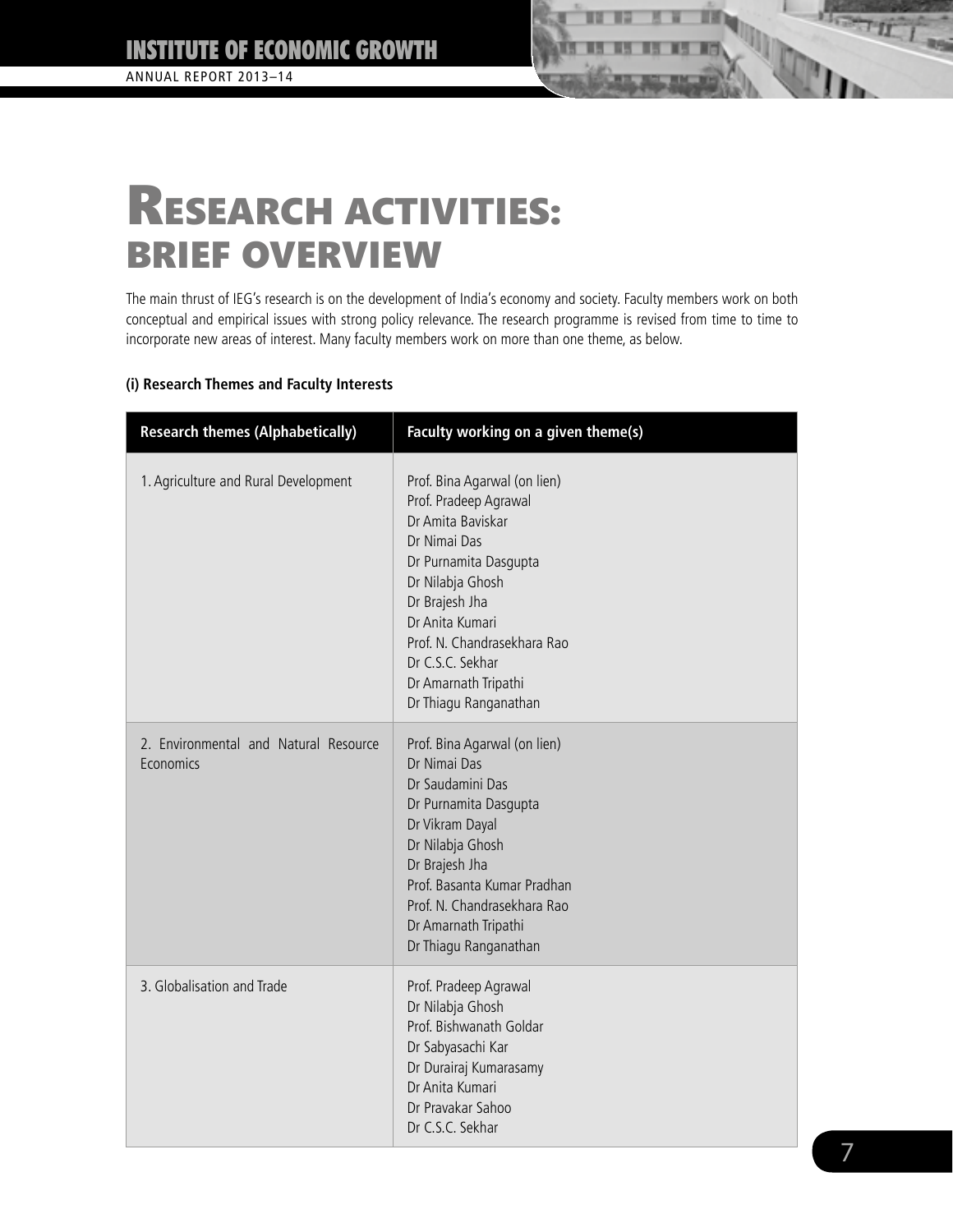# RESEARCH ACTIVITIES: BRIEF OVERVIEW

The main thrust of IEG's research is on the development of India's economy and society. Faculty members work on both conceptual and empirical issues with strong policy relevance. The research programme is revised from time to time to incorporate new areas of interest. Many faculty members work on more than one theme, as below.

#### **(i) Research Themes and Faculty Interests**

| <b>Research themes (Alphabetically)</b>            | Faculty working on a given theme(s)                                                                                                                                                                                                                                              |
|----------------------------------------------------|----------------------------------------------------------------------------------------------------------------------------------------------------------------------------------------------------------------------------------------------------------------------------------|
| 1. Agriculture and Rural Development               | Prof. Bina Agarwal (on lien)<br>Prof. Pradeep Agrawal<br>Dr Amita Baviskar<br>Dr Nimai Das<br>Dr Purnamita Dasgupta<br>Dr Nilabja Ghosh<br>Dr Brajesh Jha<br>Dr Anita Kumari<br>Prof. N. Chandrasekhara Rao<br>Dr C.S.C. Sekhar<br>Dr Amarnath Tripathi<br>Dr Thiagu Ranganathan |
| 2. Environmental and Natural Resource<br>Economics | Prof. Bina Agarwal (on lien)<br>Dr Nimai Das<br>Dr Saudamini Das<br>Dr Purnamita Dasgupta<br>Dr Vikram Dayal<br>Dr Nilabja Ghosh<br>Dr Brajesh Jha<br>Prof. Basanta Kumar Pradhan<br>Prof. N. Chandrasekhara Rao<br>Dr Amarnath Tripathi<br>Dr Thiagu Ranganathan                |
| 3. Globalisation and Trade                         | Prof. Pradeep Agrawal<br>Dr Nilabja Ghosh<br>Prof. Bishwanath Goldar<br>Dr Sabyasachi Kar<br>Dr Durairaj Kumarasamy<br>Dr Anita Kumari<br>Dr Pravakar Sahoo<br>Dr C.S.C. Sekhar                                                                                                  |

**THE REAL**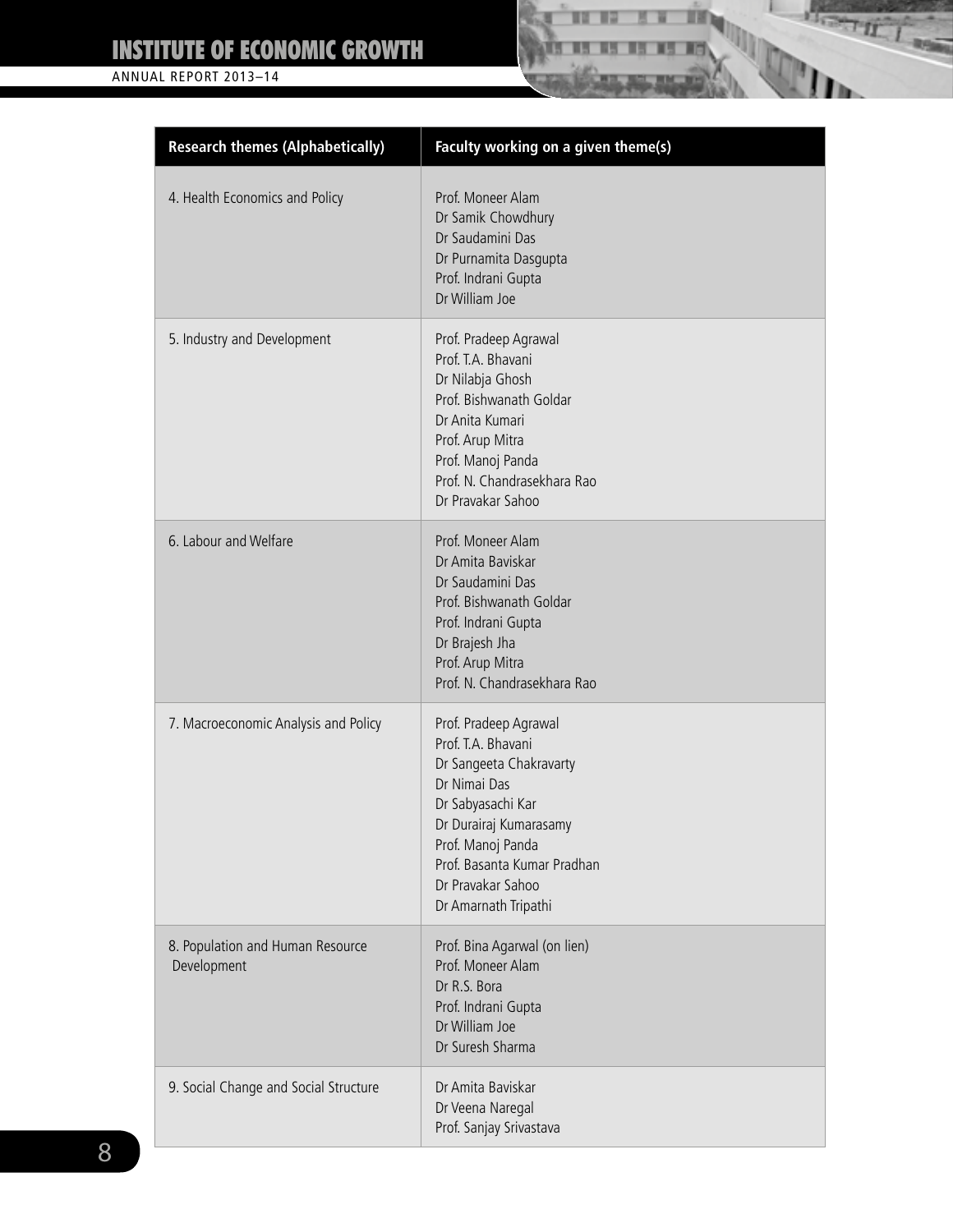## Annual Report 2013–14

| <b>Research themes (Alphabetically)</b>         | Faculty working on a given theme(s)                                                                                                                                                                                                    |
|-------------------------------------------------|----------------------------------------------------------------------------------------------------------------------------------------------------------------------------------------------------------------------------------------|
| 4. Health Economics and Policy                  | Prof. Moneer Alam<br>Dr Samik Chowdhury<br>Dr Saudamini Das<br>Dr Purnamita Dasgupta<br>Prof. Indrani Gupta<br>Dr William Joe                                                                                                          |
| 5. Industry and Development                     | Prof. Pradeep Agrawal<br>Prof. T.A. Bhavani<br>Dr Nilabja Ghosh<br>Prof. Bishwanath Goldar<br>Dr Anita Kumari<br>Prof. Arup Mitra<br>Prof. Manoj Panda<br>Prof. N. Chandrasekhara Rao<br>Dr Pravakar Sahoo                             |
| 6. Labour and Welfare                           | Prof. Moneer Alam<br>Dr Amita Baviskar<br>Dr Saudamini Das<br>Prof. Bishwanath Goldar<br>Prof. Indrani Gupta<br>Dr Brajesh Jha<br>Prof. Arup Mitra<br>Prof. N. Chandrasekhara Rao                                                      |
| 7. Macroeconomic Analysis and Policy            | Prof. Pradeep Agrawal<br>Prof. T.A. Bhavani<br>Dr Sangeeta Chakravarty<br>Dr Nimai Das<br>Dr Sabyasachi Kar<br>Dr Durairaj Kumarasamy<br>Prof. Manoj Panda<br>Prof. Basanta Kumar Pradhan<br>Dr Pravakar Sahoo<br>Dr Amarnath Tripathi |
| 8. Population and Human Resource<br>Development | Prof. Bina Agarwal (on lien)<br>Prof. Moneer Alam<br>Dr R.S. Bora<br>Prof. Indrani Gupta<br>Dr William Joe<br>Dr Suresh Sharma                                                                                                         |
| 9. Social Change and Social Structure           | Dr Amita Baviskar<br>Dr Veena Naregal<br>Prof. Sanjay Srivastava                                                                                                                                                                       |

**BY INC.** 

15 16

11 12

**LELL** 

ı.

**The Company**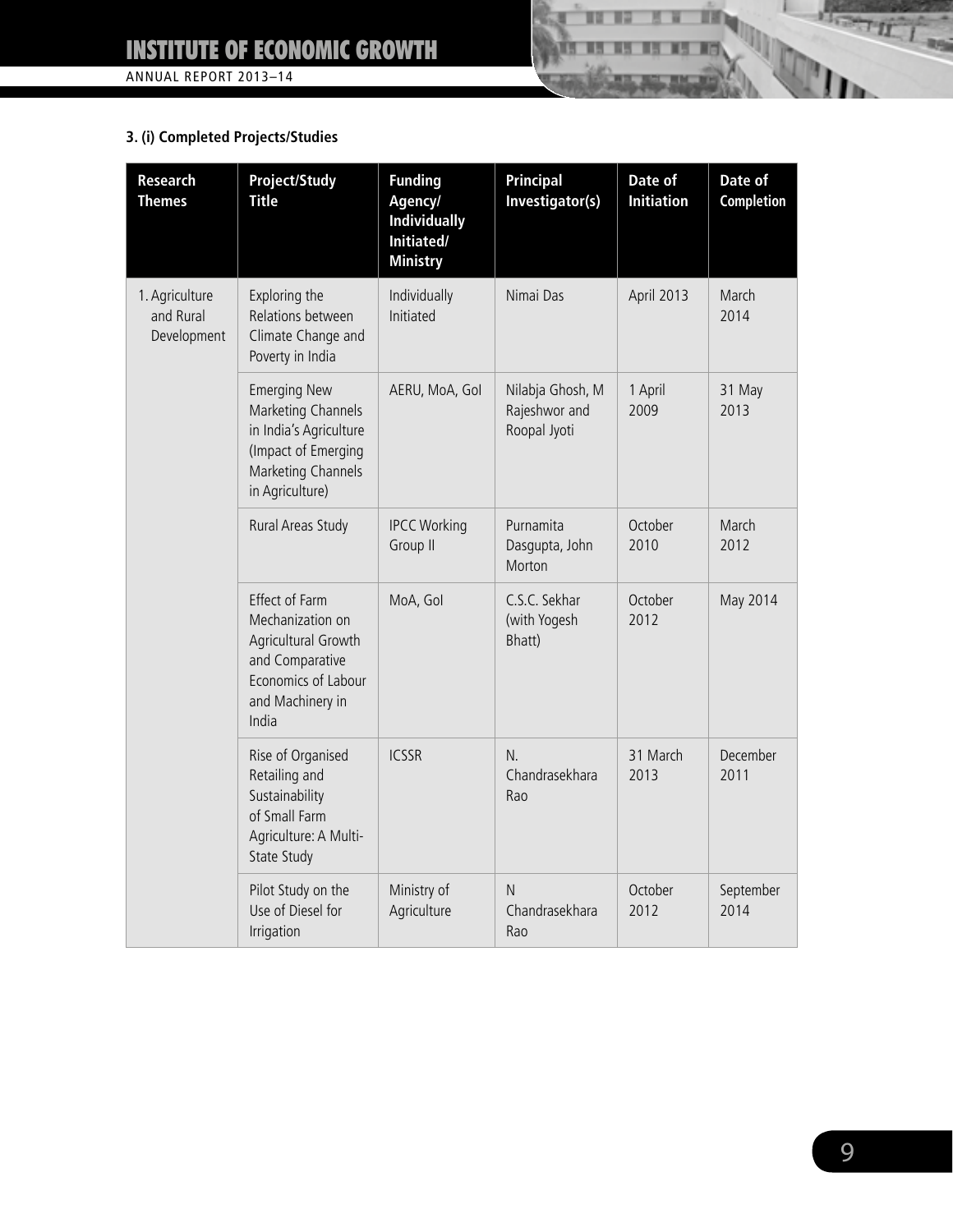### Annual Report 2013–14

#### **3. (i) Completed Projects/Studies**

| <b>Research</b><br><b>Themes</b>           | <b>Project/Study</b><br><b>Title</b>                                                                                                | <b>Funding</b><br>Agency/<br><b>Individually</b><br>Initiated/<br><b>Ministry</b> | <b>Principal</b><br>Investigator(s)               | Date of<br><b>Initiation</b> | Date of<br><b>Completion</b> |
|--------------------------------------------|-------------------------------------------------------------------------------------------------------------------------------------|-----------------------------------------------------------------------------------|---------------------------------------------------|------------------------------|------------------------------|
| 1. Agriculture<br>and Rural<br>Development | Exploring the<br>Relations between<br>Climate Change and<br>Poverty in India                                                        | Individually<br>Initiated                                                         | Nimai Das                                         | April 2013                   | March<br>2014                |
|                                            | <b>Emerging New</b><br>Marketing Channels<br>in India's Agriculture<br>(Impact of Emerging<br>Marketing Channels<br>in Agriculture) | AERU, MoA, Gol                                                                    | Nilabja Ghosh, M<br>Rajeshwor and<br>Roopal Jyoti | 1 April<br>2009              | 31 May<br>2013               |
|                                            | Rural Areas Study                                                                                                                   | <b>IPCC Working</b><br>Group II                                                   | Purnamita<br>Dasgupta, John<br>Morton             | October<br>2010              | March<br>2012                |
|                                            | Effect of Farm<br>Mechanization on<br>Agricultural Growth<br>and Comparative<br>Economics of Labour<br>and Machinery in<br>India    | MoA, Gol                                                                          | C.S.C. Sekhar<br>(with Yogesh<br>Bhatt)           | October<br>2012              | May 2014                     |
|                                            | Rise of Organised<br>Retailing and<br>Sustainability<br>of Small Farm<br>Agriculture: A Multi-<br>State Study                       | <b>ICSSR</b>                                                                      | N.<br>Chandrasekhara<br>Rao                       | 31 March<br>2013             | December<br>2011             |
|                                            | Pilot Study on the<br>Use of Diesel for<br>Irrigation                                                                               | Ministry of<br>Agriculture                                                        | N<br>Chandrasekhara<br>Rao                        | October<br>2012              | September<br>2014            |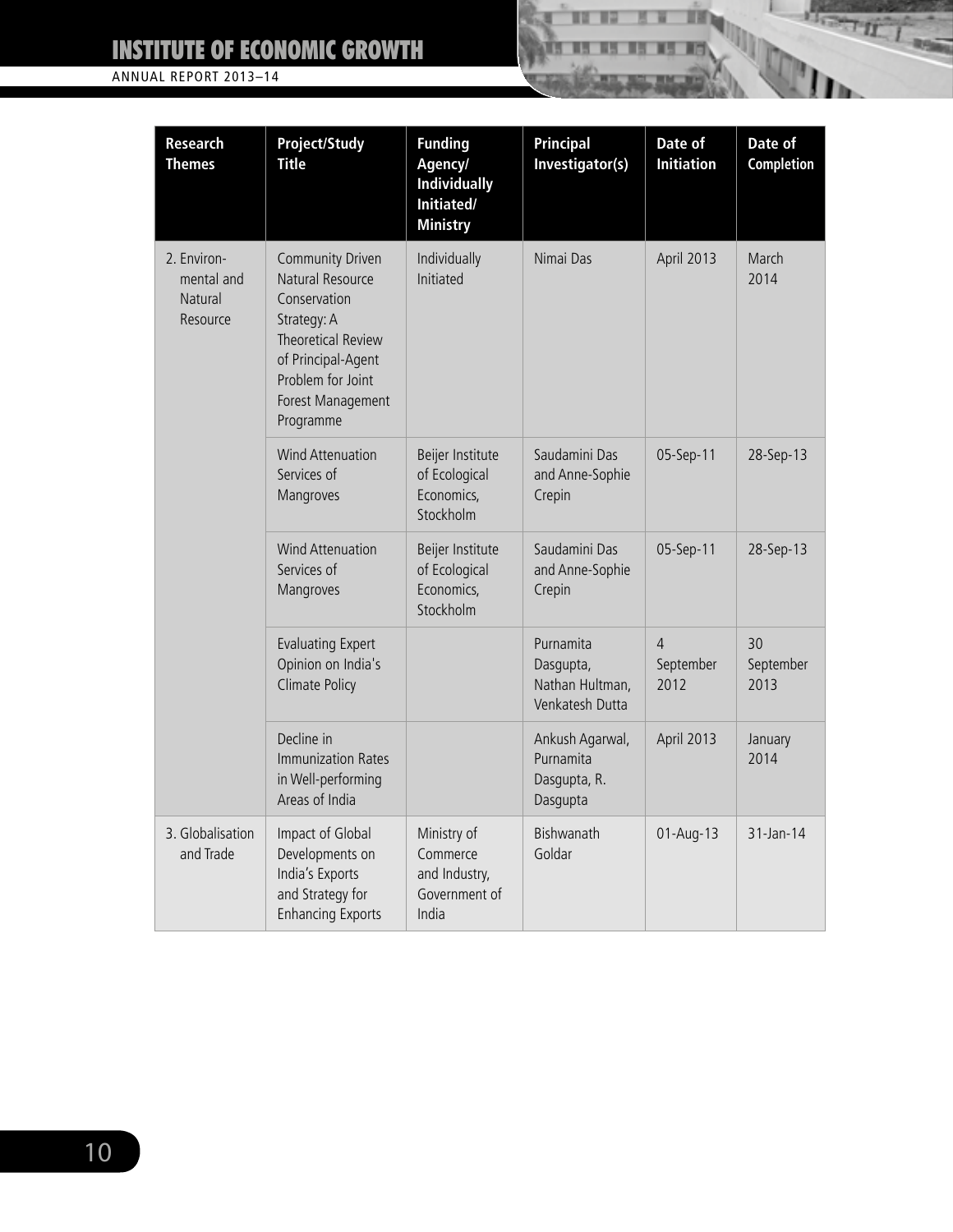## Annual Report 2013–14

| <b>Research</b><br><b>Themes</b>                 | <b>Project/Study</b><br><b>Title</b>                                                                                                                                                 | <b>Funding</b><br>Agency/<br><b>Individually</b><br>Initiated/<br><b>Ministry</b> | <b>Principal</b><br>Investigator(s)                          | Date of<br><b>Initiation</b>        | Date of<br>Completion   |
|--------------------------------------------------|--------------------------------------------------------------------------------------------------------------------------------------------------------------------------------------|-----------------------------------------------------------------------------------|--------------------------------------------------------------|-------------------------------------|-------------------------|
| 2. Environ-<br>mental and<br>Natural<br>Resource | <b>Community Driven</b><br>Natural Resource<br>Conservation<br>Strategy: A<br><b>Theoretical Review</b><br>of Principal-Agent<br>Problem for Joint<br>Forest Management<br>Programme | Individually<br>Initiated                                                         | Nimai Das                                                    | April 2013                          | March<br>2014           |
|                                                  | <b>Wind Attenuation</b><br>Services of<br>Mangroves                                                                                                                                  | Beijer Institute<br>of Ecological<br>Economics,<br>Stockholm                      | Saudamini Das<br>and Anne-Sophie<br>Crepin                   | 05-Sep-11                           | 28-Sep-13               |
|                                                  | <b>Wind Attenuation</b><br>Services of<br>Mangroves                                                                                                                                  | Beijer Institute<br>of Ecological<br>Economics,<br>Stockholm                      | Saudamini Das<br>and Anne-Sophie<br>Crepin                   | 05-Sep-11                           | 28-Sep-13               |
|                                                  | <b>Evaluating Expert</b><br>Opinion on India's<br>Climate Policy                                                                                                                     |                                                                                   | Purnamita<br>Dasgupta,<br>Nathan Hultman,<br>Venkatesh Dutta | $\overline{4}$<br>September<br>2012 | 30<br>September<br>2013 |
|                                                  | Decline in<br><b>Immunization Rates</b><br>in Well-performing<br>Areas of India                                                                                                      |                                                                                   | Ankush Agarwal,<br>Purnamita<br>Dasgupta, R.<br>Dasgupta     | April 2013                          | January<br>2014         |
| 3. Globalisation<br>and Trade                    | Impact of Global<br>Developments on<br>India's Exports<br>and Strategy for<br><b>Enhancing Exports</b>                                                                               | Ministry of<br>Commerce<br>and Industry,<br>Government of<br>India                | Bishwanath<br>Goldar                                         | 01-Aug-13                           | 31-Jan-14               |

h

m.

ոս ումղ

**ES 15** 

СÆ

**THE LE**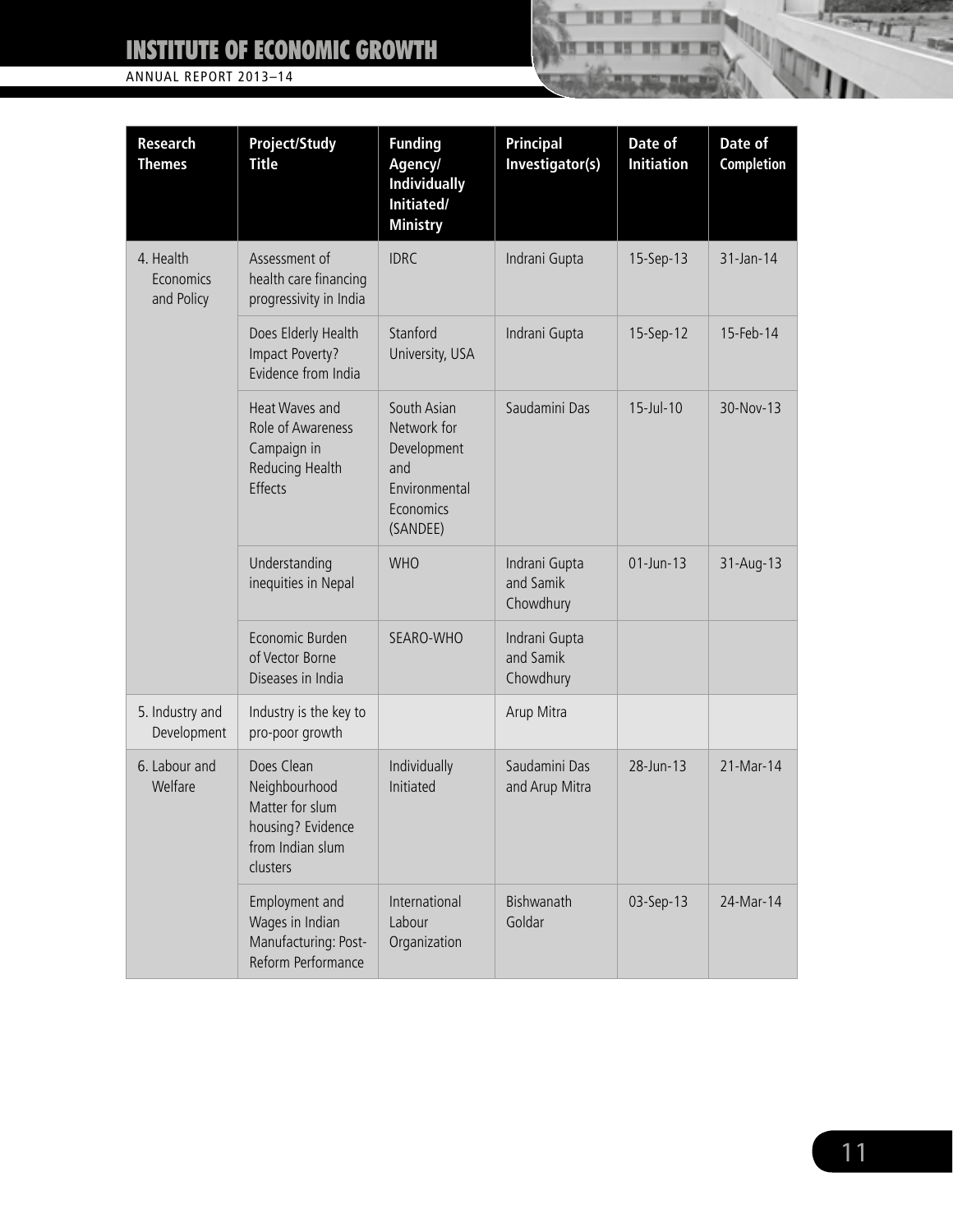## Annual Report 2013–14

| ANNUAL REPORT 2013-14                | INSTITUTE OF ECONOMIC GROWTH                                                                        |                                                                                            |                                         |                              |                              |
|--------------------------------------|-----------------------------------------------------------------------------------------------------|--------------------------------------------------------------------------------------------|-----------------------------------------|------------------------------|------------------------------|
| <b>Research</b><br><b>Themes</b>     | <b>Project/Study</b><br><b>Title</b>                                                                | <b>Funding</b><br>Agency/<br><b>Individually</b><br>Initiated/<br><b>Ministry</b>          | <b>Principal</b><br>Investigator(s)     | Date of<br><b>Initiation</b> | Date of<br><b>Completion</b> |
| 4. Health<br>Economics<br>and Policy | Assessment of<br>health care financing<br>progressivity in India                                    | <b>IDRC</b>                                                                                | Indrani Gupta                           | 15-Sep-13                    | 31-Jan-14                    |
|                                      | Does Elderly Health<br>Impact Poverty?<br>Evidence from India                                       | Stanford<br>University, USA                                                                | Indrani Gupta                           | 15-Sep-12                    | 15-Feb-14                    |
|                                      | Heat Waves and<br>Role of Awareness<br>Campaign in<br>Reducing Health<br>Effects                    | South Asian<br>Network for<br>Development<br>and<br>Environmental<br>Economics<br>(SANDEE) | Saudamini Das                           | $15$ -Jul- $10$              | 30-Nov-13                    |
|                                      | Understanding<br>inequities in Nepal                                                                | <b>WHO</b>                                                                                 | Indrani Gupta<br>and Samik<br>Chowdhury | $01$ -Jun-13                 | 31-Aug-13                    |
|                                      | Economic Burden<br>of Vector Borne<br>Diseases in India                                             | SEARO-WHO                                                                                  | Indrani Gupta<br>and Samik<br>Chowdhury |                              |                              |
| 5. Industry and<br>Development       | Industry is the key to<br>pro-poor growth                                                           |                                                                                            | Arup Mitra                              |                              |                              |
| 6. Labour and<br>Welfare             | Does Clean<br>Neighbourhood<br>Matter for slum<br>housing? Evidence<br>from Indian slum<br>clusters | Individually<br>Initiated                                                                  | Saudamini Das<br>and Arup Mitra         | 28-Jun-13                    | 21-Mar-14                    |
|                                      | Employment and<br>Wages in Indian<br>Manufacturing: Post-<br>Reform Performance                     | International<br>Labour<br>Organization                                                    | Bishwanath<br>Goldar                    | 03-Sep-13                    | 24-Mar-14                    |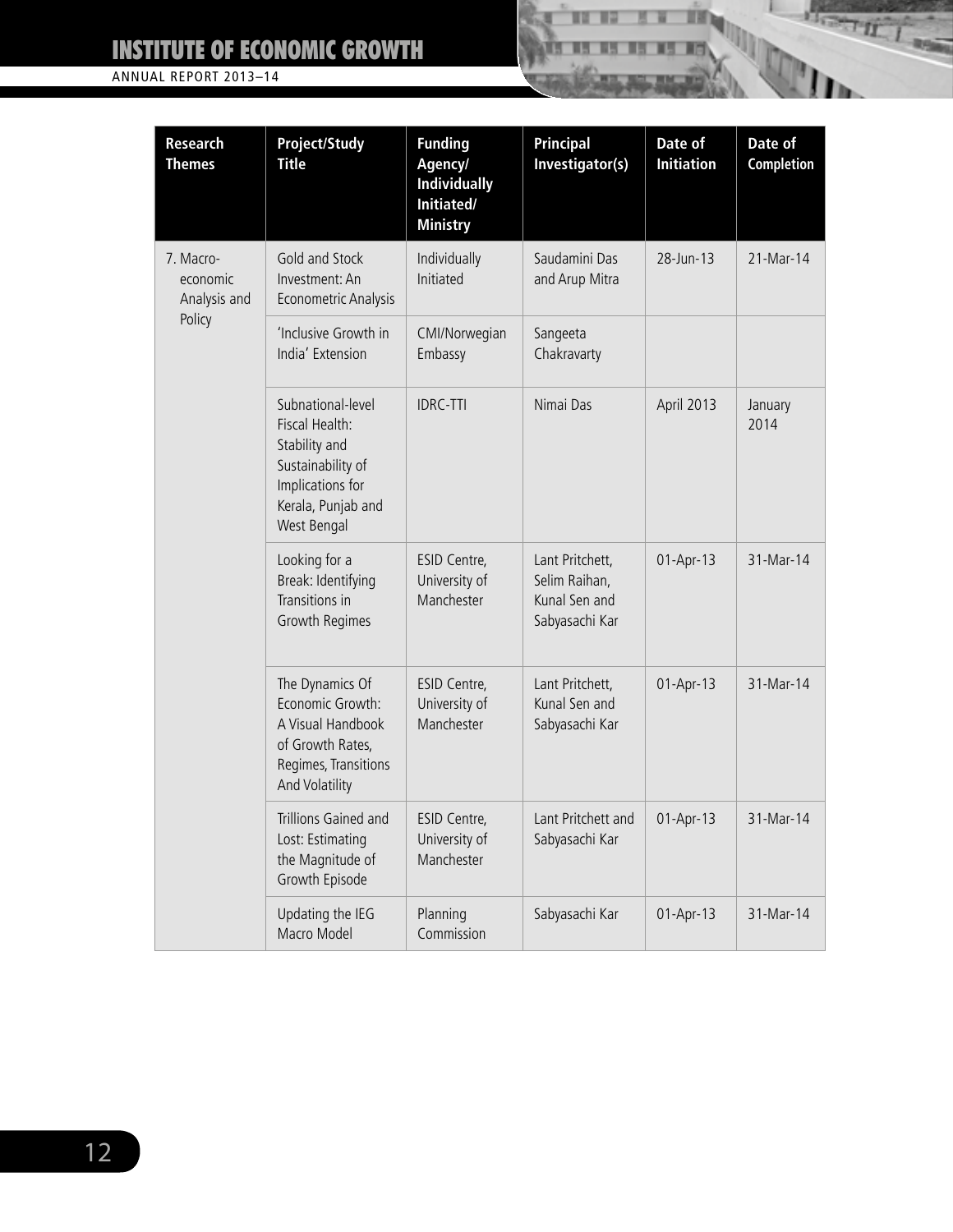## Annual Report 2013–14

| Research<br><b>Themes</b>             | <b>Project/Study</b><br><b>Title</b>                                                                                               | <b>Funding</b><br>Agency/<br><b>Individually</b><br>Initiated/<br><b>Ministry</b> | <b>Principal</b><br>Investigator(s)                                 | Date of<br><b>Initiation</b> | Date of<br><b>Completion</b> |
|---------------------------------------|------------------------------------------------------------------------------------------------------------------------------------|-----------------------------------------------------------------------------------|---------------------------------------------------------------------|------------------------------|------------------------------|
| 7. Macro-<br>economic<br>Analysis and | Gold and Stock<br>Investment: An<br>Econometric Analysis                                                                           | Individually<br>Initiated                                                         | Saudamini Das<br>and Arup Mitra                                     | 28-Jun-13                    | 21-Mar-14                    |
| Policy                                | 'Inclusive Growth in<br>India' Extension                                                                                           | CMI/Norwegian<br>Embassy                                                          | Sangeeta<br>Chakravarty                                             |                              |                              |
|                                       | Subnational-level<br>Fiscal Health:<br>Stability and<br>Sustainability of<br>Implications for<br>Kerala, Punjab and<br>West Bengal | <b>IDRC-TTI</b>                                                                   | Nimai Das                                                           | April 2013                   | January<br>2014              |
|                                       | Looking for a<br>Break: Identifying<br>Transitions in<br>Growth Regimes                                                            | ESID Centre,<br>University of<br>Manchester                                       | Lant Pritchett,<br>Selim Raihan,<br>Kunal Sen and<br>Sabyasachi Kar | 01-Apr-13                    | 31-Mar-14                    |
|                                       | The Dynamics Of<br>Economic Growth:<br>A Visual Handbook<br>of Growth Rates,<br>Regimes, Transitions<br>And Volatility             | ESID Centre,<br>University of<br>Manchester                                       | Lant Pritchett,<br>Kunal Sen and<br>Sabyasachi Kar                  | 01-Apr-13                    | 31-Mar-14                    |
|                                       | Trillions Gained and<br>Lost: Estimating<br>the Magnitude of<br>Growth Episode                                                     | ESID Centre<br>University of<br>Manchester                                        | ant Pritchett and<br>Sabyasachi Kar                                 | $01 - Apr - 13$              | 31-Mar-14                    |
|                                       | Updating the IEG<br>Macro Model                                                                                                    | Planning<br>Commission                                                            | Sabyasachi Kar                                                      | 01-Apr-13                    | 31-Mar-14                    |

una sa mg<sub>h</sub>

**TH 15** 

w

**15 15 16** 

m.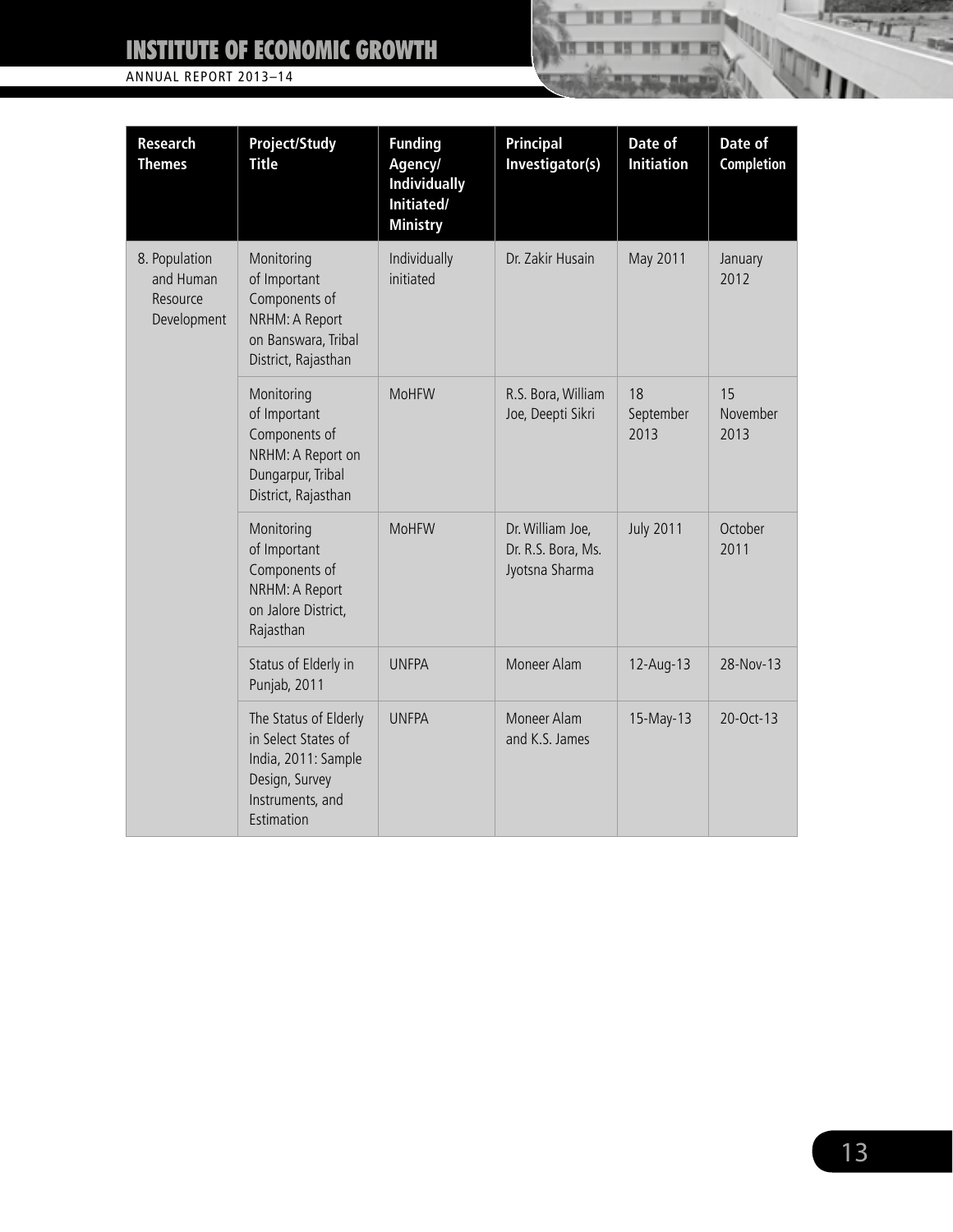## Annual Report 2013–14

| INSTITUTE OF ECONOMIC GROWTH<br>ANNUAL REPORT 2013-14 |                                                                                                                         |                                                                                   |                                                          |                              |                              |
|-------------------------------------------------------|-------------------------------------------------------------------------------------------------------------------------|-----------------------------------------------------------------------------------|----------------------------------------------------------|------------------------------|------------------------------|
| <b>Research</b><br><b>Themes</b>                      | <b>Project/Study</b><br><b>Title</b>                                                                                    | <b>Funding</b><br>Agency/<br><b>Individually</b><br>Initiated/<br><b>Ministry</b> | <b>Principal</b><br>Investigator(s)                      | Date of<br><b>Initiation</b> | Date of<br><b>Completion</b> |
| 8. Population<br>and Human<br>Resource<br>Development | Monitoring<br>of Important<br>Components of<br>NRHM: A Report<br>on Banswara, Tribal<br>District, Rajasthan             | Individually<br>initiated                                                         | Dr. Zakir Husain                                         | May 2011                     | January<br>2012              |
|                                                       | Monitoring<br>of Important<br>Components of<br>NRHM: A Report on<br>Dungarpur, Tribal<br>District, Rajasthan            | <b>MoHFW</b>                                                                      | R.S. Bora, William<br>Joe, Deepti Sikri                  | 18<br>September<br>2013      | 15<br>November<br>2013       |
|                                                       | Monitoring<br>of Important<br>Components of<br>NRHM: A Report<br>on Jalore District,<br>Rajasthan                       | <b>MoHFW</b>                                                                      | Dr. William Joe,<br>Dr. R.S. Bora, Ms.<br>Jyotsna Sharma | <b>July 2011</b>             | October<br>2011              |
|                                                       | Status of Elderly in<br>Punjab, 2011                                                                                    | <b>UNFPA</b>                                                                      | Moneer Alam                                              | 12-Aug-13                    | 28-Nov-13                    |
|                                                       | The Status of Elderly<br>in Select States of<br>India, 2011: Sample<br>Design, Survey<br>Instruments, and<br>Estimation | <b>UNFPA</b>                                                                      | Moneer Alam<br>and K.S. James                            | 15-May-13                    | 20-Oct-13                    |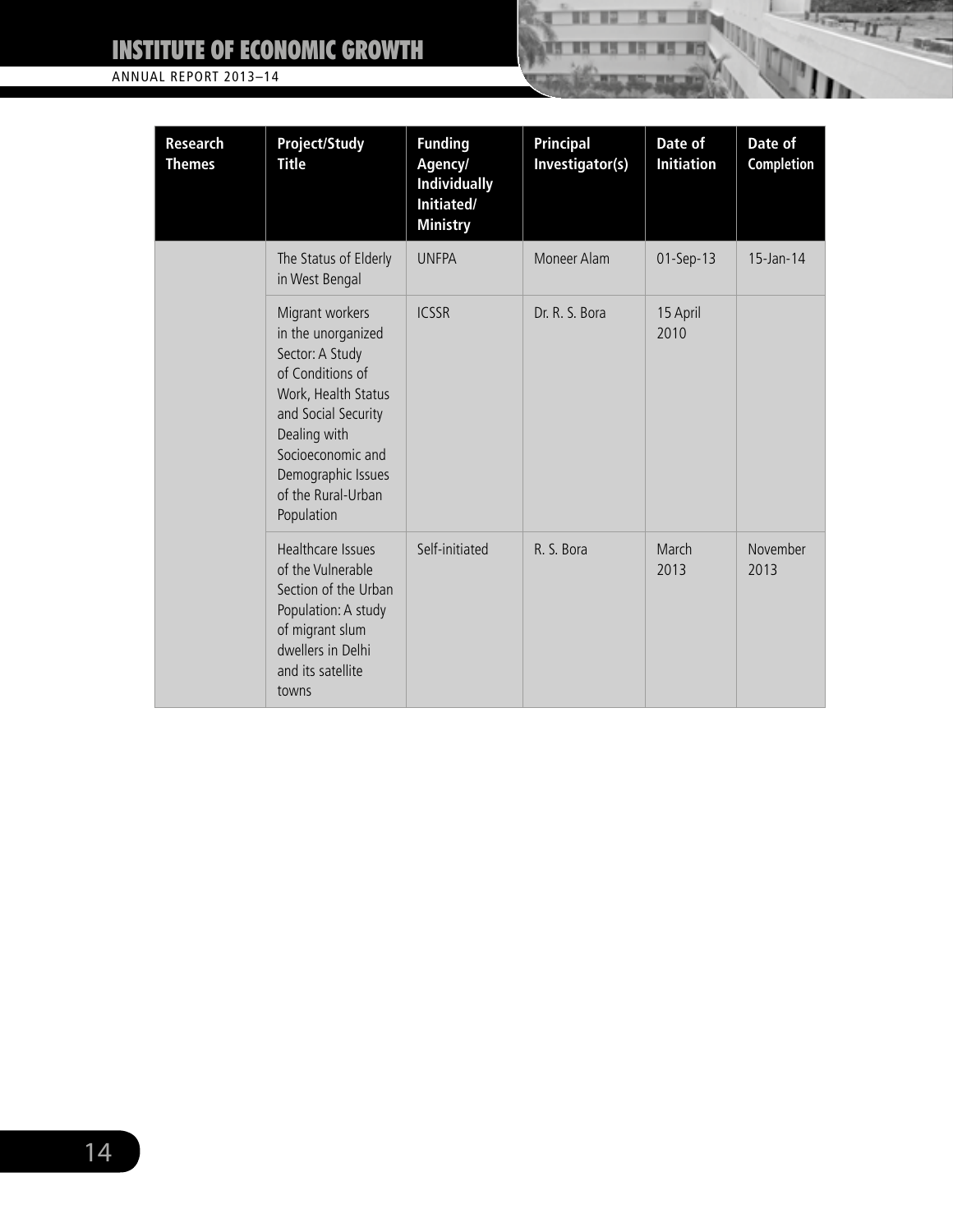## Annual Report 2013–14

| <b>Research</b><br><b>Themes</b> | <b>Project/Study</b><br><b>Title</b>                                                                                                                                                                                      | <b>Funding</b><br>Agency/<br><b>Individually</b><br>Initiated/<br><b>Ministry</b> | <b>Principal</b><br>Investigator(s) | Date of<br><b>Initiation</b> | Date of<br><b>Completion</b> |
|----------------------------------|---------------------------------------------------------------------------------------------------------------------------------------------------------------------------------------------------------------------------|-----------------------------------------------------------------------------------|-------------------------------------|------------------------------|------------------------------|
|                                  | The Status of Elderly<br>in West Bengal                                                                                                                                                                                   | <b>UNFPA</b>                                                                      | Moneer Alam                         | 01-Sep-13                    | $15$ -Jan-14                 |
|                                  | Migrant workers<br>in the unorganized<br>Sector: A Study<br>of Conditions of<br>Work, Health Status<br>and Social Security<br>Dealing with<br>Socioeconomic and<br>Demographic Issues<br>of the Rural-Urban<br>Population | <b>ICSSR</b>                                                                      | Dr. R. S. Bora                      | 15 April<br>2010             |                              |
|                                  | Healthcare Issues<br>of the Vulnerable<br>Section of the Urban<br>Population: A study<br>of migrant slum<br>dwellers in Delhi<br>and its satellite<br>towns                                                               | Self-initiated                                                                    | R. S. Bora                          | March<br>2013                | November<br>2013             |

mar ev fra<sub>ll</sub>

**TH LE** 

w

**15 15 16** 

ı.

**IT DOWN TO BE**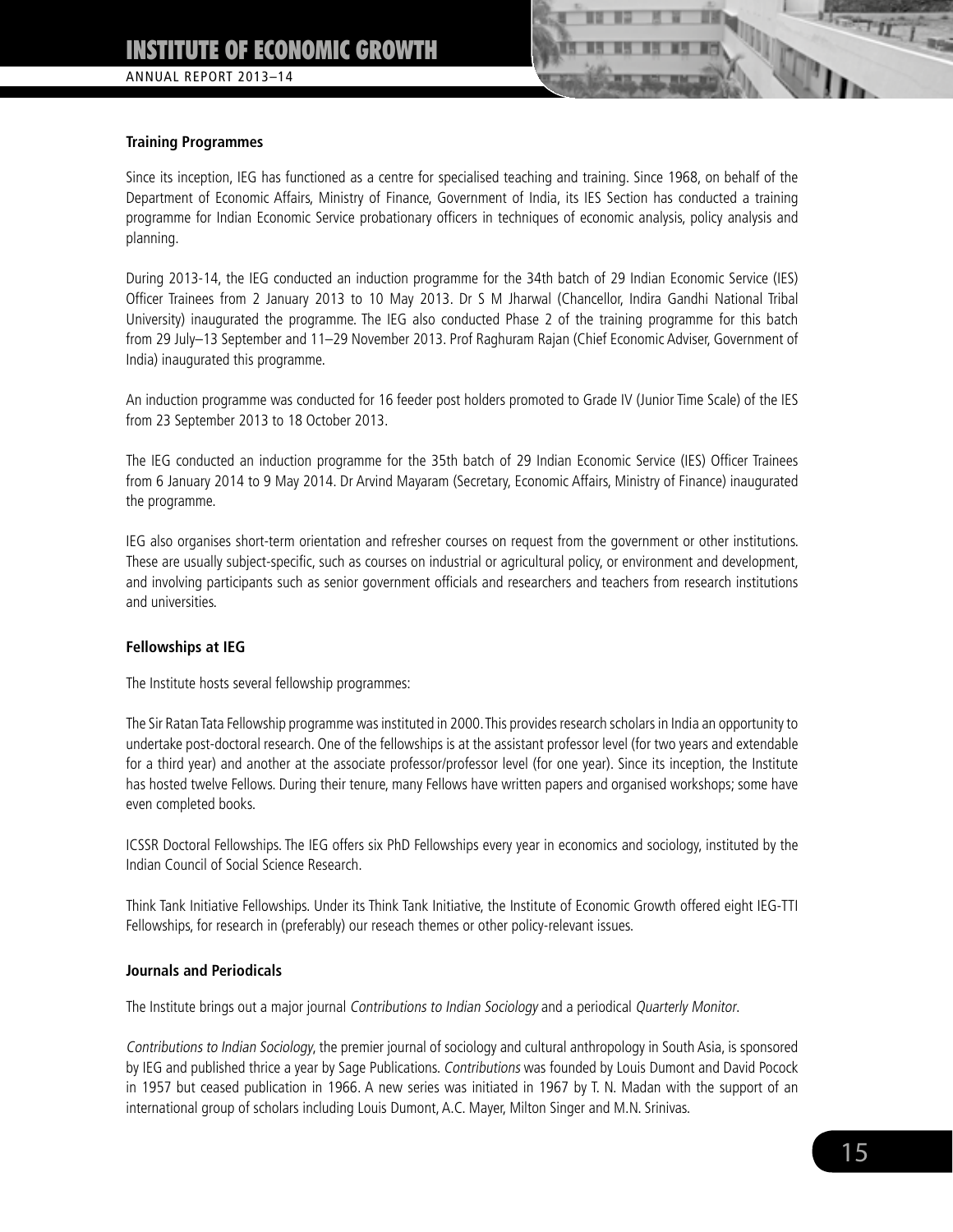#### **Training Programmes**

Since its inception, IEG has functioned as a centre for specialised teaching and training. Since 1968, on behalf of the Department of Economic Affairs, Ministry of Finance, Government of India, its IES Section has conducted a training programme for Indian Economic Service probationary officers in techniques of economic analysis, policy analysis and planning.

During 2013-14, the IEG conducted an induction programme for the 34th batch of 29 Indian Economic Service (IES) Officer Trainees from 2 January 2013 to 10 May 2013. Dr S M Jharwal (Chancellor, Indira Gandhi National Tribal University) inaugurated the programme. The IEG also conducted Phase 2 of the training programme for this batch from 29 July–13 September and 11–29 November 2013. Prof Raghuram Rajan (Chief Economic Adviser, Government of India) inaugurated this programme.

An induction programme was conducted for 16 feeder post holders promoted to Grade IV (Junior Time Scale) of the IES from 23 September 2013 to 18 October 2013.

The IEG conducted an induction programme for the 35th batch of 29 Indian Economic Service (IES) Officer Trainees from 6 January 2014 to 9 May 2014. Dr Arvind Mayaram (Secretary, Economic Affairs, Ministry of Finance) inaugurated the programme.

IEG also organises short-term orientation and refresher courses on request from the government or other institutions. These are usually subject-specific, such as courses on industrial or agricultural policy, or environment and development, and involving participants such as senior government officials and researchers and teachers from research institutions and universities.

#### **Fellowships at IEG**

The Institute hosts several fellowship programmes:

The Sir Ratan Tata Fellowship programme was instituted in 2000. This provides research scholars in India an opportunity to undertake post-doctoral research. One of the fellowships is at the assistant professor level (for two years and extendable for a third year) and another at the associate professor/professor level (for one year). Since its inception, the Institute has hosted twelve Fellows. During their tenure, many Fellows have written papers and organised workshops; some have even completed books.

ICSSR Doctoral Fellowships. The IEG offers six PhD Fellowships every year in economics and sociology, instituted by the Indian Council of Social Science Research.

Think Tank Initiative Fellowships. Under its Think Tank Initiative, the Institute of Economic Growth offered eight IEG-TTI Fellowships, for research in (preferably) our reseach themes or other policy-relevant issues.

#### **Journals and Periodicals**

The Institute brings out a major journal Contributions to Indian Sociology and a periodical Quarterly Monitor.

Contributions to Indian Sociology, the premier journal of sociology and cultural anthropology in South Asia, is sponsored by IEG and published thrice a year by Sage Publications. Contributions was founded by Louis Dumont and David Pocock in 1957 but ceased publication in 1966. A new series was initiated in 1967 by T. N. Madan with the support of an international group of scholars including Louis Dumont, A.C. Mayer, Milton Singer and M.N. Srinivas.

 $\frac{1}{2}$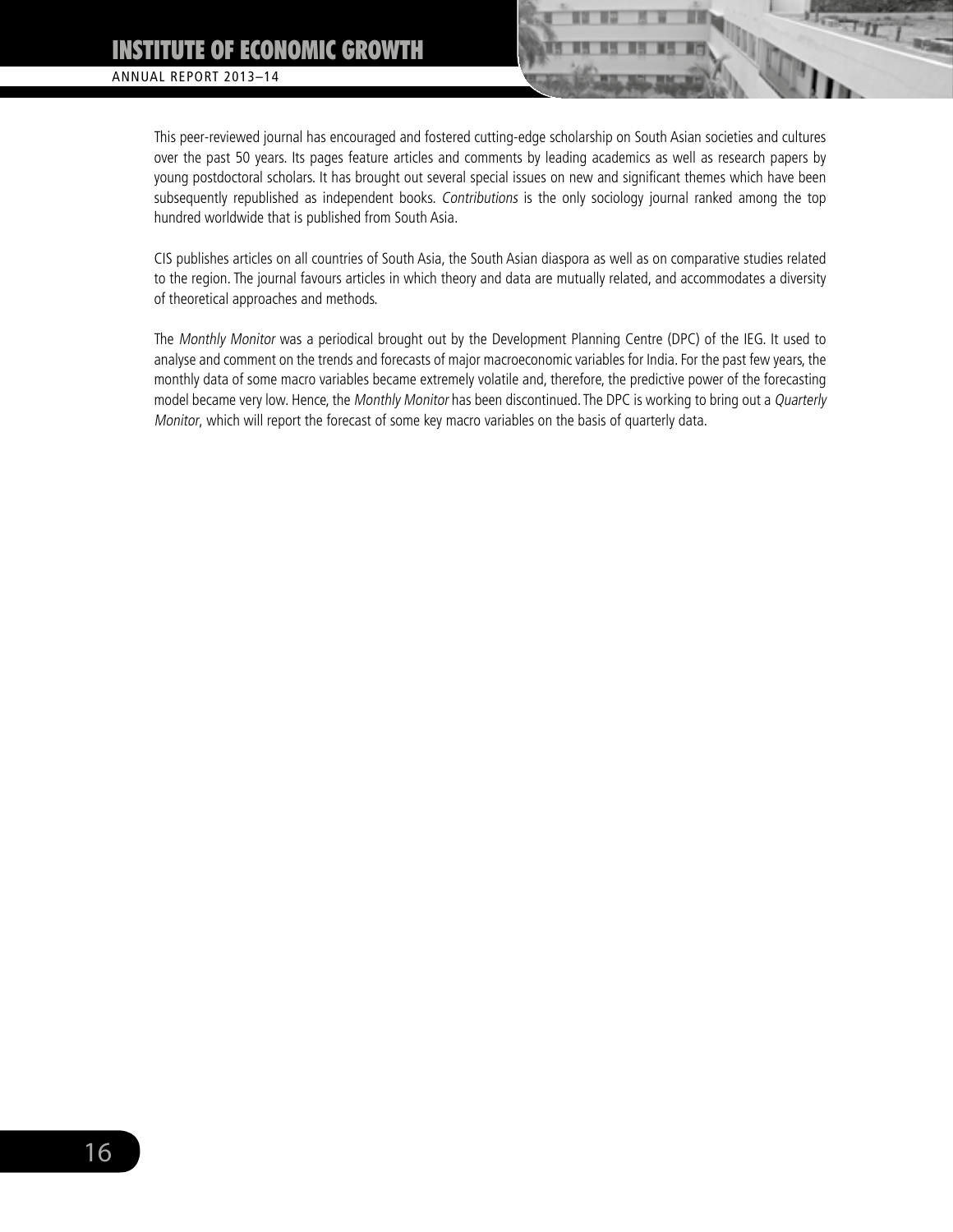This peer-reviewed journal has encouraged and fostered cutting-edge scholarship on South Asian societies and cultures over the past 50 years. Its pages feature articles and comments by leading academics as well as research papers by young postdoctoral scholars. It has brought out several special issues on new and significant themes which have been subsequently republished as independent books. Contributions is the only sociology journal ranked among the top hundred worldwide that is published from South Asia.

CIS publishes articles on all countries of South Asia, the South Asian diaspora as well as on comparative studies related to the region. The journal favours articles in which theory and data are mutually related, and accommodates a diversity of theoretical approaches and methods.

The Monthly Monitor was a periodical brought out by the Development Planning Centre (DPC) of the IEG. It used to analyse and comment on the trends and forecasts of major macroeconomic variables for India. For the past few years, the monthly data of some macro variables became extremely volatile and, therefore, the predictive power of the forecasting model became very low. Hence, the Monthly Monitor has been discontinued. The DPC is working to bring out a Quarterly Monitor, which will report the forecast of some key macro variables on the basis of quarterly data.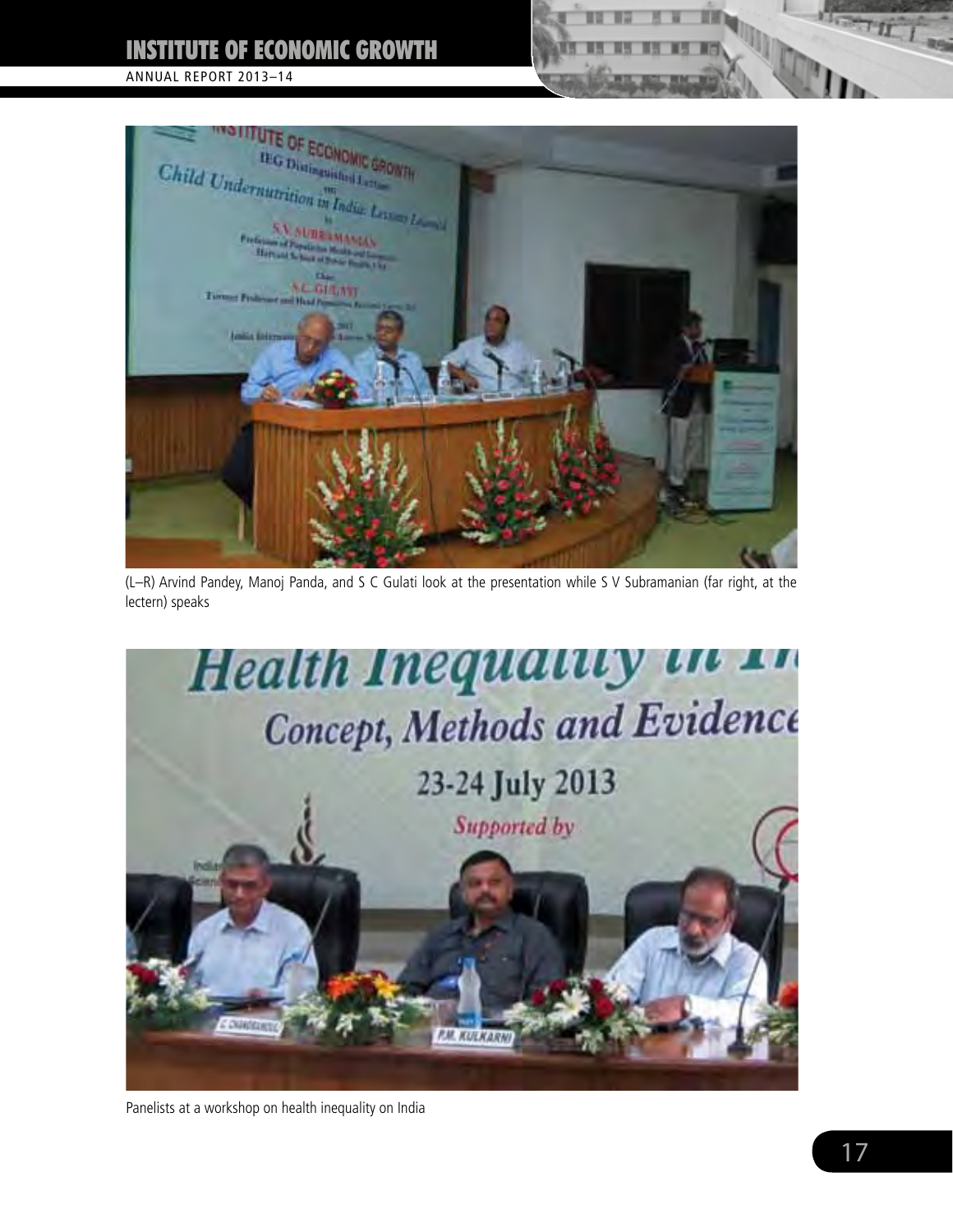### Institute of Economic Growth Annual Report 2013–14



(L–R) Arvind Pandey, Manoj Panda, and S C Gulati look at the presentation while S V Subramanian (far right, at the lectern) speaks



Panelists at a workshop on health inequality on India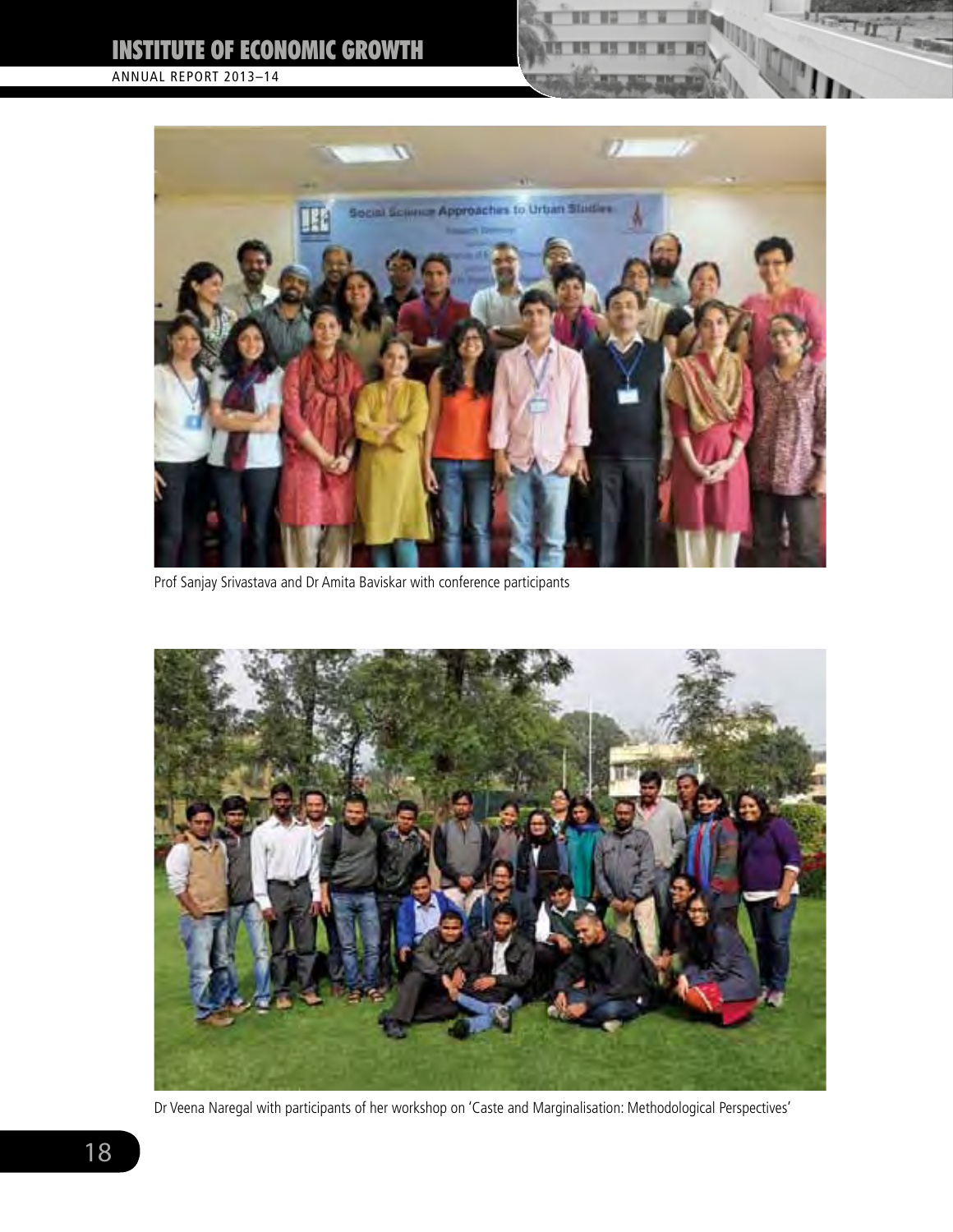

Prof Sanjay Srivastava and Dr Amita Baviskar with conference participants



Dr Veena Naregal with participants of her workshop on 'Caste and Marginalisation: Methodological Perspectives'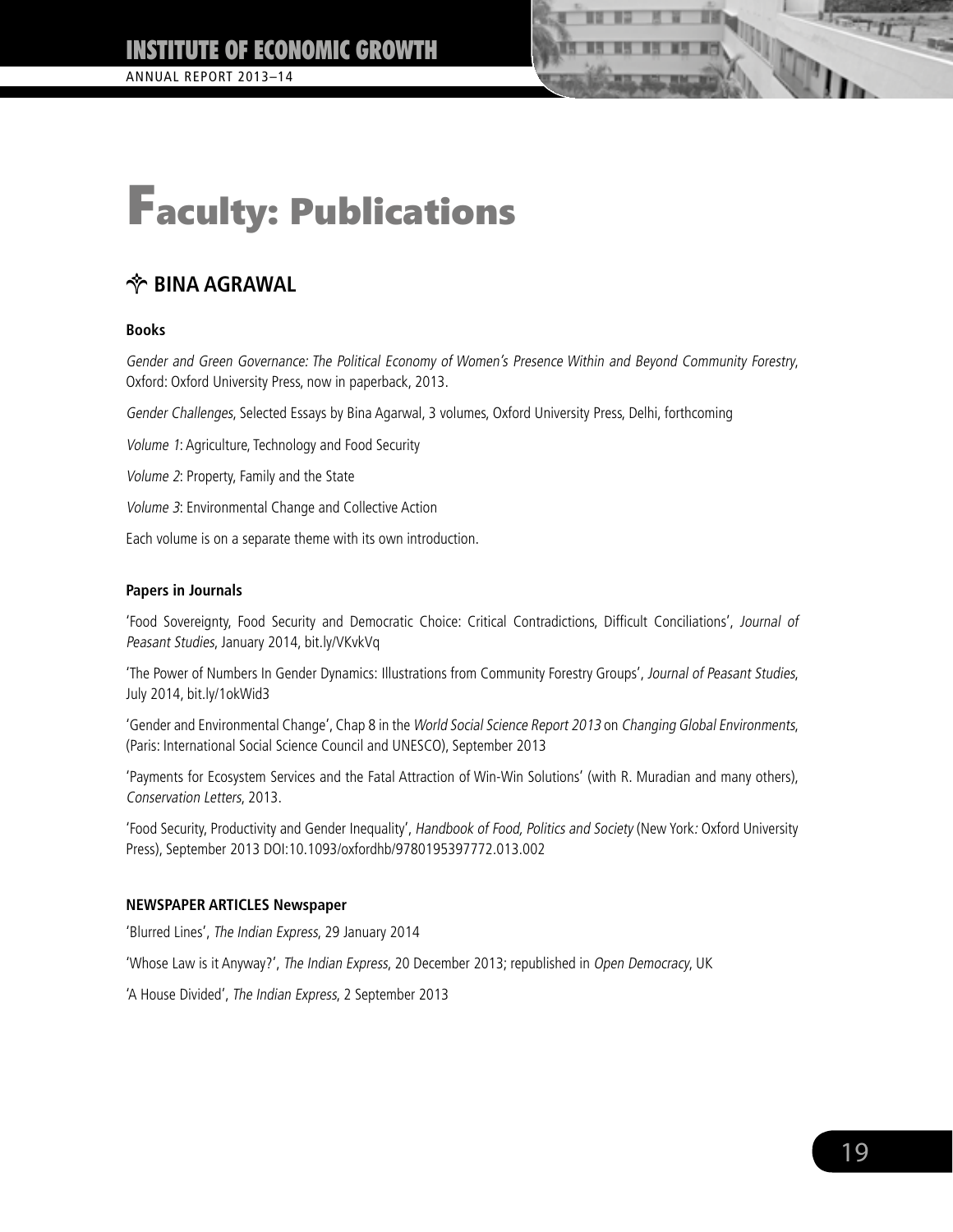# Faculty: Publications

## **<u>❖ BINA AGRAWAL</u>**

#### **Books**

Gender and Green Governance: The Political Economy of Women's Presence Within and Beyond Community Forestry, Oxford: Oxford University Press, now in paperback, 2013.

Gender Challenges, Selected Essays by Bina Agarwal, 3 volumes, Oxford University Press, Delhi, forthcoming

Volume 1: Agriculture, Technology and Food Security

Volume 2: Property, Family and the State

Volume 3: Environmental Change and Collective Action

Each volume is on a separate theme with its own introduction.

#### **Papers in Journals**

'Food Sovereignty, Food Security and Democratic Choice: Critical Contradictions, Difficult Conciliations', Journal of Peasant Studies, January 2014, bit.ly/VKvkVq

'The Power of Numbers In Gender Dynamics: Illustrations from Community Forestry Groups', Journal of Peasant Studies, July 2014, bit.ly/1okWid3

'Gender and Environmental Change', Chap 8 in the World Social Science Report 2013 on Changing Global Environments, (Paris: International Social Science Council and UNESCO), September 2013

'Payments for Ecosystem Services and the Fatal Attraction of Win-Win Solutions' (with R. Muradian and many others), Conservation Letters, 2013.

'Food Security, Productivity and Gender Inequality', Handbook of Food, Politics and Society (New York: Oxford University Press), September 2013 DOI:10.1093/oxfordhb/9780195397772.013.002

#### **NEWSPAPER ARTICLES Newspaper**

'Blurred Lines', The Indian Express, 29 January 2014

'Whose Law is it Anyway?', The Indian Express, 20 December 2013; republished in Open Democracy, UK

'A House Divided', The Indian Express, 2 September 2013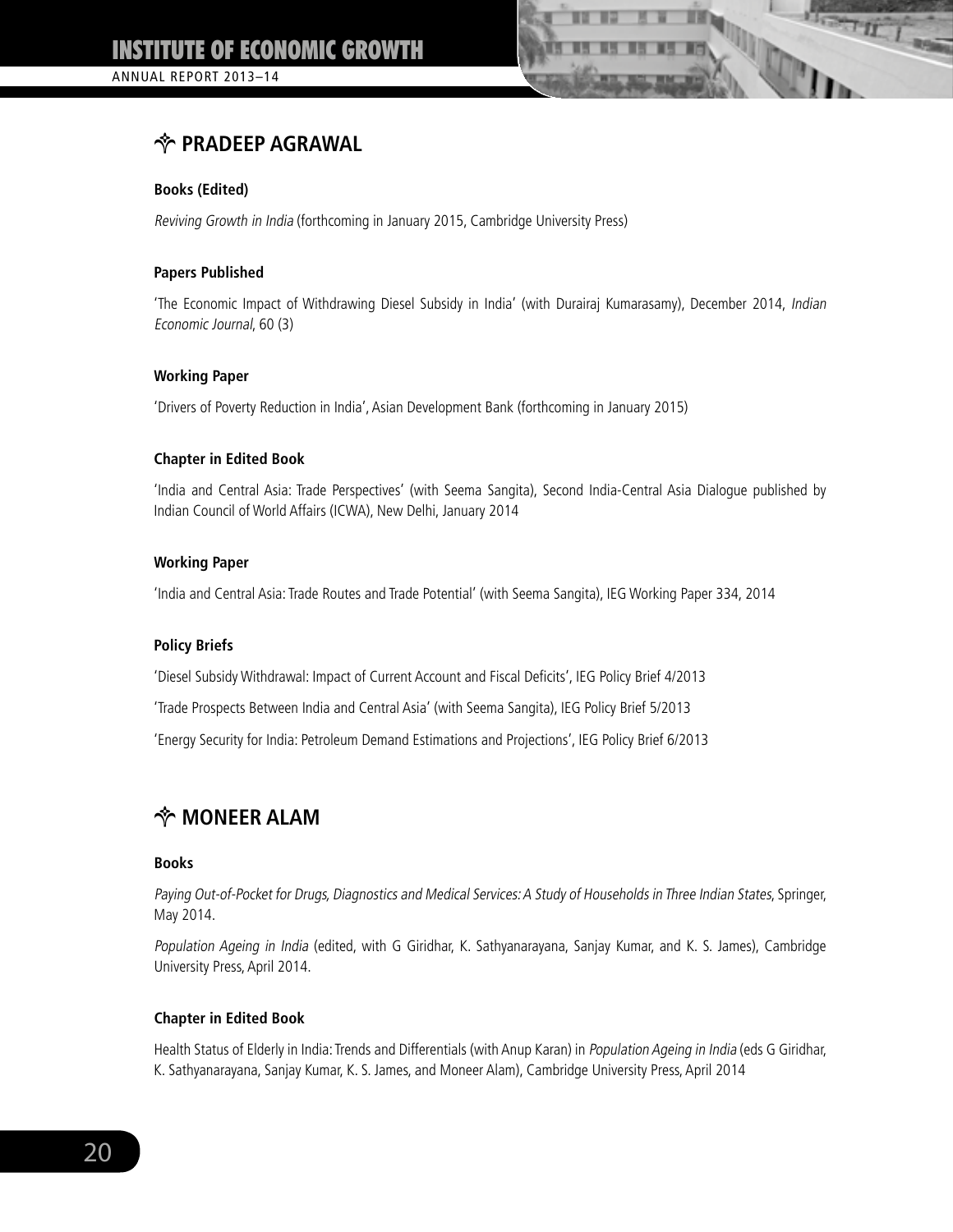## **<u>❖ PRADEEP AGRAWAL</u>**

#### **Books (Edited)**

Reviving Growth in India (forthcoming in January 2015, Cambridge University Press)

#### **Papers Published**

'The Economic Impact of Withdrawing Diesel Subsidy in India' (with Durairaj Kumarasamy), December 2014, Indian Economic Journal, 60 (3)

THE TABLE

#### **Working Paper**

'Drivers of Poverty Reduction in India', Asian Development Bank (forthcoming in January 2015)

#### **Chapter in Edited Book**

'India and Central Asia: Trade Perspectives' (with Seema Sangita), Second India-Central Asia Dialogue published by Indian Council of World Affairs (ICWA), New Delhi, January 2014

#### **Working Paper**

'India and Central Asia: Trade Routes and Trade Potential' (with Seema Sangita), IEG Working Paper 334, 2014

#### **Policy Briefs**

'Diesel Subsidy Withdrawal: Impact of Current Account and Fiscal Deficits', IEG Policy Brief 4/2013

'Trade Prospects Between India and Central Asia' (with Seema Sangita), IEG Policy Brief 5/2013

'Energy Security for India: Petroleum Demand Estimations and Projections', IEG Policy Brief 6/2013

### **☆ MONEER ALAM**

#### **Books**

Paying Out-of-Pocket for Drugs, Diagnostics and Medical Services: A Study of Households in Three Indian States, Springer, May 2014.

Population Ageing in India (edited, with G Giridhar, K. Sathyanarayana, Sanjay Kumar, and K. S. James), Cambridge University Press, April 2014.

#### **Chapter in Edited Book**

Health Status of Elderly in India: Trends and Differentials (with Anup Karan) in Population Ageing in India (eds G Giridhar, K. Sathyanarayana, Sanjay Kumar, K. S. James, and Moneer Alam), Cambridge University Press, April 2014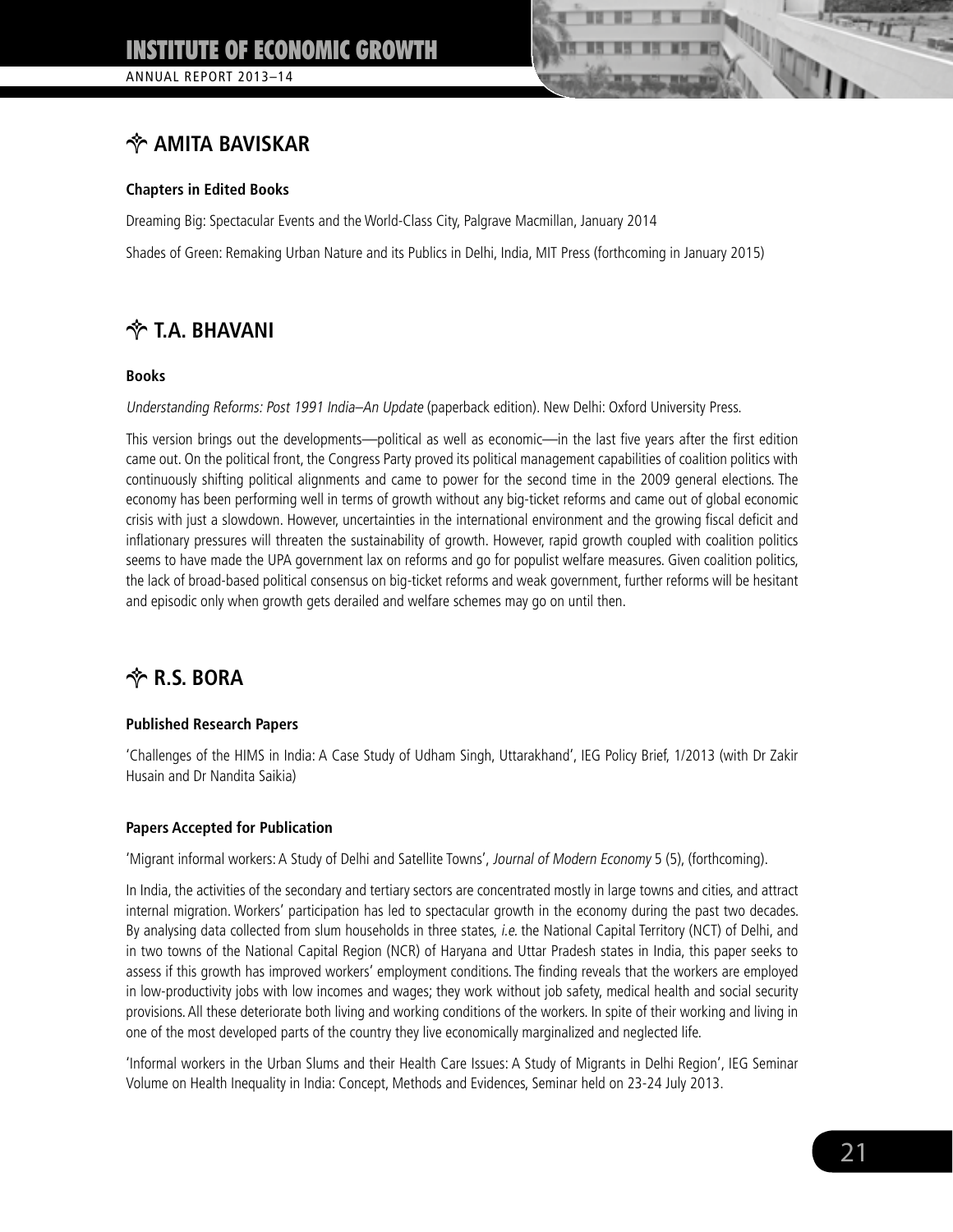## $\diamond$  AMITA BAVISKAR

#### **Chapters in Edited Books**

Dreaming Big: Spectacular Events and the World-Class City, Palgrave Macmillan, January 2014 Shades of Green: Remaking Urban Nature and its Publics in Delhi, India, MIT Press (forthcoming in January 2015)

## **☆ T.A. BHAVANI**

#### **Books**

Understanding Reforms: Post 1991 India–An Update (paperback edition). New Delhi: Oxford University Press.

This version brings out the developments—political as well as economic—in the last five years after the first edition came out. On the political front, the Congress Party proved its political management capabilities of coalition politics with continuously shifting political alignments and came to power for the second time in the 2009 general elections. The economy has been performing well in terms of growth without any big-ticket reforms and came out of global economic crisis with just a slowdown. However, uncertainties in the international environment and the growing fiscal deficit and inflationary pressures will threaten the sustainability of growth. However, rapid growth coupled with coalition politics seems to have made the UPA government lax on reforms and go for populist welfare measures. Given coalition politics, the lack of broad-based political consensus on big-ticket reforms and weak government, further reforms will be hesitant and episodic only when growth gets derailed and welfare schemes may go on until then.

## $\diamondsuit$  R.S. BORA

#### **Published Research Papers**

'Challenges of the HIMS in India: A Case Study of Udham Singh, Uttarakhand', IEG Policy Brief, 1/2013 (with Dr Zakir Husain and Dr Nandita Saikia)

#### **Papers Accepted for Publication**

'Migrant informal workers: A Study of Delhi and Satellite Towns', Journal of Modern Economy 5 (5), (forthcoming).

In India, the activities of the secondary and tertiary sectors are concentrated mostly in large towns and cities, and attract internal migration. Workers' participation has led to spectacular growth in the economy during the past two decades. By analysing data collected from slum households in three states, i.e. the National Capital Territory (NCT) of Delhi, and in two towns of the National Capital Region (NCR) of Haryana and Uttar Pradesh states in India, this paper seeks to assess if this growth has improved workers' employment conditions. The finding reveals that the workers are employed in low-productivity jobs with low incomes and wages; they work without job safety, medical health and social security provisions. All these deteriorate both living and working conditions of the workers. In spite of their working and living in one of the most developed parts of the country they live economically marginalized and neglected life.

'Informal workers in the Urban Slums and their Health Care Issues: A Study of Migrants in Delhi Region', IEG Seminar Volume on Health Inequality in India: Concept, Methods and Evidences, Seminar held on 23-24 July 2013.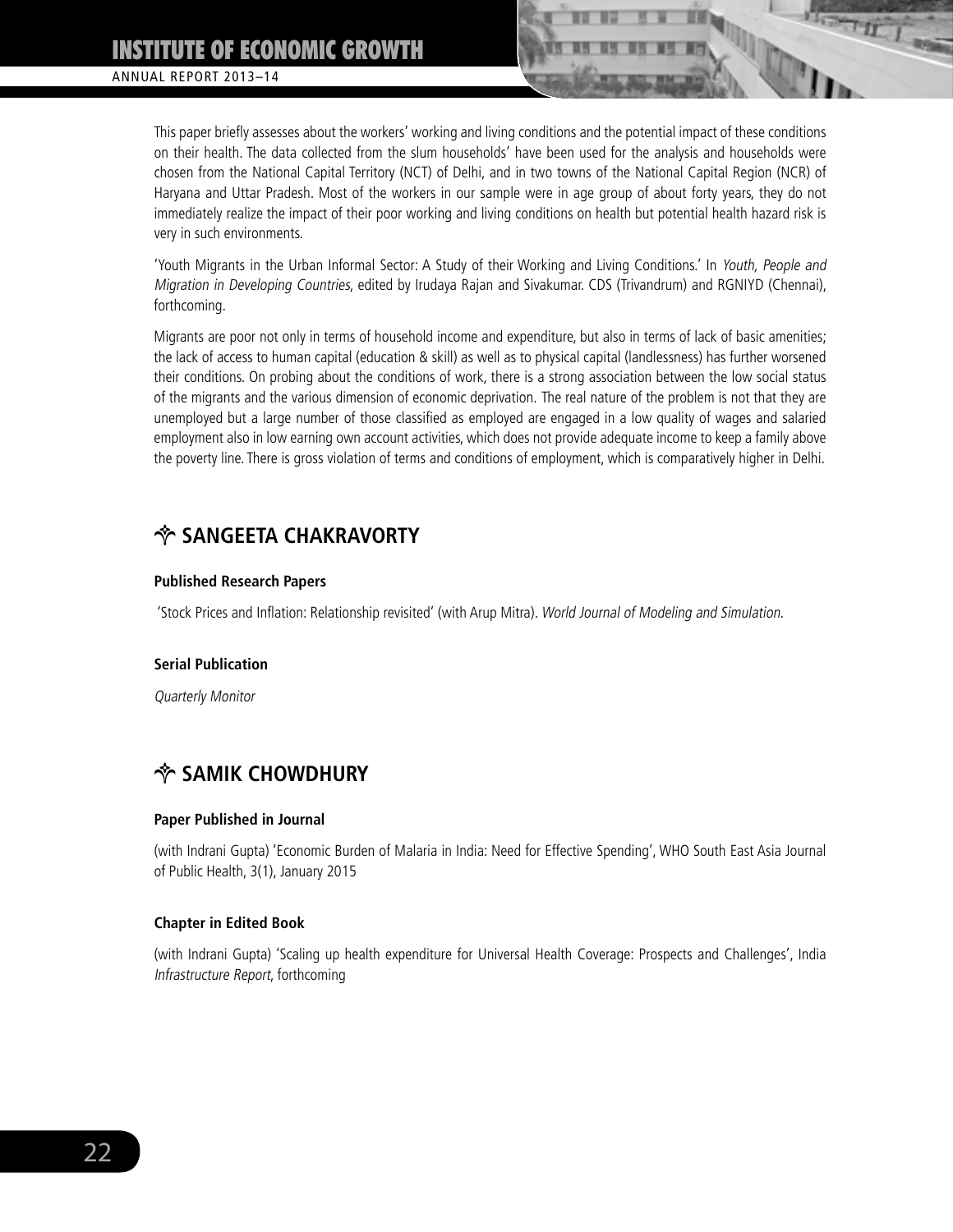This paper briefly assesses about the workers' working and living conditions and the potential impact of these conditions on their health. The data collected from the slum households' have been used for the analysis and households were chosen from the National Capital Territory (NCT) of Delhi, and in two towns of the National Capital Region (NCR) of Haryana and Uttar Pradesh. Most of the workers in our sample were in age group of about forty years, they do not immediately realize the impact of their poor working and living conditions on health but potential health hazard risk is very in such environments.

'Youth Migrants in the Urban Informal Sector: A Study of their Working and Living Conditions.' In Youth, People and Migration in Developing Countries, edited by Irudaya Rajan and Sivakumar. CDS (Trivandrum) and RGNIYD (Chennai), forthcoming.

Migrants are poor not only in terms of household income and expenditure, but also in terms of lack of basic amenities; the lack of access to human capital (education & skill) as well as to physical capital (landlessness) has further worsened their conditions. On probing about the conditions of work, there is a strong association between the low social status of the migrants and the various dimension of economic deprivation. The real nature of the problem is not that they are unemployed but a large number of those classified as employed are engaged in a low quality of wages and salaried employment also in low earning own account activities, which does not provide adequate income to keep a family above the poverty line. There is gross violation of terms and conditions of employment, which is comparatively higher in Delhi.

## **<u><sup></sup>**  $\hat{\gamma}$  **SANGEETA CHAKRAVORTY</u>**

#### **Published Research Papers**

'Stock Prices and Inflation: Relationship revisited' (with Arup Mitra). World Journal of Modeling and Simulation.

#### **Serial Publication**

Quarterly Monitor

## $\hat{\mathbf{\text{S}}}\hat{\mathbf{\text{S}}}\hat{\mathbf{\text{S}}}$  SAMIK CHOWDHURY

#### **Paper Published in Journal**

(with Indrani Gupta) 'Economic Burden of Malaria in India: Need for Effective Spending', WHO South East Asia Journal of Public Health, 3(1), January 2015

#### **Chapter in Edited Book**

(with Indrani Gupta) 'Scaling up health expenditure for Universal Health Coverage: Prospects and Challenges', India Infrastructure Report, forthcoming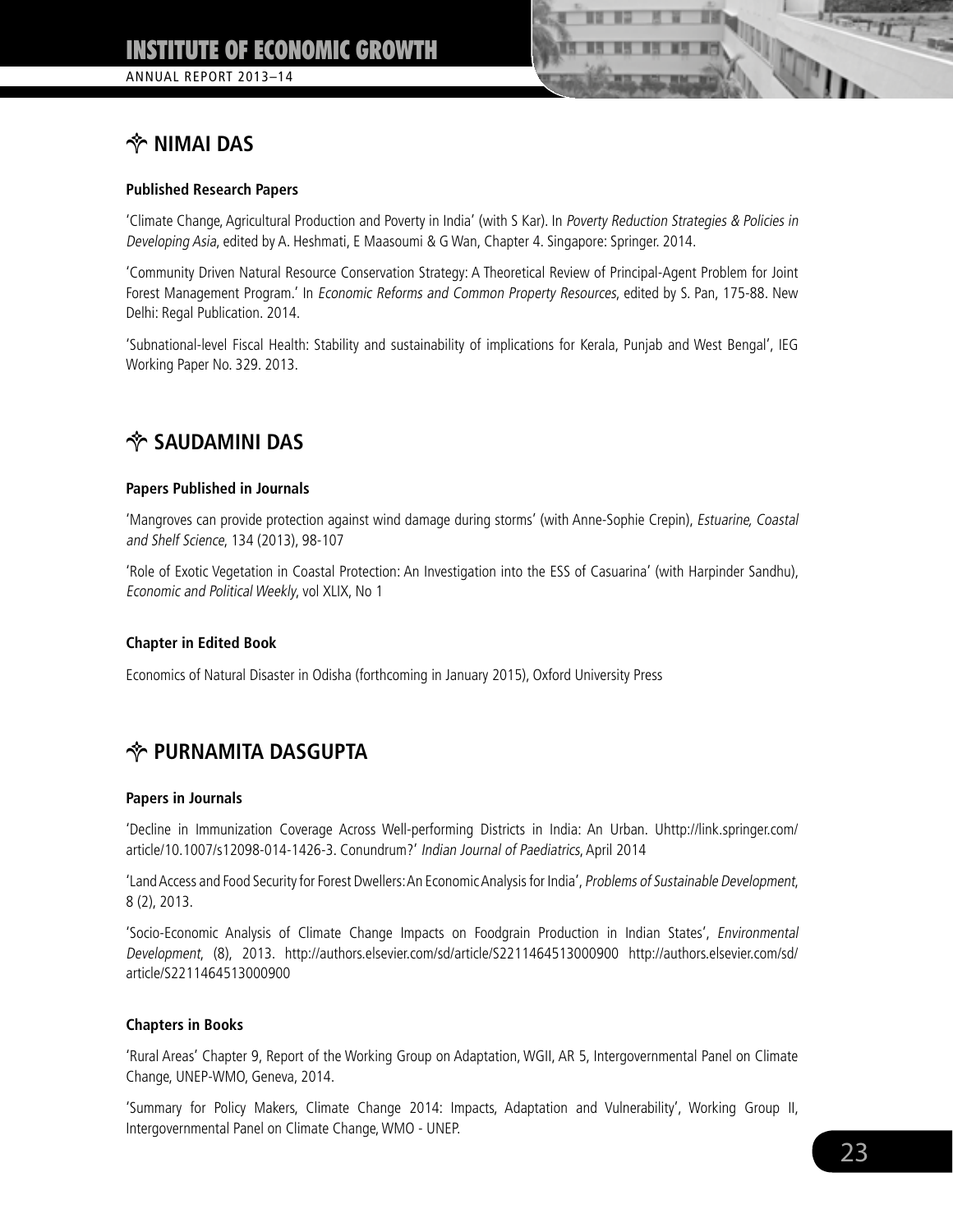## **ুশ NIMAI DAS**

#### **Published Research Papers**

'Climate Change, Agricultural Production and Poverty in India' (with S Kar). In Poverty Reduction Strategies & Policies in Developing Asia, edited by A. Heshmati, E Maasoumi & G Wan, Chapter 4. Singapore: Springer. 2014.

'Community Driven Natural Resource Conservation Strategy: A Theoretical Review of Principal-Agent Problem for Joint Forest Management Program.' In Economic Reforms and Common Property Resources, edited by S. Pan, 175-88. New Delhi: Regal Publication. 2014.

'Subnational-level Fiscal Health: Stability and sustainability of implications for Kerala, Punjab and West Bengal', IEG Working Paper No. 329. 2013.

## **<u>❖ SAUDAMINI DAS</u>**

#### **Papers Published in Journals**

'Mangroves can provide protection against wind damage during storms' (with Anne-Sophie Crepin), Estuarine, Coastal and Shelf Science, 134 (2013), 98-107

'Role of Exotic Vegetation in Coastal Protection: An Investigation into the ESS of Casuarina' (with Harpinder Sandhu), Economic and Political Weekly, vol XLIX, No 1

#### **Chapter in Edited Book**

Economics of Natural Disaster in Odisha (forthcoming in January 2015), Oxford University Press

## **→ PURNAMITA DASGUPTA**

#### **Papers in Journals**

'Decline in Immunization Coverage Across Well-performing Districts in India: An Urban. Uhttp://link.springer.com/ article/10.1007/s12098-014-1426-3. Conundrum?' Indian Journal of Paediatrics, April 2014

'Land Access and Food Security for Forest Dwellers: An Economic Analysis for India', Problems of Sustainable Development, 8 (2), 2013.

'Socio-Economic Analysis of Climate Change Impacts on Foodgrain Production in Indian States', Environmental Development, (8), 2013. http://authors.elsevier.com/sd/article/S2211464513000900 http://authors.elsevier.com/sd/ article/S2211464513000900

#### **Chapters in Books**

'Rural Areas' Chapter 9, Report of the Working Group on Adaptation, WGII, AR 5, Intergovernmental Panel on Climate Change, UNEP-WMO, Geneva, 2014.

'Summary for Policy Makers, Climate Change 2014: Impacts, Adaptation and Vulnerability', Working Group II, Intergovernmental Panel on Climate Change, WMO - UNEP.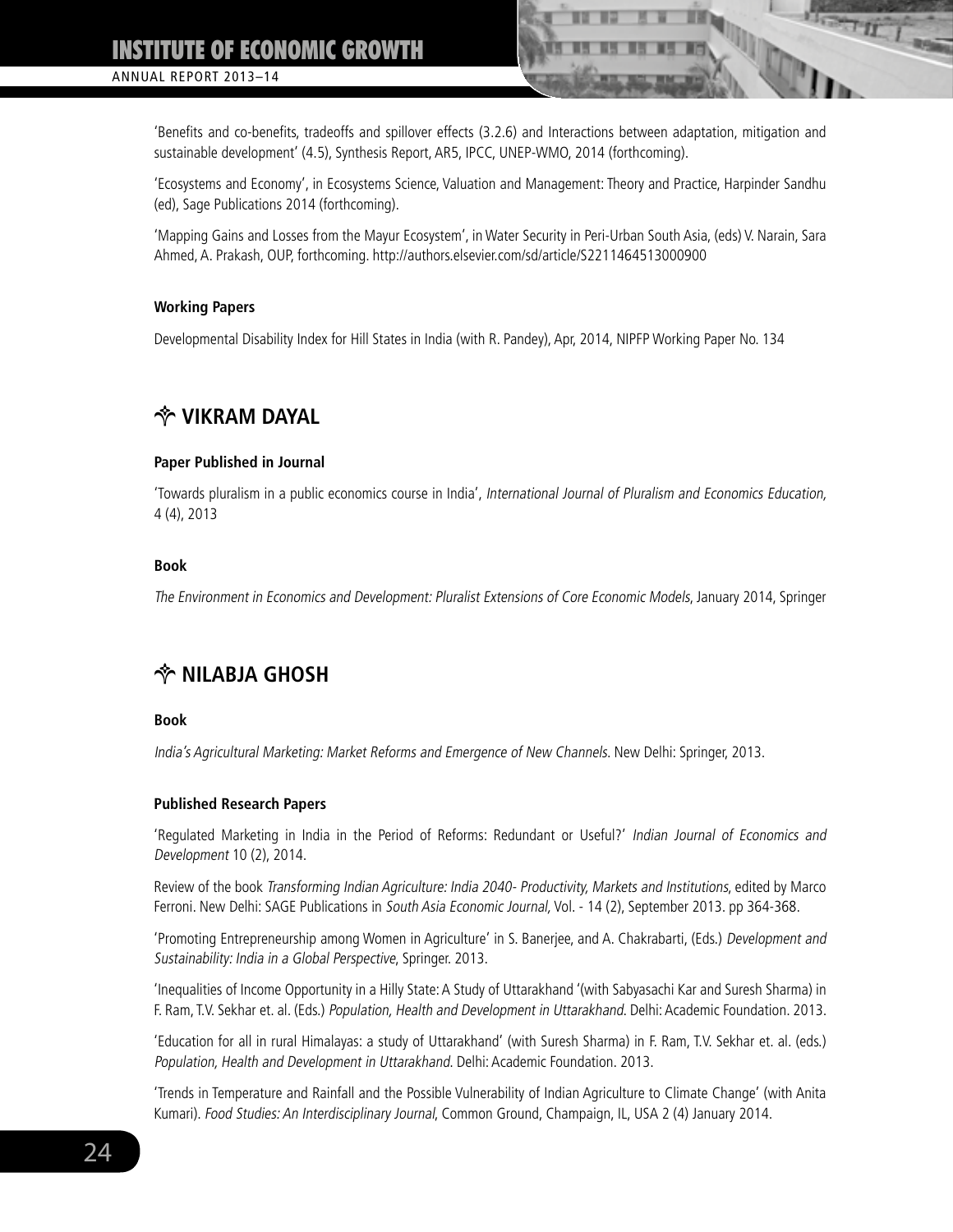'Benefits and co-benefits, tradeoffs and spillover effects (3.2.6) and Interactions between adaptation, mitigation and sustainable development' (4.5), Synthesis Report, AR5, IPCC, UNEP-WMO, 2014 (forthcoming).

'Ecosystems and Economy', in Ecosystems Science, Valuation and Management: Theory and Practice, Harpinder Sandhu (ed), Sage Publications 2014 (forthcoming).

'Mapping Gains and Losses from the Mayur Ecosystem', in Water Security in Peri-Urban South Asia, (eds) V. Narain, Sara Ahmed, A. Prakash, OUP, forthcoming. http://authors.elsevier.com/sd/article/S2211464513000900

#### **Working Papers**

Developmental Disability Index for Hill States in India (with R. Pandey), Apr, 2014, NIPFP Working Paper No. 134

## $\hat{\mathcal{F}}$  VIKRAM DAYAL

#### **Paper Published in Journal**

'Towards pluralism in a public economics course in India', International Journal of Pluralism and Economics Education, 4 (4), 2013

#### **Book**

The Environment in Economics and Development: Pluralist Extensions of Core Economic Models, January 2014, Springer

## **<u><sup>❖</sup> NILABJA GHOSH</u>**

#### **Book**

India's Agricultural Marketing: Market Reforms and Emergence of New Channels. New Delhi: Springer, 2013.

#### **Published Research Papers**

'Regulated Marketing in India in the Period of Reforms: Redundant or Useful?' Indian Journal of Economics and Development 10 (2), 2014.

Review of the book Transforming Indian Agriculture: India 2040- Productivity, Markets and Institutions, edited by Marco Ferroni. New Delhi: SAGE Publications in South Asia Economic Journal, Vol. - 14 (2), September 2013. pp 364-368.

'Promoting Entrepreneurship among Women in Agriculture' in S. Banerjee, and A. Chakrabarti, (Eds.) Development and Sustainability: India in a Global Perspective, Springer. 2013.

'Inequalities of Income Opportunity in a Hilly State: A Study of Uttarakhand '(with Sabyasachi Kar and Suresh Sharma) in F. Ram, T.V. Sekhar et. al. (Eds.) Population, Health and Development in Uttarakhand. Delhi: Academic Foundation. 2013.

'Education for all in rural Himalayas: a study of Uttarakhand' (with Suresh Sharma) in F. Ram, T.V. Sekhar et. al. (eds.) Population, Health and Development in Uttarakhand. Delhi: Academic Foundation. 2013.

'Trends in Temperature and Rainfall and the Possible Vulnerability of Indian Agriculture to Climate Change' (with Anita Kumari). Food Studies: An Interdisciplinary Journal, Common Ground, Champaign, IL, USA 2 (4) January 2014.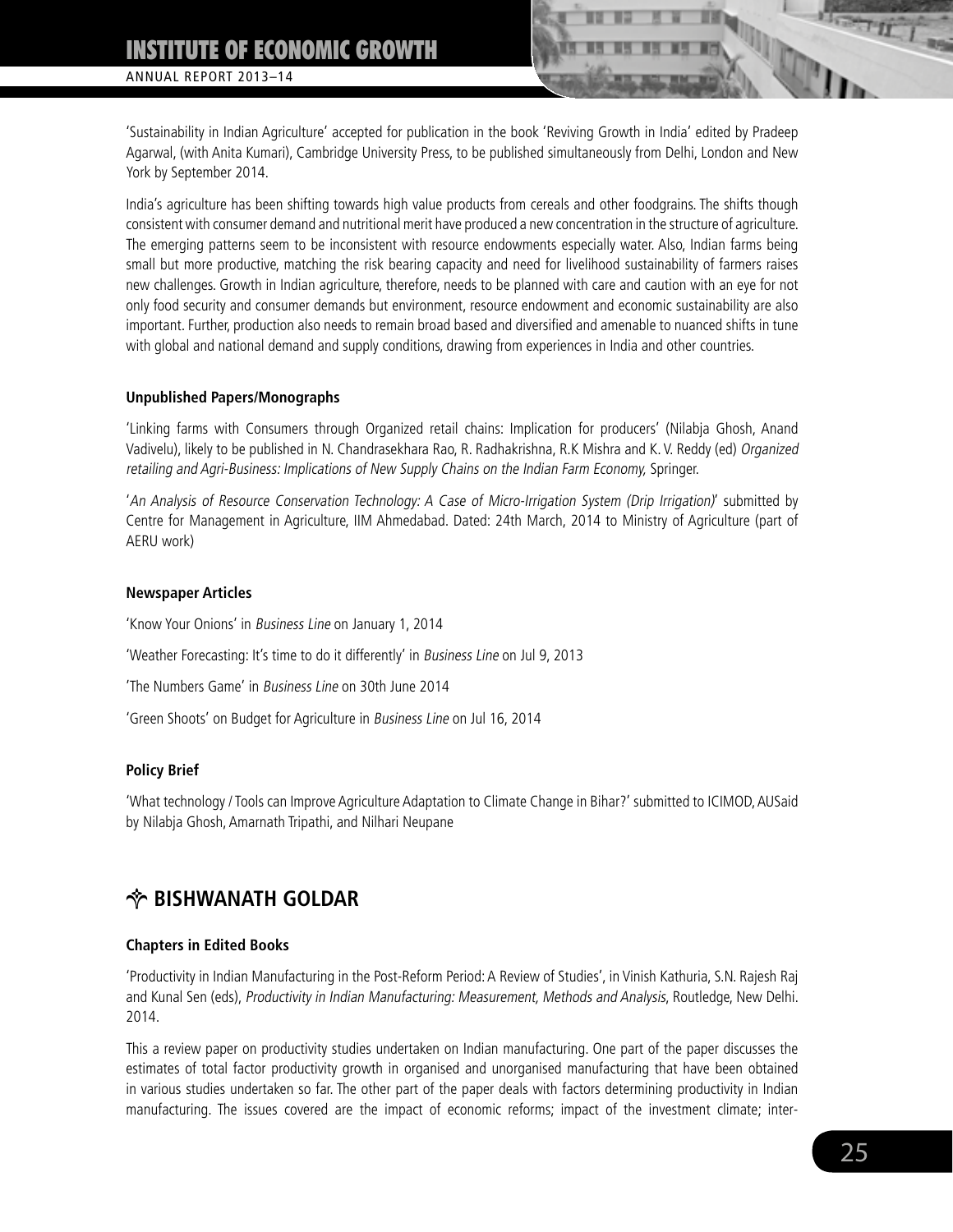'Sustainability in Indian Agriculture' accepted for publication in the book 'Reviving Growth in India' edited by Pradeep Agarwal, (with Anita Kumari), Cambridge University Press, to be published simultaneously from Delhi, London and New York by September 2014.

India's agriculture has been shifting towards high value products from cereals and other foodgrains. The shifts though consistent with consumer demand and nutritional merit have produced a new concentration in the structure of agriculture. The emerging patterns seem to be inconsistent with resource endowments especially water. Also, Indian farms being small but more productive, matching the risk bearing capacity and need for livelihood sustainability of farmers raises new challenges. Growth in Indian agriculture, therefore, needs to be planned with care and caution with an eye for not only food security and consumer demands but environment, resource endowment and economic sustainability are also important. Further, production also needs to remain broad based and diversified and amenable to nuanced shifts in tune with global and national demand and supply conditions, drawing from experiences in India and other countries.

#### **Unpublished Papers/Monographs**

'Linking farms with Consumers through Organized retail chains: Implication for producers' (Nilabja Ghosh, Anand Vadivelu), likely to be published in N. Chandrasekhara Rao, R. Radhakrishna, R.K Mishra and K. V. Reddy (ed) Organized retailing and Agri-Business: Implications of New Supply Chains on the Indian Farm Economy, Springer.

'An Analysis of Resource Conservation Technology: A Case of Micro-Irrigation System (Drip Irrigation)' submitted by Centre for Management in Agriculture, IIM Ahmedabad. Dated: 24th March, 2014 to Ministry of Agriculture (part of AERU work)

#### **Newspaper Articles**

'Know Your Onions' in Business Line on January 1, 2014 'Weather Forecasting: It's time to do it differently' in *Business Line* on Jul 9, 2013 'The Numbers Game' in Business Line on 30th June 2014 'Green Shoots' on Budget for Agriculture in Business Line on Jul 16, 2014

#### **Policy Brief**

'What technology / Tools can Improve Agriculture Adaptation to Climate Change in Bihar?' submitted to ICIMOD, AUSaid by Nilabja Ghosh, Amarnath Tripathi, and Nilhari Neupane

## $\diamondsuit$  BISHWANATH GOLDAR

#### **Chapters in Edited Books**

'Productivity in Indian Manufacturing in the Post-Reform Period: A Review of Studies', in Vinish Kathuria, S.N. Rajesh Raj and Kunal Sen (eds), Productivity in Indian Manufacturing: Measurement, Methods and Analysis, Routledge, New Delhi. 2014.

This a review paper on productivity studies undertaken on Indian manufacturing. One part of the paper discusses the estimates of total factor productivity growth in organised and unorganised manufacturing that have been obtained in various studies undertaken so far. The other part of the paper deals with factors determining productivity in Indian manufacturing. The issues covered are the impact of economic reforms; impact of the investment climate; inter-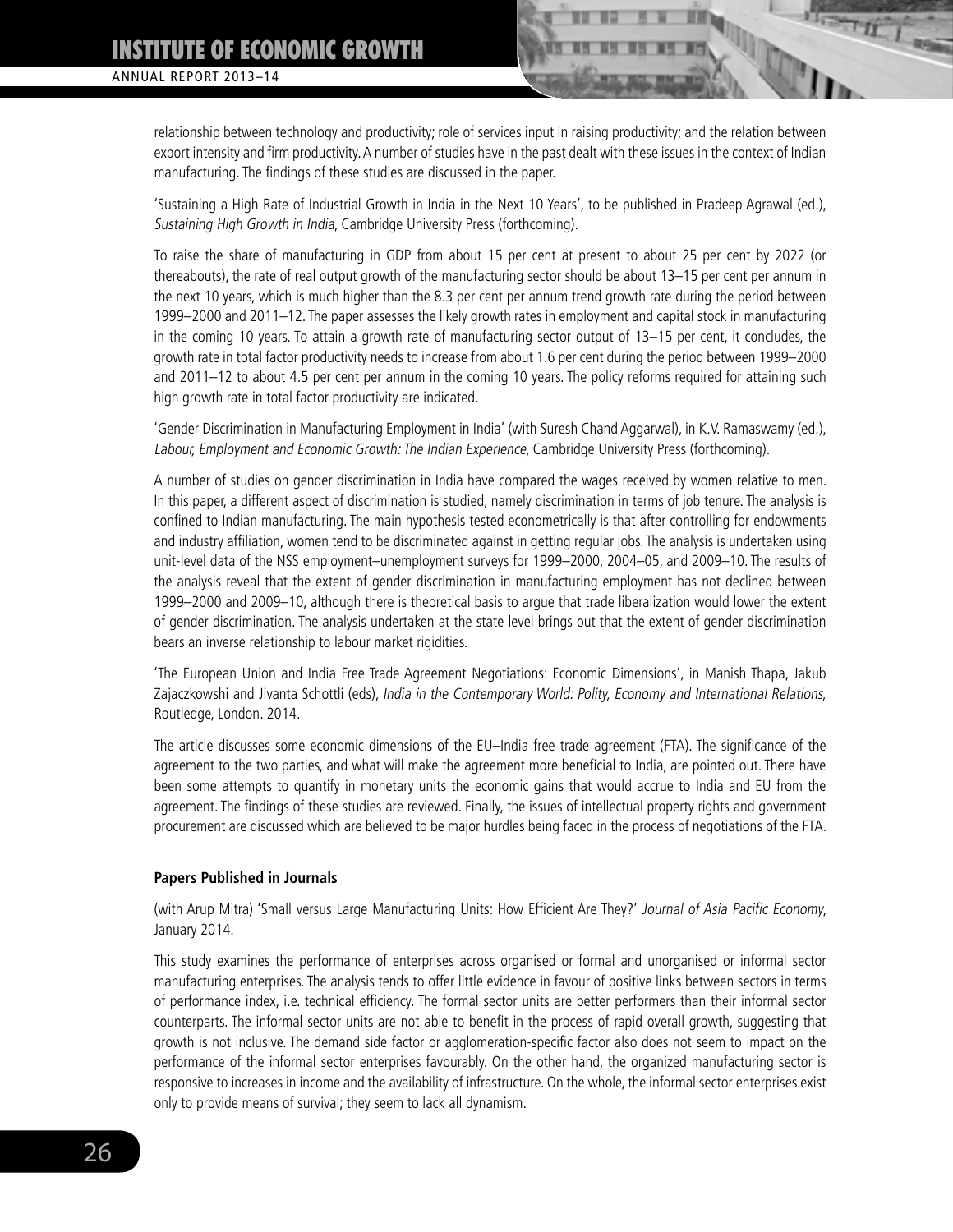relationship between technology and productivity; role of services input in raising productivity; and the relation between export intensity and firm productivity. A number of studies have in the past dealt with these issues in the context of Indian manufacturing. The findings of these studies are discussed in the paper.

'Sustaining a High Rate of Industrial Growth in India in the Next 10 Years', to be published in Pradeep Agrawal (ed.), Sustaining High Growth in India, Cambridge University Press (forthcoming).

To raise the share of manufacturing in GDP from about 15 per cent at present to about 25 per cent by 2022 (or thereabouts), the rate of real output growth of the manufacturing sector should be about 13–15 per cent per annum in the next 10 years, which is much higher than the 8.3 per cent per annum trend growth rate during the period between 1999–2000 and 2011–12. The paper assesses the likely growth rates in employment and capital stock in manufacturing in the coming 10 years. To attain a growth rate of manufacturing sector output of 13–15 per cent, it concludes, the growth rate in total factor productivity needs to increase from about 1.6 per cent during the period between 1999–2000 and 2011–12 to about 4.5 per cent per annum in the coming 10 years. The policy reforms required for attaining such high growth rate in total factor productivity are indicated.

'Gender Discrimination in Manufacturing Employment in India' (with Suresh Chand Aggarwal), in K.V. Ramaswamy (ed.), Labour, Employment and Economic Growth: The Indian Experience, Cambridge University Press (forthcoming).

A number of studies on gender discrimination in India have compared the wages received by women relative to men. In this paper, a different aspect of discrimination is studied, namely discrimination in terms of job tenure. The analysis is confined to Indian manufacturing. The main hypothesis tested econometrically is that after controlling for endowments and industry affiliation, women tend to be discriminated against in getting regular jobs. The analysis is undertaken using unit-level data of the NSS employment–unemployment surveys for 1999–2000, 2004–05, and 2009–10. The results of the analysis reveal that the extent of gender discrimination in manufacturing employment has not declined between 1999–2000 and 2009–10, although there is theoretical basis to argue that trade liberalization would lower the extent of gender discrimination. The analysis undertaken at the state level brings out that the extent of gender discrimination bears an inverse relationship to labour market rigidities.

'The European Union and India Free Trade Agreement Negotiations: Economic Dimensions', in Manish Thapa, Jakub Zajaczkowshi and Jivanta Schottli (eds), India in the Contemporary World: Polity, Economy and International Relations, Routledge, London. 2014.

The article discusses some economic dimensions of the EU–India free trade agreement (FTA). The significance of the agreement to the two parties, and what will make the agreement more beneficial to India, are pointed out. There have been some attempts to quantify in monetary units the economic gains that would accrue to India and EU from the agreement. The findings of these studies are reviewed. Finally, the issues of intellectual property rights and government procurement are discussed which are believed to be major hurdles being faced in the process of negotiations of the FTA.

#### **Papers Published in Journals**

(with Arup Mitra) 'Small versus Large Manufacturing Units: How Efficient Are They?' Journal of Asia Pacific Economy, January 2014.

This study examines the performance of enterprises across organised or formal and unorganised or informal sector manufacturing enterprises. The analysis tends to offer little evidence in favour of positive links between sectors in terms of performance index, i.e. technical efficiency. The formal sector units are better performers than their informal sector counterparts. The informal sector units are not able to benefit in the process of rapid overall growth, suggesting that growth is not inclusive. The demand side factor or agglomeration-specific factor also does not seem to impact on the performance of the informal sector enterprises favourably. On the other hand, the organized manufacturing sector is responsive to increases in income and the availability of infrastructure. On the whole, the informal sector enterprises exist only to provide means of survival; they seem to lack all dynamism.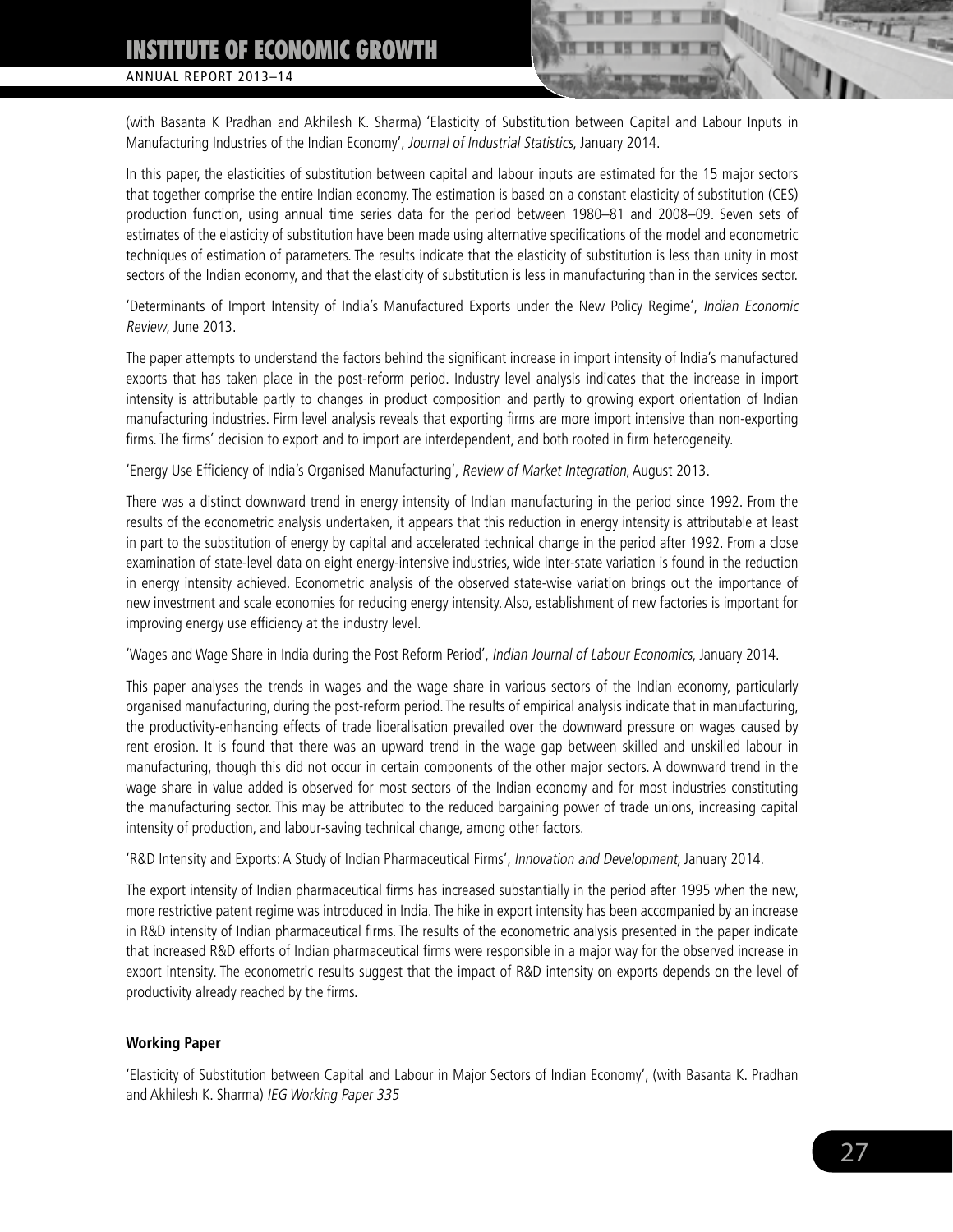(with Basanta K Pradhan and Akhilesh K. Sharma) 'Elasticity of Substitution between Capital and Labour Inputs in Manufacturing Industries of the Indian Economy', Journal of Industrial Statistics, January 2014.

In this paper, the elasticities of substitution between capital and labour inputs are estimated for the 15 major sectors that together comprise the entire Indian economy. The estimation is based on a constant elasticity of substitution (CES) production function, using annual time series data for the period between 1980–81 and 2008–09. Seven sets of estimates of the elasticity of substitution have been made using alternative specifications of the model and econometric techniques of estimation of parameters. The results indicate that the elasticity of substitution is less than unity in most sectors of the Indian economy, and that the elasticity of substitution is less in manufacturing than in the services sector.

'Determinants of Import Intensity of India's Manufactured Exports under the New Policy Regime', Indian Economic Review, June 2013.

The paper attempts to understand the factors behind the significant increase in import intensity of India's manufactured exports that has taken place in the post-reform period. Industry level analysis indicates that the increase in import intensity is attributable partly to changes in product composition and partly to growing export orientation of Indian manufacturing industries. Firm level analysis reveals that exporting firms are more import intensive than non-exporting firms. The firms' decision to export and to import are interdependent, and both rooted in firm heterogeneity.

'Energy Use Efficiency of India's Organised Manufacturing', Review of Market Integration, August 2013.

There was a distinct downward trend in energy intensity of Indian manufacturing in the period since 1992. From the results of the econometric analysis undertaken, it appears that this reduction in energy intensity is attributable at least in part to the substitution of energy by capital and accelerated technical change in the period after 1992. From a close examination of state-level data on eight energy-intensive industries, wide inter-state variation is found in the reduction in energy intensity achieved. Econometric analysis of the observed state-wise variation brings out the importance of new investment and scale economies for reducing energy intensity. Also, establishment of new factories is important for improving energy use efficiency at the industry level.

'Wages and Wage Share in India during the Post Reform Period', Indian Journal of Labour Economics, January 2014.

This paper analyses the trends in wages and the wage share in various sectors of the Indian economy, particularly organised manufacturing, during the post-reform period. The results of empirical analysis indicate that in manufacturing, the productivity-enhancing effects of trade liberalisation prevailed over the downward pressure on wages caused by rent erosion. It is found that there was an upward trend in the wage gap between skilled and unskilled labour in manufacturing, though this did not occur in certain components of the other major sectors. A downward trend in the wage share in value added is observed for most sectors of the Indian economy and for most industries constituting the manufacturing sector. This may be attributed to the reduced bargaining power of trade unions, increasing capital intensity of production, and labour-saving technical change, among other factors.

'R&D Intensity and Exports: A Study of Indian Pharmaceutical Firms', Innovation and Development, January 2014.

The export intensity of Indian pharmaceutical firms has increased substantially in the period after 1995 when the new, more restrictive patent regime was introduced in India. The hike in export intensity has been accompanied by an increase in R&D intensity of Indian pharmaceutical firms. The results of the econometric analysis presented in the paper indicate that increased R&D efforts of Indian pharmaceutical firms were responsible in a major way for the observed increase in export intensity. The econometric results suggest that the impact of R&D intensity on exports depends on the level of productivity already reached by the firms.

#### **Working Paper**

'Elasticity of Substitution between Capital and Labour in Major Sectors of Indian Economy', (with Basanta K. Pradhan and Akhilesh K. Sharma) IEG Working Paper 335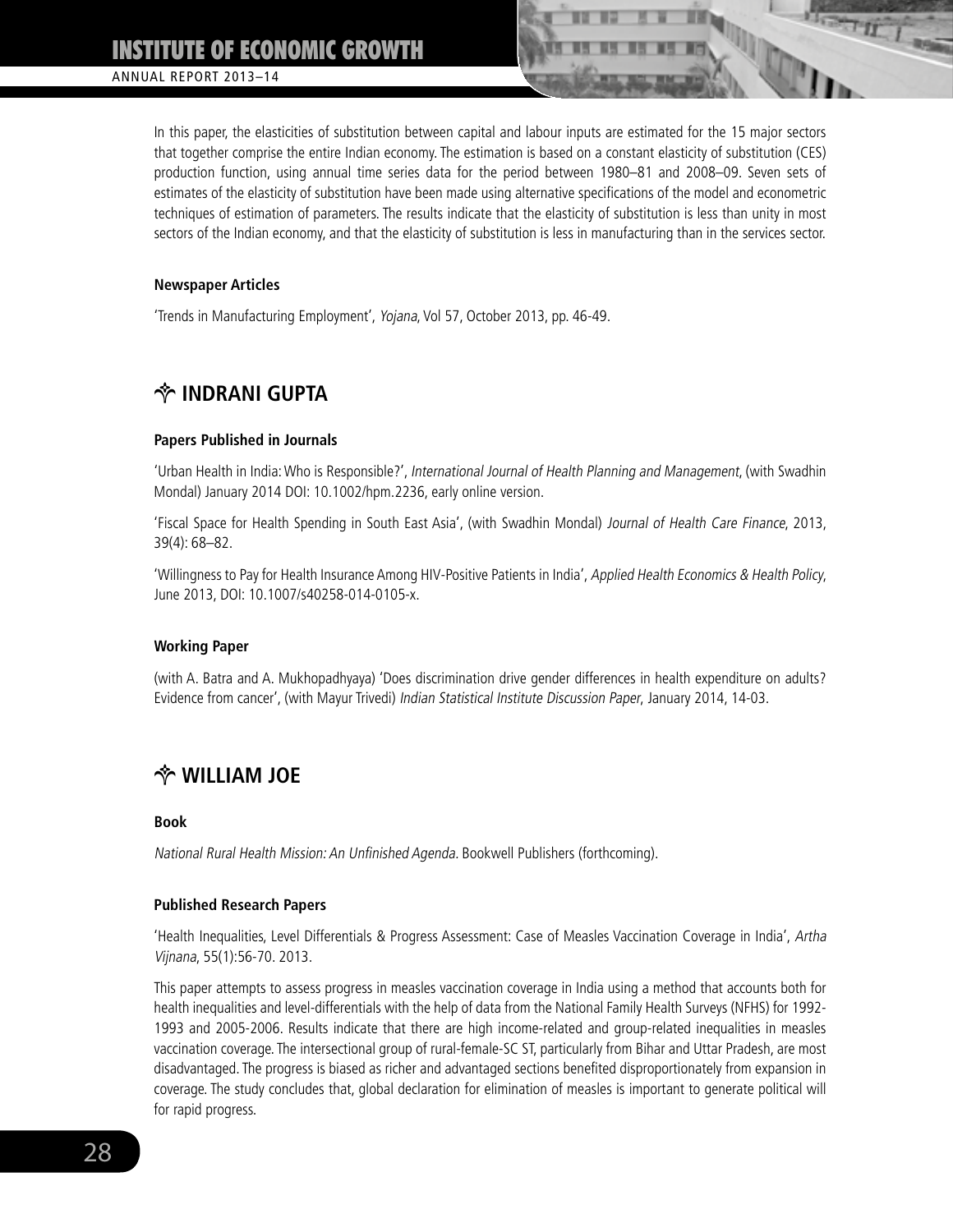In this paper, the elasticities of substitution between capital and labour inputs are estimated for the 15 major sectors that together comprise the entire Indian economy. The estimation is based on a constant elasticity of substitution (CES) production function, using annual time series data for the period between 1980–81 and 2008–09. Seven sets of estimates of the elasticity of substitution have been made using alternative specifications of the model and econometric techniques of estimation of parameters. The results indicate that the elasticity of substitution is less than unity in most sectors of the Indian economy, and that the elasticity of substitution is less in manufacturing than in the services sector.

#### **Newspaper Articles**

'Trends in Manufacturing Employment', Yojana, Vol 57, October 2013, pp. 46-49.

## **T INDRANI GUPTA**

#### **Papers Published in Journals**

'Urban Health in India: Who is Responsible?', International Journal of Health Planning and Management, (with Swadhin Mondal) January 2014 DOI: 10.1002/hpm.2236, early online version.

'Fiscal Space for Health Spending in South East Asia', (with Swadhin Mondal) Journal of Health Care Finance, 2013, 39(4): 68–82.

'Willingness to Pay for Health Insurance Among HIV-Positive Patients in India', Applied Health Economics & Health Policy, June 2013, DOI: 10.1007/s40258-014-0105-x.

#### **Working Paper**

(with A. Batra and A. Mukhopadhyaya) 'Does discrimination drive gender differences in health expenditure on adults? Evidence from cancer', (with Mayur Trivedi) Indian Statistical Institute Discussion Paper, January 2014, 14-03.

## **<u><sup>❖</sup> WILLIAM JOE</u>**

#### **Book**

National Rural Health Mission: An Unfinished Agenda. Bookwell Publishers (forthcoming).

#### **Published Research Papers**

'Health Inequalities, Level Differentials & Progress Assessment: Case of Measles Vaccination Coverage in India', Artha Vijnana, 55(1):56-70. 2013.

This paper attempts to assess progress in measles vaccination coverage in India using a method that accounts both for health inequalities and level-differentials with the help of data from the National Family Health Surveys (NFHS) for 1992- 1993 and 2005-2006. Results indicate that there are high income-related and group-related inequalities in measles vaccination coverage. The intersectional group of rural-female-SC ST, particularly from Bihar and Uttar Pradesh, are most disadvantaged. The progress is biased as richer and advantaged sections benefited disproportionately from expansion in coverage. The study concludes that, global declaration for elimination of measles is important to generate political will for rapid progress.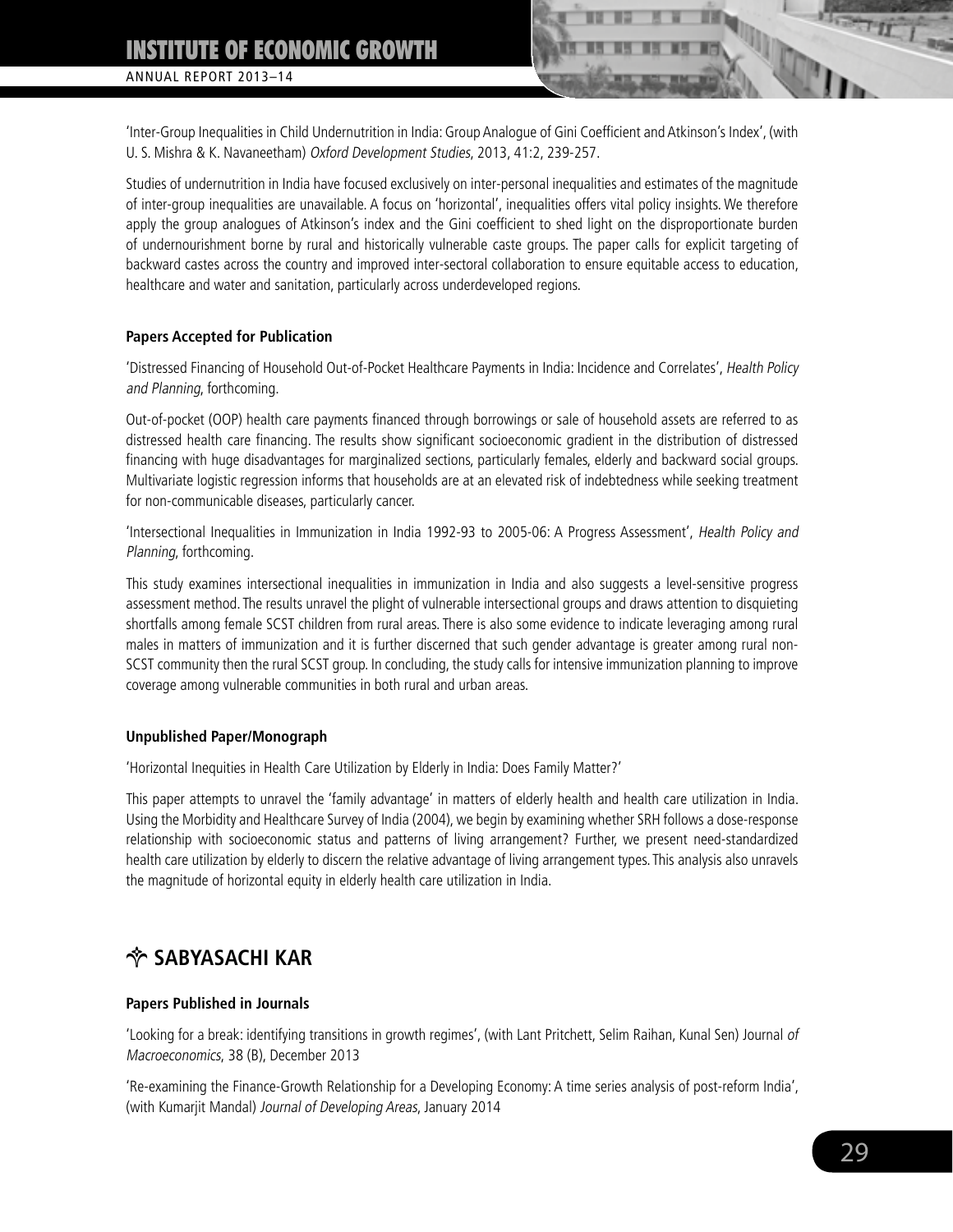'Inter-Group Inequalities in Child Undernutrition in India: Group Analogue of Gini Coefficient and Atkinson's Index', (with U. S. Mishra & K. Navaneetham) Oxford Development Studies, 2013, 41:2, 239-257.

Studies of undernutrition in India have focused exclusively on inter-personal inequalities and estimates of the magnitude of inter-group inequalities are unavailable. A focus on 'horizontal', inequalities offers vital policy insights. We therefore apply the group analogues of Atkinson's index and the Gini coefficient to shed light on the disproportionate burden of undernourishment borne by rural and historically vulnerable caste groups. The paper calls for explicit targeting of backward castes across the country and improved inter-sectoral collaboration to ensure equitable access to education, healthcare and water and sanitation, particularly across underdeveloped regions.

#### **Papers Accepted for Publication**

'Distressed Financing of Household Out-of-Pocket Healthcare Payments in India: Incidence and Correlates', Health Policy and Planning, forthcoming.

Out-of-pocket (OOP) health care payments financed through borrowings or sale of household assets are referred to as distressed health care financing. The results show significant socioeconomic gradient in the distribution of distressed financing with huge disadvantages for marginalized sections, particularly females, elderly and backward social groups. Multivariate logistic regression informs that households are at an elevated risk of indebtedness while seeking treatment for non-communicable diseases, particularly cancer.

'Intersectional Inequalities in Immunization in India 1992-93 to 2005-06: A Progress Assessment', Health Policy and Planning, forthcoming.

This study examines intersectional inequalities in immunization in India and also suggests a level-sensitive progress assessment method. The results unravel the plight of vulnerable intersectional groups and draws attention to disquieting shortfalls among female SCST children from rural areas. There is also some evidence to indicate leveraging among rural males in matters of immunization and it is further discerned that such gender advantage is greater among rural non-SCST community then the rural SCST group. In concluding, the study calls for intensive immunization planning to improve coverage among vulnerable communities in both rural and urban areas.

#### **Unpublished Paper/Monograph**

'Horizontal Inequities in Health Care Utilization by Elderly in India: Does Family Matter?'

This paper attempts to unravel the 'family advantage' in matters of elderly health and health care utilization in India. Using the Morbidity and Healthcare Survey of India (2004), we begin by examining whether SRH follows a dose-response relationship with socioeconomic status and patterns of living arrangement? Further, we present need-standardized health care utilization by elderly to discern the relative advantage of living arrangement types. This analysis also unravels the magnitude of horizontal equity in elderly health care utilization in India.

## $\diamondsuit$  SABYASACHI KAR

#### **Papers Published in Journals**

'Looking for a break: identifying transitions in growth regimes', (with Lant Pritchett, Selim Raihan, Kunal Sen) Journal of Macroeconomics, 38 (B), December 2013

'Re-examining the Finance-Growth Relationship for a Developing Economy: A time series analysis of post-reform India', (with Kumarjit Mandal) Journal of Developing Areas, January 2014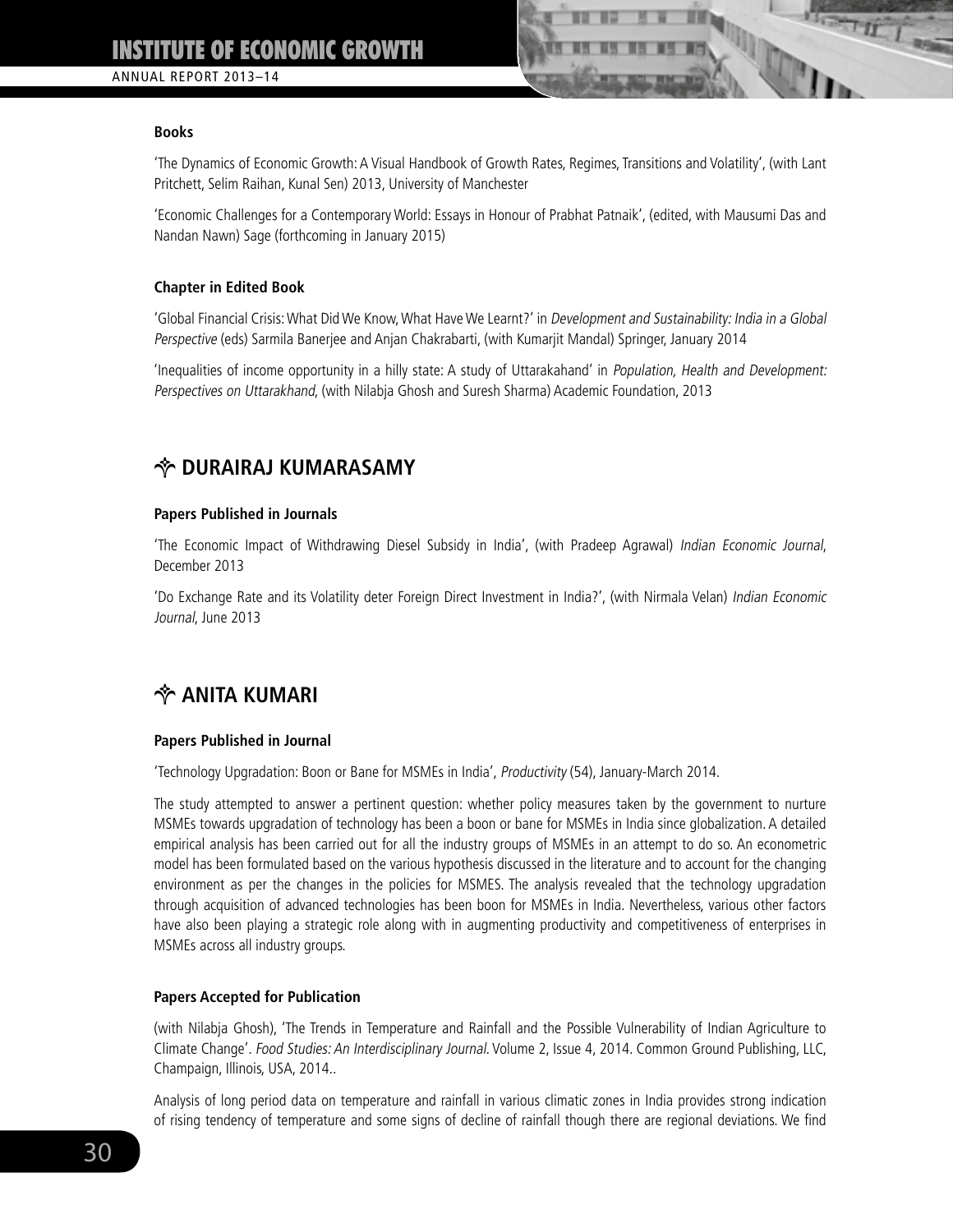#### **Books**

'The Dynamics of Economic Growth: A Visual Handbook of Growth Rates, Regimes, Transitions and Volatility', (with Lant Pritchett, Selim Raihan, Kunal Sen) 2013, University of Manchester

'Economic Challenges for a Contemporary World: Essays in Honour of Prabhat Patnaik', (edited, with Mausumi Das and Nandan Nawn) Sage (forthcoming in January 2015)

#### **Chapter in Edited Book**

'Global Financial Crisis: What Did We Know, What Have We Learnt?' in Development and Sustainability: India in a Global Perspective (eds) Sarmila Banerjee and Anjan Chakrabarti, (with Kumarjit Mandal) Springer, January 2014

'Inequalities of income opportunity in a hilly state: A study of Uttarakahand' in Population, Health and Development: Perspectives on Uttarakhand, (with Nilabja Ghosh and Suresh Sharma) Academic Foundation, 2013

### **→ DURAIRAJ KUMARASAMY**

#### **Papers Published in Journals**

'The Economic Impact of Withdrawing Diesel Subsidy in India', (with Pradeep Agrawal) Indian Economic Journal, December 2013

'Do Exchange Rate and its Volatility deter Foreign Direct Investment in India?', (with Nirmala Velan) Indian Economic Journal, June 2013

### $\hat{\gamma}$  ANITA KUMARI

#### **Papers Published in Journal**

'Technology Upgradation: Boon or Bane for MSMEs in India', Productivity (54), January-March 2014.

The study attempted to answer a pertinent question: whether policy measures taken by the government to nurture MSMEs towards upgradation of technology has been a boon or bane for MSMEs in India since globalization. A detailed empirical analysis has been carried out for all the industry groups of MSMEs in an attempt to do so. An econometric model has been formulated based on the various hypothesis discussed in the literature and to account for the changing environment as per the changes in the policies for MSMES. The analysis revealed that the technology upgradation through acquisition of advanced technologies has been boon for MSMEs in India. Nevertheless, various other factors have also been playing a strategic role along with in augmenting productivity and competitiveness of enterprises in MSMEs across all industry groups.

#### **Papers Accepted for Publication**

(with Nilabja Ghosh), 'The Trends in Temperature and Rainfall and the Possible Vulnerability of Indian Agriculture to Climate Change'. Food Studies: An Interdisciplinary Journal. Volume 2, Issue 4, 2014. Common Ground Publishing, LLC, Champaign, Illinois, USA, 2014..

Analysis of long period data on temperature and rainfall in various climatic zones in India provides strong indication of rising tendency of temperature and some signs of decline of rainfall though there are regional deviations. We find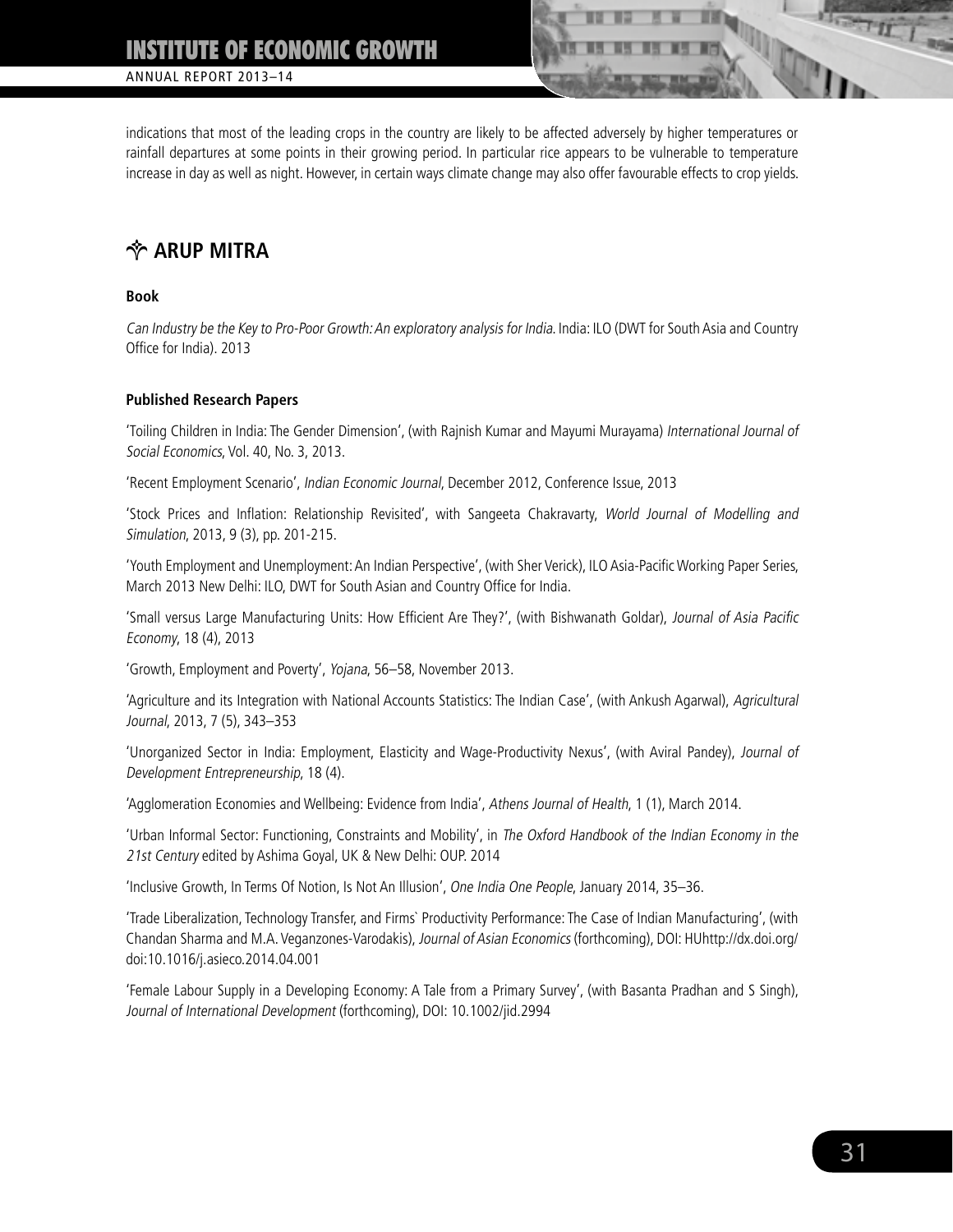indications that most of the leading crops in the country are likely to be affected adversely by higher temperatures or rainfall departures at some points in their growing period. In particular rice appears to be vulnerable to temperature increase in day as well as night. However, in certain ways climate change may also offer favourable effects to crop yields.

## **☆ ARUP MITRA**

#### **Book**

Can Industry be the Key to Pro-Poor Growth: An exploratory analysis for India. India: ILO (DWT for South Asia and Country Office for India). 2013

#### **Published Research Papers**

'Toiling Children in India: The Gender Dimension', (with Rajnish Kumar and Mayumi Murayama) International Journal of Social Economics, Vol. 40, No. 3, 2013.

'Recent Employment Scenario', Indian Economic Journal, December 2012, Conference Issue, 2013

'Stock Prices and Inflation: Relationship Revisited', with Sangeeta Chakravarty, World Journal of Modelling and Simulation, 2013, 9 (3), pp. 201-215.

'Youth Employment and Unemployment: An Indian Perspective', (with Sher Verick), ILO Asia-Pacific Working Paper Series, March 2013 New Delhi: ILO, DWT for South Asian and Country Office for India.

'Small versus Large Manufacturing Units: How Efficient Are They?', (with Bishwanath Goldar), Journal of Asia Pacific Economy, 18 (4), 2013

'Growth, Employment and Poverty', Yojana, 56–58, November 2013.

'Agriculture and its Integration with National Accounts Statistics: The Indian Case', (with Ankush Agarwal), Agricultural Journal, 2013, 7 (5), 343–353

'Unorganized Sector in India: Employment, Elasticity and Wage-Productivity Nexus', (with Aviral Pandey), Journal of Development Entrepreneurship, 18 (4).

'Agglomeration Economies and Wellbeing: Evidence from India', Athens Journal of Health, 1 (1), March 2014.

'Urban Informal Sector: Functioning, Constraints and Mobility', in The Oxford Handbook of the Indian Economy in the 21st Century edited by Ashima Goyal, UK & New Delhi: OUP. 2014

'Inclusive Growth, In Terms Of Notion, Is Not An Illusion', One India One People, January 2014, 35–36.

'Trade Liberalization, Technology Transfer, and Firms` Productivity Performance: The Case of Indian Manufacturing', (with Chandan Sharma and M.A. Veganzones-Varodakis), Journal of Asian Economics (forthcoming), DOI: HUhttp://dx.doi.org/ doi:10.1016/j.asieco.2014.04.001

'Female Labour Supply in a Developing Economy: A Tale from a Primary Survey', (with Basanta Pradhan and S Singh), Journal of International Development (forthcoming), DOI: 10.1002/jid.2994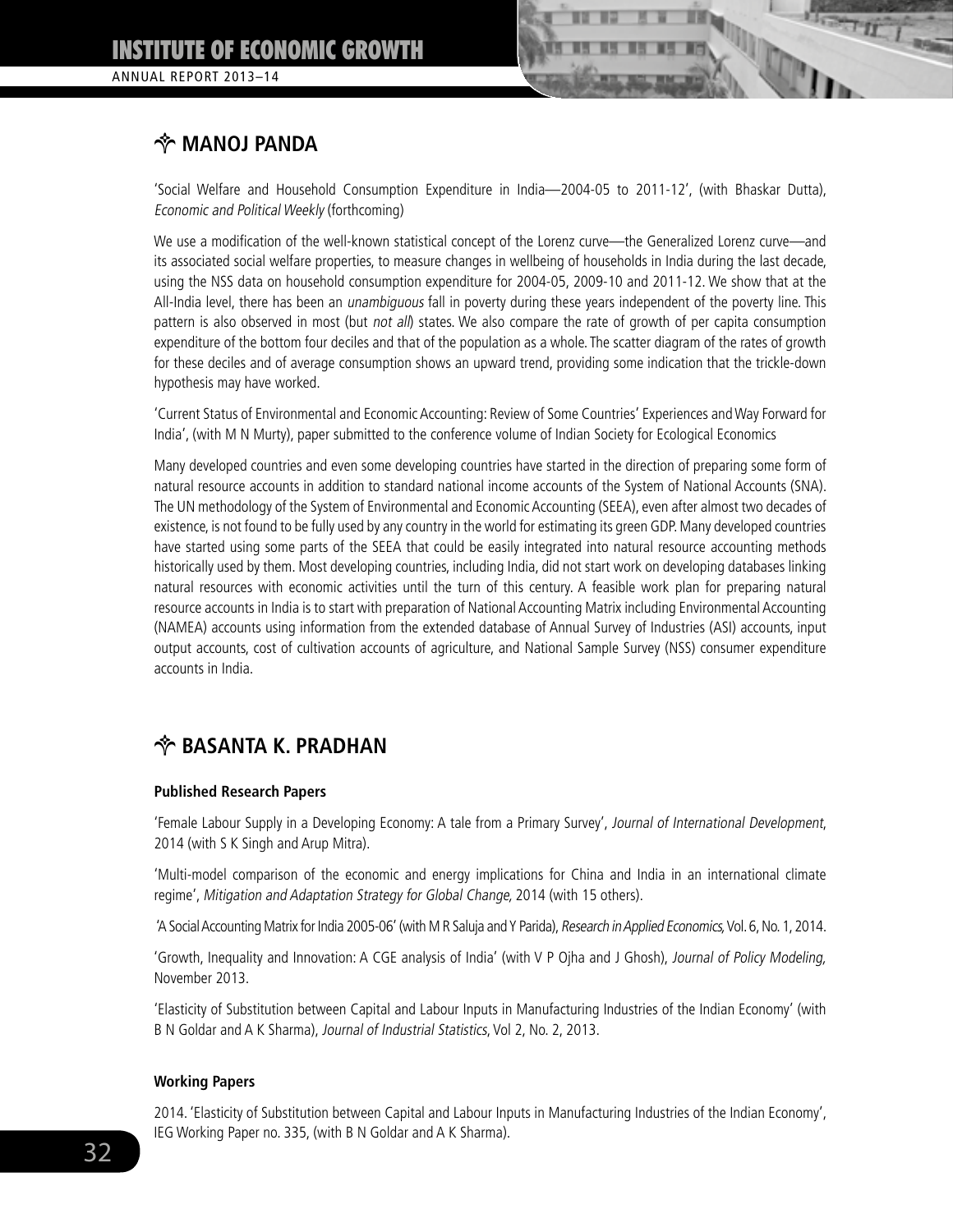# $\hat{\mathcal{F}}$  MANOJ PANDA

'Social Welfare and Household Consumption Expenditure in India—2004-05 to 2011-12', (with Bhaskar Dutta), Economic and Political Weekly (forthcoming)

We use a modification of the well-known statistical concept of the Lorenz curve—the Generalized Lorenz curve—and its associated social welfare properties, to measure changes in wellbeing of households in India during the last decade, using the NSS data on household consumption expenditure for 2004-05, 2009-10 and 2011-12. We show that at the All-India level, there has been an unambiguous fall in poverty during these years independent of the poverty line. This pattern is also observed in most (but not all) states. We also compare the rate of growth of per capita consumption expenditure of the bottom four deciles and that of the population as a whole. The scatter diagram of the rates of growth for these deciles and of average consumption shows an upward trend, providing some indication that the trickle-down hypothesis may have worked.

'Current Status of Environmental and Economic Accounting: Review of Some Countries' Experiences and Way Forward for India', (with M N Murty), paper submitted to the conference volume of Indian Society for Ecological Economics

Many developed countries and even some developing countries have started in the direction of preparing some form of natural resource accounts in addition to standard national income accounts of the System of National Accounts (SNA). The UN methodology of the System of Environmental and Economic Accounting (SEEA), even after almost two decades of existence, is not found to be fully used by any country in the world for estimating its green GDP. Many developed countries have started using some parts of the SEEA that could be easily integrated into natural resource accounting methods historically used by them. Most developing countries, including India, did not start work on developing databases linking natural resources with economic activities until the turn of this century. A feasible work plan for preparing natural resource accounts in India is to start with preparation of National Accounting Matrix including Environmental Accounting (NAMEA) accounts using information from the extended database of Annual Survey of Industries (ASI) accounts, input output accounts, cost of cultivation accounts of agriculture, and National Sample Survey (NSS) consumer expenditure accounts in India.

# $\hat{\mathbf{\in}}$  BASANTA K. PRADHAN

#### **Published Research Papers**

'Female Labour Supply in a Developing Economy: A tale from a Primary Survey', Journal of International Development, 2014 (with S K Singh and Arup Mitra).

'Multi-model comparison of the economic and energy implications for China and India in an international climate regime', Mitigation and Adaptation Strategy for Global Change, 2014 (with 15 others).

'A Social Accounting Matrix for India 2005-06' (with M R Saluja and Y Parida), Research in Applied Economics, Vol. 6, No. 1, 2014.

'Growth, Inequality and Innovation: A CGE analysis of India' (with V P Ojha and J Ghosh), Journal of Policy Modeling, November 2013.

'Elasticity of Substitution between Capital and Labour Inputs in Manufacturing Industries of the Indian Economy' (with B N Goldar and A K Sharma), Journal of Industrial Statistics, Vol 2, No. 2, 2013.

#### **Working Papers**

2014. 'Elasticity of Substitution between Capital and Labour Inputs in Manufacturing Industries of the Indian Economy', IEG Working Paper no. 335, (with B N Goldar and A K Sharma).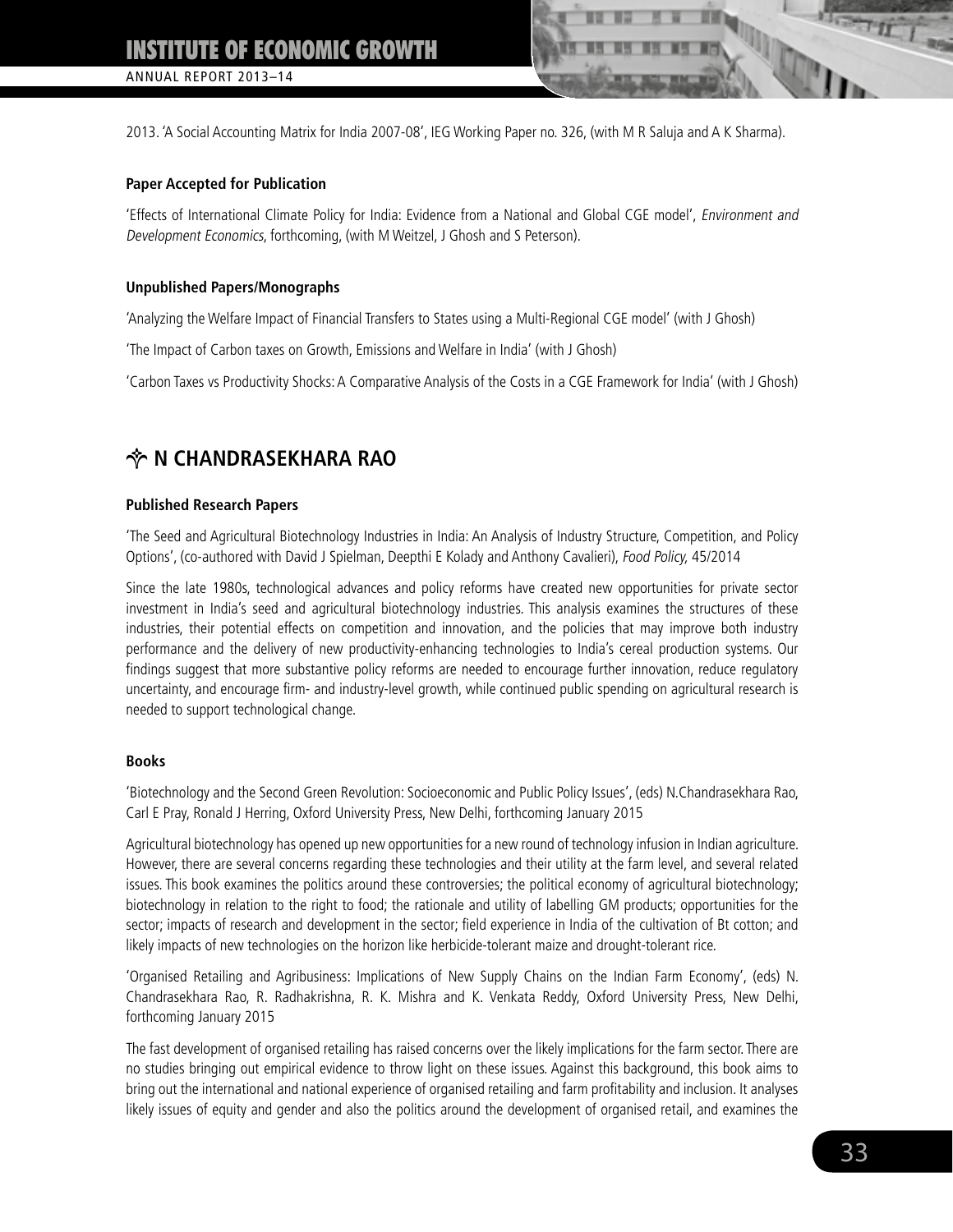2013. 'A Social Accounting Matrix for India 2007-08', IEG Working Paper no. 326, (with M R Saluja and A K Sharma).

#### **Paper Accepted for Publication**

'Effects of International Climate Policy for India: Evidence from a National and Global CGE model', Environment and Development Economics, forthcoming, (with M Weitzel, J Ghosh and S Peterson).

#### **Unpublished Papers/Monographs**

'Analyzing the Welfare Impact of Financial Transfers to States using a Multi-Regional CGE model' (with J Ghosh)

'The Impact of Carbon taxes on Growth, Emissions and Welfare in India' (with J Ghosh)

'Carbon Taxes vs Productivity Shocks: A Comparative Analysis of the Costs in a CGE Framework for India' (with J Ghosh)

# S **N CHANDRASEKHARA RAO**

#### **Published Research Papers**

'The Seed and Agricultural Biotechnology Industries in India: An Analysis of Industry Structure, Competition, and Policy Options', (co-authored with David J Spielman, Deepthi E Kolady and Anthony Cavalieri), Food Policy, 45/2014

Since the late 1980s, technological advances and policy reforms have created new opportunities for private sector investment in India's seed and agricultural biotechnology industries. This analysis examines the structures of these industries, their potential effects on competition and innovation, and the policies that may improve both industry performance and the delivery of new productivity-enhancing technologies to India's cereal production systems. Our findings suggest that more substantive policy reforms are needed to encourage further innovation, reduce regulatory uncertainty, and encourage firm- and industry-level growth, while continued public spending on agricultural research is needed to support technological change.

#### **Books**

'Biotechnology and the Second Green Revolution: Socioeconomic and Public Policy Issues', (eds) N.Chandrasekhara Rao, Carl E Pray, Ronald J Herring, Oxford University Press, New Delhi, forthcoming January 2015

Agricultural biotechnology has opened up new opportunities for a new round of technology infusion in Indian agriculture. However, there are several concerns regarding these technologies and their utility at the farm level, and several related issues. This book examines the politics around these controversies; the political economy of agricultural biotechnology; biotechnology in relation to the right to food; the rationale and utility of labelling GM products; opportunities for the sector; impacts of research and development in the sector; field experience in India of the cultivation of Bt cotton; and likely impacts of new technologies on the horizon like herbicide-tolerant maize and drought-tolerant rice.

'Organised Retailing and Agribusiness: Implications of New Supply Chains on the Indian Farm Economy', (eds) N. Chandrasekhara Rao, R. Radhakrishna, R. K. Mishra and K. Venkata Reddy, Oxford University Press, New Delhi, forthcoming January 2015

The fast development of organised retailing has raised concerns over the likely implications for the farm sector. There are no studies bringing out empirical evidence to throw light on these issues. Against this background, this book aims to bring out the international and national experience of organised retailing and farm profitability and inclusion. It analyses likely issues of equity and gender and also the politics around the development of organised retail, and examines the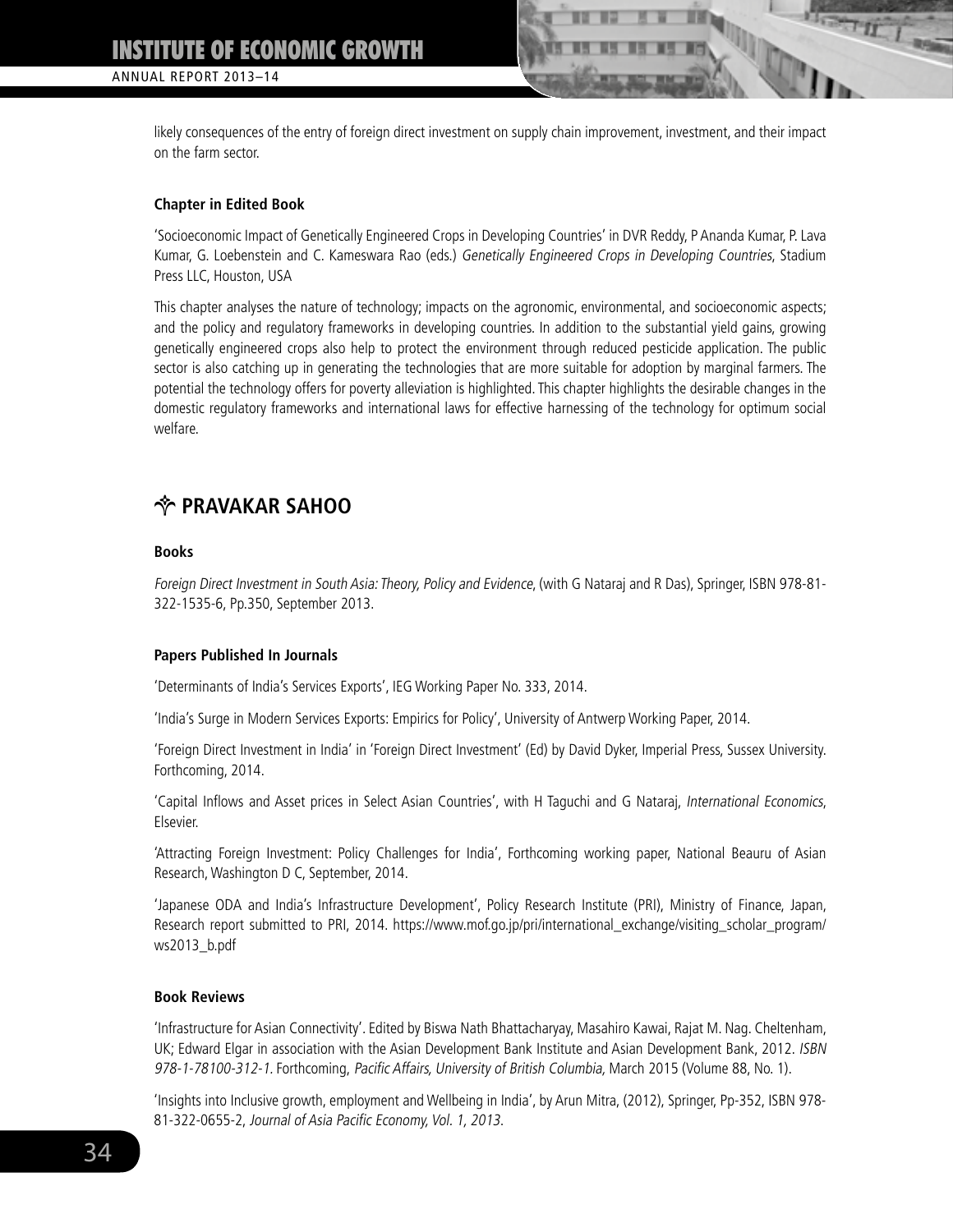likely consequences of the entry of foreign direct investment on supply chain improvement, investment, and their impact on the farm sector.

#### **Chapter in Edited Book**

'Socioeconomic Impact of Genetically Engineered Crops in Developing Countries' in DVR Reddy, P Ananda Kumar, P. Lava Kumar, G. Loebenstein and C. Kameswara Rao (eds.) Genetically Engineered Crops in Developing Countries, Stadium Press LLC, Houston, USA

This chapter analyses the nature of technology; impacts on the agronomic, environmental, and socioeconomic aspects; and the policy and regulatory frameworks in developing countries. In addition to the substantial yield gains, growing genetically engineered crops also help to protect the environment through reduced pesticide application. The public sector is also catching up in generating the technologies that are more suitable for adoption by marginal farmers. The potential the technology offers for poverty alleviation is highlighted. This chapter highlights the desirable changes in the domestic regulatory frameworks and international laws for effective harnessing of the technology for optimum social welfare.

# $\hat{\gamma}$  **PRAVAKAR SAHOO**

#### **Books**

Foreign Direct Investment in South Asia: Theory, Policy and Evidence, (with G Nataraj and R Das), Springer, ISBN 978-81- 322-1535-6, Pp.350, September 2013.

#### **Papers Published In Journals**

'Determinants of India's Services Exports', IEG Working Paper No. 333, 2014.

'India's Surge in Modern Services Exports: Empirics for Policy', University of Antwerp Working Paper, 2014.

'Foreign Direct Investment in India' in 'Foreign Direct Investment' (Ed) by David Dyker, Imperial Press, Sussex University. Forthcoming, 2014.

'Capital Inflows and Asset prices in Select Asian Countries', with H Taguchi and G Nataraj, International Economics, Elsevier.

'Attracting Foreign Investment: Policy Challenges for India', Forthcoming working paper, National Beauru of Asian Research, Washington D C, September, 2014.

'Japanese ODA and India's Infrastructure Development', Policy Research Institute (PRI), Ministry of Finance, Japan, Research report submitted to PRI, 2014. https://www.mof.go.jp/pri/international\_exchange/visiting\_scholar\_program/ ws2013\_b.pdf

#### **Book Reviews**

'Infrastructure for Asian Connectivity'. Edited by Biswa Nath Bhattacharyay, Masahiro Kawai, Rajat M. Nag. Cheltenham, UK; Edward Elgar in association with the Asian Development Bank Institute and Asian Development Bank, 2012. ISBN 978-1-78100-312-1. Forthcoming, Pacific Affairs, University of British Columbia, March 2015 (Volume 88, No. 1).

'Insights into Inclusive growth, employment and Wellbeing in India', by Arun Mitra, (2012), Springer, Pp-352, ISBN 978- 81-322-0655-2, Journal of Asia Pacific Economy, Vol. 1, 2013.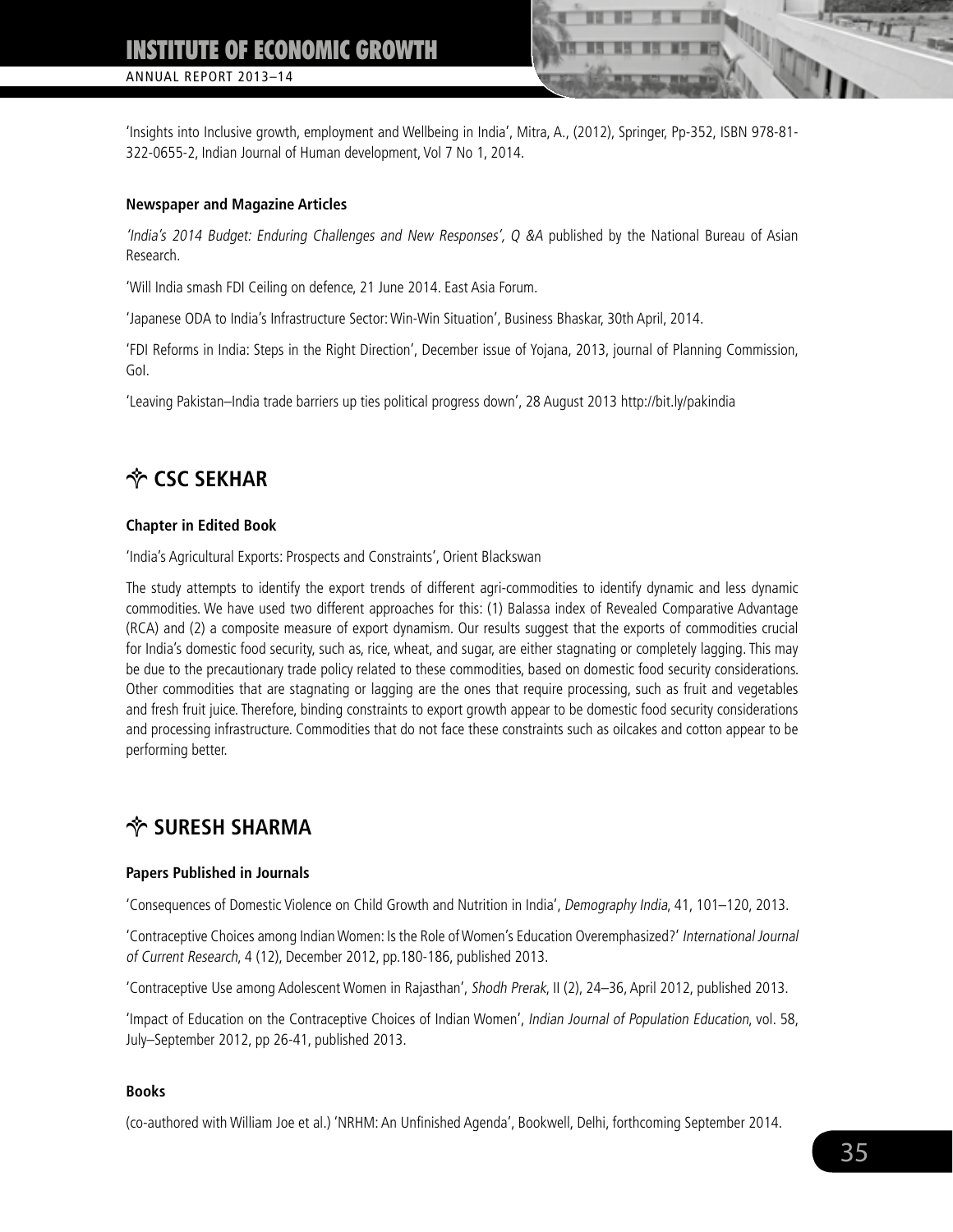'Insights into Inclusive growth, employment and Wellbeing in India', Mitra, A., (2012), Springer, Pp-352, ISBN 978-81- 322-0655-2, Indian Journal of Human development, Vol 7 No 1, 2014.

#### **Newspaper and Magazine Articles**

'India's 2014 Budget: Enduring Challenges and New Responses', Q &A published by the National Bureau of Asian Research.

'Will India smash FDI Ceiling on defence, 21 June 2014. East Asia Forum.

'Japanese ODA to India's Infrastructure Sector: Win-Win Situation', Business Bhaskar, 30th April, 2014.

'FDI Reforms in India: Steps in the Right Direction', December issue of Yojana, 2013, journal of Planning Commission, GoI.

'Leaving Pakistan–India trade barriers up ties political progress down', 28 August 2013 http://bit.ly/pakindia

# **☆ CSC SEKHAR**

#### **Chapter in Edited Book**

'India's Agricultural Exports: Prospects and Constraints', Orient Blackswan

The study attempts to identify the export trends of different agri-commodities to identify dynamic and less dynamic commodities. We have used two different approaches for this: (1) Balassa index of Revealed Comparative Advantage (RCA) and (2) a composite measure of export dynamism. Our results suggest that the exports of commodities crucial for India's domestic food security, such as, rice, wheat, and sugar, are either stagnating or completely lagging. This may be due to the precautionary trade policy related to these commodities, based on domestic food security considerations. Other commodities that are stagnating or lagging are the ones that require processing, such as fruit and vegetables and fresh fruit juice. Therefore, binding constraints to export growth appear to be domestic food security considerations and processing infrastructure. Commodities that do not face these constraints such as oilcakes and cotton appear to be performing better.

# $\diamondsuit$  SURESH SHARMA

#### **Papers Published in Journals**

'Consequences of Domestic Violence on Child Growth and Nutrition in India', Demography India, 41, 101–120, 2013.

'Contraceptive Choices among Indian Women: Is the Role of Women's Education Overemphasized?' International Journal of Current Research, 4 (12), December 2012, pp.180-186, published 2013.

'Contraceptive Use among Adolescent Women in Rajasthan', Shodh Prerak, II (2), 24–36, April 2012, published 2013.

'Impact of Education on the Contraceptive Choices of Indian Women', Indian Journal of Population Education, vol. 58, July–September 2012, pp 26-41, published 2013.

#### **Books**

(co-authored with William Joe et al.) 'NRHM: An Unfinished Agenda', Bookwell, Delhi, forthcoming September 2014.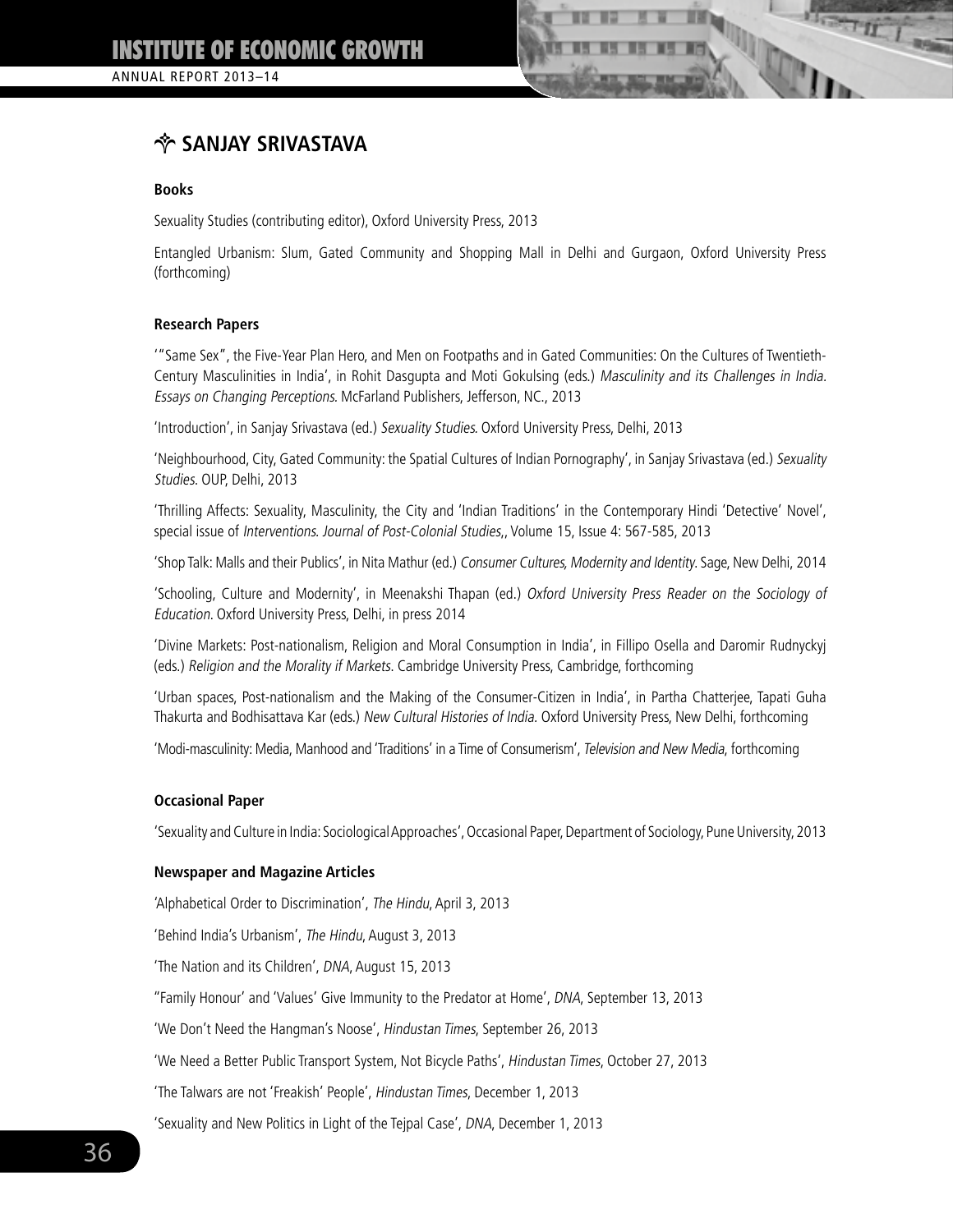# **<u>❖ SANJAY SRIVASTAVA</u>**

#### **Books**

Sexuality Studies (contributing editor), Oxford University Press, 2013

Entangled Urbanism: Slum, Gated Community and Shopping Mall in Delhi and Gurgaon, Oxford University Press (forthcoming)

#### **Research Papers**

'"Same Sex", the Five-Year Plan Hero, and Men on Footpaths and in Gated Communities: On the Cultures of Twentieth-Century Masculinities in India', in Rohit Dasgupta and Moti Gokulsing (eds.) Masculinity and its Challenges in India. Essays on Changing Perceptions. McFarland Publishers, Jefferson, NC., 2013

'Introduction', in Sanjay Srivastava (ed.) Sexuality Studies. Oxford University Press, Delhi, 2013

'Neighbourhood, City, Gated Community: the Spatial Cultures of Indian Pornography', in Sanjay Srivastava (ed.) Sexuality Studies. OUP, Delhi, 2013

'Thrilling Affects: Sexuality, Masculinity, the City and 'Indian Traditions' in the Contemporary Hindi 'Detective' Novel', special issue of Interventions. Journal of Post-Colonial Studies,, Volume 15, Issue 4: 567-585, 2013

'Shop Talk: Malls and their Publics', in Nita Mathur (ed.) Consumer Cultures, Modernity and Identity. Sage, New Delhi, 2014

'Schooling, Culture and Modernity', in Meenakshi Thapan (ed.) Oxford University Press Reader on the Sociology of Education. Oxford University Press, Delhi, in press 2014

'Divine Markets: Post-nationalism, Religion and Moral Consumption in India', in Fillipo Osella and Daromir Rudnyckyj (eds.) Religion and the Morality if Markets. Cambridge University Press, Cambridge, forthcoming

'Urban spaces, Post-nationalism and the Making of the Consumer-Citizen in India', in Partha Chatterjee, Tapati Guha Thakurta and Bodhisattava Kar (eds.) New Cultural Histories of India. Oxford University Press, New Delhi, forthcoming

'Modi-masculinity: Media, Manhood and 'Traditions' in a Time of Consumerism', Television and New Media, forthcoming

#### **Occasional Paper**

'Sexuality and Culture in India: Sociological Approaches', Occasional Paper, Department of Sociology, Pune University, 2013

#### **Newspaper and Magazine Articles**

'Alphabetical Order to Discrimination', The Hindu, April 3, 2013

'Behind India's Urbanism', The Hindu, August 3, 2013

'The Nation and its Children', DNA, August 15, 2013

''Family Honour' and 'Values' Give Immunity to the Predator at Home', DNA, September 13, 2013

'We Don't Need the Hangman's Noose', Hindustan Times, September 26, 2013

'We Need a Better Public Transport System, Not Bicycle Paths', Hindustan Times, October 27, 2013

'The Talwars are not 'Freakish' People', Hindustan Times, December 1, 2013

'Sexuality and New Politics in Light of the Tejpal Case', DNA, December 1, 2013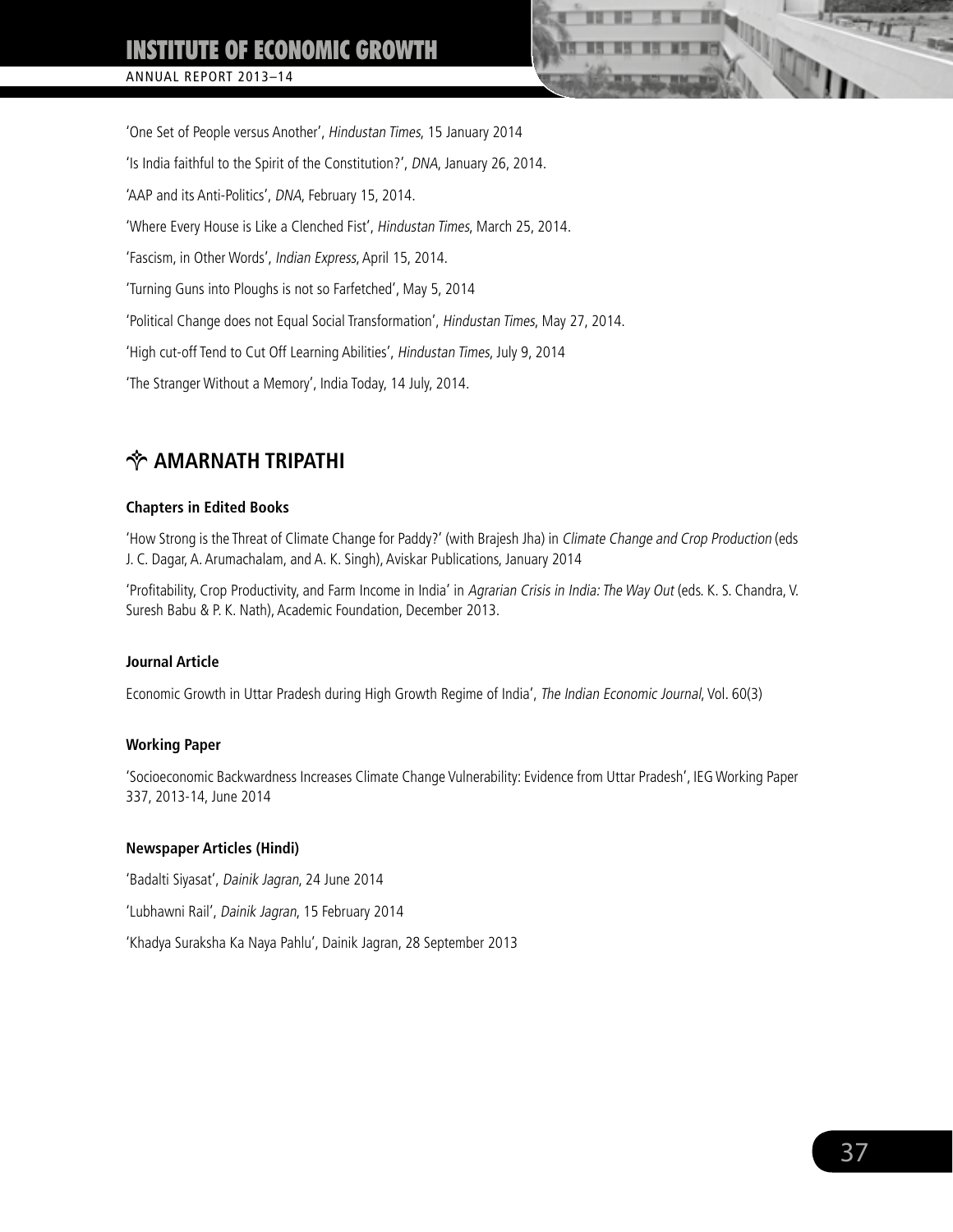# TUTE OF ECONOMIC GROWTH

## Annual Report 2013–14

'One Set of People versus Another', Hindustan Times, 15 January 2014 'Is India faithful to the Spirit of the Constitution?', DNA, January 26, 2014. 'AAP and its Anti-Politics', DNA, February 15, 2014. 'Where Every House is Like a Clenched Fist', Hindustan Times, March 25, 2014. 'Fascism, in Other Words', Indian Express, April 15, 2014. 'Turning Guns into Ploughs is not so Farfetched', May 5, 2014 'Political Change does not Equal Social Transformation', Hindustan Times, May 27, 2014. 'High cut-off Tend to Cut Off Learning Abilities', Hindustan Times, July 9, 2014 'The Stranger Without a Memory', India Today, 14 July, 2014.

# $\hat{\mathcal{S}}$  AMARNATH TRIPATHI

#### **Chapters in Edited Books**

'How Strong is the Threat of Climate Change for Paddy?' (with Brajesh Jha) in Climate Change and Crop Production (eds J. C. Dagar, A. Arumachalam, and A. K. Singh), Aviskar Publications, January 2014

'Profitability, Crop Productivity, and Farm Income in India' in Agrarian Crisis in India: The Way Out (eds. K. S. Chandra, V. Suresh Babu & P. K. Nath), Academic Foundation, December 2013.

#### **Journal Article**

Economic Growth in Uttar Pradesh during High Growth Regime of India', The Indian Economic Journal, Vol. 60(3)

#### **Working Paper**

'Socioeconomic Backwardness Increases Climate Change Vulnerability: Evidence from Uttar Pradesh', IEG Working Paper 337, 2013-14, June 2014

#### **Newspaper Articles (Hindi)**

'Badalti Siyasat', Dainik Jagran, 24 June 2014

'Lubhawni Rail', Dainik Jagran, 15 February 2014

'Khadya Suraksha Ka Naya Pahlu', Dainik Jagran, 28 September 2013

**THE CONTRACTOR**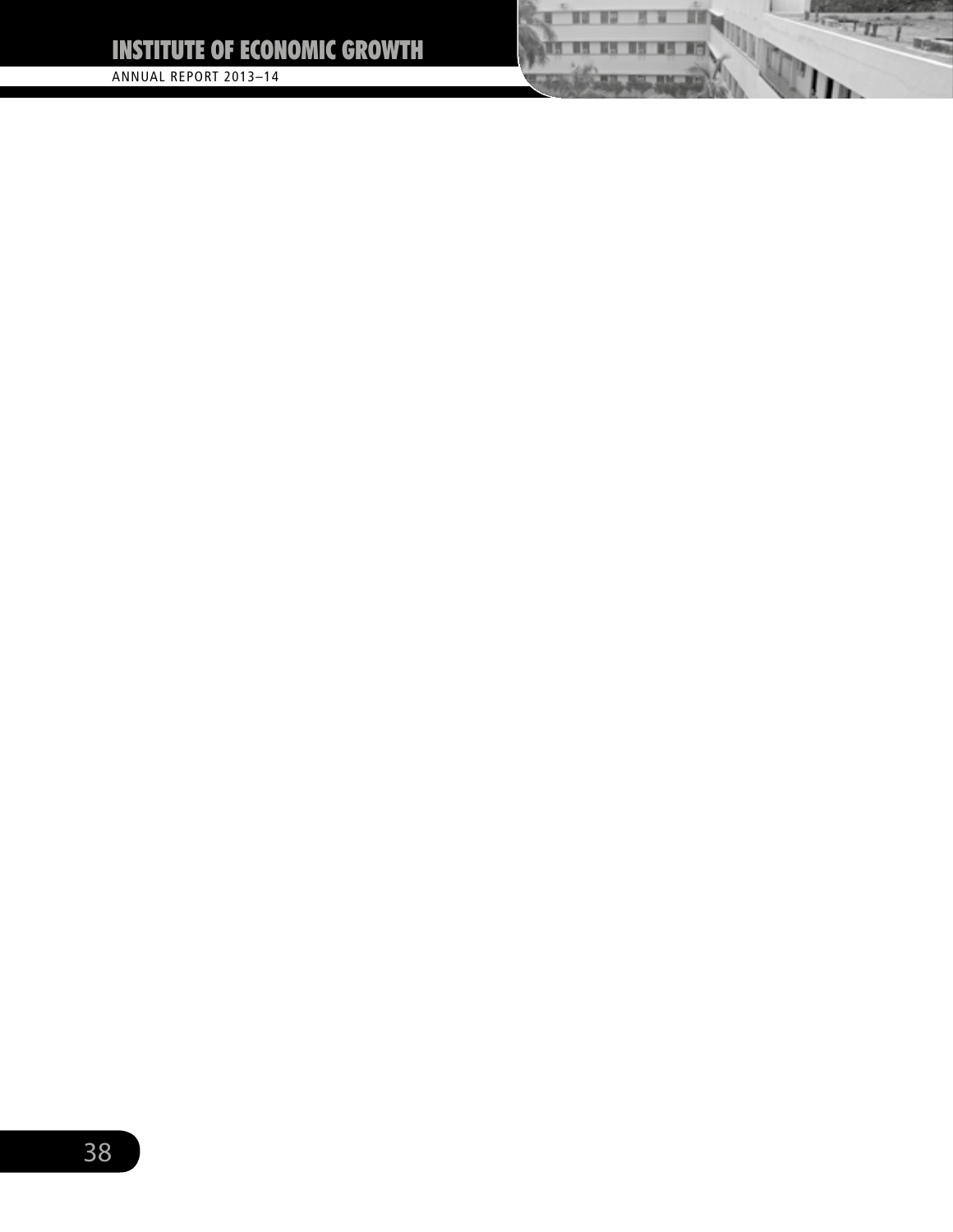h

m.

ոս ումղ

иm

я

**THE LE**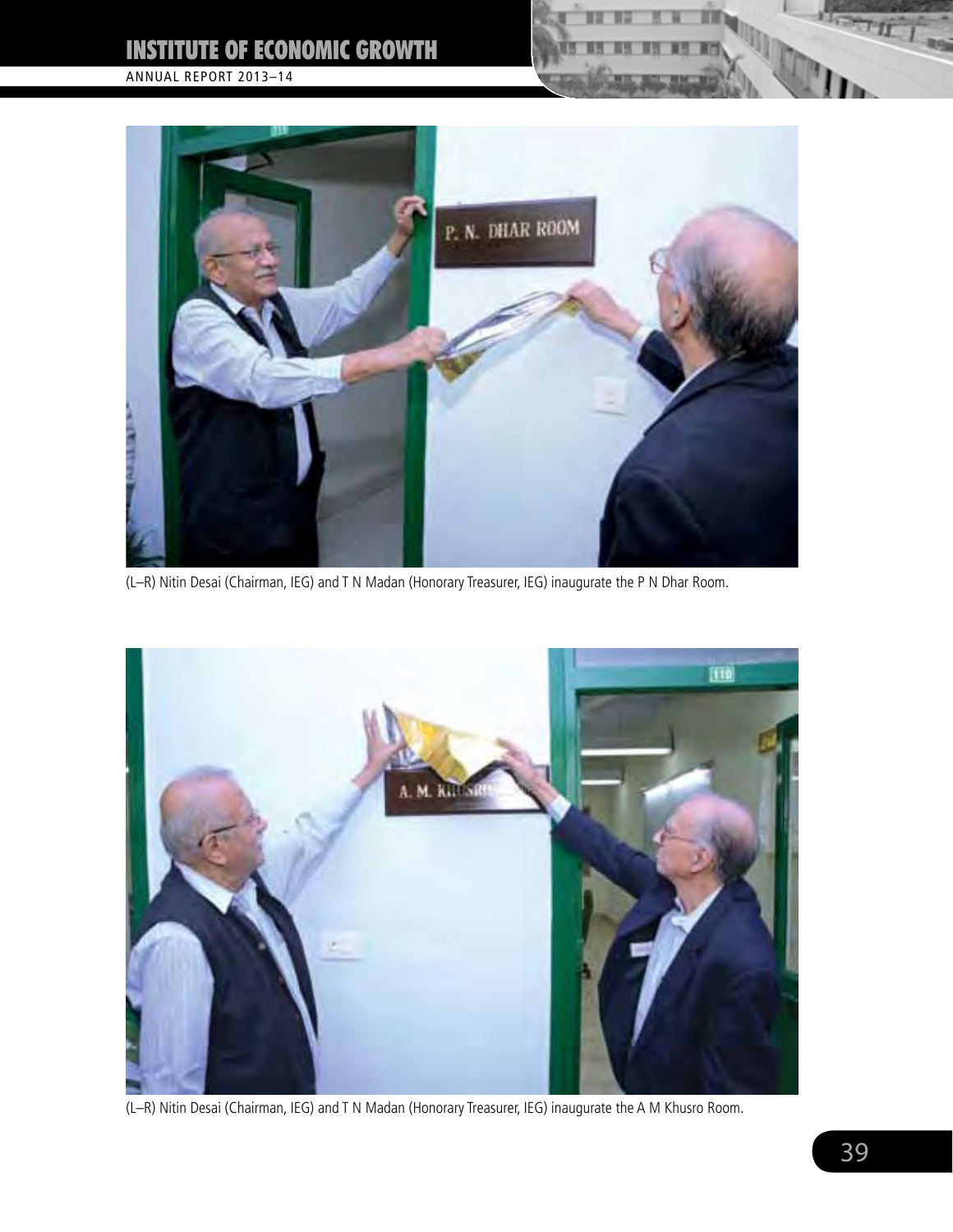# Institute of Economic Growth Annual Report 2013–14



(L–R) Nitin Desai (Chairman, IEG) and T N Madan (Honorary Treasurer, IEG) inaugurate the P N Dhar Room.



(L–R) Nitin Desai (Chairman, IEG) and T N Madan (Honorary Treasurer, IEG) inaugurate the A M Khusro Room.

 $71$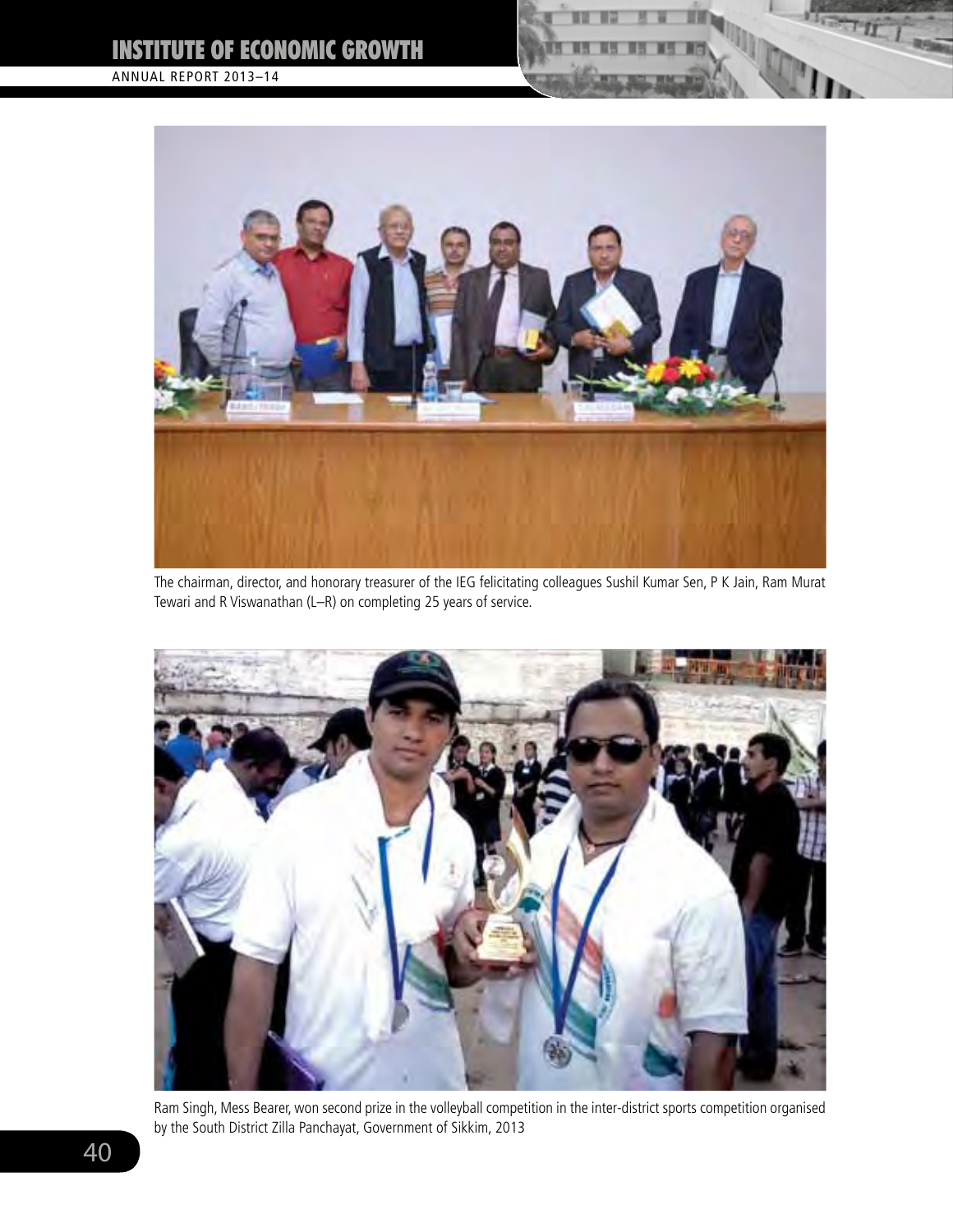

The chairman, director, and honorary treasurer of the IEG felicitating colleagues Sushil Kumar Sen, P K Jain, Ram Murat Tewari and R Viswanathan (L–R) on completing 25 years of service.



Ram Singh, Mess Bearer, won second prize in the volleyball competition in the inter-district sports competition organised by the South District Zilla Panchayat, Government of Sikkim, 2013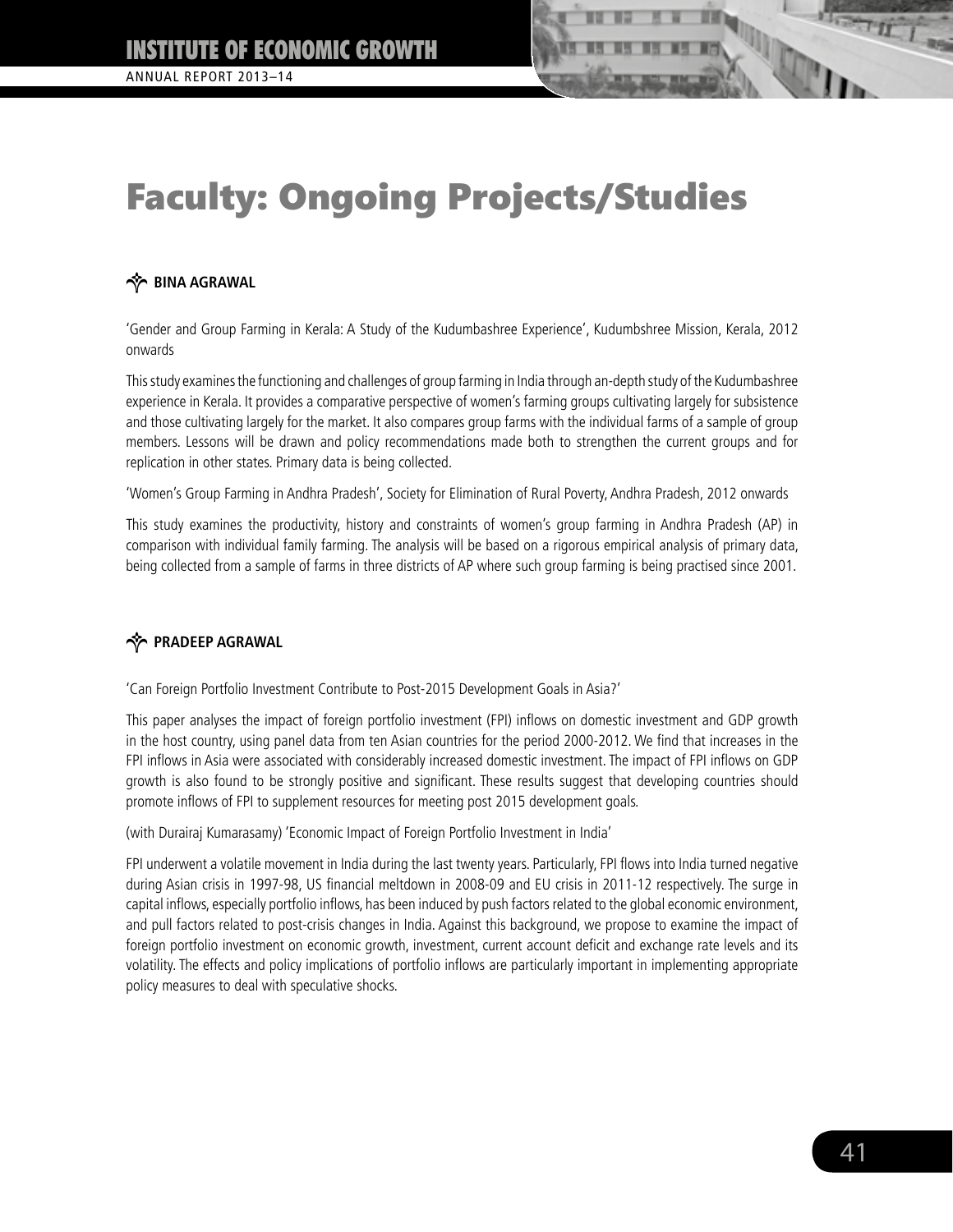# Faculty: Ongoing Projects/Studies

## **SEAMAL**

'Gender and Group Farming in Kerala: A Study of the Kudumbashree Experience', Kudumbshree Mission, Kerala, 2012 onwards

This study examines the functioning and challenges of group farming in India through an-depth study of the Kudumbashree experience in Kerala. It provides a comparative perspective of women's farming groups cultivating largely for subsistence and those cultivating largely for the market. It also compares group farms with the individual farms of a sample of group members. Lessons will be drawn and policy recommendations made both to strengthen the current groups and for replication in other states. Primary data is being collected.

'Women's Group Farming in Andhra Pradesh', Society for Elimination of Rural Poverty, Andhra Pradesh, 2012 onwards

This study examines the productivity, history and constraints of women's group farming in Andhra Pradesh (AP) in comparison with individual family farming. The analysis will be based on a rigorous empirical analysis of primary data, being collected from a sample of farms in three districts of AP where such group farming is being practised since 2001.

## **SEX PRADEEP AGRAWAL**

'Can Foreign Portfolio Investment Contribute to Post-2015 Development Goals in Asia?'

This paper analyses the impact of foreign portfolio investment (FPI) inflows on domestic investment and GDP growth in the host country, using panel data from ten Asian countries for the period 2000-2012. We find that increases in the FPI inflows in Asia were associated with considerably increased domestic investment. The impact of FPI inflows on GDP growth is also found to be strongly positive and significant. These results suggest that developing countries should promote inflows of FPI to supplement resources for meeting post 2015 development goals.

(with Durairaj Kumarasamy) 'Economic Impact of Foreign Portfolio Investment in India'

FPI underwent a volatile movement in India during the last twenty years. Particularly, FPI flows into India turned negative during Asian crisis in 1997-98, US financial meltdown in 2008-09 and EU crisis in 2011-12 respectively. The surge in capital inflows, especially portfolio inflows, has been induced by push factors related to the global economic environment, and pull factors related to post-crisis changes in India. Against this background, we propose to examine the impact of foreign portfolio investment on economic growth, investment, current account deficit and exchange rate levels and its volatility. The effects and policy implications of portfolio inflows are particularly important in implementing appropriate policy measures to deal with speculative shocks.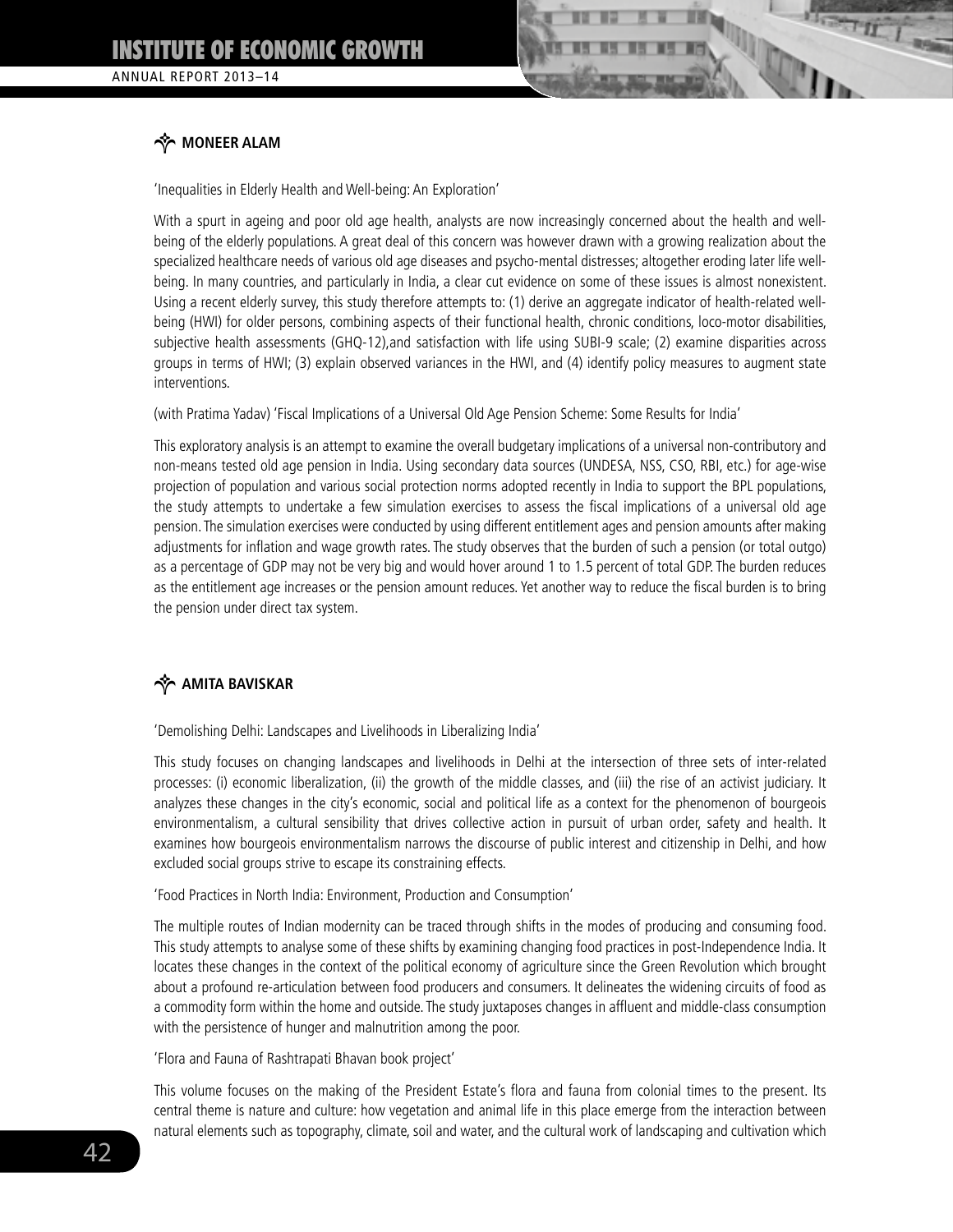## **S** MONEER ALAM

'Inequalities in Elderly Health and Well-being: An Exploration'

With a spurt in ageing and poor old age health, analysts are now increasingly concerned about the health and wellbeing of the elderly populations. A great deal of this concern was however drawn with a growing realization about the specialized healthcare needs of various old age diseases and psycho-mental distresses; altogether eroding later life wellbeing. In many countries, and particularly in India, a clear cut evidence on some of these issues is almost nonexistent. Using a recent elderly survey, this study therefore attempts to: (1) derive an aggregate indicator of health-related wellbeing (HWI) for older persons, combining aspects of their functional health, chronic conditions, loco-motor disabilities, subjective health assessments (GHQ-12),and satisfaction with life using SUBI-9 scale; (2) examine disparities across groups in terms of HWI; (3) explain observed variances in the HWI, and (4) identify policy measures to augment state interventions.

(with Pratima Yadav) 'Fiscal Implications of a Universal Old Age Pension Scheme: Some Results for India'

This exploratory analysis is an attempt to examine the overall budgetary implications of a universal non-contributory and non-means tested old age pension in India. Using secondary data sources (UNDESA, NSS, CSO, RBI, etc.) for age-wise projection of population and various social protection norms adopted recently in India to support the BPL populations, the study attempts to undertake a few simulation exercises to assess the fiscal implications of a universal old age pension. The simulation exercises were conducted by using different entitlement ages and pension amounts after making adjustments for inflation and wage growth rates. The study observes that the burden of such a pension (or total outgo) as a percentage of GDP may not be very big and would hover around 1 to 1.5 percent of total GDP. The burden reduces as the entitlement age increases or the pension amount reduces. Yet another way to reduce the fiscal burden is to bring the pension under direct tax system.

## **SP AMITA BAVISKAR**

'Demolishing Delhi: Landscapes and Livelihoods in Liberalizing India'

This study focuses on changing landscapes and livelihoods in Delhi at the intersection of three sets of inter-related processes: (i) economic liberalization, (ii) the growth of the middle classes, and (iii) the rise of an activist judiciary. It analyzes these changes in the city's economic, social and political life as a context for the phenomenon of bourgeois environmentalism, a cultural sensibility that drives collective action in pursuit of urban order, safety and health. It examines how bourgeois environmentalism narrows the discourse of public interest and citizenship in Delhi, and how excluded social groups strive to escape its constraining effects.

'Food Practices in North India: Environment, Production and Consumption'

The multiple routes of Indian modernity can be traced through shifts in the modes of producing and consuming food. This study attempts to analyse some of these shifts by examining changing food practices in post-Independence India. It locates these changes in the context of the political economy of agriculture since the Green Revolution which brought about a profound re-articulation between food producers and consumers. It delineates the widening circuits of food as a commodity form within the home and outside. The study juxtaposes changes in affluent and middle-class consumption with the persistence of hunger and malnutrition among the poor.

'Flora and Fauna of Rashtrapati Bhavan book project'

This volume focuses on the making of the President Estate's flora and fauna from colonial times to the present. Its central theme is nature and culture: how vegetation and animal life in this place emerge from the interaction between natural elements such as topography, climate, soil and water, and the cultural work of landscaping and cultivation which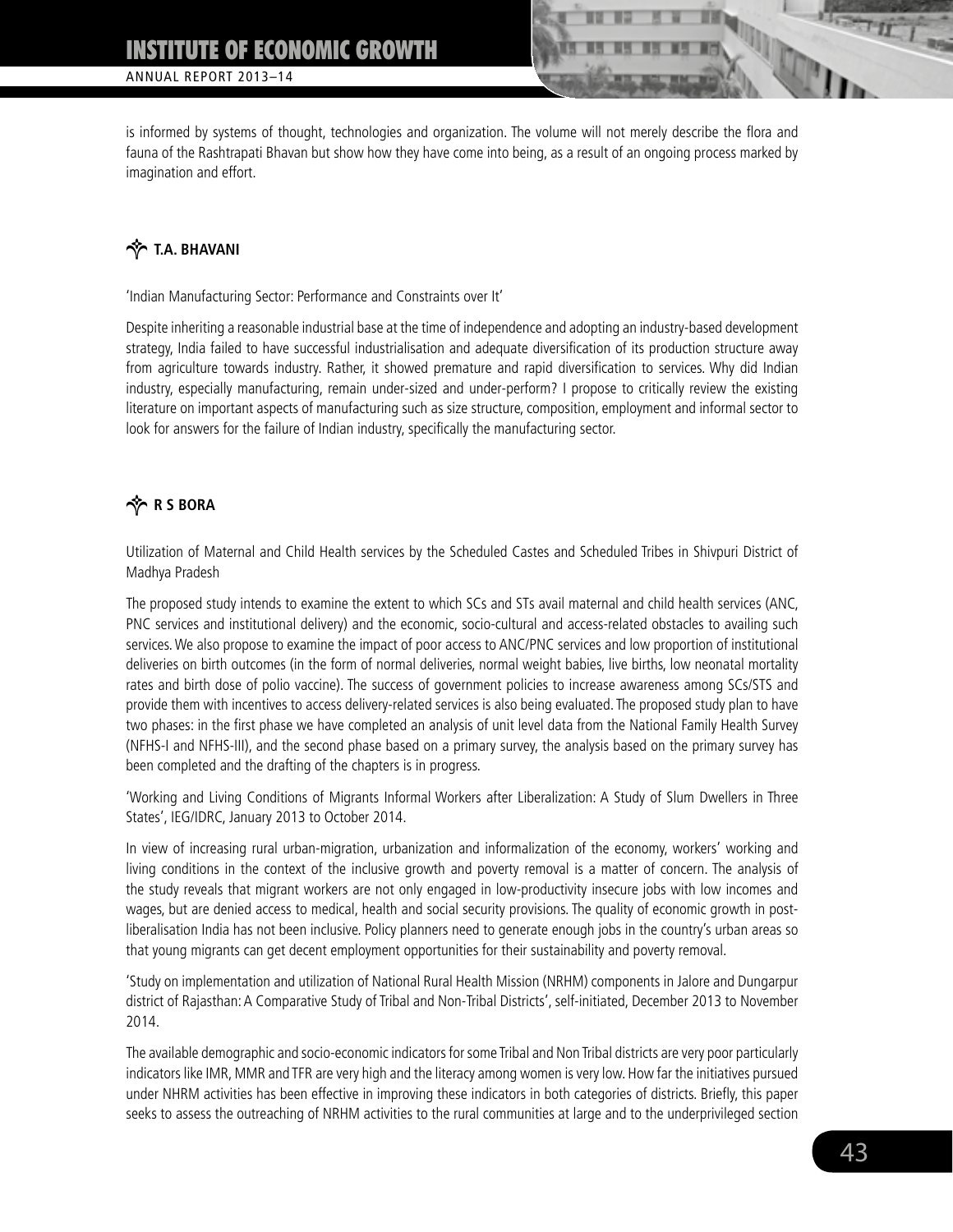is informed by systems of thought, technologies and organization. The volume will not merely describe the flora and fauna of the Rashtrapati Bhavan but show how they have come into being, as a result of an ongoing process marked by imagination and effort.

## **ী** T.A. BHAVANI

'Indian Manufacturing Sector: Performance and Constraints over It'

Despite inheriting a reasonable industrial base at the time of independence and adopting an industry-based development strategy, India failed to have successful industrialisation and adequate diversification of its production structure away from agriculture towards industry. Rather, it showed premature and rapid diversification to services. Why did Indian industry, especially manufacturing, remain under-sized and under-perform? I propose to critically review the existing literature on important aspects of manufacturing such as size structure, composition, employment and informal sector to look for answers for the failure of Indian industry, specifically the manufacturing sector.

# **T**<sup>→</sup> R S BORA

Utilization of Maternal and Child Health services by the Scheduled Castes and Scheduled Tribes in Shivpuri District of Madhya Pradesh

The proposed study intends to examine the extent to which SCs and STs avail maternal and child health services (ANC, PNC services and institutional delivery) and the economic, socio-cultural and access-related obstacles to availing such services. We also propose to examine the impact of poor access to ANC/PNC services and low proportion of institutional deliveries on birth outcomes (in the form of normal deliveries, normal weight babies, live births, low neonatal mortality rates and birth dose of polio vaccine). The success of government policies to increase awareness among SCs/STS and provide them with incentives to access delivery-related services is also being evaluated. The proposed study plan to have two phases: in the first phase we have completed an analysis of unit level data from the National Family Health Survey (NFHS-I and NFHS-III), and the second phase based on a primary survey, the analysis based on the primary survey has been completed and the drafting of the chapters is in progress.

'Working and Living Conditions of Migrants Informal Workers after Liberalization: A Study of Slum Dwellers in Three States', IEG/IDRC, January 2013 to October 2014.

In view of increasing rural urban-migration, urbanization and informalization of the economy, workers' working and living conditions in the context of the inclusive growth and poverty removal is a matter of concern. The analysis of the study reveals that migrant workers are not only engaged in low-productivity insecure jobs with low incomes and wages, but are denied access to medical, health and social security provisions. The quality of economic growth in postliberalisation India has not been inclusive. Policy planners need to generate enough jobs in the country's urban areas so that young migrants can get decent employment opportunities for their sustainability and poverty removal.

'Study on implementation and utilization of National Rural Health Mission (NRHM) components in Jalore and Dungarpur district of Rajasthan: A Comparative Study of Tribal and Non-Tribal Districts', self-initiated, December 2013 to November 2014.

The available demographic and socio-economic indicators for some Tribal and Non Tribal districts are very poor particularly indicators like IMR, MMR and TFR are very high and the literacy among women is very low. How far the initiatives pursued under NHRM activities has been effective in improving these indicators in both categories of districts. Briefly, this paper seeks to assess the outreaching of NRHM activities to the rural communities at large and to the underprivileged section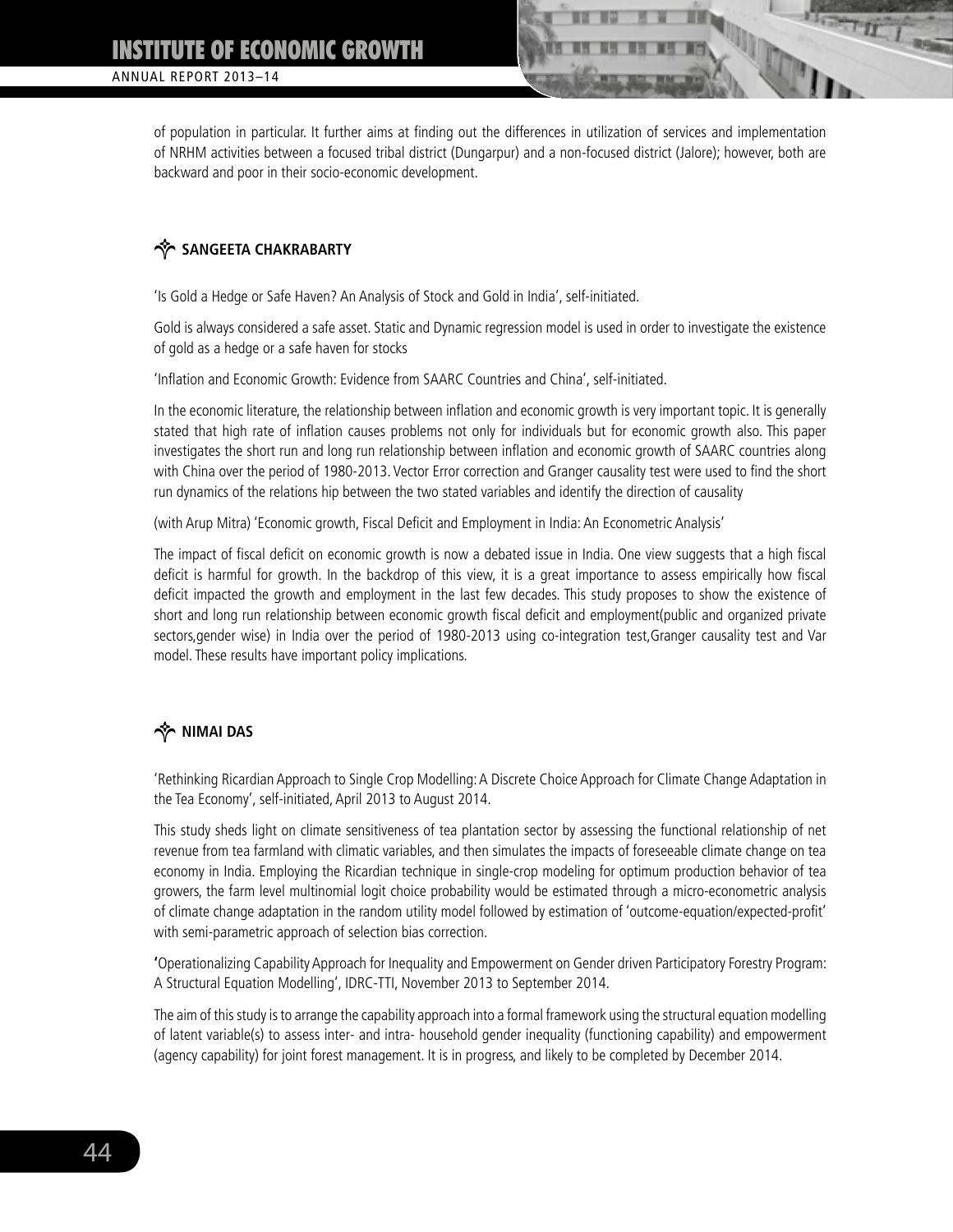of population in particular. It further aims at finding out the differences in utilization of services and implementation of NRHM activities between a focused tribal district (Dungarpur) and a non-focused district (Jalore); however, both are backward and poor in their socio-economic development.

## **SANGEETA CHAKRABARTY**

'Is Gold a Hedge or Safe Haven? An Analysis of Stock and Gold in India', self-initiated.

Gold is always considered a safe asset. Static and Dynamic regression model is used in order to investigate the existence of gold as a hedge or a safe haven for stocks

'Inflation and Economic Growth: Evidence from SAARC Countries and China', self-initiated.

In the economic literature, the relationship between inflation and economic growth is very important topic. It is generally stated that high rate of inflation causes problems not only for individuals but for economic growth also. This paper investigates the short run and long run relationship between inflation and economic growth of SAARC countries along with China over the period of 1980-2013. Vector Error correction and Granger causality test were used to find the short run dynamics of the relations hip between the two stated variables and identify the direction of causality

(with Arup Mitra) 'Economic growth, Fiscal Deficit and Employment in India: An Econometric Analysis'

The impact of fiscal deficit on economic growth is now a debated issue in India. One view suggests that a high fiscal deficit is harmful for growth. In the backdrop of this view, it is a great importance to assess empirically how fiscal deficit impacted the growth and employment in the last few decades. This study proposes to show the existence of short and long run relationship between economic growth fiscal deficit and employment(public and organized private sectors,gender wise) in India over the period of 1980-2013 using co-integration test,Granger causality test and Var model. These results have important policy implications.

## **S NIMAI DAS**

'Rethinking Ricardian Approach to Single Crop Modelling: A Discrete Choice Approach for Climate Change Adaptation in the Tea Economy', self-initiated, April 2013 to August 2014.

This study sheds light on climate sensitiveness of tea plantation sector by assessing the functional relationship of net revenue from tea farmland with climatic variables, and then simulates the impacts of foreseeable climate change on tea economy in India. Employing the Ricardian technique in single-crop modeling for optimum production behavior of tea growers, the farm level multinomial logit choice probability would be estimated through a micro-econometric analysis of climate change adaptation in the random utility model followed by estimation of 'outcome-equation/expected-profit' with semi-parametric approach of selection bias correction.

**'**Operationalizing Capability Approach for Inequality and Empowerment on Gender driven Participatory Forestry Program: A Structural Equation Modelling', IDRC-TTI, November 2013 to September 2014.

The aim of this study is to arrange the capability approach into a formal framework using the structural equation modelling of latent variable(s) to assess inter- and intra- household gender inequality (functioning capability) and empowerment (agency capability) for joint forest management. It is in progress, and likely to be completed by December 2014.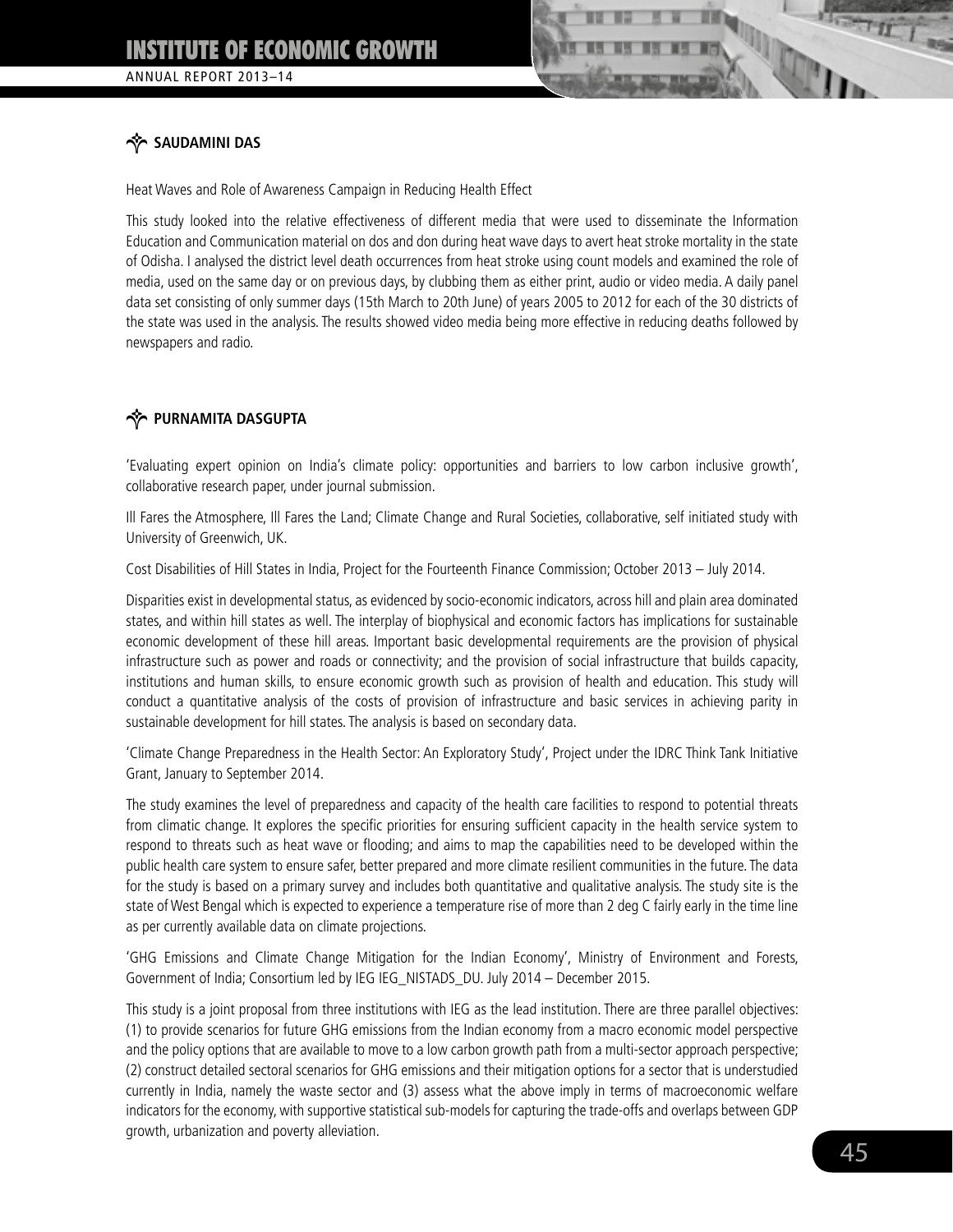# **SAUDAMINI DAS**

Heat Waves and Role of Awareness Campaign in Reducing Health Effect

This study looked into the relative effectiveness of different media that were used to disseminate the Information Education and Communication material on dos and don during heat wave days to avert heat stroke mortality in the state of Odisha. I analysed the district level death occurrences from heat stroke using count models and examined the role of media, used on the same day or on previous days, by clubbing them as either print, audio or video media. A daily panel data set consisting of only summer days (15th March to 20th June) of years 2005 to 2012 for each of the 30 districts of the state was used in the analysis. The results showed video media being more effective in reducing deaths followed by newspapers and radio.

## $\hat{\gamma}$  PURNAMITA DASGUPTA

'Evaluating expert opinion on India's climate policy: opportunities and barriers to low carbon inclusive growth', collaborative research paper, under journal submission.

Ill Fares the Atmosphere, Ill Fares the Land; Climate Change and Rural Societies, collaborative, self initiated study with University of Greenwich, UK.

Cost Disabilities of Hill States in India, Project for the Fourteenth Finance Commission; October 2013 – July 2014.

Disparities exist in developmental status, as evidenced by socio-economic indicators, across hill and plain area dominated states, and within hill states as well. The interplay of biophysical and economic factors has implications for sustainable economic development of these hill areas. Important basic developmental requirements are the provision of physical infrastructure such as power and roads or connectivity; and the provision of social infrastructure that builds capacity, institutions and human skills, to ensure economic growth such as provision of health and education. This study will conduct a quantitative analysis of the costs of provision of infrastructure and basic services in achieving parity in sustainable development for hill states. The analysis is based on secondary data.

'Climate Change Preparedness in the Health Sector: An Exploratory Study', Project under the IDRC Think Tank Initiative Grant, January to September 2014.

The study examines the level of preparedness and capacity of the health care facilities to respond to potential threats from climatic change. It explores the specific priorities for ensuring sufficient capacity in the health service system to respond to threats such as heat wave or flooding; and aims to map the capabilities need to be developed within the public health care system to ensure safer, better prepared and more climate resilient communities in the future. The data for the study is based on a primary survey and includes both quantitative and qualitative analysis. The study site is the state of West Bengal which is expected to experience a temperature rise of more than 2 deg C fairly early in the time line as per currently available data on climate projections.

'GHG Emissions and Climate Change Mitigation for the Indian Economy', Ministry of Environment and Forests, Government of India; Consortium led by IEG IEG\_NISTADS\_DU. July 2014 – December 2015.

This study is a joint proposal from three institutions with IEG as the lead institution. There are three parallel objectives: (1) to provide scenarios for future GHG emissions from the Indian economy from a macro economic model perspective and the policy options that are available to move to a low carbon growth path from a multi-sector approach perspective; (2) construct detailed sectoral scenarios for GHG emissions and their mitigation options for a sector that is understudied currently in India, namely the waste sector and (3) assess what the above imply in terms of macroeconomic welfare indicators for the economy, with supportive statistical sub-models for capturing the trade-offs and overlaps between GDP growth, urbanization and poverty alleviation.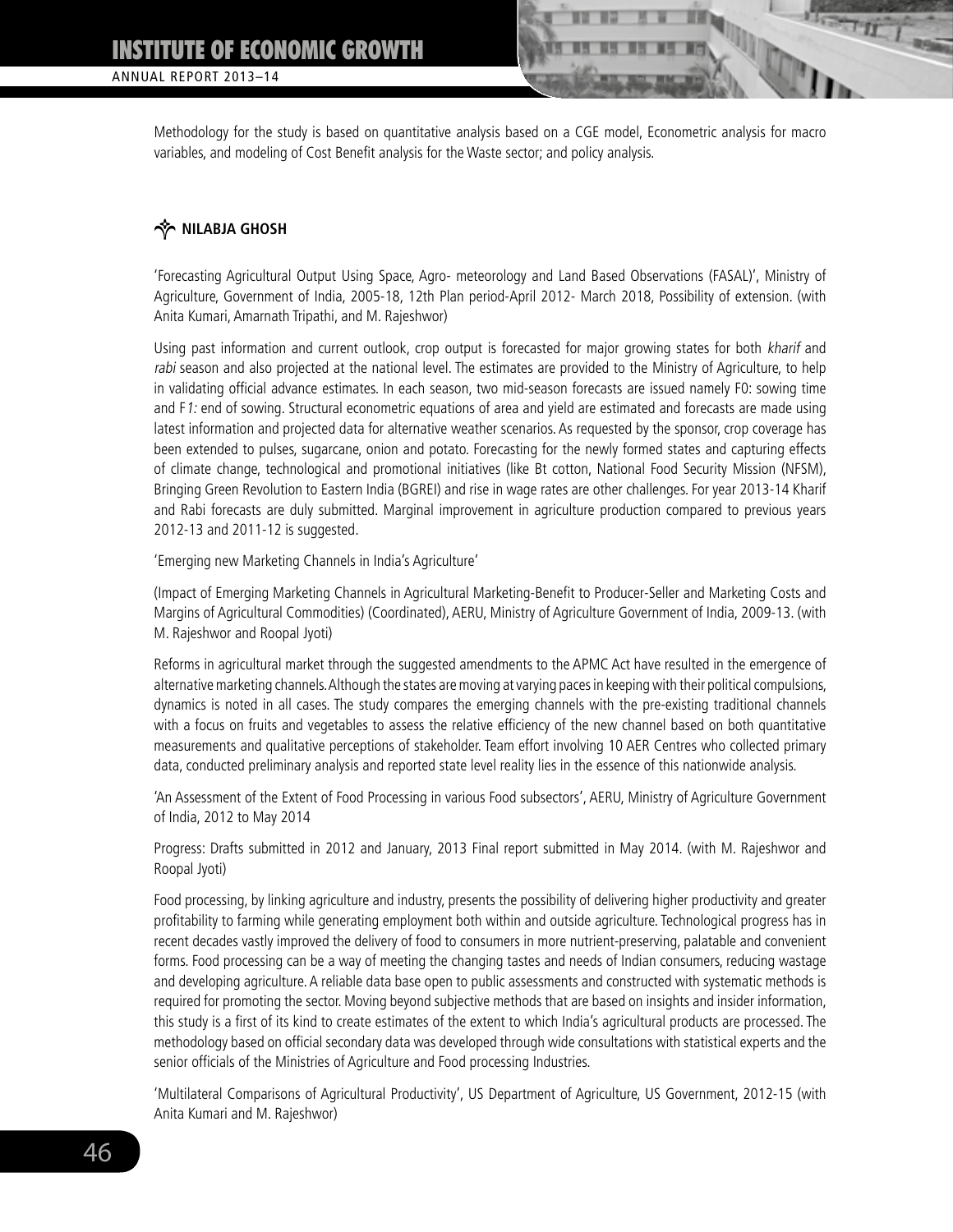Methodology for the study is based on quantitative analysis based on a CGE model, Econometric analysis for macro variables, and modeling of Cost Benefit analysis for the Waste sector; and policy analysis.

## **S** NILABJA GHOSH

'Forecasting Agricultural Output Using Space, Agro- meteorology and Land Based Observations (FASAL)', Ministry of Agriculture, Government of India, 2005-18, 12th Plan period-April 2012- March 2018, Possibility of extension. (with Anita Kumari, Amarnath Tripathi, and M. Rajeshwor)

Using past information and current outlook, crop output is forecasted for major growing states for both kharif and rabi season and also projected at the national level. The estimates are provided to the Ministry of Agriculture, to help in validating official advance estimates. In each season, two mid-season forecasts are issued namely F0: sowing time and F1: end of sowing. Structural econometric equations of area and yield are estimated and forecasts are made using latest information and projected data for alternative weather scenarios. As requested by the sponsor, crop coverage has been extended to pulses, sugarcane, onion and potato. Forecasting for the newly formed states and capturing effects of climate change, technological and promotional initiatives (like Bt cotton, National Food Security Mission (NFSM), Bringing Green Revolution to Eastern India (BGREI) and rise in wage rates are other challenges. For year 2013-14 Kharif and Rabi forecasts are duly submitted. Marginal improvement in agriculture production compared to previous years 2012-13 and 2011-12 is suggested.

'Emerging new Marketing Channels in India's Agriculture'

(Impact of Emerging Marketing Channels in Agricultural Marketing-Benefit to Producer-Seller and Marketing Costs and Margins of Agricultural Commodities) (Coordinated), AERU, Ministry of Agriculture Government of India, 2009-13. (with M. Rajeshwor and Roopal Jyoti)

Reforms in agricultural market through the suggested amendments to the APMC Act have resulted in the emergence of alternative marketing channels. Although the states are moving at varying paces in keeping with their political compulsions, dynamics is noted in all cases. The study compares the emerging channels with the pre-existing traditional channels with a focus on fruits and vegetables to assess the relative efficiency of the new channel based on both quantitative measurements and qualitative perceptions of stakeholder. Team effort involving 10 AER Centres who collected primary data, conducted preliminary analysis and reported state level reality lies in the essence of this nationwide analysis.

'An Assessment of the Extent of Food Processing in various Food subsectors', AERU, Ministry of Agriculture Government of India, 2012 to May 2014

Progress: Drafts submitted in 2012 and January, 2013 Final report submitted in May 2014. (with M. Rajeshwor and Roopal Jyoti)

Food processing, by linking agriculture and industry, presents the possibility of delivering higher productivity and greater profitability to farming while generating employment both within and outside agriculture. Technological progress has in recent decades vastly improved the delivery of food to consumers in more nutrient-preserving, palatable and convenient forms. Food processing can be a way of meeting the changing tastes and needs of Indian consumers, reducing wastage and developing agriculture. A reliable data base open to public assessments and constructed with systematic methods is required for promoting the sector. Moving beyond subjective methods that are based on insights and insider information, this study is a first of its kind to create estimates of the extent to which India's agricultural products are processed. The methodology based on official secondary data was developed through wide consultations with statistical experts and the senior officials of the Ministries of Agriculture and Food processing Industries.

'Multilateral Comparisons of Agricultural Productivity', US Department of Agriculture, US Government, 2012-15 (with Anita Kumari and M. Rajeshwor)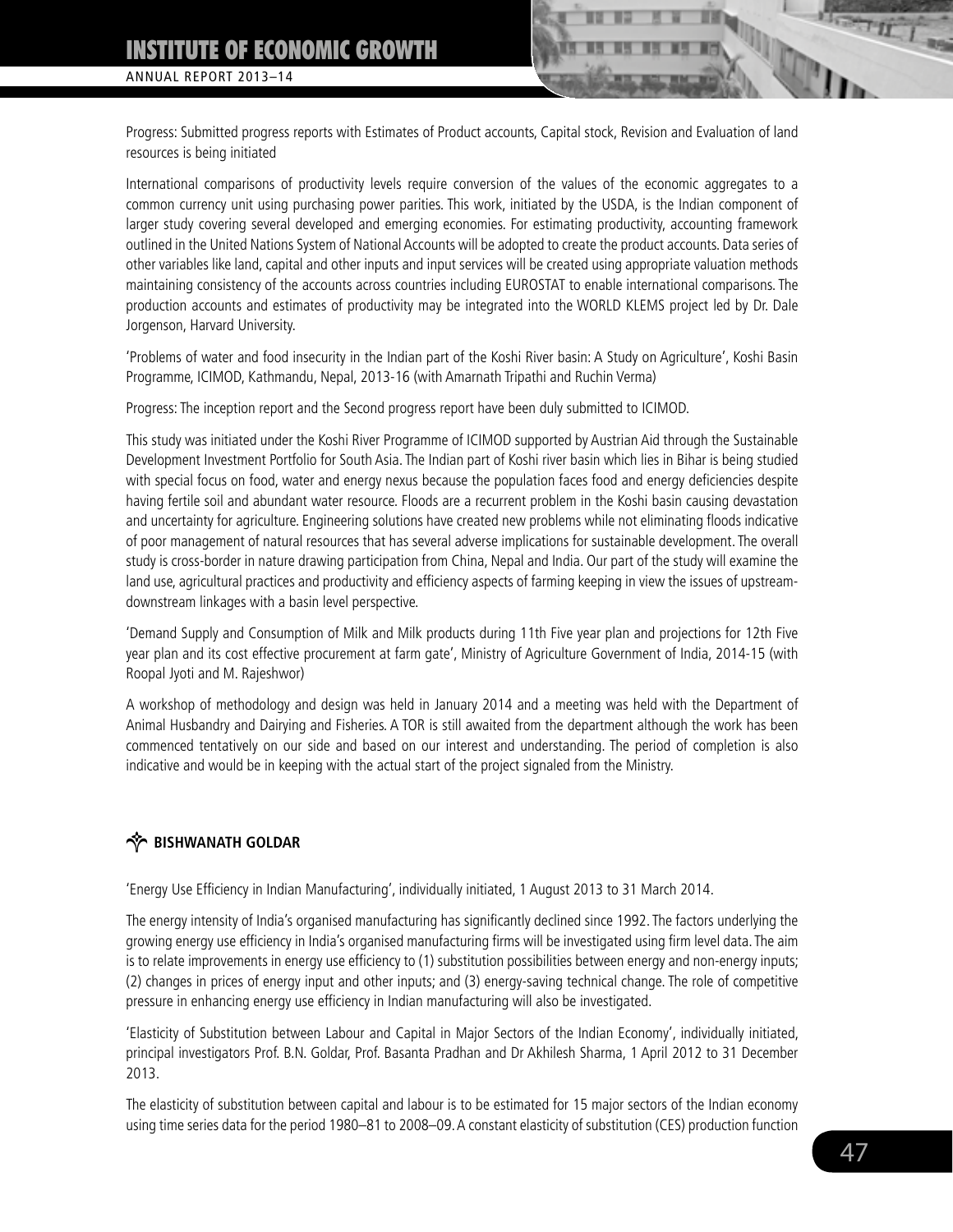Progress: Submitted progress reports with Estimates of Product accounts, Capital stock, Revision and Evaluation of land resources is being initiated

International comparisons of productivity levels require conversion of the values of the economic aggregates to a common currency unit using purchasing power parities. This work, initiated by the USDA, is the Indian component of larger study covering several developed and emerging economies. For estimating productivity, accounting framework outlined in the United Nations System of National Accounts will be adopted to create the product accounts. Data series of other variables like land, capital and other inputs and input services will be created using appropriate valuation methods maintaining consistency of the accounts across countries including EUROSTAT to enable international comparisons. The production accounts and estimates of productivity may be integrated into the WORLD KLEMS project led by Dr. Dale Jorgenson, Harvard University.

'Problems of water and food insecurity in the Indian part of the Koshi River basin: A Study on Agriculture', Koshi Basin Programme, ICIMOD, Kathmandu, Nepal, 2013-16 (with Amarnath Tripathi and Ruchin Verma)

Progress: The inception report and the Second progress report have been duly submitted to ICIMOD.

This study was initiated under the Koshi River Programme of ICIMOD supported by Austrian Aid through the Sustainable Development Investment Portfolio for South Asia. The Indian part of Koshi river basin which lies in Bihar is being studied with special focus on food, water and energy nexus because the population faces food and energy deficiencies despite having fertile soil and abundant water resource. Floods are a recurrent problem in the Koshi basin causing devastation and uncertainty for agriculture. Engineering solutions have created new problems while not eliminating floods indicative of poor management of natural resources that has several adverse implications for sustainable development. The overall study is cross-border in nature drawing participation from China, Nepal and India. Our part of the study will examine the land use, agricultural practices and productivity and efficiency aspects of farming keeping in view the issues of upstreamdownstream linkages with a basin level perspective.

'Demand Supply and Consumption of Milk and Milk products during 11th Five year plan and projections for 12th Five year plan and its cost effective procurement at farm gate', Ministry of Agriculture Government of India, 2014-15 (with Roopal Jyoti and M. Rajeshwor)

A workshop of methodology and design was held in January 2014 and a meeting was held with the Department of Animal Husbandry and Dairying and Fisheries. A TOR is still awaited from the department although the work has been commenced tentatively on our side and based on our interest and understanding. The period of completion is also indicative and would be in keeping with the actual start of the project signaled from the Ministry.

# $\hat{\gamma}$  BISHWANATH GOLDAR

'Energy Use Efficiency in Indian Manufacturing', individually initiated, 1 August 2013 to 31 March 2014.

The energy intensity of India's organised manufacturing has significantly declined since 1992. The factors underlying the growing energy use efficiency in India's organised manufacturing firms will be investigated using firm level data. The aim is to relate improvements in energy use efficiency to (1) substitution possibilities between energy and non-energy inputs; (2) changes in prices of energy input and other inputs; and (3) energy-saving technical change. The role of competitive pressure in enhancing energy use efficiency in Indian manufacturing will also be investigated.

'Elasticity of Substitution between Labour and Capital in Major Sectors of the Indian Economy', individually initiated, principal investigators Prof. B.N. Goldar, Prof. Basanta Pradhan and Dr Akhilesh Sharma, 1 April 2012 to 31 December 2013.

The elasticity of substitution between capital and labour is to be estimated for 15 major sectors of the Indian economy using time series data for the period 1980–81 to 2008–09. A constant elasticity of substitution (CES) production function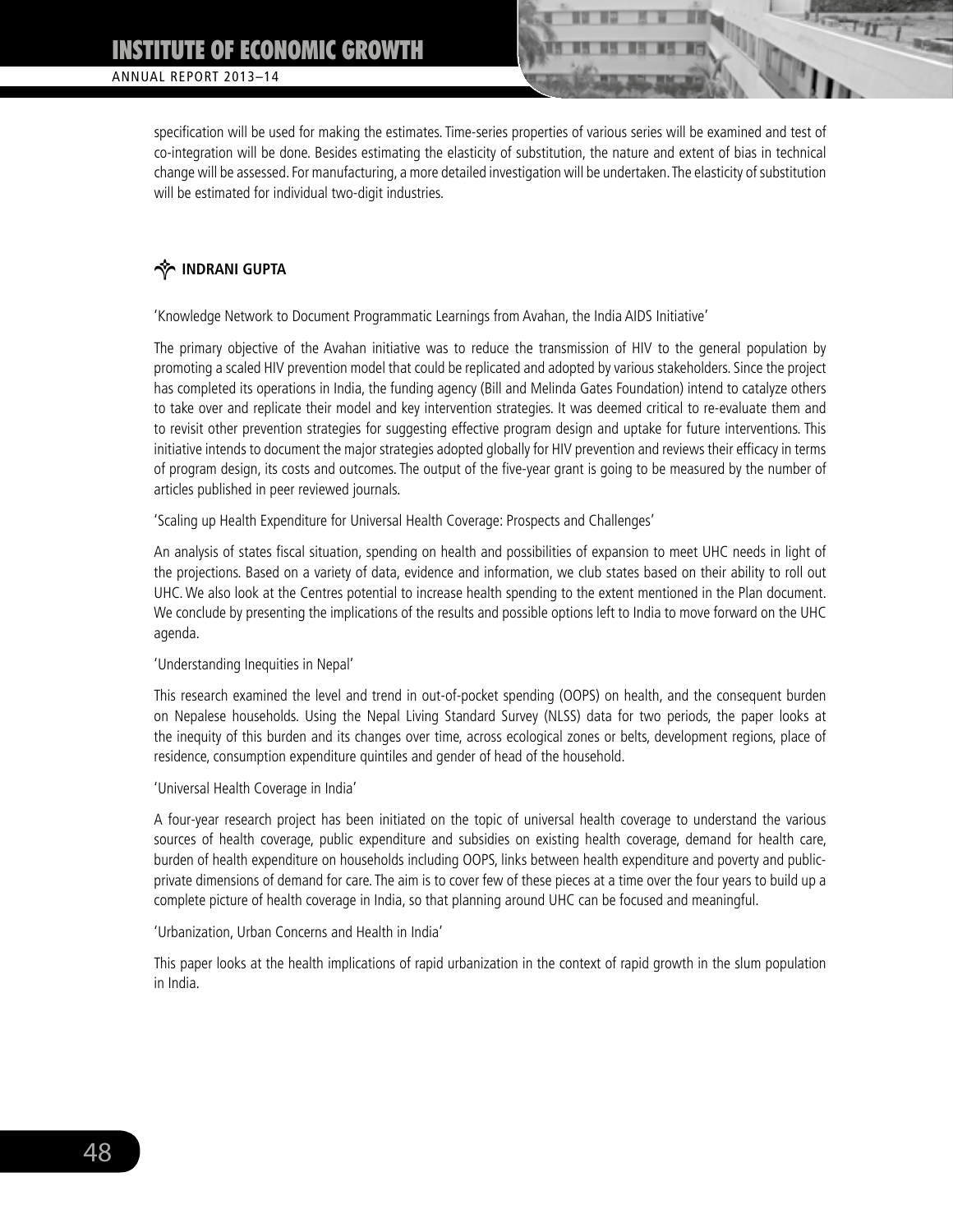specification will be used for making the estimates. Time-series properties of various series will be examined and test of co-integration will be done. Besides estimating the elasticity of substitution, the nature and extent of bias in technical change will be assessed. For manufacturing, a more detailed investigation will be undertaken. The elasticity of substitution will be estimated for individual two-digit industries.

## $\hat{\gamma}$  INDRANI GUPTA

'Knowledge Network to Document Programmatic Learnings from Avahan, the India AIDS Initiative'

The primary objective of the Avahan initiative was to reduce the transmission of HIV to the general population by promoting a scaled HIV prevention model that could be replicated and adopted by various stakeholders. Since the project has completed its operations in India, the funding agency (Bill and Melinda Gates Foundation) intend to catalyze others to take over and replicate their model and key intervention strategies. It was deemed critical to re-evaluate them and to revisit other prevention strategies for suggesting effective program design and uptake for future interventions. This initiative intends to document the major strategies adopted globally for HIV prevention and reviews their efficacy in terms of program design, its costs and outcomes. The output of the five-year grant is going to be measured by the number of articles published in peer reviewed journals.

'Scaling up Health Expenditure for Universal Health Coverage: Prospects and Challenges'

An analysis of states fiscal situation, spending on health and possibilities of expansion to meet UHC needs in light of the projections. Based on a variety of data, evidence and information, we club states based on their ability to roll out UHC. We also look at the Centres potential to increase health spending to the extent mentioned in the Plan document. We conclude by presenting the implications of the results and possible options left to India to move forward on the UHC agenda.

#### 'Understanding Inequities in Nepal'

This research examined the level and trend in out-of-pocket spending (OOPS) on health, and the consequent burden on Nepalese households. Using the Nepal Living Standard Survey (NLSS) data for two periods, the paper looks at the inequity of this burden and its changes over time, across ecological zones or belts, development regions, place of residence, consumption expenditure quintiles and gender of head of the household.

#### 'Universal Health Coverage in India'

A four-year research project has been initiated on the topic of universal health coverage to understand the various sources of health coverage, public expenditure and subsidies on existing health coverage, demand for health care, burden of health expenditure on households including OOPS, links between health expenditure and poverty and publicprivate dimensions of demand for care. The aim is to cover few of these pieces at a time over the four years to build up a complete picture of health coverage in India, so that planning around UHC can be focused and meaningful.

#### 'Urbanization, Urban Concerns and Health in India'

This paper looks at the health implications of rapid urbanization in the context of rapid growth in the slum population in India.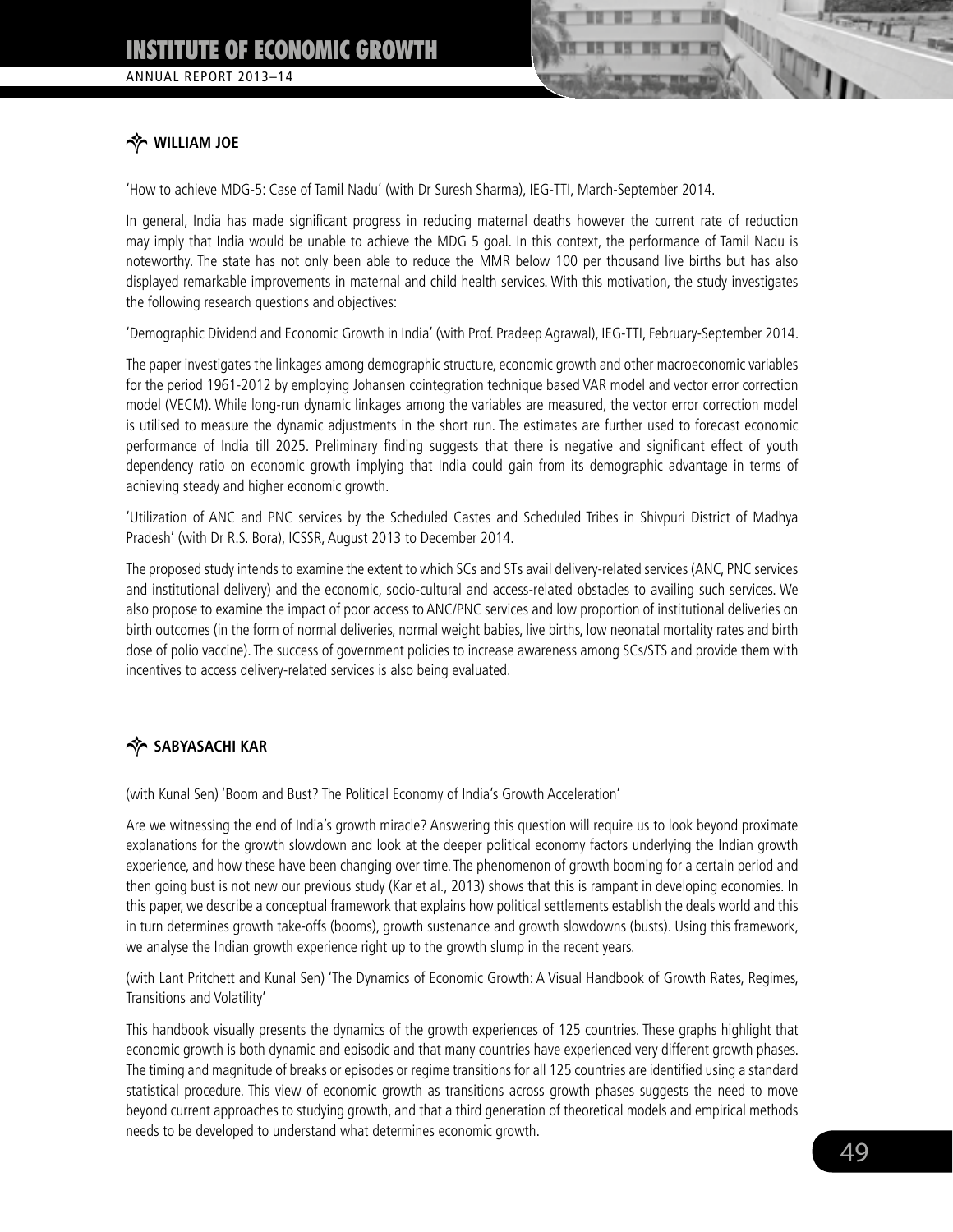

'How to achieve MDG-5: Case of Tamil Nadu' (with Dr Suresh Sharma), IEG-TTI, March-September 2014.

In general, India has made significant progress in reducing maternal deaths however the current rate of reduction may imply that India would be unable to achieve the MDG 5 goal. In this context, the performance of Tamil Nadu is noteworthy. The state has not only been able to reduce the MMR below 100 per thousand live births but has also displayed remarkable improvements in maternal and child health services. With this motivation, the study investigates the following research questions and objectives:

'Demographic Dividend and Economic Growth in India' (with Prof. Pradeep Agrawal), IEG-TTI, February-September 2014.

The paper investigates the linkages among demographic structure, economic growth and other macroeconomic variables for the period 1961-2012 by employing Johansen cointegration technique based VAR model and vector error correction model (VECM). While long-run dynamic linkages among the variables are measured, the vector error correction model is utilised to measure the dynamic adjustments in the short run. The estimates are further used to forecast economic performance of India till 2025. Preliminary finding suggests that there is negative and significant effect of youth dependency ratio on economic growth implying that India could gain from its demographic advantage in terms of achieving steady and higher economic growth.

'Utilization of ANC and PNC services by the Scheduled Castes and Scheduled Tribes in Shivpuri District of Madhya Pradesh' (with Dr R.S. Bora), ICSSR, August 2013 to December 2014.

The proposed study intends to examine the extent to which SCs and STs avail delivery-related services (ANC, PNC services and institutional delivery) and the economic, socio-cultural and access-related obstacles to availing such services. We also propose to examine the impact of poor access to ANC/PNC services and low proportion of institutional deliveries on birth outcomes (in the form of normal deliveries, normal weight babies, live births, low neonatal mortality rates and birth dose of polio vaccine). The success of government policies to increase awareness among SCs/STS and provide them with incentives to access delivery-related services is also being evaluated.

## $\hat{\gamma}$ ି SABYASACHI KAR

(with Kunal Sen) 'Boom and Bust? The Political Economy of India's Growth Acceleration'

Are we witnessing the end of India's growth miracle? Answering this question will require us to look beyond proximate explanations for the growth slowdown and look at the deeper political economy factors underlying the Indian growth experience, and how these have been changing over time. The phenomenon of growth booming for a certain period and then going bust is not new our previous study (Kar et al., 2013) shows that this is rampant in developing economies. In this paper, we describe a conceptual framework that explains how political settlements establish the deals world and this in turn determines growth take-offs (booms), growth sustenance and growth slowdowns (busts). Using this framework, we analyse the Indian growth experience right up to the growth slump in the recent years.

(with Lant Pritchett and Kunal Sen) 'The Dynamics of Economic Growth: A Visual Handbook of Growth Rates, Regimes, Transitions and Volatility'

This handbook visually presents the dynamics of the growth experiences of 125 countries. These graphs highlight that economic growth is both dynamic and episodic and that many countries have experienced very different growth phases. The timing and magnitude of breaks or episodes or regime transitions for all 125 countries are identified using a standard statistical procedure. This view of economic growth as transitions across growth phases suggests the need to move beyond current approaches to studying growth, and that a third generation of theoretical models and empirical methods needs to be developed to understand what determines economic growth.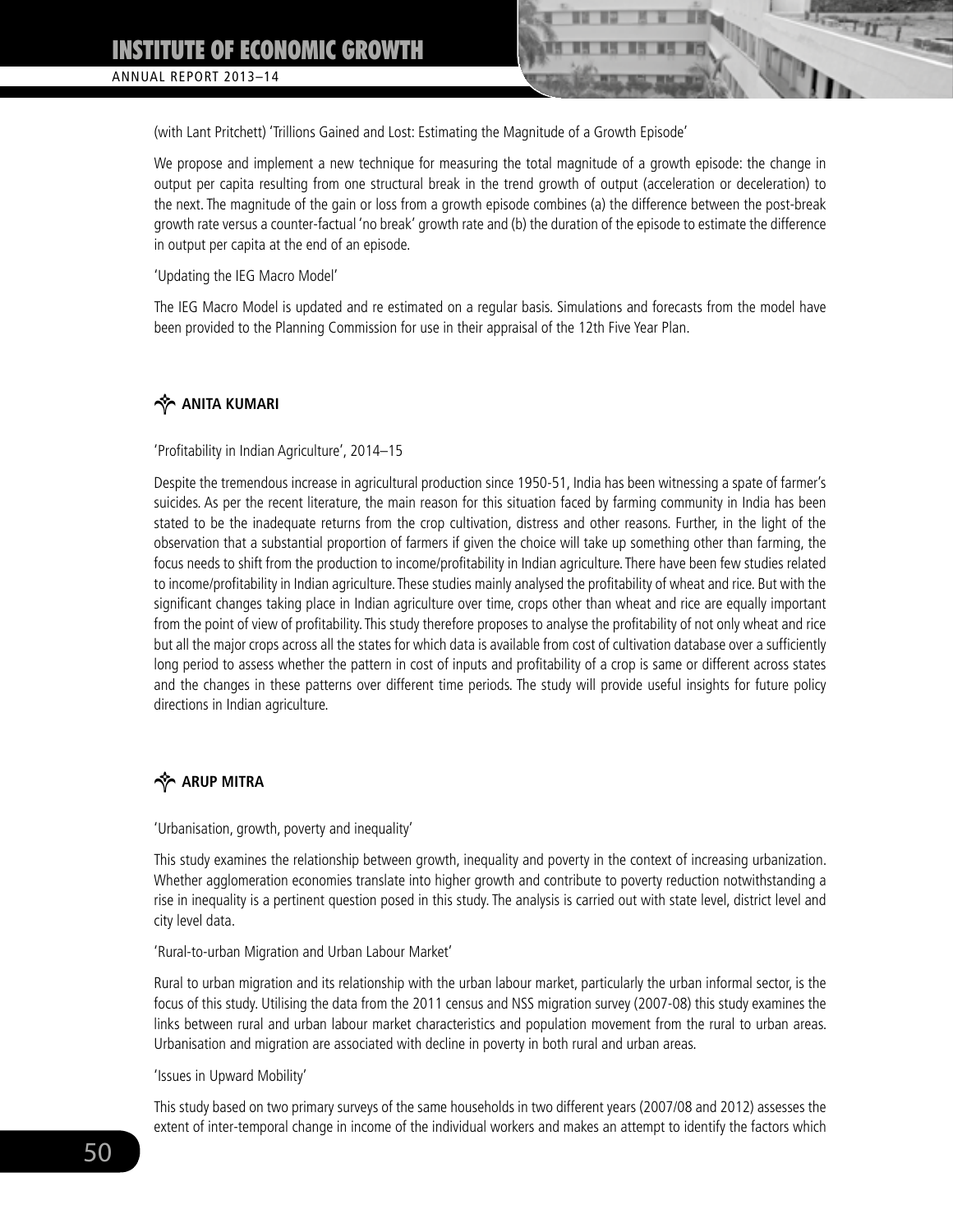(with Lant Pritchett) 'Trillions Gained and Lost: Estimating the Magnitude of a Growth Episode'

We propose and implement a new technique for measuring the total magnitude of a growth episode: the change in output per capita resulting from one structural break in the trend growth of output (acceleration or deceleration) to the next. The magnitude of the gain or loss from a growth episode combines (a) the difference between the post-break growth rate versus a counter-factual 'no break' growth rate and (b) the duration of the episode to estimate the difference in output per capita at the end of an episode.

#### 'Updating the IEG Macro Model'

The IEG Macro Model is updated and re estimated on a regular basis. Simulations and forecasts from the model have been provided to the Planning Commission for use in their appraisal of the 12th Five Year Plan.

#### **S** ANITA KUMARI

#### 'Profitability in Indian Agriculture', 2014–15

Despite the tremendous increase in agricultural production since 1950-51, India has been witnessing a spate of farmer's suicides. As per the recent literature, the main reason for this situation faced by farming community in India has been stated to be the inadequate returns from the crop cultivation, distress and other reasons. Further, in the light of the observation that a substantial proportion of farmers if given the choice will take up something other than farming, the focus needs to shift from the production to income/profitability in Indian agriculture. There have been few studies related to income/profitability in Indian agriculture. These studies mainly analysed the profitability of wheat and rice. But with the significant changes taking place in Indian agriculture over time, crops other than wheat and rice are equally important from the point of view of profitability. This study therefore proposes to analyse the profitability of not only wheat and rice but all the major crops across all the states for which data is available from cost of cultivation database over a sufficiently long period to assess whether the pattern in cost of inputs and profitability of a crop is same or different across states and the changes in these patterns over different time periods. The study will provide useful insights for future policy directions in Indian agriculture.

#### **SP** ARUP MITRA

#### 'Urbanisation, growth, poverty and inequality'

This study examines the relationship between growth, inequality and poverty in the context of increasing urbanization. Whether agglomeration economies translate into higher growth and contribute to poverty reduction notwithstanding a rise in inequality is a pertinent question posed in this study. The analysis is carried out with state level, district level and city level data.

#### 'Rural-to-urban Migration and Urban Labour Market'

Rural to urban migration and its relationship with the urban labour market, particularly the urban informal sector, is the focus of this study. Utilising the data from the 2011 census and NSS migration survey (2007-08) this study examines the links between rural and urban labour market characteristics and population movement from the rural to urban areas. Urbanisation and migration are associated with decline in poverty in both rural and urban areas.

#### 'Issues in Upward Mobility'

This study based on two primary surveys of the same households in two different years (2007/08 and 2012) assesses the extent of inter-temporal change in income of the individual workers and makes an attempt to identify the factors which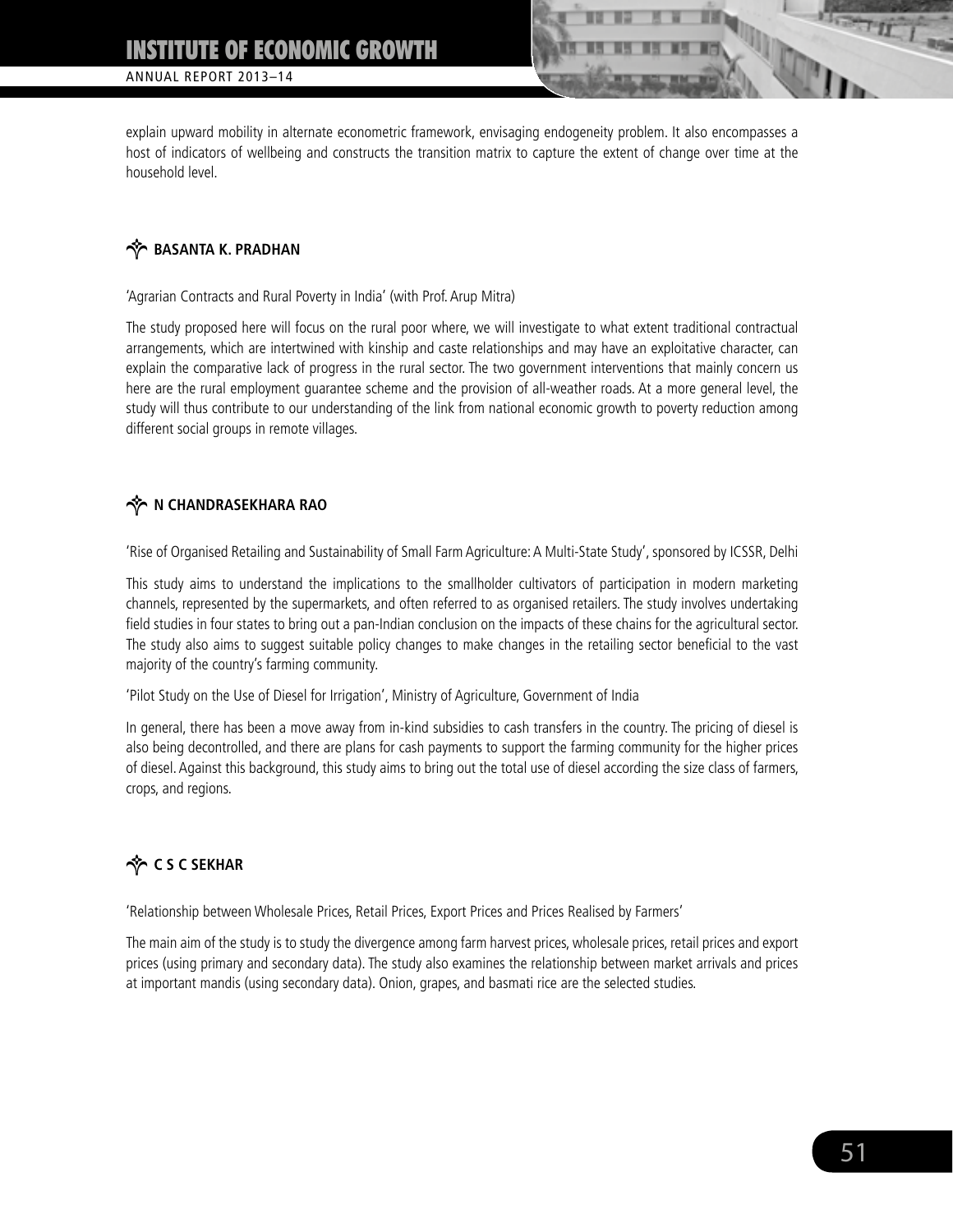explain upward mobility in alternate econometric framework, envisaging endogeneity problem. It also encompasses a host of indicators of wellbeing and constructs the transition matrix to capture the extent of change over time at the household level.

## $\hat{\mathcal{S}}$  BASANTA K. PRADHAN

'Agrarian Contracts and Rural Poverty in India' (with Prof. Arup Mitra)

The study proposed here will focus on the rural poor where, we will investigate to what extent traditional contractual arrangements, which are intertwined with kinship and caste relationships and may have an exploitative character, can explain the comparative lack of progress in the rural sector. The two government interventions that mainly concern us here are the rural employment guarantee scheme and the provision of all-weather roads. At a more general level, the study will thus contribute to our understanding of the link from national economic growth to poverty reduction among different social groups in remote villages.

## **SEXTARE RAO**

'Rise of Organised Retailing and Sustainability of Small Farm Agriculture: A Multi-State Study', sponsored by ICSSR, Delhi

This study aims to understand the implications to the smallholder cultivators of participation in modern marketing channels, represented by the supermarkets, and often referred to as organised retailers. The study involves undertaking field studies in four states to bring out a pan-Indian conclusion on the impacts of these chains for the agricultural sector. The study also aims to suggest suitable policy changes to make changes in the retailing sector beneficial to the vast majority of the country's farming community.

'Pilot Study on the Use of Diesel for Irrigation', Ministry of Agriculture, Government of India

In general, there has been a move away from in-kind subsidies to cash transfers in the country. The pricing of diesel is also being decontrolled, and there are plans for cash payments to support the farming community for the higher prices of diesel. Against this background, this study aims to bring out the total use of diesel according the size class of farmers, crops, and regions.

# **C S C SEKHAR**

'Relationship between Wholesale Prices, Retail Prices, Export Prices and Prices Realised by Farmers'

The main aim of the study is to study the divergence among farm harvest prices, wholesale prices, retail prices and export prices (using primary and secondary data). The study also examines the relationship between market arrivals and prices at important mandis (using secondary data). Onion, grapes, and basmati rice are the selected studies.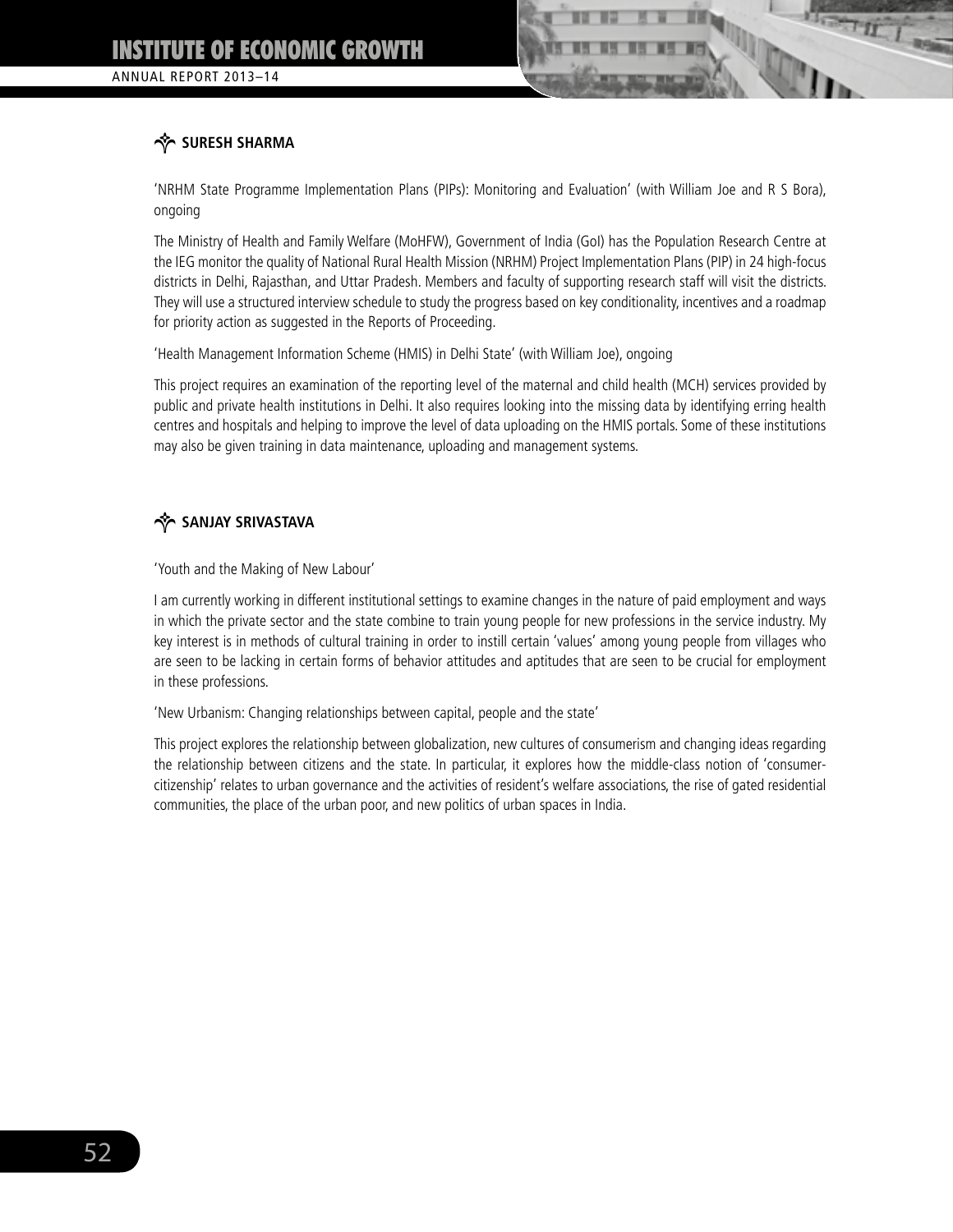## **SURESH SHARMA**

'NRHM State Programme Implementation Plans (PIPs): Monitoring and Evaluation' (with William Joe and R S Bora), ongoing

The Ministry of Health and Family Welfare (MoHFW), Government of India (GoI) has the Population Research Centre at the IEG monitor the quality of National Rural Health Mission (NRHM) Project Implementation Plans (PIP) in 24 high-focus districts in Delhi, Rajasthan, and Uttar Pradesh. Members and faculty of supporting research staff will visit the districts. They will use a structured interview schedule to study the progress based on key conditionality, incentives and a roadmap for priority action as suggested in the Reports of Proceeding.

'Health Management Information Scheme (HMIS) in Delhi State' (with William Joe), ongoing

This project requires an examination of the reporting level of the maternal and child health (MCH) services provided by public and private health institutions in Delhi. It also requires looking into the missing data by identifying erring health centres and hospitals and helping to improve the level of data uploading on the HMIS portals. Some of these institutions may also be given training in data maintenance, uploading and management systems.

## **SANJAY SRIVASTAVA**

'Youth and the Making of New Labour'

I am currently working in different institutional settings to examine changes in the nature of paid employment and ways in which the private sector and the state combine to train young people for new professions in the service industry. My key interest is in methods of cultural training in order to instill certain 'values' among young people from villages who are seen to be lacking in certain forms of behavior attitudes and aptitudes that are seen to be crucial for employment in these professions.

'New Urbanism: Changing relationships between capital, people and the state'

This project explores the relationship between globalization, new cultures of consumerism and changing ideas regarding the relationship between citizens and the state. In particular, it explores how the middle-class notion of 'consumercitizenship' relates to urban governance and the activities of resident's welfare associations, the rise of gated residential communities, the place of the urban poor, and new politics of urban spaces in India.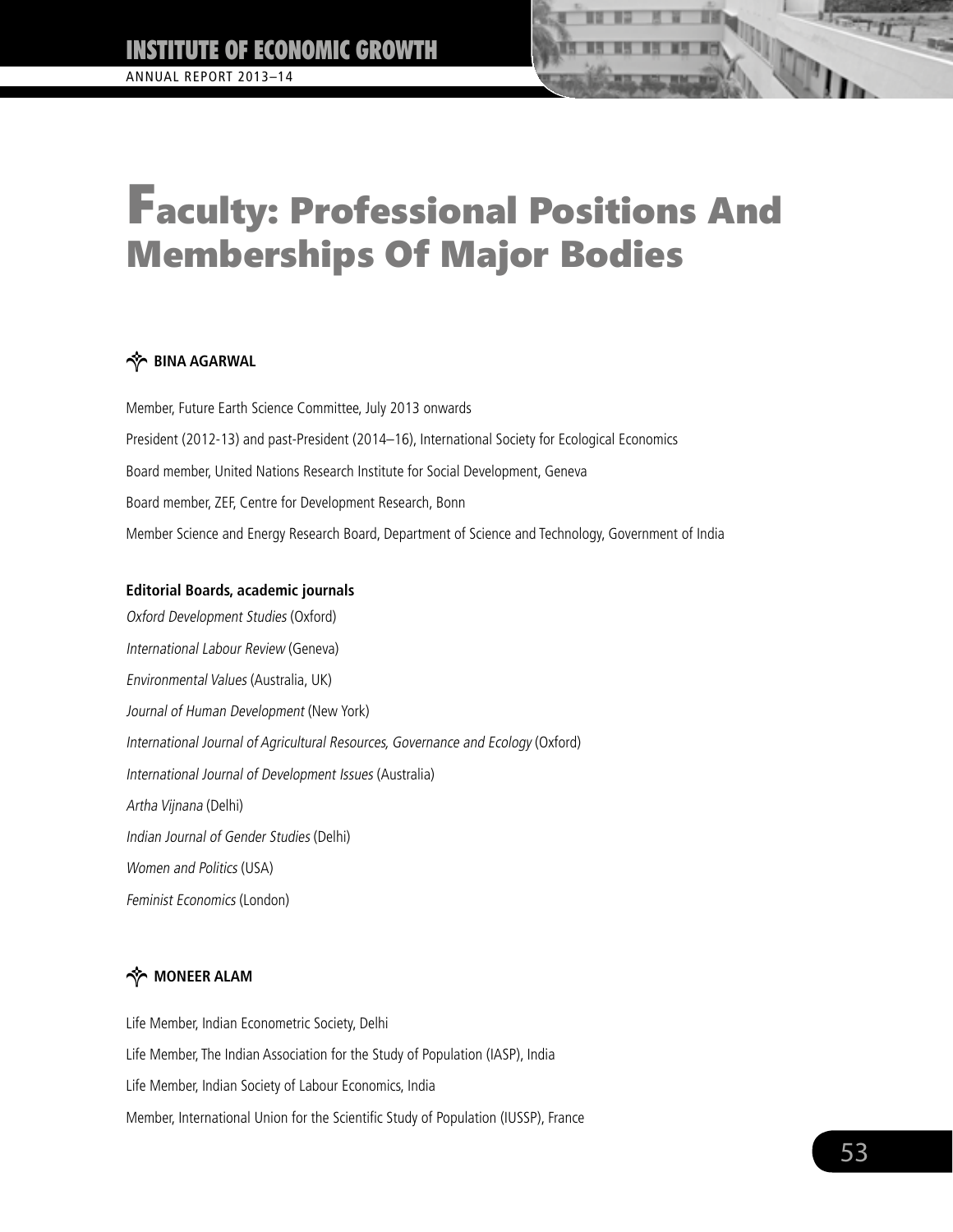# Faculty: Professional Positions And Memberships Of Major Bodies

## **SEXTA BINA AGARWAL**

Member, Future Earth Science Committee, July 2013 onwards President (2012-13) and past-President (2014–16), International Society for Ecological Economics Board member, United Nations Research Institute for Social Development, Geneva Board member, ZEF, Centre for Development Research, Bonn Member Science and Energy Research Board, Department of Science and Technology, Government of India

#### **Editorial Boards, academic journals**

Oxford Development Studies (Oxford) International Labour Review (Geneva) Environmental Values (Australia, UK) Journal of Human Development (New York) International Journal of Agricultural Resources, Governance and Ecology (Oxford) International Journal of Development Issues (Australia) Artha Vijnana (Delhi) Indian Journal of Gender Studies (Delhi) Women and Politics (USA) Feminist Economics (London)

## **SEX MONEER ALAM**

Life Member, Indian Econometric Society, Delhi Life Member, The Indian Association for the Study of Population (IASP), India Life Member, Indian Society of Labour Economics, India Member, International Union for the Scientific Study of Population (IUSSP), France  $\frac{1}{2}$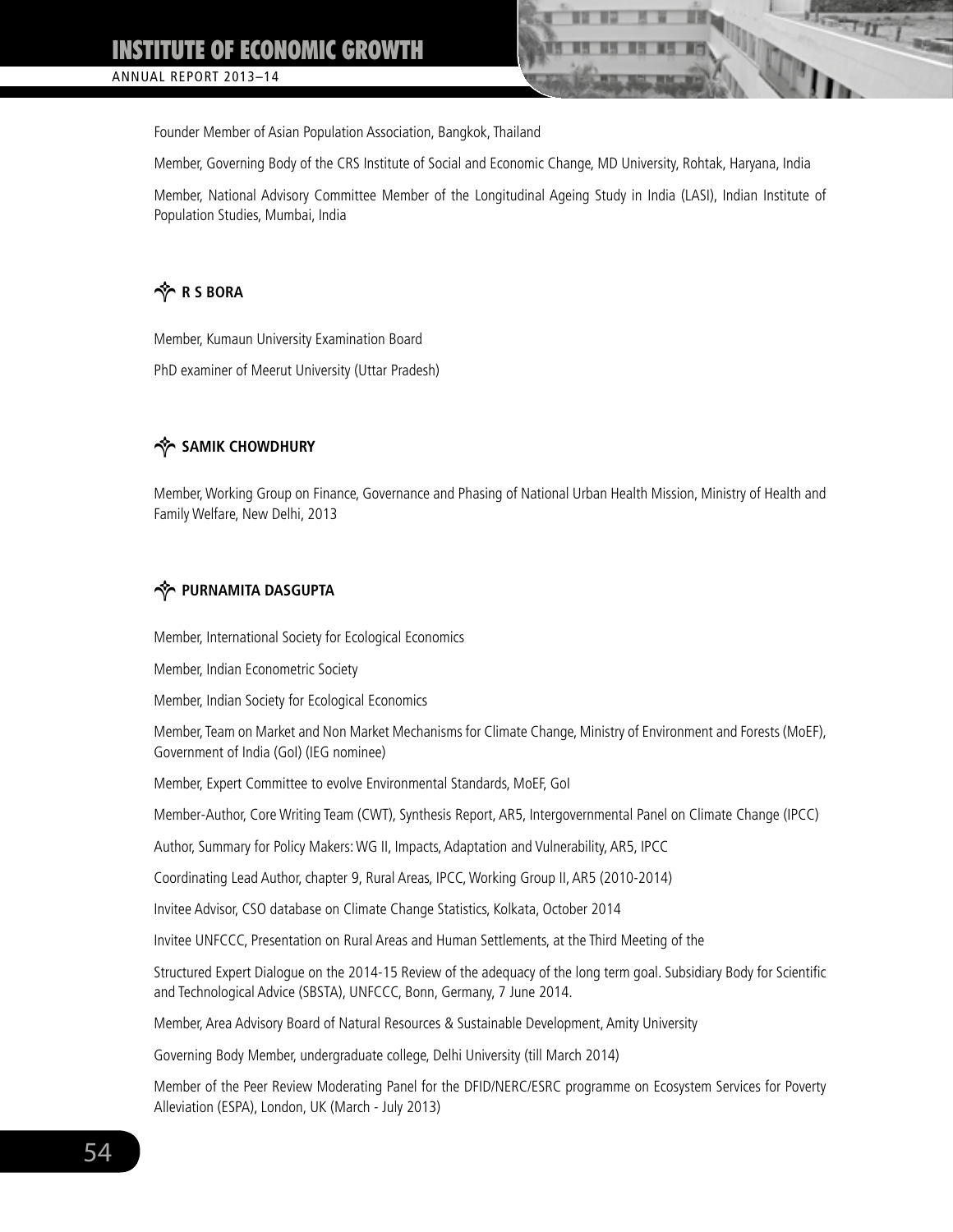Founder Member of Asian Population Association, Bangkok, Thailand

Member, Governing Body of the CRS Institute of Social and Economic Change, MD University, Rohtak, Haryana, India

Member, National Advisory Committee Member of the Longitudinal Ageing Study in India (LASI), Indian Institute of Population Studies, Mumbai, India

## **T R S BORA**

Member, Kumaun University Examination Board

PhD examiner of Meerut University (Uttar Pradesh)

## **SAMIK CHOWDHURY**

Member, Working Group on Finance, Governance and Phasing of National Urban Health Mission, Ministry of Health and Family Welfare, New Delhi, 2013

## **SPORTAMITA DASGUPTA**

Member, International Society for Ecological Economics

Member, Indian Econometric Society

Member, Indian Society for Ecological Economics

Member, Team on Market and Non Market Mechanisms for Climate Change, Ministry of Environment and Forests (MoEF), Government of India (GoI) (IEG nominee)

Member, Expert Committee to evolve Environmental Standards, MoEF, GoI

Member-Author, Core Writing Team (CWT), Synthesis Report, AR5, Intergovernmental Panel on Climate Change (IPCC)

Author, Summary for Policy Makers: WG II, Impacts, Adaptation and Vulnerability, AR5, IPCC

Coordinating Lead Author, chapter 9, Rural Areas, IPCC, Working Group II, AR5 (2010-2014)

Invitee Advisor, CSO database on Climate Change Statistics, Kolkata, October 2014

Invitee UNFCCC, Presentation on Rural Areas and Human Settlements, at the Third Meeting of the

Structured Expert Dialogue on the 2014-15 Review of the adequacy of the long term goal. Subsidiary Body for Scientific and Technological Advice (SBSTA), UNFCCC, Bonn, Germany, 7 June 2014.

Member, Area Advisory Board of Natural Resources & Sustainable Development, Amity University

Governing Body Member, undergraduate college, Delhi University (till March 2014)

Member of the Peer Review Moderating Panel for the DFID/NERC/ESRC programme on Ecosystem Services for Poverty Alleviation (ESPA), London, UK (March - July 2013)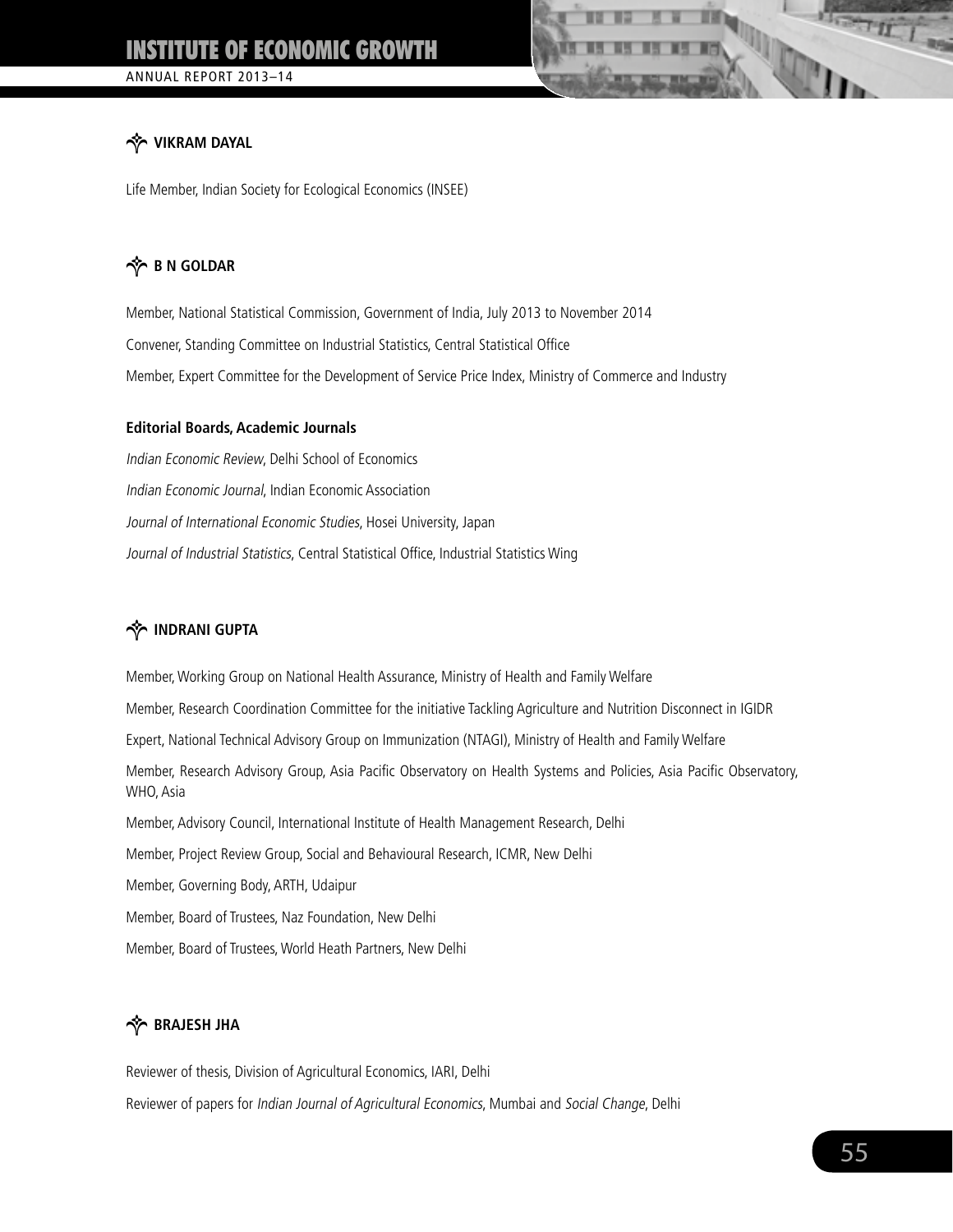# **SEXTALL**

Life Member, Indian Society for Ecological Economics (INSEE)

# **SEXTED B N GOLDAR**

Member, National Statistical Commission, Government of India, July 2013 to November 2014 Convener, Standing Committee on Industrial Statistics, Central Statistical Office Member, Expert Committee for the Development of Service Price Index, Ministry of Commerce and Industry

#### **Editorial Boards, Academic Journals**

Indian Economic Review, Delhi School of Economics Indian Economic Journal, Indian Economic Association Journal of International Economic Studies, Hosei University, Japan Journal of Industrial Statistics, Central Statistical Office, Industrial Statistics Wing

# **S INDRANI GUPTA**

Member, Working Group on National Health Assurance, Ministry of Health and Family Welfare Member, Research Coordination Committee for the initiative Tackling Agriculture and Nutrition Disconnect in IGIDR Expert, National Technical Advisory Group on Immunization (NTAGI), Ministry of Health and Family Welfare Member, Research Advisory Group, Asia Pacific Observatory on Health Systems and Policies, Asia Pacific Observatory, WHO, Asia Member, Advisory Council, International Institute of Health Management Research, Delhi Member, Project Review Group, Social and Behavioural Research, ICMR, New Delhi Member, Governing Body, ARTH, Udaipur Member, Board of Trustees, Naz Foundation, New Delhi

Member, Board of Trustees, World Heath Partners, New Delhi

## $\hat{\mathcal{S}}$  BRAJESH JHA

Reviewer of thesis, Division of Agricultural Economics, IARI, Delhi Reviewer of papers for Indian Journal of Agricultural Economics, Mumbai and Social Change, Delhi **THE CONTRACTOR**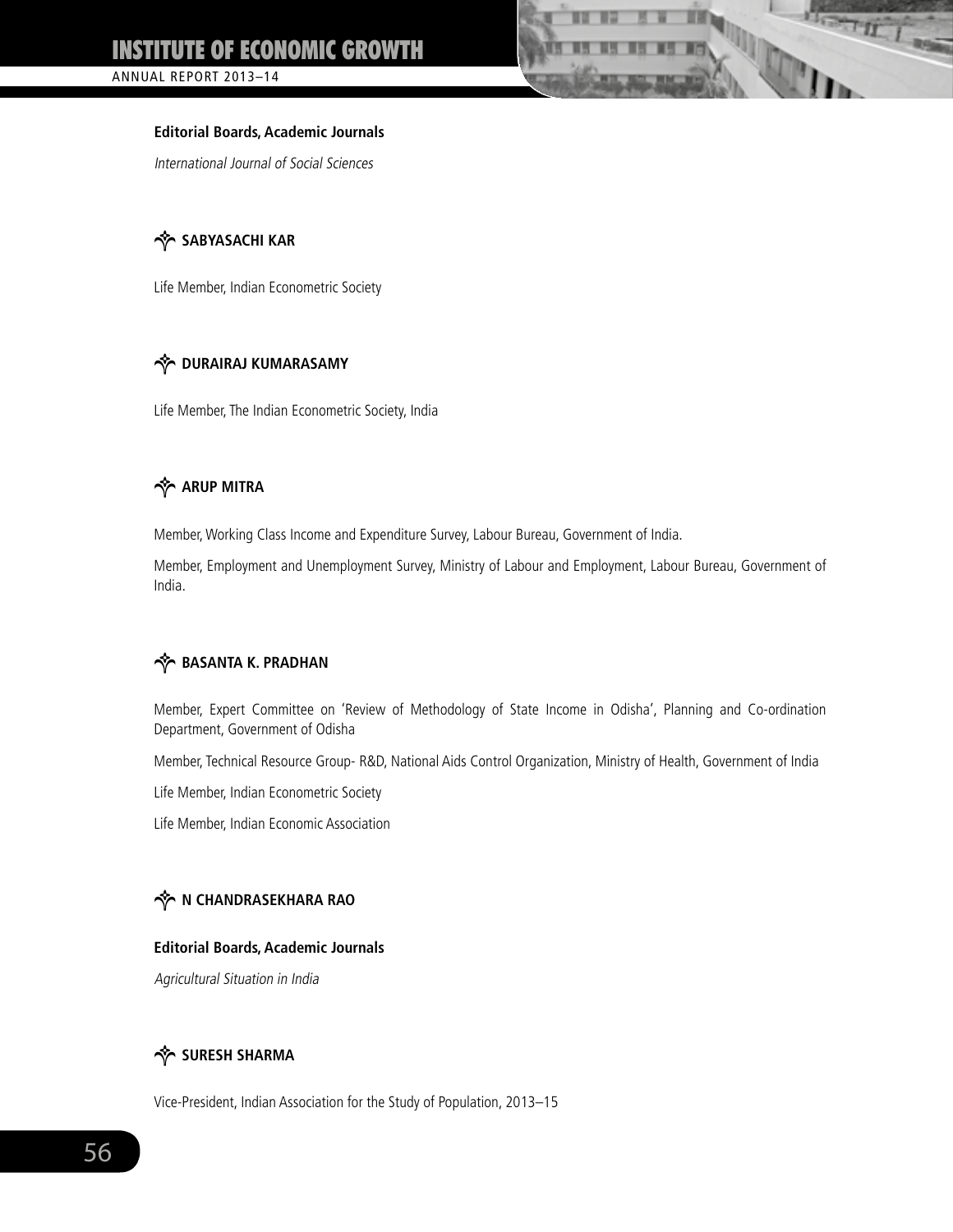#### **Editorial Boards, Academic Journals**

International Journal of Social Sciences

#### **SABYASACHI KAR**

Life Member, Indian Econometric Society

#### **SO DURAIRAJ KUMARASAMY**

Life Member, The Indian Econometric Society, India

## **TO ARUP MITRA**

Member, Working Class Income and Expenditure Survey, Labour Bureau, Government of India.

Member, Employment and Unemployment Survey, Ministry of Labour and Employment, Labour Bureau, Government of India.

The Contractor

## $\hat{\mathbf{\diamond}}$  **BASANTA K. PRADHAN**

Member, Expert Committee on 'Review of Methodology of State Income in Odisha', Planning and Co-ordination Department, Government of Odisha

Member, Technical Resource Group- R&D, National Aids Control Organization, Ministry of Health, Government of India

Life Member, Indian Econometric Society

Life Member, Indian Economic Association

#### **SEXTED IN CHANDRASEKHARA RAO**

#### **Editorial Boards, Academic Journals**

Agricultural Situation in India

#### **SURESH SHARMA**

Vice-President, Indian Association for the Study of Population, 2013–15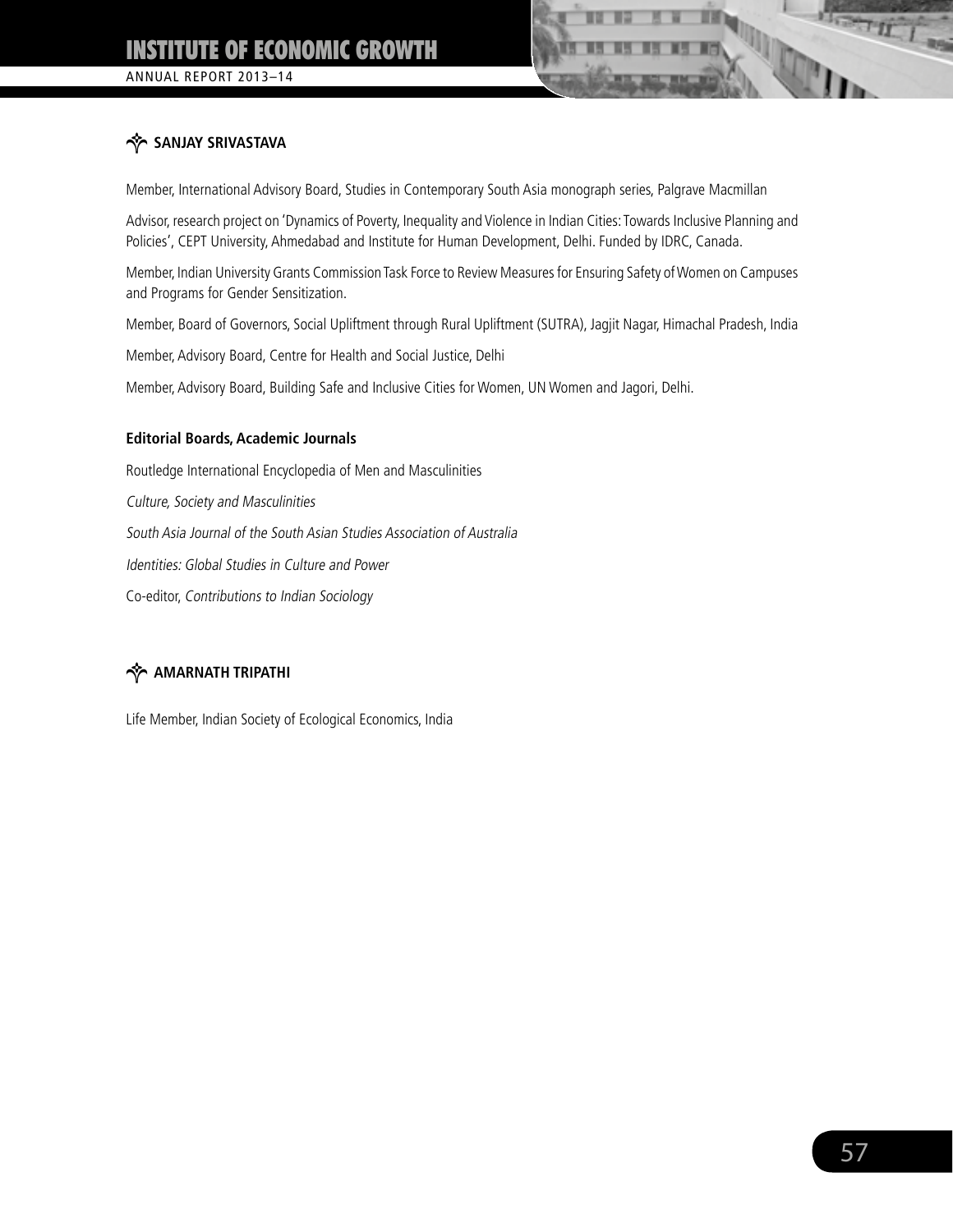# **SANJAY SRIVASTAVA**

Member, International Advisory Board, Studies in Contemporary South Asia monograph series, Palgrave Macmillan

Advisor, research project on 'Dynamics of Poverty, Inequality and Violence in Indian Cities: Towards Inclusive Planning and Policies', CEPT University, Ahmedabad and Institute for Human Development, Delhi. Funded by IDRC, Canada.

Member, Indian University Grants Commission Task Force to Review Measures for Ensuring Safety of Women on Campuses and Programs for Gender Sensitization.

Member, Board of Governors, Social Upliftment through Rural Upliftment (SUTRA), Jagjit Nagar, Himachal Pradesh, India

Member, Advisory Board, Centre for Health and Social Justice, Delhi

Member, Advisory Board, Building Safe and Inclusive Cities for Women, UN Women and Jagori, Delhi.

#### **Editorial Boards, Academic Journals**

Routledge International Encyclopedia of Men and Masculinities Culture, Society and Masculinities South Asia Journal of the South Asian Studies Association of Australia Identities: Global Studies in Culture and Power Co-editor, Contributions to Indian Sociology

## **SP AMARNATH TRIPATHI**

Life Member, Indian Society of Ecological Economics, India

**The Contract of Contract of The Contract of The Contract of The Contract of The Contract of The Contract of The Contract of The Contract of The Contract of The Contract of The Contract of The Contract of The Contract of T**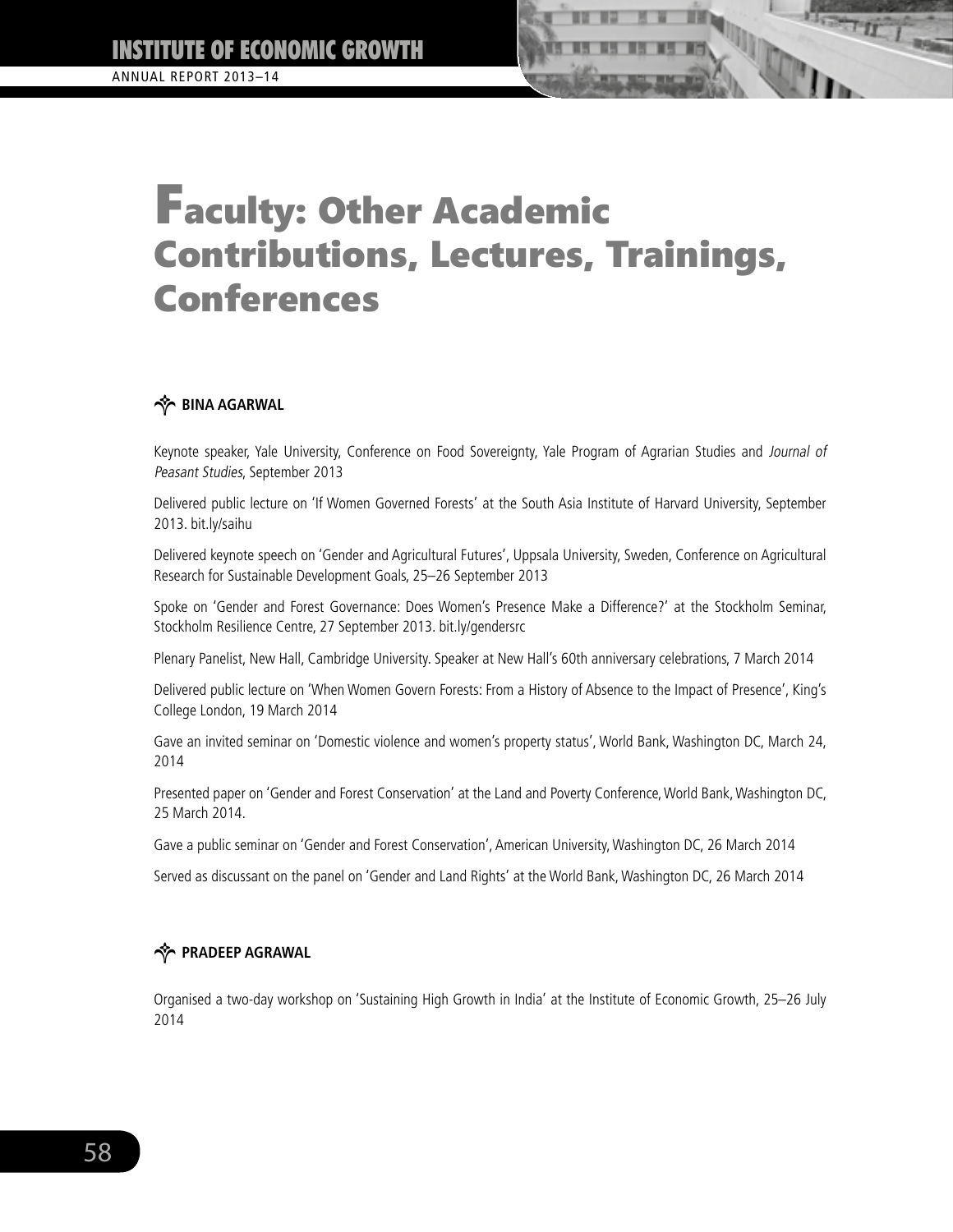# Faculty: Other Academic Contributions, Lectures, Trainings, Conferences

## **S** BINA AGARWAL

Keynote speaker, Yale University, Conference on Food Sovereignty, Yale Program of Agrarian Studies and Journal of Peasant Studies, September 2013

Delivered public lecture on 'If Women Governed Forests' at the South Asia Institute of Harvard University, September 2013. bit.ly/saihu

Delivered keynote speech on 'Gender and Agricultural Futures', Uppsala University, Sweden, Conference on Agricultural Research for Sustainable Development Goals, 25–26 September 2013

Spoke on 'Gender and Forest Governance: Does Women's Presence Make a Difference?' at the Stockholm Seminar, Stockholm Resilience Centre, 27 September 2013. bit.ly/gendersrc

Plenary Panelist, New Hall, Cambridge University. Speaker at New Hall's 60th anniversary celebrations, 7 March 2014

Delivered public lecture on 'When Women Govern Forests: From a History of Absence to the Impact of Presence', King's College London, 19 March 2014

Gave an invited seminar on 'Domestic violence and women's property status', World Bank, Washington DC, March 24, 2014

Presented paper on 'Gender and Forest Conservation' at the Land and Poverty Conference, World Bank, Washington DC, 25 March 2014.

Gave a public seminar on 'Gender and Forest Conservation', American University, Washington DC, 26 March 2014

Served as discussant on the panel on 'Gender and Land Rights' at the World Bank, Washington DC, 26 March 2014

## **SPARADEEP AGRAWAL**

Organised a two-day workshop on 'Sustaining High Growth in India' at the Institute of Economic Growth, 25–26 July 2014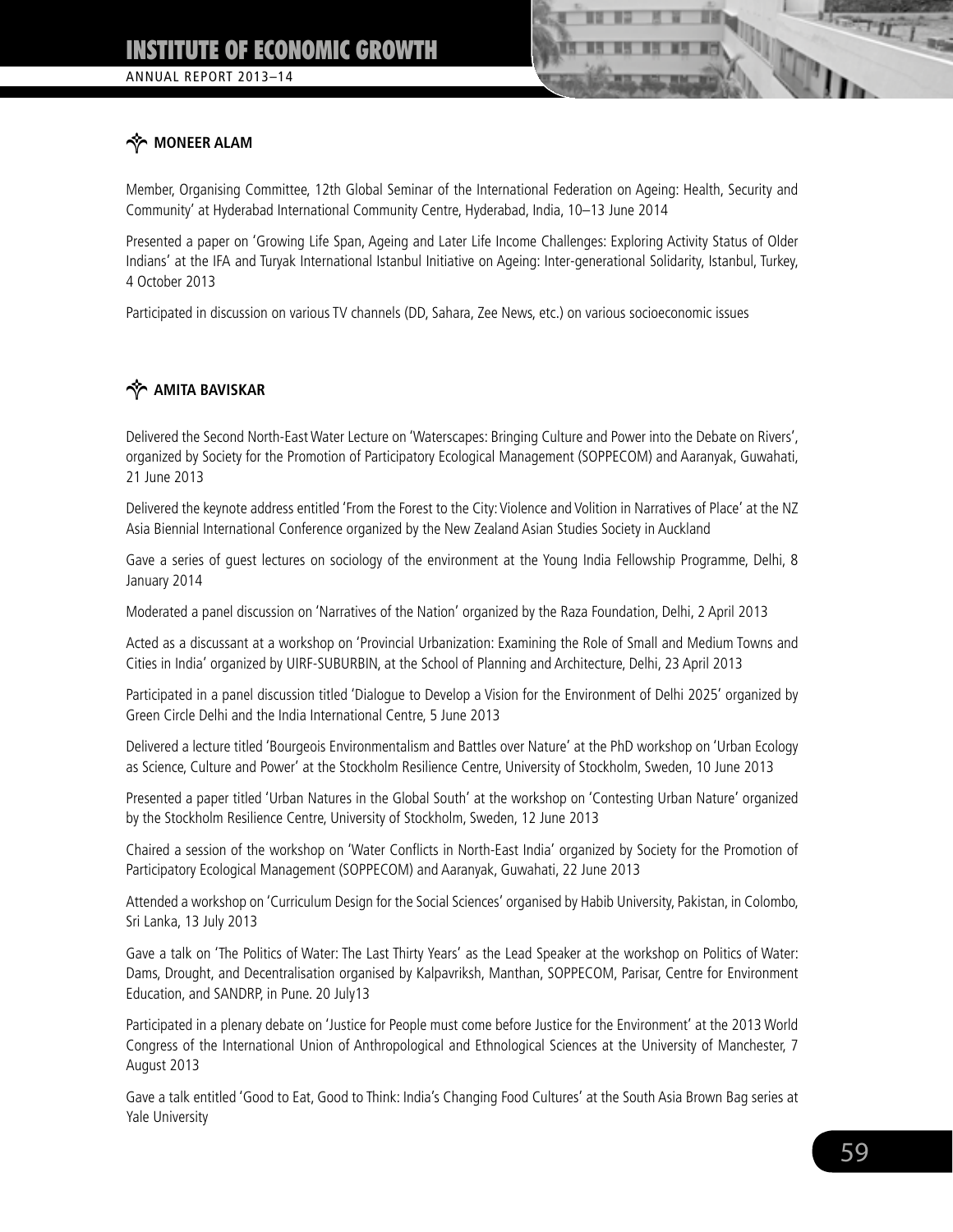# **ী∕ৈ MONEER ALAM**

Member, Organising Committee, 12th Global Seminar of the International Federation on Ageing: Health, Security and Community' at Hyderabad International Community Centre, Hyderabad, India, 10–13 June 2014

Presented a paper on 'Growing Life Span, Ageing and Later Life Income Challenges: Exploring Activity Status of Older Indians' at the IFA and Turyak International Istanbul Initiative on Ageing: Inter-generational Solidarity, Istanbul, Turkey, 4 October 2013

Participated in discussion on various TV channels (DD, Sahara, Zee News, etc.) on various socioeconomic issues

## $\hat{\gamma}$  **AMITA BAVISKAR**

Delivered the Second North-East Water Lecture on 'Waterscapes: Bringing Culture and Power into the Debate on Rivers', organized by Society for the Promotion of Participatory Ecological Management (SOPPECOM) and Aaranyak, Guwahati, 21 June 2013

Delivered the keynote address entitled 'From the Forest to the City: Violence and Volition in Narratives of Place' at the NZ Asia Biennial International Conference organized by the New Zealand Asian Studies Society in Auckland

Gave a series of guest lectures on sociology of the environment at the Young India Fellowship Programme, Delhi, 8 January 2014

Moderated a panel discussion on 'Narratives of the Nation' organized by the Raza Foundation, Delhi, 2 April 2013

Acted as a discussant at a workshop on 'Provincial Urbanization: Examining the Role of Small and Medium Towns and Cities in India' organized by UIRF-SUBURBIN, at the School of Planning and Architecture, Delhi, 23 April 2013

Participated in a panel discussion titled 'Dialogue to Develop a Vision for the Environment of Delhi 2025' organized by Green Circle Delhi and the India International Centre, 5 June 2013

Delivered a lecture titled 'Bourgeois Environmentalism and Battles over Nature' at the PhD workshop on 'Urban Ecology as Science, Culture and Power' at the Stockholm Resilience Centre, University of Stockholm, Sweden, 10 June 2013

Presented a paper titled 'Urban Natures in the Global South' at the workshop on 'Contesting Urban Nature' organized by the Stockholm Resilience Centre, University of Stockholm, Sweden, 12 June 2013

Chaired a session of the workshop on 'Water Conflicts in North-East India' organized by Society for the Promotion of Participatory Ecological Management (SOPPECOM) and Aaranyak, Guwahati, 22 June 2013

Attended a workshop on 'Curriculum Design for the Social Sciences' organised by Habib University, Pakistan, in Colombo, Sri Lanka, 13 July 2013

Gave a talk on 'The Politics of Water: The Last Thirty Years' as the Lead Speaker at the workshop on Politics of Water: Dams, Drought, and Decentralisation organised by Kalpavriksh, Manthan, SOPPECOM, Parisar, Centre for Environment Education, and SANDRP, in Pune. 20 July13

Participated in a plenary debate on 'Justice for People must come before Justice for the Environment' at the 2013 World Congress of the International Union of Anthropological and Ethnological Sciences at the University of Manchester, 7 August 2013

Gave a talk entitled 'Good to Eat, Good to Think: India's Changing Food Cultures' at the South Asia Brown Bag series at Yale University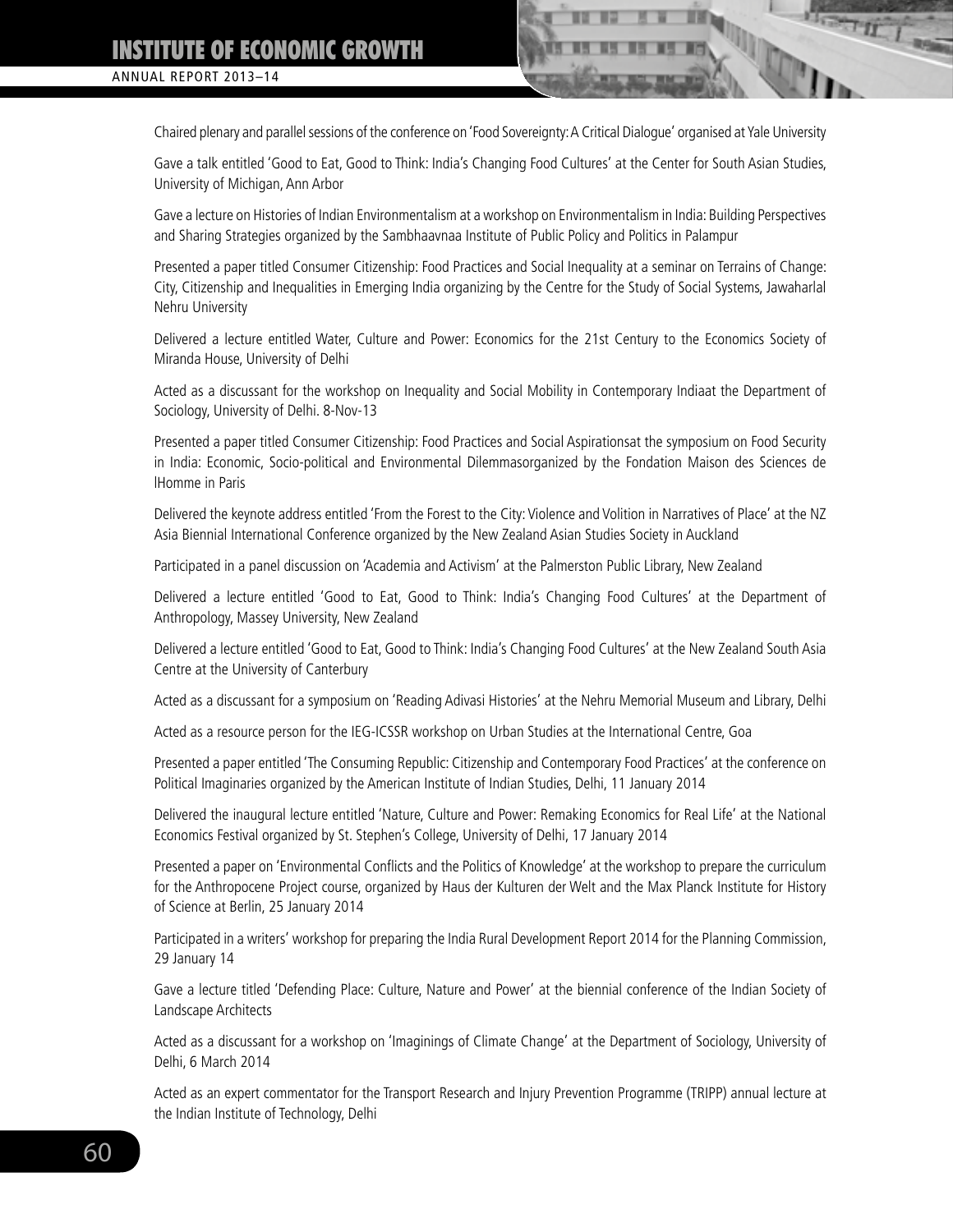Chaired plenary and parallel sessions of the conference on 'Food Sovereignty: A Critical Dialogue' organised at Yale University

Gave a talk entitled 'Good to Eat, Good to Think: India's Changing Food Cultures' at the Center for South Asian Studies, University of Michigan, Ann Arbor

Gave a lecture on Histories of Indian Environmentalism at a workshop on Environmentalism in India: Building Perspectives and Sharing Strategies organized by the Sambhaavnaa Institute of Public Policy and Politics in Palampur

Presented a paper titled Consumer Citizenship: Food Practices and Social Inequality at a seminar on Terrains of Change: City, Citizenship and Inequalities in Emerging India organizing by the Centre for the Study of Social Systems, Jawaharlal Nehru University

Delivered a lecture entitled Water, Culture and Power: Economics for the 21st Century to the Economics Society of Miranda House, University of Delhi

Acted as a discussant for the workshop on Inequality and Social Mobility in Contemporary Indiaat the Department of Sociology, University of Delhi. 8-Nov-13

Presented a paper titled Consumer Citizenship: Food Practices and Social Aspirationsat the symposium on Food Security in India: Economic, Socio-political and Environmental Dilemmasorganized by the Fondation Maison des Sciences de lHomme in Paris

Delivered the keynote address entitled 'From the Forest to the City: Violence and Volition in Narratives of Place' at the NZ Asia Biennial International Conference organized by the New Zealand Asian Studies Society in Auckland

Participated in a panel discussion on 'Academia and Activism' at the Palmerston Public Library, New Zealand

Delivered a lecture entitled 'Good to Eat, Good to Think: India's Changing Food Cultures' at the Department of Anthropology, Massey University, New Zealand

Delivered a lecture entitled 'Good to Eat, Good to Think: India's Changing Food Cultures' at the New Zealand South Asia Centre at the University of Canterbury

Acted as a discussant for a symposium on 'Reading Adivasi Histories' at the Nehru Memorial Museum and Library, Delhi

Acted as a resource person for the IEG-ICSSR workshop on Urban Studies at the International Centre, Goa

Presented a paper entitled 'The Consuming Republic: Citizenship and Contemporary Food Practices' at the conference on Political Imaginaries organized by the American Institute of Indian Studies, Delhi, 11 January 2014

Delivered the inaugural lecture entitled 'Nature, Culture and Power: Remaking Economics for Real Life' at the National Economics Festival organized by St. Stephen's College, University of Delhi, 17 January 2014

Presented a paper on 'Environmental Conflicts and the Politics of Knowledge' at the workshop to prepare the curriculum for the Anthropocene Project course, organized by Haus der Kulturen der Welt and the Max Planck Institute for History of Science at Berlin, 25 January 2014

Participated in a writers' workshop for preparing the India Rural Development Report 2014 for the Planning Commission, 29 January 14

Gave a lecture titled 'Defending Place: Culture, Nature and Power' at the biennial conference of the Indian Society of Landscape Architects

Acted as a discussant for a workshop on 'Imaginings of Climate Change' at the Department of Sociology, University of Delhi, 6 March 2014

Acted as an expert commentator for the Transport Research and Injury Prevention Programme (TRIPP) annual lecture at the Indian Institute of Technology, Delhi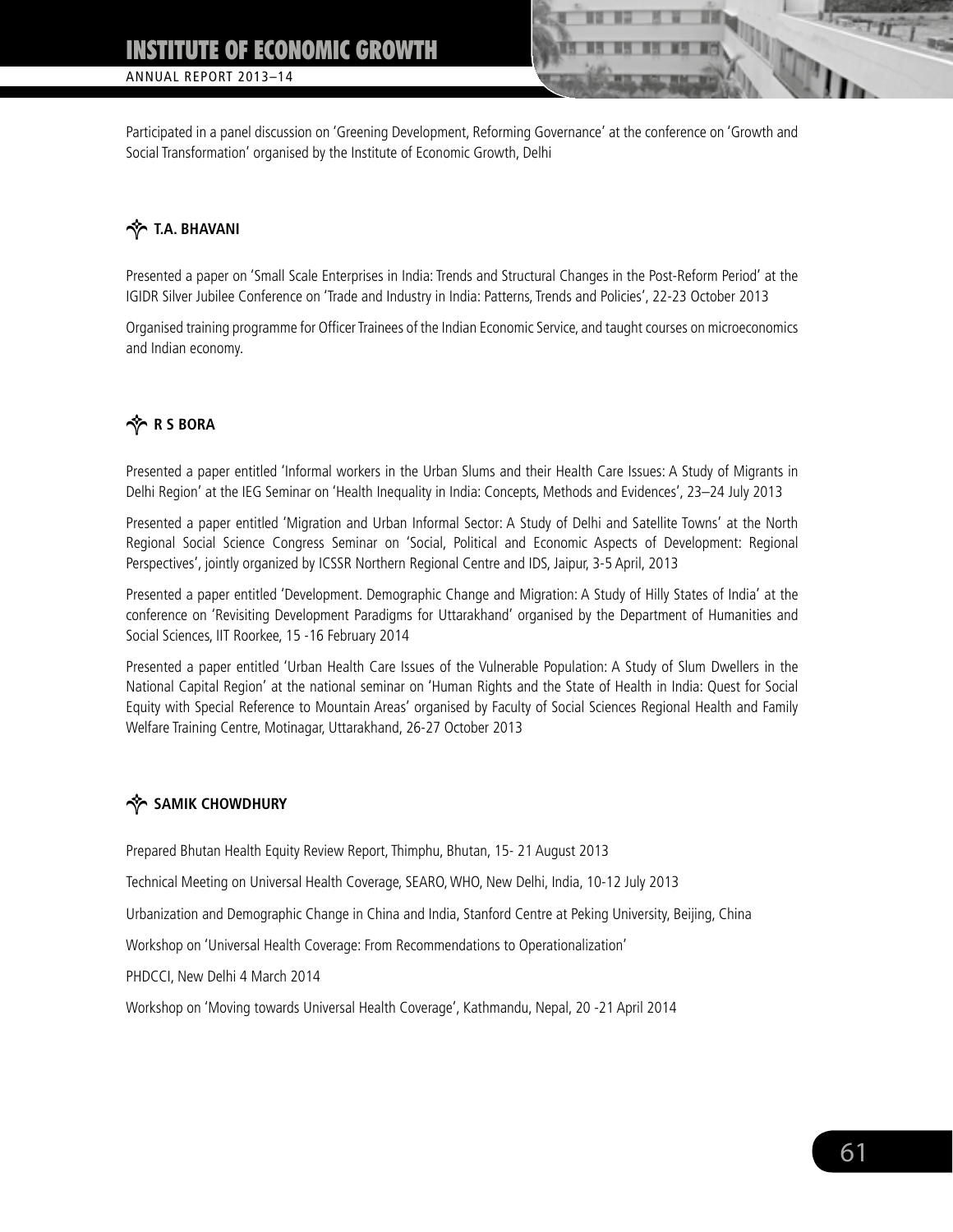Participated in a panel discussion on 'Greening Development, Reforming Governance' at the conference on 'Growth and Social Transformation' organised by the Institute of Economic Growth, Delhi

## $\hat{\gamma}$ **`T.A. BHAVANI**

Presented a paper on 'Small Scale Enterprises in India: Trends and Structural Changes in the Post-Reform Period' at the IGIDR Silver Jubilee Conference on 'Trade and Industry in India: Patterns, Trends and Policies', 22-23 October 2013

Organised training programme for Officer Trainees of the Indian Economic Service, and taught courses on microeconomics and Indian economy.

## **S** R S BORA

Presented a paper entitled 'Informal workers in the Urban Slums and their Health Care Issues: A Study of Migrants in Delhi Region' at the IEG Seminar on 'Health Inequality in India: Concepts, Methods and Evidences', 23–24 July 2013

Presented a paper entitled 'Migration and Urban Informal Sector: A Study of Delhi and Satellite Towns' at the North Regional Social Science Congress Seminar on 'Social, Political and Economic Aspects of Development: Regional Perspectives', jointly organized by ICSSR Northern Regional Centre and IDS, Jaipur, 3-5 April, 2013

Presented a paper entitled 'Development. Demographic Change and Migration: A Study of Hilly States of India' at the conference on 'Revisiting Development Paradigms for Uttarakhand' organised by the Department of Humanities and Social Sciences, IIT Roorkee, 15 -16 February 2014

Presented a paper entitled 'Urban Health Care Issues of the Vulnerable Population: A Study of Slum Dwellers in the National Capital Region' at the national seminar on 'Human Rights and the State of Health in India: Quest for Social Equity with Special Reference to Mountain Areas' organised by Faculty of Social Sciences Regional Health and Family Welfare Training Centre, Motinagar, Uttarakhand, 26-27 October 2013

## **SAMIK CHOWDHURY**

Prepared Bhutan Health Equity Review Report, Thimphu, Bhutan, 15- 21 August 2013

Technical Meeting on Universal Health Coverage, SEARO, WHO, New Delhi, India, 10-12 July 2013

Urbanization and Demographic Change in China and India, Stanford Centre at Peking University, Beijing, China

Workshop on 'Universal Health Coverage: From Recommendations to Operationalization'

PHDCCI, New Delhi 4 March 2014

Workshop on 'Moving towards Universal Health Coverage', Kathmandu, Nepal, 20 -21 April 2014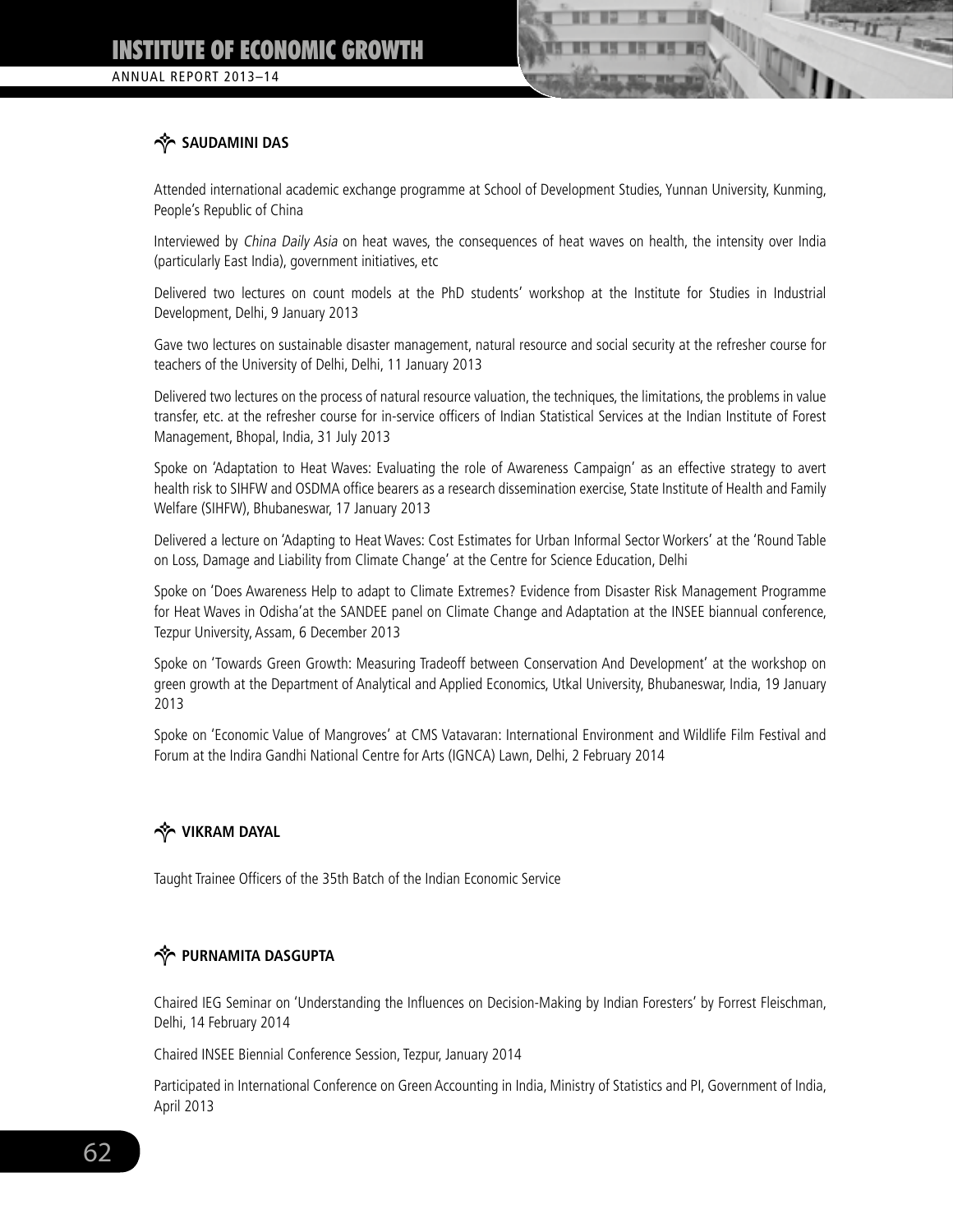## **SAUDAMINI DAS**

Attended international academic exchange programme at School of Development Studies, Yunnan University, Kunming, People's Republic of China

Interviewed by China Daily Asia on heat waves, the consequences of heat waves on health, the intensity over India (particularly East India), government initiatives, etc

Delivered two lectures on count models at the PhD students' workshop at the Institute for Studies in Industrial Development, Delhi, 9 January 2013

Gave two lectures on sustainable disaster management, natural resource and social security at the refresher course for teachers of the University of Delhi, Delhi, 11 January 2013

Delivered two lectures on the process of natural resource valuation, the techniques, the limitations, the problems in value transfer, etc. at the refresher course for in-service officers of Indian Statistical Services at the Indian Institute of Forest Management, Bhopal, India, 31 July 2013

Spoke on 'Adaptation to Heat Waves: Evaluating the role of Awareness Campaign' as an effective strategy to avert health risk to SIHFW and OSDMA office bearers as a research dissemination exercise, State Institute of Health and Family Welfare (SIHFW), Bhubaneswar, 17 January 2013

Delivered a lecture on 'Adapting to Heat Waves: Cost Estimates for Urban Informal Sector Workers' at the 'Round Table on Loss, Damage and Liability from Climate Change' at the Centre for Science Education, Delhi

Spoke on 'Does Awareness Help to adapt to Climate Extremes? Evidence from Disaster Risk Management Programme for Heat Waves in Odisha'at the SANDEE panel on Climate Change and Adaptation at the INSEE biannual conference, Tezpur University, Assam, 6 December 2013

Spoke on 'Towards Green Growth: Measuring Tradeoff between Conservation And Development' at the workshop on green growth at the Department of Analytical and Applied Economics, Utkal University, Bhubaneswar, India, 19 January 2013

Spoke on 'Economic Value of Mangroves' at CMS Vatavaran: International Environment and Wildlife Film Festival and Forum at the Indira Gandhi National Centre for Arts (IGNCA) Lawn, Delhi, 2 February 2014

## **S** VIKRAM DAYAL

Taught Trainee Officers of the 35th Batch of the Indian Economic Service

## $\gamma$ ጉ PURNAMITA DASGUPTA

Chaired IEG Seminar on 'Understanding the Influences on Decision-Making by Indian Foresters' by Forrest Fleischman, Delhi, 14 February 2014

Chaired INSEE Biennial Conference Session, Tezpur, January 2014

Participated in International Conference on Green Accounting in India, Ministry of Statistics and PI, Government of India, April 2013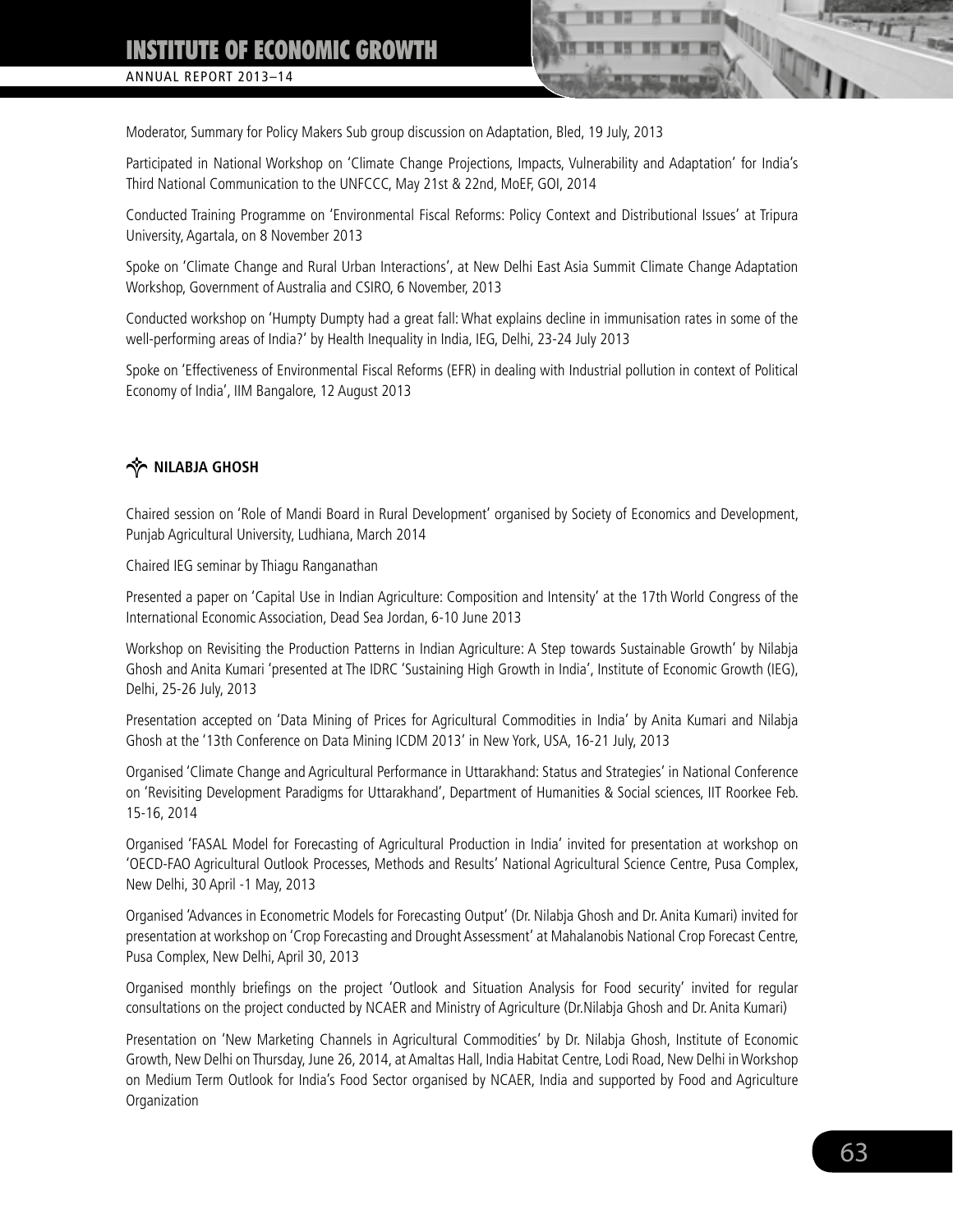Moderator, Summary for Policy Makers Sub group discussion on Adaptation, Bled, 19 July, 2013

Participated in National Workshop on 'Climate Change Projections, Impacts, Vulnerability and Adaptation' for India's Third National Communication to the UNFCCC, May 21st & 22nd, MoEF, GOI, 2014

Conducted Training Programme on 'Environmental Fiscal Reforms: Policy Context and Distributional Issues' at Tripura University, Agartala, on 8 November 2013

Spoke on 'Climate Change and Rural Urban Interactions', at New Delhi East Asia Summit Climate Change Adaptation Workshop, Government of Australia and CSIRO, 6 November, 2013

Conducted workshop on 'Humpty Dumpty had a great fall: What explains decline in immunisation rates in some of the well-performing areas of India?' by Health Inequality in India, IEG, Delhi, 23-24 July 2013

Spoke on 'Effectiveness of Environmental Fiscal Reforms (EFR) in dealing with Industrial pollution in context of Political Economy of India', IIM Bangalore, 12 August 2013

## $\mathcal{\hat{S}}$  NILABJA GHOSH

Chaired session on 'Role of Mandi Board in Rural Development' organised by Society of Economics and Development, Punjab Agricultural University, Ludhiana, March 2014

Chaired IEG seminar by Thiagu Ranganathan

Presented a paper on 'Capital Use in Indian Agriculture: Composition and Intensity' at the 17th World Congress of the International Economic Association, Dead Sea Jordan, 6-10 June 2013

Workshop on Revisiting the Production Patterns in Indian Agriculture: A Step towards Sustainable Growth' by Nilabja Ghosh and Anita Kumari 'presented at The IDRC 'Sustaining High Growth in India', Institute of Economic Growth (IEG), Delhi, 25-26 July, 2013

Presentation accepted on 'Data Mining of Prices for Agricultural Commodities in India' by Anita Kumari and Nilabja Ghosh at the '13th Conference on Data Mining ICDM 2013' in New York, USA, 16-21 July, 2013

Organised 'Climate Change and Agricultural Performance in Uttarakhand: Status and Strategies' in National Conference on 'Revisiting Development Paradigms for Uttarakhand', Department of Humanities & Social sciences, IIT Roorkee Feb. 15-16, 2014

Organised 'FASAL Model for Forecasting of Agricultural Production in India' invited for presentation at workshop on 'OECD-FAO Agricultural Outlook Processes, Methods and Results' National Agricultural Science Centre, Pusa Complex, New Delhi, 30 April -1 May, 2013

Organised 'Advances in Econometric Models for Forecasting Output' (Dr. Nilabja Ghosh and Dr. Anita Kumari) invited for presentation at workshop on 'Crop Forecasting and Drought Assessment' at Mahalanobis National Crop Forecast Centre, Pusa Complex, New Delhi, April 30, 2013

Organised monthly briefings on the project 'Outlook and Situation Analysis for Food security' invited for regular consultations on the project conducted by NCAER and Ministry of Agriculture (Dr.Nilabja Ghosh and Dr. Anita Kumari)

Presentation on 'New Marketing Channels in Agricultural Commodities' by Dr. Nilabja Ghosh, Institute of Economic Growth, New Delhi on Thursday, June 26, 2014, at Amaltas Hall, India Habitat Centre, Lodi Road, New Delhi in Workshop on Medium Term Outlook for India's Food Sector organised by NCAER, India and supported by Food and Agriculture Organization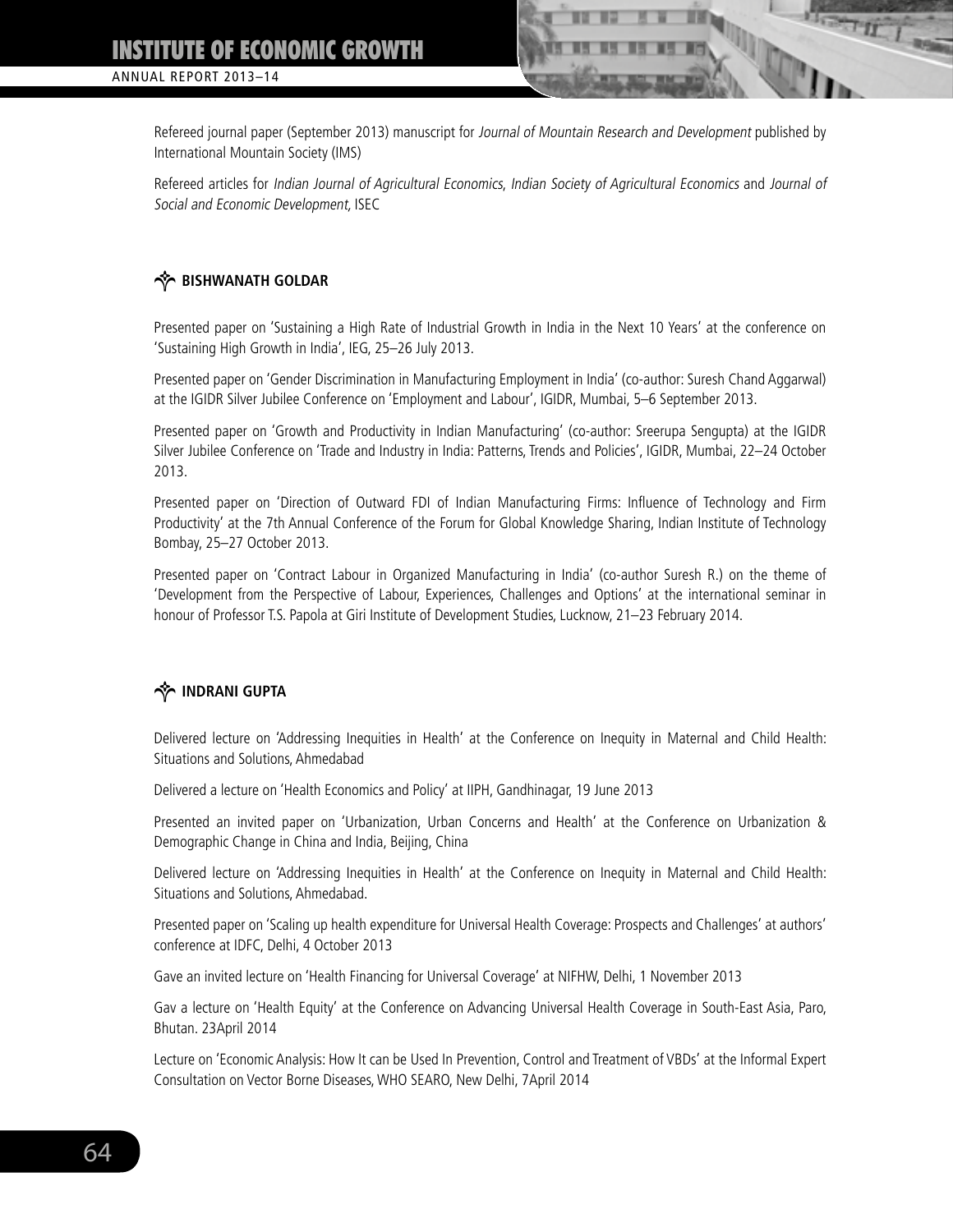Refereed journal paper (September 2013) manuscript for Journal of Mountain Research and Development published by International Mountain Society (IMS)

Refereed articles for Indian Journal of Agricultural Economics, Indian Society of Agricultural Economics and Journal of Social and Economic Development, ISEC

## **SPINATH GOLDAR**

Presented paper on 'Sustaining a High Rate of Industrial Growth in India in the Next 10 Years' at the conference on 'Sustaining High Growth in India', IEG, 25–26 July 2013.

Presented paper on 'Gender Discrimination in Manufacturing Employment in India' (co-author: Suresh Chand Aggarwal) at the IGIDR Silver Jubilee Conference on 'Employment and Labour', IGIDR, Mumbai, 5–6 September 2013.

Presented paper on 'Growth and Productivity in Indian Manufacturing' (co-author: Sreerupa Sengupta) at the IGIDR Silver Jubilee Conference on 'Trade and Industry in India: Patterns, Trends and Policies', IGIDR, Mumbai, 22–24 October 2013.

Presented paper on 'Direction of Outward FDI of Indian Manufacturing Firms: Influence of Technology and Firm Productivity' at the 7th Annual Conference of the Forum for Global Knowledge Sharing, Indian Institute of Technology Bombay, 25–27 October 2013.

Presented paper on 'Contract Labour in Organized Manufacturing in India' (co-author Suresh R.) on the theme of 'Development from the Perspective of Labour, Experiences, Challenges and Options' at the international seminar in honour of Professor T.S. Papola at Giri Institute of Development Studies, Lucknow, 21–23 February 2014.

## **S** INDRANI GUPTA

Delivered lecture on 'Addressing Inequities in Health' at the Conference on Inequity in Maternal and Child Health: Situations and Solutions, Ahmedabad

Delivered a lecture on 'Health Economics and Policy' at IIPH, Gandhinagar, 19 June 2013

Presented an invited paper on 'Urbanization, Urban Concerns and Health' at the Conference on Urbanization & Demographic Change in China and India, Beijing, China

Delivered lecture on 'Addressing Inequities in Health' at the Conference on Inequity in Maternal and Child Health: Situations and Solutions, Ahmedabad.

Presented paper on 'Scaling up health expenditure for Universal Health Coverage: Prospects and Challenges' at authors' conference at IDFC, Delhi, 4 October 2013

Gave an invited lecture on 'Health Financing for Universal Coverage' at NIFHW, Delhi, 1 November 2013

Gav a lecture on 'Health Equity' at the Conference on Advancing Universal Health Coverage in South-East Asia, Paro, Bhutan. 23April 2014

Lecture on 'Economic Analysis: How It can be Used In Prevention, Control and Treatment of VBDs' at the Informal Expert Consultation on Vector Borne Diseases, WHO SEARO, New Delhi, 7April 2014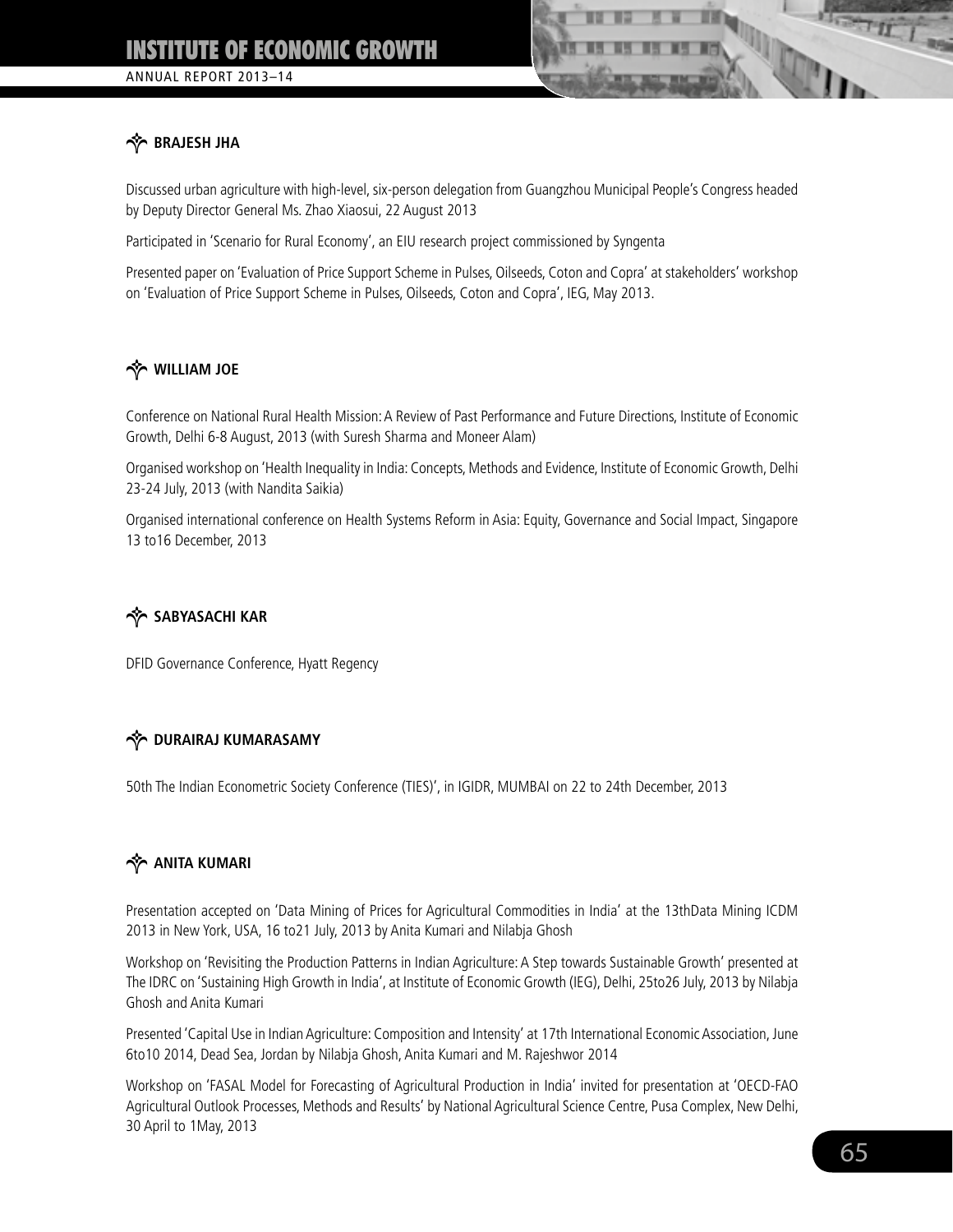# $\hat{\mathcal{S}}$  BRAJESH JHA

Discussed urban agriculture with high-level, six-person delegation from Guangzhou Municipal People's Congress headed by Deputy Director General Ms. Zhao Xiaosui, 22 August 2013

Participated in 'Scenario for Rural Economy', an EIU research project commissioned by Syngenta

Presented paper on 'Evaluation of Price Support Scheme in Pulses, Oilseeds, Coton and Copra' at stakeholders' workshop on 'Evaluation of Price Support Scheme in Pulses, Oilseeds, Coton and Copra', IEG, May 2013.

# **ী∕ৈ WILLIAM JOE**

Conference on National Rural Health Mission: A Review of Past Performance and Future Directions, Institute of Economic Growth, Delhi 6-8 August, 2013 (with Suresh Sharma and Moneer Alam)

Organised workshop on 'Health Inequality in India: Concepts, Methods and Evidence, Institute of Economic Growth, Delhi 23-24 July, 2013 (with Nandita Saikia)

Organised international conference on Health Systems Reform in Asia: Equity, Governance and Social Impact, Singapore 13 to16 December, 2013

# **SABYASACHI KAR**

DFID Governance Conference, Hyatt Regency

## **SPIEL BURAIRAJ KUMARASAMY**

50th The Indian Econometric Society Conference (TIES)', in IGIDR, MUMBAI on 22 to 24th December, 2013

## **T ANITA KUMARI**

Presentation accepted on 'Data Mining of Prices for Agricultural Commodities in India' at the 13thData Mining ICDM 2013 in New York, USA, 16 to21 July, 2013 by Anita Kumari and Nilabja Ghosh

Workshop on 'Revisiting the Production Patterns in Indian Agriculture: A Step towards Sustainable Growth' presented at The IDRC on 'Sustaining High Growth in India', at Institute of Economic Growth (IEG), Delhi, 25to26 July, 2013 by Nilabja Ghosh and Anita Kumari

Presented 'Capital Use in Indian Agriculture: Composition and Intensity' at 17th International Economic Association, June 6to10 2014, Dead Sea, Jordan by Nilabja Ghosh, Anita Kumari and M. Rajeshwor 2014

Workshop on 'FASAL Model for Forecasting of Agricultural Production in India' invited for presentation at 'OECD-FAO Agricultural Outlook Processes, Methods and Results' by National Agricultural Science Centre, Pusa Complex, New Delhi, 30 April to 1May, 2013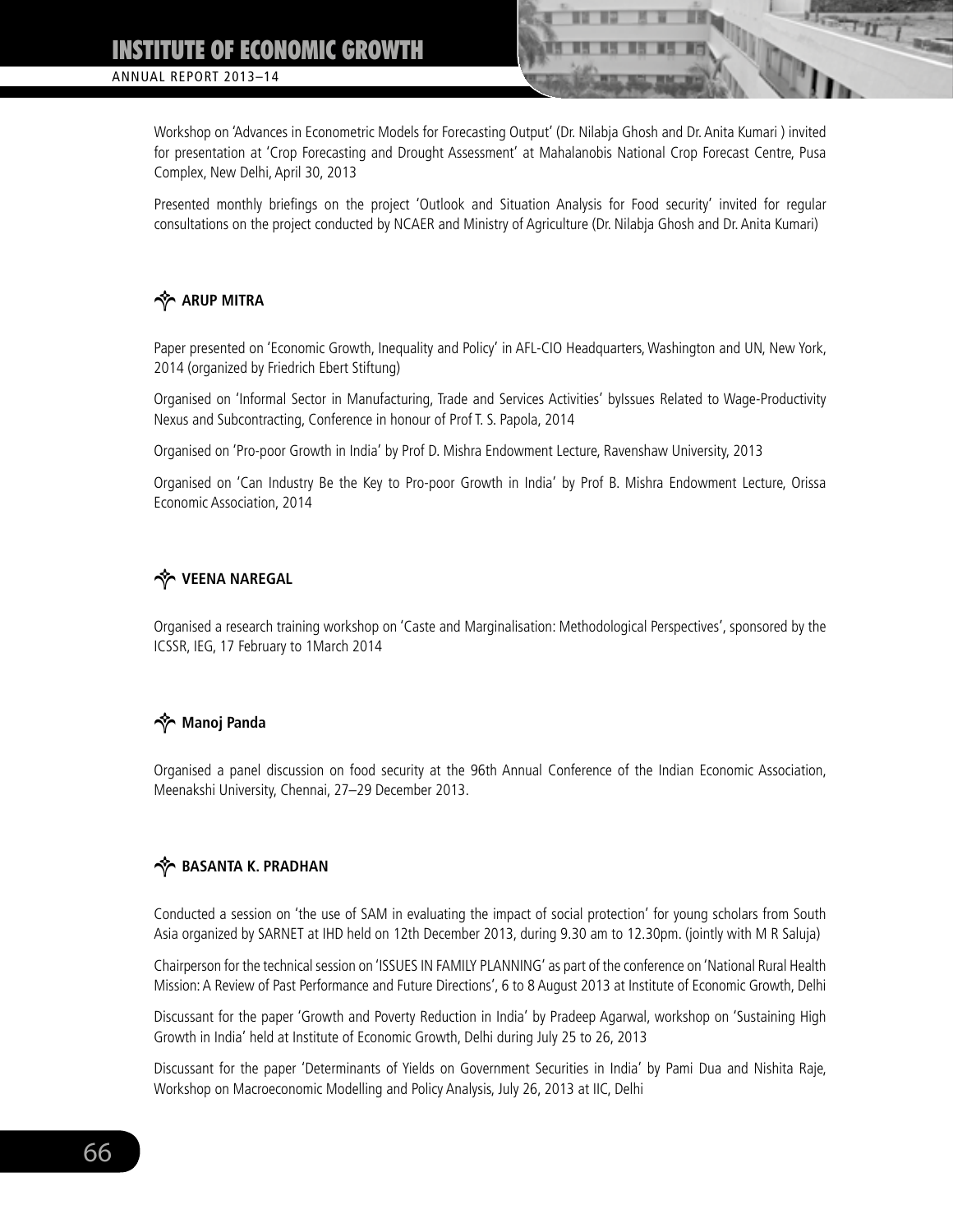Workshop on 'Advances in Econometric Models for Forecasting Output' (Dr. Nilabja Ghosh and Dr. Anita Kumari ) invited for presentation at 'Crop Forecasting and Drought Assessment' at Mahalanobis National Crop Forecast Centre, Pusa Complex, New Delhi, April 30, 2013

Presented monthly briefings on the project 'Outlook and Situation Analysis for Food security' invited for regular consultations on the project conducted by NCAER and Ministry of Agriculture (Dr. Nilabja Ghosh and Dr. Anita Kumari)

## **S ARUP MITRA**

Paper presented on 'Economic Growth, Inequality and Policy' in AFL-CIO Headquarters, Washington and UN, New York, 2014 (organized by Friedrich Ebert Stiftung)

Organised on 'Informal Sector in Manufacturing, Trade and Services Activities' byIssues Related to Wage-Productivity Nexus and Subcontracting, Conference in honour of Prof T. S. Papola, 2014

Organised on 'Pro-poor Growth in India' by Prof D. Mishra Endowment Lecture, Ravenshaw University, 2013

Organised on 'Can Industry Be the Key to Pro-poor Growth in India' by Prof B. Mishra Endowment Lecture, Orissa Economic Association, 2014

## $\hat{\gamma}$  VEENA NAREGAL

Organised a research training workshop on 'Caste and Marginalisation: Methodological Perspectives', sponsored by the ICSSR, IEG, 17 February to 1March 2014

## S **Manoj Panda**

Organised a panel discussion on food security at the 96th Annual Conference of the Indian Economic Association, Meenakshi University, Chennai, 27–29 December 2013.

## **S** BASANTA K. PRADHAN

Conducted a session on 'the use of SAM in evaluating the impact of social protection' for young scholars from South Asia organized by SARNET at IHD held on 12th December 2013, during 9.30 am to 12.30pm. (jointly with M R Saluja)

Chairperson for the technical session on 'ISSUES IN FAMILY PLANNING' as part of the conference on 'National Rural Health Mission: A Review of Past Performance and Future Directions', 6 to 8 August 2013 at Institute of Economic Growth, Delhi

Discussant for the paper 'Growth and Poverty Reduction in India' by Pradeep Agarwal, workshop on 'Sustaining High Growth in India' held at Institute of Economic Growth, Delhi during July 25 to 26, 2013

Discussant for the paper 'Determinants of Yields on Government Securities in India' by Pami Dua and Nishita Raje, Workshop on Macroeconomic Modelling and Policy Analysis, July 26, 2013 at IIC, Delhi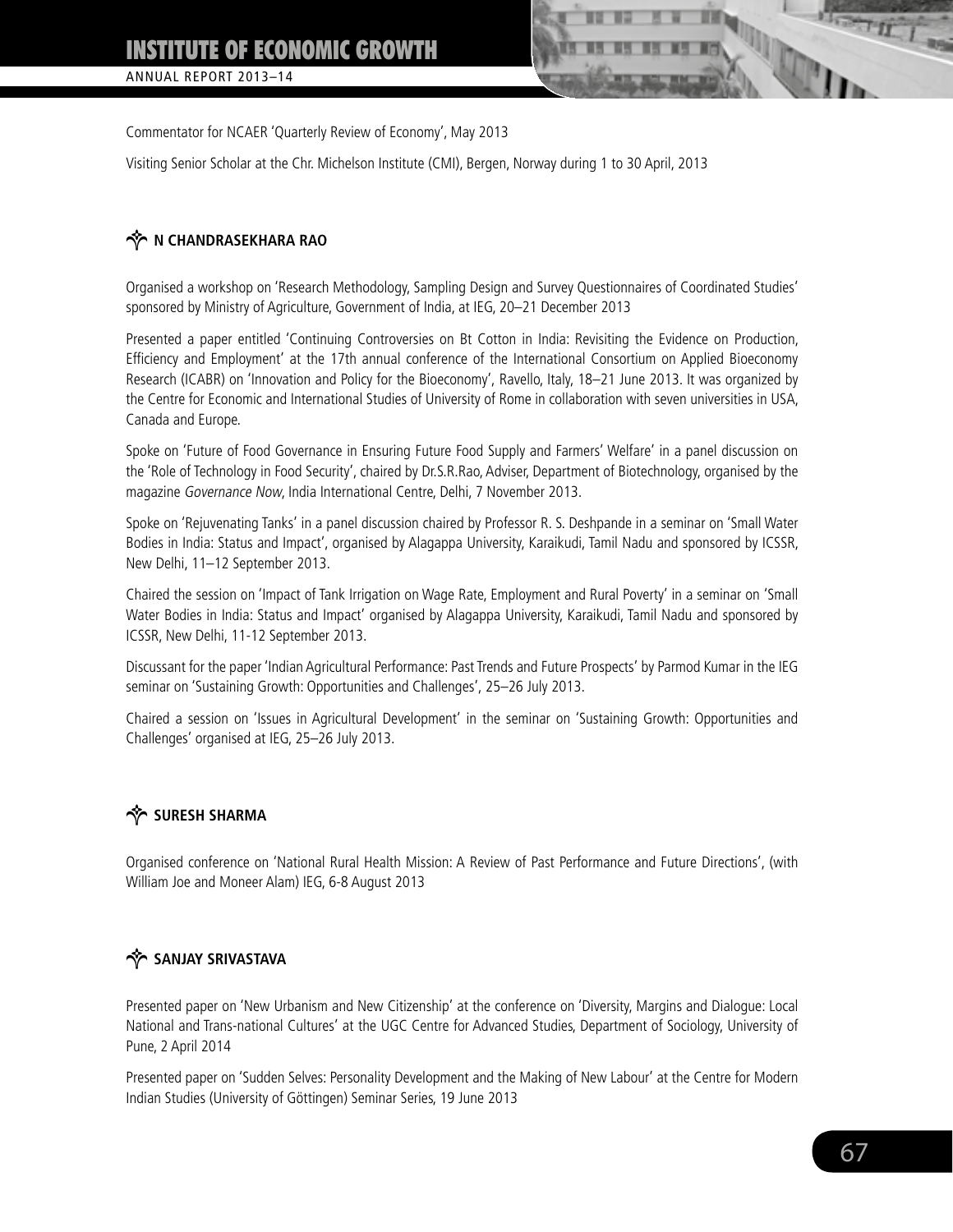

Commentator for NCAER 'Quarterly Review of Economy', May 2013

Visiting Senior Scholar at the Chr. Michelson Institute (CMI), Bergen, Norway during 1 to 30 April, 2013

## $\hat{\mathcal{S}}$  N CHANDRASEKHARA RAO

Organised a workshop on 'Research Methodology, Sampling Design and Survey Questionnaires of Coordinated Studies' sponsored by Ministry of Agriculture, Government of India, at IEG, 20–21 December 2013

Presented a paper entitled 'Continuing Controversies on Bt Cotton in India: Revisiting the Evidence on Production, Efficiency and Employment' at the 17th annual conference of the International Consortium on Applied Bioeconomy Research (ICABR) on 'Innovation and Policy for the Bioeconomy', Ravello, Italy, 18–21 June 2013. It was organized by the Centre for Economic and International Studies of University of Rome in collaboration with seven universities in USA, Canada and Europe.

Spoke on 'Future of Food Governance in Ensuring Future Food Supply and Farmers' Welfare' in a panel discussion on the 'Role of Technology in Food Security', chaired by Dr.S.R.Rao, Adviser, Department of Biotechnology, organised by the magazine Governance Now, India International Centre, Delhi, 7 November 2013.

Spoke on 'Rejuvenating Tanks' in a panel discussion chaired by Professor R. S. Deshpande in a seminar on 'Small Water Bodies in India: Status and Impact', organised by Alagappa University, Karaikudi, Tamil Nadu and sponsored by ICSSR, New Delhi, 11–12 September 2013.

Chaired the session on 'Impact of Tank Irrigation on Wage Rate, Employment and Rural Poverty' in a seminar on 'Small Water Bodies in India: Status and Impact' organised by Alagappa University, Karaikudi, Tamil Nadu and sponsored by ICSSR, New Delhi, 11-12 September 2013.

Discussant for the paper 'Indian Agricultural Performance: Past Trends and Future Prospects' by Parmod Kumar in the IEG seminar on 'Sustaining Growth: Opportunities and Challenges', 25–26 July 2013.

Chaired a session on 'Issues in Agricultural Development' in the seminar on 'Sustaining Growth: Opportunities and Challenges' organised at IEG, 25–26 July 2013.

## $\hat{\gamma}$  **SURESH SHARMA**

Organised conference on 'National Rural Health Mission: A Review of Past Performance and Future Directions', (with William Joe and Moneer Alam) IEG, 6-8 August 2013

## $\hat{\gamma}$ > SANJAY SRIVASTAVA

Presented paper on 'New Urbanism and New Citizenship' at the conference on 'Diversity, Margins and Dialogue: Local National and Trans-national Cultures' at the UGC Centre for Advanced Studies, Department of Sociology, University of Pune, 2 April 2014

Presented paper on 'Sudden Selves: Personality Development and the Making of New Labour' at the Centre for Modern Indian Studies (University of Göttingen) Seminar Series, 19 June 2013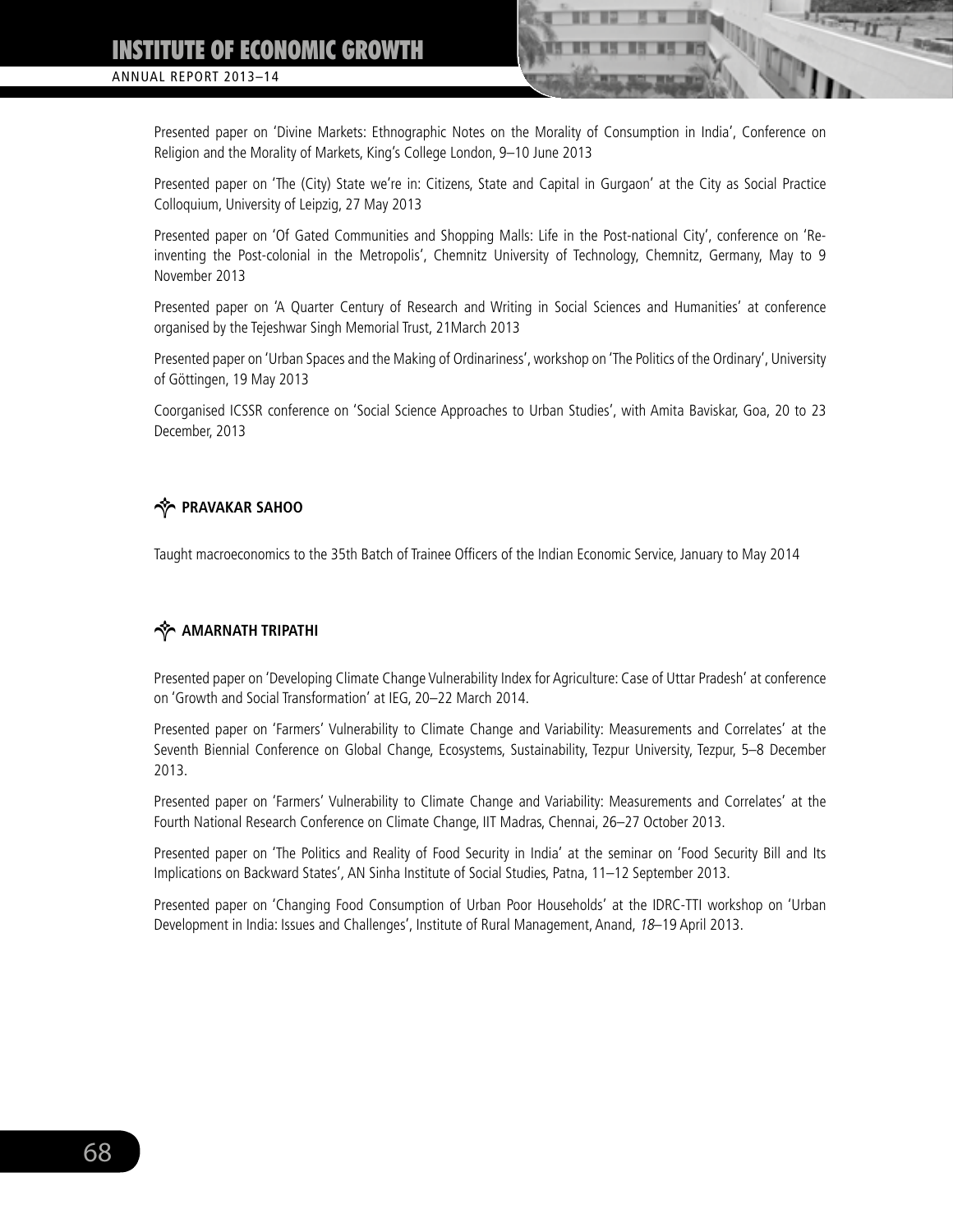Presented paper on 'Divine Markets: Ethnographic Notes on the Morality of Consumption in India', Conference on Religion and the Morality of Markets, King's College London, 9–10 June 2013

Presented paper on 'The (City) State we're in: Citizens, State and Capital in Gurgaon' at the City as Social Practice Colloquium, University of Leipzig, 27 May 2013

Presented paper on 'Of Gated Communities and Shopping Malls: Life in the Post-national City', conference on 'Reinventing the Post-colonial in the Metropolis', Chemnitz University of Technology, Chemnitz, Germany, May to 9 November 2013

Presented paper on 'A Quarter Century of Research and Writing in Social Sciences and Humanities' at conference organised by the Tejeshwar Singh Memorial Trust, 21March 2013

Presented paper on 'Urban Spaces and the Making of Ordinariness', workshop on 'The Politics of the Ordinary', University of Göttingen, 19 May 2013

Coorganised ICSSR conference on 'Social Science Approaches to Urban Studies', with Amita Baviskar, Goa, 20 to 23 December, 2013

#### **SPANAKAR SAHOO**

Taught macroeconomics to the 35th Batch of Trainee Officers of the Indian Economic Service, January to May 2014

#### $\hat{\mathcal{S}}$  AMARNATH TRIPATHI

Presented paper on 'Developing Climate Change Vulnerability Index for Agriculture: Case of Uttar Pradesh' at conference on 'Growth and Social Transformation' at IEG, 20–22 March 2014.

Presented paper on 'Farmers' Vulnerability to Climate Change and Variability: Measurements and Correlates' at the Seventh Biennial Conference on Global Change, Ecosystems, Sustainability, Tezpur University, Tezpur, 5–8 December 2013.

Presented paper on 'Farmers' Vulnerability to Climate Change and Variability: Measurements and Correlates' at the Fourth National Research Conference on Climate Change, IIT Madras, Chennai, 26–27 October 2013.

Presented paper on 'The Politics and Reality of Food Security in India' at the seminar on 'Food Security Bill and Its Implications on Backward States', AN Sinha Institute of Social Studies, Patna, 11–12 September 2013.

Presented paper on 'Changing Food Consumption of Urban Poor Households' at the IDRC-TTI workshop on 'Urban Development in India: Issues and Challenges', Institute of Rural Management, Anand, 18–19 April 2013.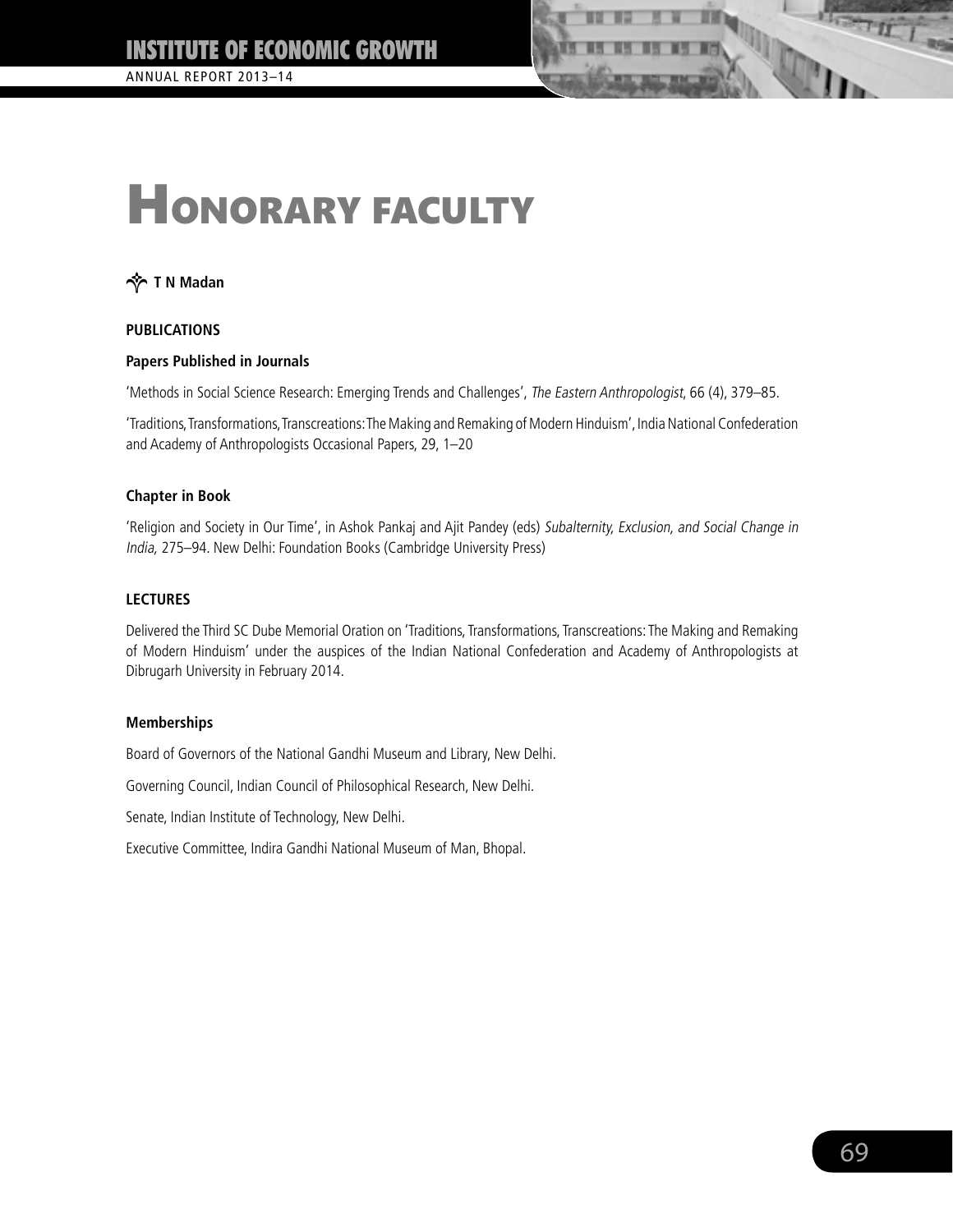# **HONORARY FACULTY**

#### **S** TN Madan

#### **Publications**

#### **Papers Published in Journals**

'Methods in Social Science Research: Emerging Trends and Challenges', The Eastern Anthropologist, 66 (4), 379–85.

'Traditions, Transformations, Transcreations: The Making and Remaking of Modern Hinduism', India National Confederation and Academy of Anthropologists Occasional Papers, 29, 1–20

#### **Chapter in Book**

'Religion and Society in Our Time', in Ashok Pankaj and Ajit Pandey (eds) Subalternity, Exclusion, and Social Change in India, 275–94. New Delhi: Foundation Books (Cambridge University Press)

#### **LECTURES**

Delivered the Third SC Dube Memorial Oration on 'Traditions, Transformations, Transcreations: The Making and Remaking of Modern Hinduism' under the auspices of the Indian National Confederation and Academy of Anthropologists at Dibrugarh University in February 2014.

#### **Memberships**

Board of Governors of the National Gandhi Museum and Library, New Delhi.

Governing Council, Indian Council of Philosophical Research, New Delhi.

Senate, Indian Institute of Technology, New Delhi.

Executive Committee, Indira Gandhi National Museum of Man, Bhopal.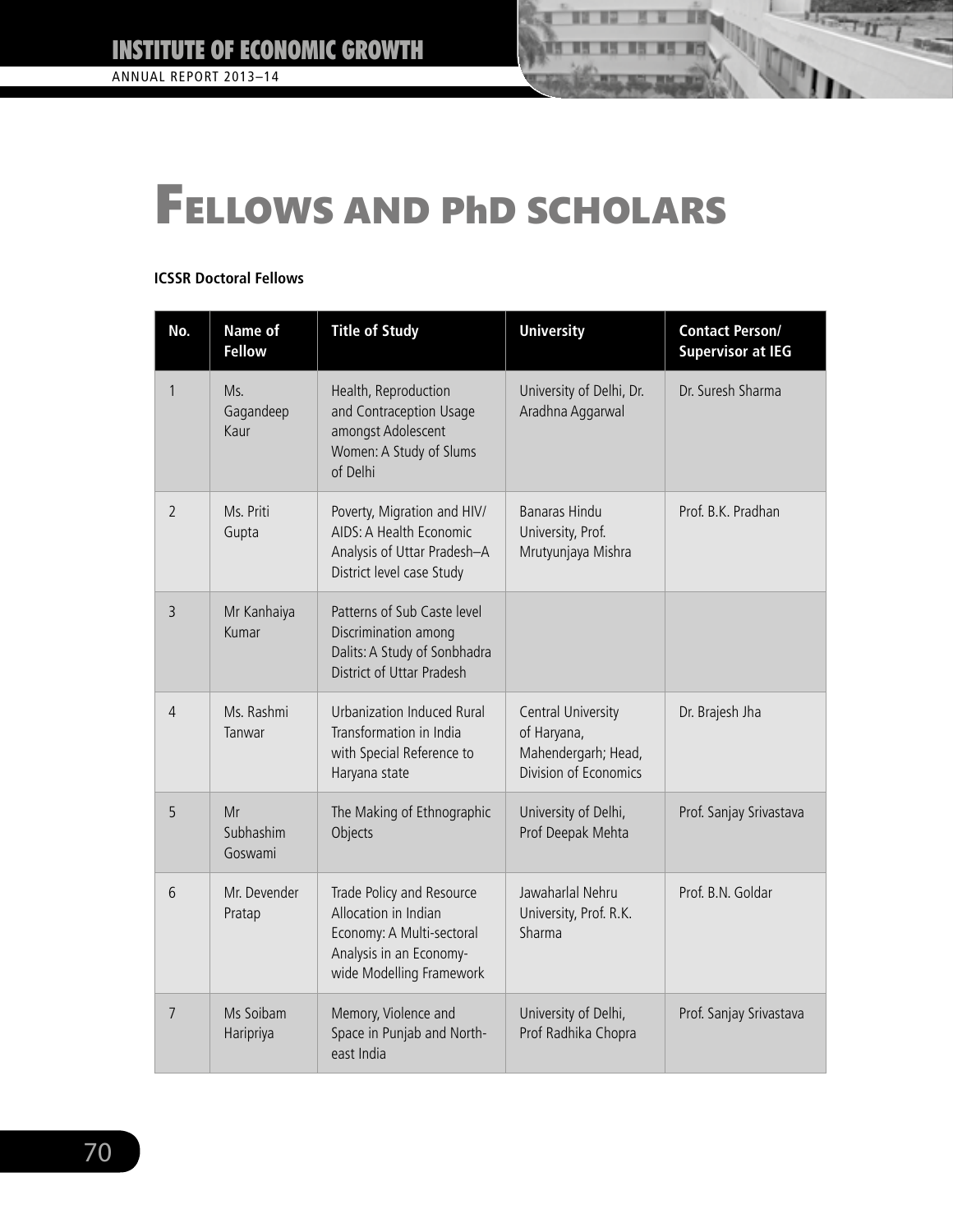# FELLOWS AND PhD SCHOLARS

 $\overline{a}$ 

#### **ICSSR Doctoral Fellows**

| No.            | Name of<br><b>Fellow</b>   | <b>Title of Study</b>                                                                                                                 | <b>University</b>                                                                 | <b>Contact Person/</b><br><b>Supervisor at IEG</b> |
|----------------|----------------------------|---------------------------------------------------------------------------------------------------------------------------------------|-----------------------------------------------------------------------------------|----------------------------------------------------|
| 1              | Ms.<br>Gagandeep<br>Kaur   | Health, Reproduction<br>and Contraception Usage<br>amongst Adolescent<br>Women: A Study of Slums<br>of Delhi                          | University of Delhi, Dr.<br>Aradhna Aggarwal                                      | Dr. Suresh Sharma                                  |
| $\mathcal{P}$  | Ms. Priti<br>Gupta         | Poverty, Migration and HIV/<br>AIDS: A Health Economic<br>Analysis of Uttar Pradesh-A<br>District level case Study                    | <b>Banaras Hindu</b><br>University, Prof.<br>Mrutyunjaya Mishra                   | Prof. B.K. Pradhan                                 |
| 3              | Mr Kanhaiya<br>Kumar       | Patterns of Sub Caste level<br>Discrimination among<br>Dalits: A Study of Sonbhadra<br>District of Uttar Pradesh                      |                                                                                   |                                                    |
| 4              | Ms. Rashmi<br>Tanwar       | Urbanization Induced Rural<br>Transformation in India<br>with Special Reference to<br>Haryana state                                   | Central University<br>of Haryana,<br>Mahendergarh; Head,<br>Division of Economics | Dr. Brajesh Jha                                    |
| 5              | Mr<br>Subhashim<br>Goswami | The Making of Ethnographic<br>Objects                                                                                                 | University of Delhi,<br>Prof Deepak Mehta                                         | Prof. Sanjay Srivastava                            |
| 6              | Mr. Devender<br>Pratap     | Trade Policy and Resource<br>Allocation in Indian<br>Economy: A Multi-sectoral<br>Analysis in an Economy-<br>wide Modelling Framework | Jawaharlal Nehru<br>University, Prof. R.K.<br>Sharma                              | Prof. B.N. Goldar                                  |
| $\overline{7}$ | Ms Soibam<br>Haripriya     | Memory, Violence and<br>Space in Punjab and North-<br>east India                                                                      | University of Delhi,<br>Prof Radhika Chopra                                       | Prof. Sanjay Srivastava                            |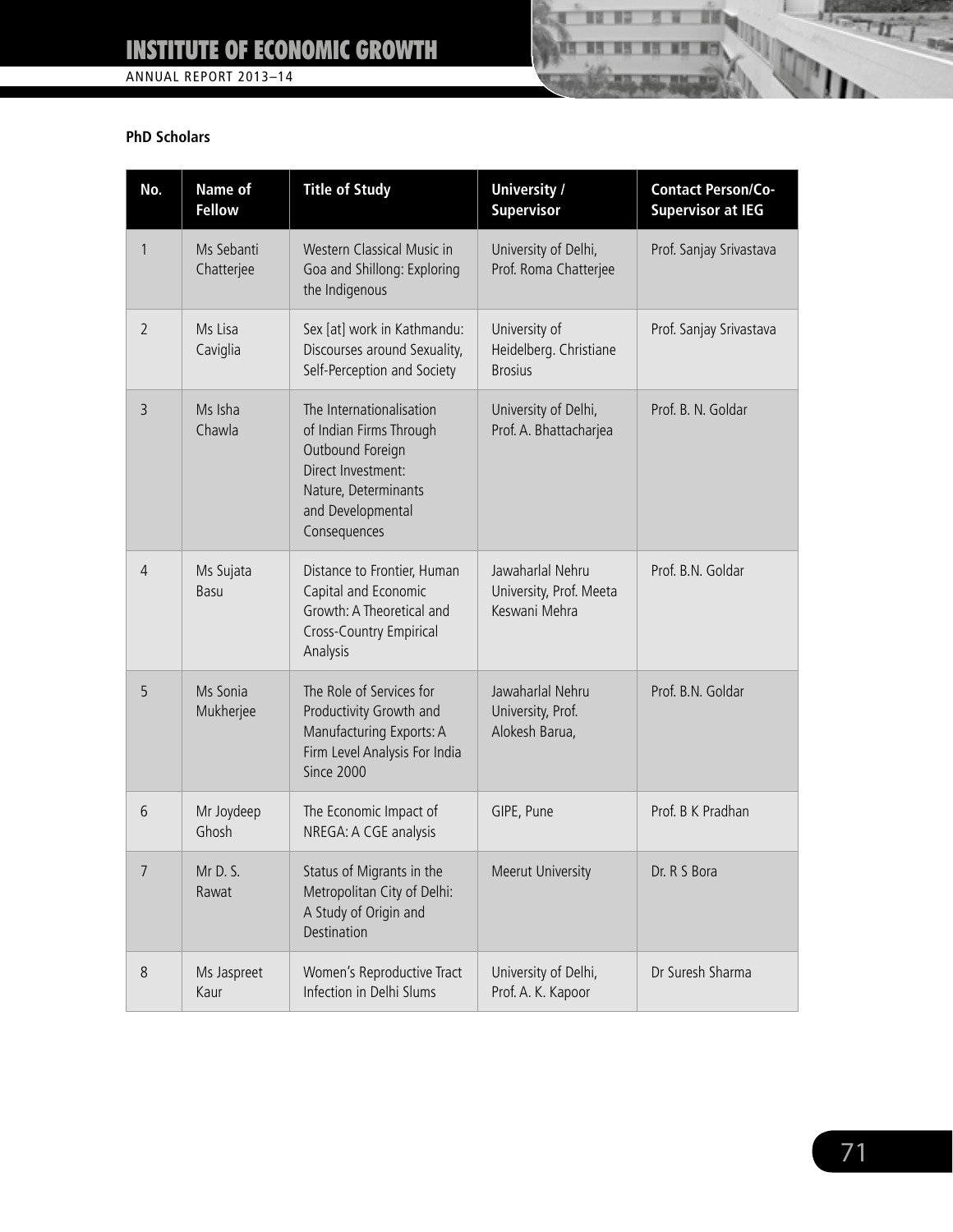### Institute of Economic Growth

Annual Report 2013–14

#### **PhD Scholars**

| No.            | Name of<br><b>Fellow</b> | <b>Title of Study</b>                                                                                                                                      | <b>University /</b><br><b>Supervisor</b>                     | <b>Contact Person/Co-</b><br><b>Supervisor at IEG</b> |
|----------------|--------------------------|------------------------------------------------------------------------------------------------------------------------------------------------------------|--------------------------------------------------------------|-------------------------------------------------------|
| 1              | Ms Sebanti<br>Chatterjee | Western Classical Music in<br>Goa and Shillong: Exploring<br>the Indigenous                                                                                | University of Delhi,<br>Prof. Roma Chatterjee                | Prof. Sanjay Srivastava                               |
| $\overline{2}$ | Ms Lisa<br>Caviglia      | Sex [at] work in Kathmandu:<br>Discourses around Sexuality,<br>Self-Perception and Society                                                                 | University of<br>Heidelberg. Christiane<br><b>Brosius</b>    | Prof. Sanjay Srivastava                               |
| 3              | Ms Isha<br>Chawla        | The Internationalisation<br>of Indian Firms Through<br>Outbound Foreign<br>Direct Investment:<br>Nature, Determinants<br>and Developmental<br>Consequences | University of Delhi,<br>Prof. A. Bhattacharjea               | Prof. B. N. Goldar                                    |
| $\overline{4}$ | Ms Sujata<br>Basu        | Distance to Frontier, Human<br>Capital and Economic<br>Growth: A Theoretical and<br><b>Cross-Country Empirical</b><br>Analysis                             | Jawaharlal Nehru<br>University, Prof. Meeta<br>Keswani Mehra | Prof. B.N. Goldar                                     |
| 5              | Ms Sonia<br>Mukherjee    | The Role of Services for<br>Productivity Growth and<br>Manufacturing Exports: A<br>Firm Level Analysis For India<br>Since 2000                             | Jawaharlal Nehru<br>University, Prof.<br>Alokesh Barua,      | Prof. B.N. Goldar                                     |
| 6              | Mr Joydeep<br>Ghosh      | The Economic Impact of<br>NREGA: A CGE analysis                                                                                                            | GIPE, Pune                                                   | Prof. B K Pradhan                                     |
| 7              | Mr D. S.<br>Rawat        | Status of Migrants in the<br>Metropolitan City of Delhi:<br>A Study of Origin and<br>Destination                                                           | Meerut University                                            | Dr. R S Bora                                          |
| 8              | Ms Jaspreet<br>Kaur      | Women's Reproductive Tract<br>Infection in Delhi Slums                                                                                                     | University of Delhi,<br>Prof. A. K. Kapoor                   | Dr Suresh Sharma                                      |

sa m<sub>a</sub>

ш

面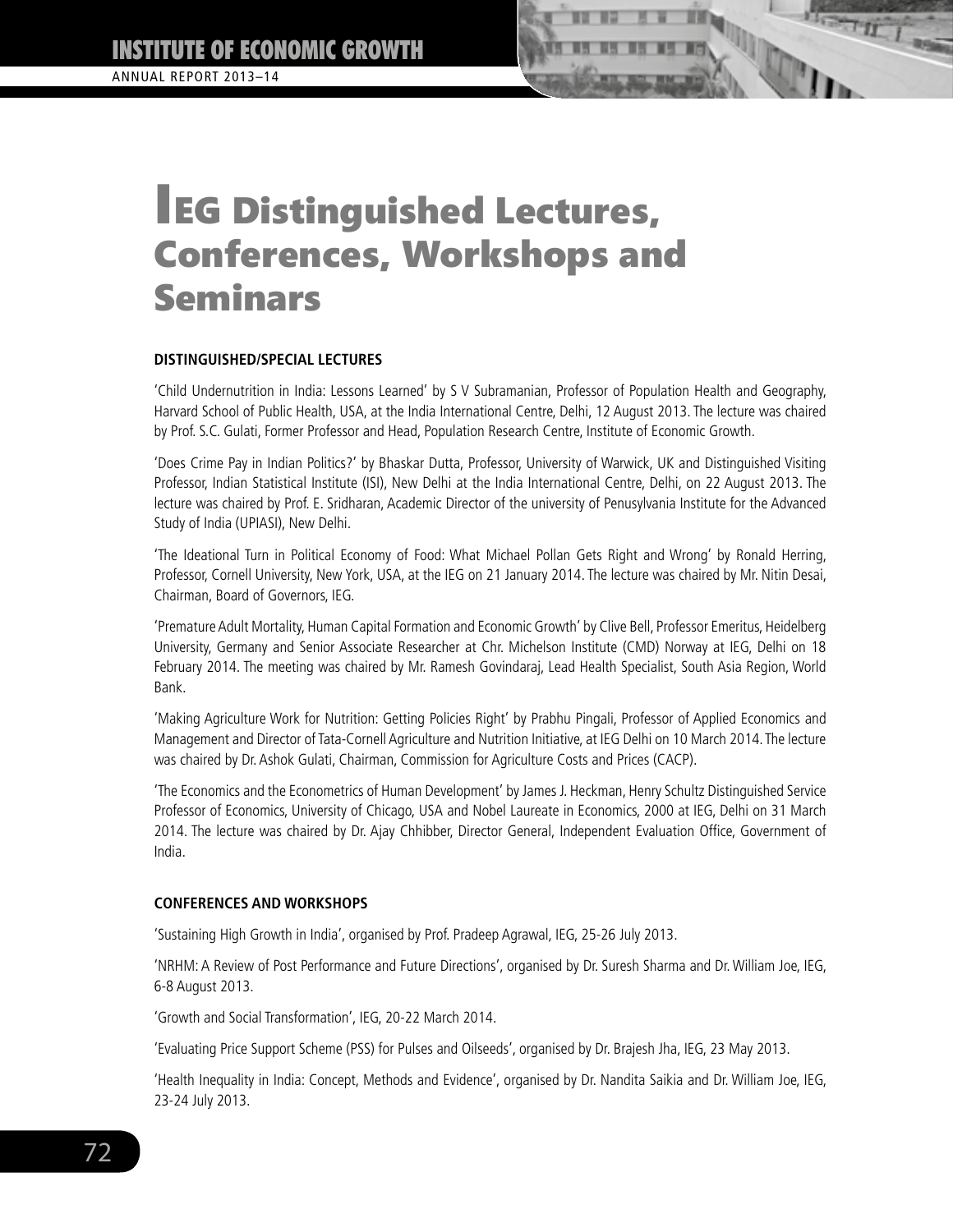### **IEG Distinguished Lectures,** Conferences, Workshops and Seminars

#### **DISTINGUISHED/SPECIAL LECTURES**

'Child Undernutrition in India: Lessons Learned' by S V Subramanian, Professor of Population Health and Geography, Harvard School of Public Health, USA, at the India International Centre, Delhi, 12 August 2013. The lecture was chaired by Prof. S.C. Gulati, Former Professor and Head, Population Research Centre, Institute of Economic Growth.

'Does Crime Pay in Indian Politics?' by Bhaskar Dutta, Professor, University of Warwick, UK and Distinguished Visiting Professor, Indian Statistical Institute (ISI), New Delhi at the India International Centre, Delhi, on 22 August 2013. The lecture was chaired by Prof. E. Sridharan, Academic Director of the university of Penusylvania Institute for the Advanced Study of India (UPIASI), New Delhi.

'The Ideational Turn in Political Economy of Food: What Michael Pollan Gets Right and Wrong' by Ronald Herring, Professor, Cornell University, New York, USA, at the IEG on 21 January 2014. The lecture was chaired by Mr. Nitin Desai, Chairman, Board of Governors, IEG.

'Premature Adult Mortality, Human Capital Formation and Economic Growth' by Clive Bell, Professor Emeritus, Heidelberg University, Germany and Senior Associate Researcher at Chr. Michelson Institute (CMD) Norway at IEG, Delhi on 18 February 2014. The meeting was chaired by Mr. Ramesh Govindaraj, Lead Health Specialist, South Asia Region, World Bank.

'Making Agriculture Work for Nutrition: Getting Policies Right' by Prabhu Pingali, Professor of Applied Economics and Management and Director of Tata-Cornell Agriculture and Nutrition Initiative, at IEG Delhi on 10 March 2014. The lecture was chaired by Dr. Ashok Gulati, Chairman, Commission for Agriculture Costs and Prices (CACP).

'The Economics and the Econometrics of Human Development' by James J. Heckman, Henry Schultz Distinguished Service Professor of Economics, University of Chicago, USA and Nobel Laureate in Economics, 2000 at IEG, Delhi on 31 March 2014. The lecture was chaired by Dr. Ajay Chhibber, Director General, Independent Evaluation Office, Government of India.

#### **CONFERENCES AND WORKSHOPS**

'Sustaining High Growth in India', organised by Prof. Pradeep Agrawal, IEG, 25-26 July 2013.

'NRHM: A Review of Post Performance and Future Directions', organised by Dr. Suresh Sharma and Dr. William Joe, IEG, 6-8 August 2013.

'Growth and Social Transformation', IEG, 20-22 March 2014.

'Evaluating Price Support Scheme (PSS) for Pulses and Oilseeds', organised by Dr. Brajesh Jha, IEG, 23 May 2013.

'Health Inequality in India: Concept, Methods and Evidence', organised by Dr. Nandita Saikia and Dr. William Joe, IEG, 23-24 July 2013.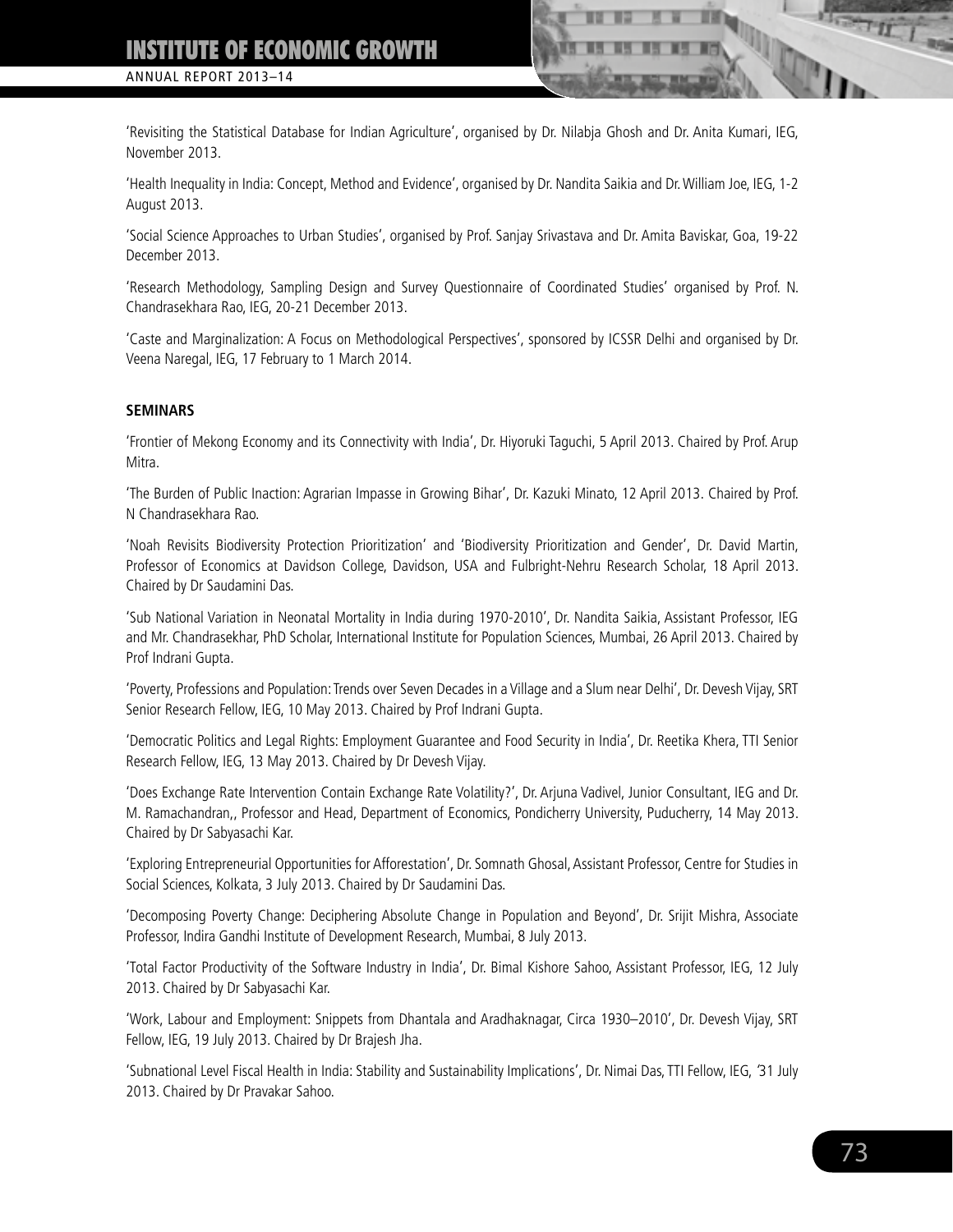'Revisiting the Statistical Database for Indian Agriculture', organised by Dr. Nilabja Ghosh and Dr. Anita Kumari, IEG, November 2013.

'Health Inequality in India: Concept, Method and Evidence', organised by Dr. Nandita Saikia and Dr. William Joe, IEG, 1-2 August 2013.

'Social Science Approaches to Urban Studies', organised by Prof. Sanjay Srivastava and Dr. Amita Baviskar, Goa, 19-22 December 2013.

'Research Methodology, Sampling Design and Survey Questionnaire of Coordinated Studies' organised by Prof. N. Chandrasekhara Rao, IEG, 20-21 December 2013.

'Caste and Marginalization: A Focus on Methodological Perspectives', sponsored by ICSSR Delhi and organised by Dr. Veena Naregal, IEG, 17 February to 1 March 2014.

#### **SEMINARS**

'Frontier of Mekong Economy and its Connectivity with India', Dr. Hiyoruki Taguchi, 5 April 2013. Chaired by Prof. Arup Mitra.

'The Burden of Public Inaction: Agrarian Impasse in Growing Bihar', Dr. Kazuki Minato, 12 April 2013. Chaired by Prof. N Chandrasekhara Rao.

'Noah Revisits Biodiversity Protection Prioritization' and 'Biodiversity Prioritization and Gender', Dr. David Martin, Professor of Economics at Davidson College, Davidson, USA and Fulbright-Nehru Research Scholar, 18 April 2013. Chaired by Dr Saudamini Das.

'Sub National Variation in Neonatal Mortality in India during 1970-2010', Dr. Nandita Saikia, Assistant Professor, IEG and Mr. Chandrasekhar, PhD Scholar, International Institute for Population Sciences, Mumbai, 26 April 2013. Chaired by Prof Indrani Gupta.

'Poverty, Professions and Population: Trends over Seven Decades in a Village and a Slum near Delhi', Dr. Devesh Vijay, SRT Senior Research Fellow, IEG, 10 May 2013. Chaired by Prof Indrani Gupta.

'Democratic Politics and Legal Rights: Employment Guarantee and Food Security in India', Dr. Reetika Khera, TTI Senior Research Fellow, IEG, 13 May 2013. Chaired by Dr Devesh Vijay.

'Does Exchange Rate Intervention Contain Exchange Rate Volatility?', Dr. Arjuna Vadivel, Junior Consultant, IEG and Dr. M. Ramachandran,, Professor and Head, Department of Economics, Pondicherry University, Puducherry, 14 May 2013. Chaired by Dr Sabyasachi Kar.

'Exploring Entrepreneurial Opportunities for Afforestation', Dr. Somnath Ghosal, Assistant Professor, Centre for Studies in Social Sciences, Kolkata, 3 July 2013. Chaired by Dr Saudamini Das.

'Decomposing Poverty Change: Deciphering Absolute Change in Population and Beyond', Dr. Srijit Mishra, Associate Professor, Indira Gandhi Institute of Development Research, Mumbai, 8 July 2013.

'Total Factor Productivity of the Software Industry in India', Dr. Bimal Kishore Sahoo, Assistant Professor, IEG, 12 July 2013. Chaired by Dr Sabyasachi Kar.

'Work, Labour and Employment: Snippets from Dhantala and Aradhaknagar, Circa 1930–2010', Dr. Devesh Vijay, SRT Fellow, IEG, 19 July 2013. Chaired by Dr Brajesh Jha.

'Subnational Level Fiscal Health in India: Stability and Sustainability Implications', Dr. Nimai Das, TTI Fellow, IEG, '31 July 2013. Chaired by Dr Pravakar Sahoo.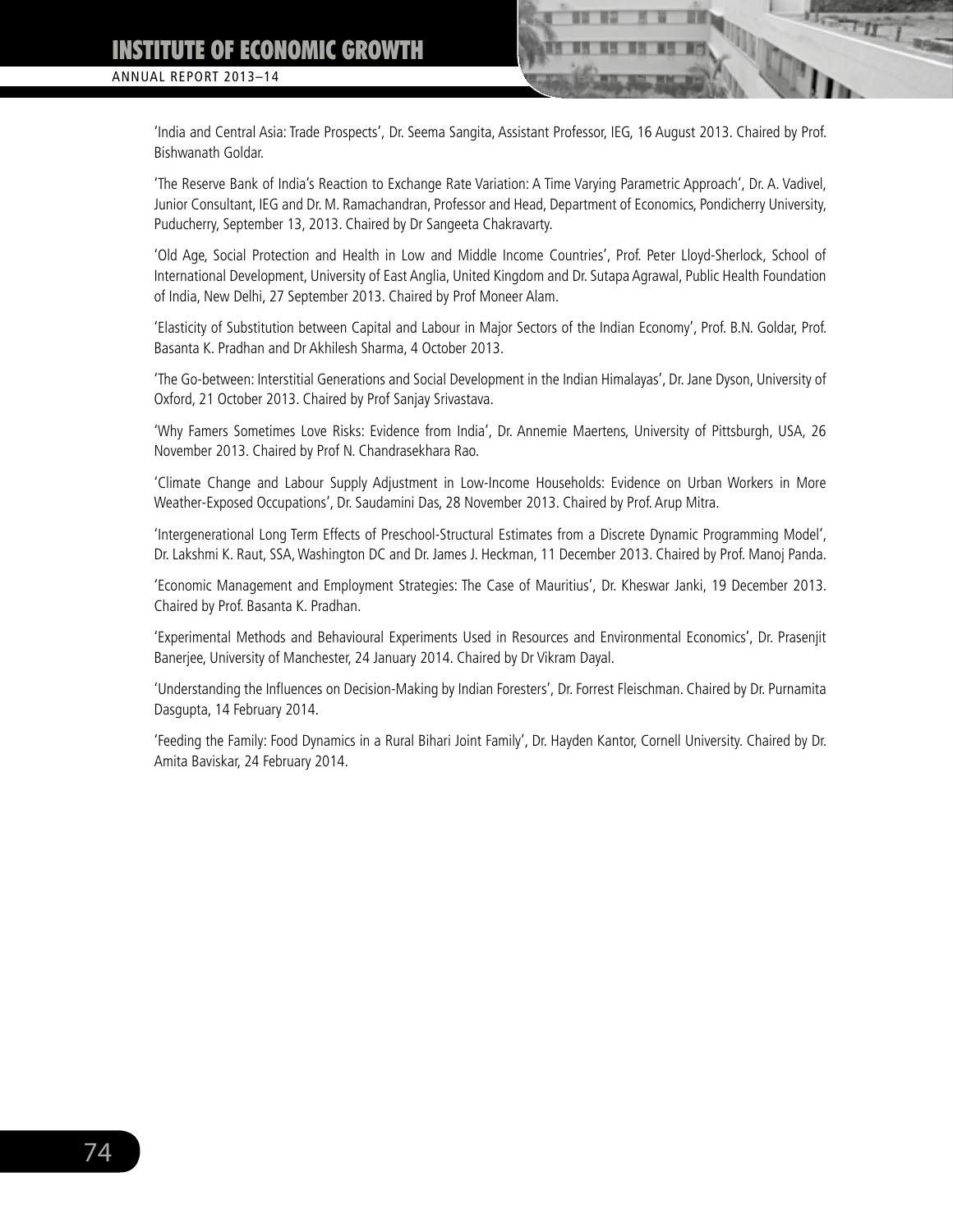'India and Central Asia: Trade Prospects', Dr. Seema Sangita, Assistant Professor, IEG, 16 August 2013. Chaired by Prof. Bishwanath Goldar.

'The Reserve Bank of India's Reaction to Exchange Rate Variation: A Time Varying Parametric Approach', Dr. A. Vadivel, Junior Consultant, IEG and Dr. M. Ramachandran, Professor and Head, Department of Economics, Pondicherry University, Puducherry, September 13, 2013. Chaired by Dr Sangeeta Chakravarty.

'Old Age, Social Protection and Health in Low and Middle Income Countries', Prof. Peter Lloyd-Sherlock, School of International Development, University of East Anglia, United Kingdom and Dr. Sutapa Agrawal, Public Health Foundation of India, New Delhi, 27 September 2013. Chaired by Prof Moneer Alam.

'Elasticity of Substitution between Capital and Labour in Major Sectors of the Indian Economy', Prof. B.N. Goldar, Prof. Basanta K. Pradhan and Dr Akhilesh Sharma, 4 October 2013.

'The Go-between: Interstitial Generations and Social Development in the Indian Himalayas', Dr. Jane Dyson, University of Oxford, 21 October 2013. Chaired by Prof Sanjay Srivastava.

'Why Famers Sometimes Love Risks: Evidence from India', Dr. Annemie Maertens, University of Pittsburgh, USA, 26 November 2013. Chaired by Prof N. Chandrasekhara Rao.

'Climate Change and Labour Supply Adjustment in Low-Income Households: Evidence on Urban Workers in More Weather-Exposed Occupations', Dr. Saudamini Das, 28 November 2013. Chaired by Prof. Arup Mitra.

'Intergenerational Long Term Effects of Preschool-Structural Estimates from a Discrete Dynamic Programming Model', Dr. Lakshmi K. Raut, SSA, Washington DC and Dr. James J. Heckman, 11 December 2013. Chaired by Prof. Manoj Panda.

'Economic Management and Employment Strategies: The Case of Mauritius', Dr. Kheswar Janki, 19 December 2013. Chaired by Prof. Basanta K. Pradhan.

'Experimental Methods and Behavioural Experiments Used in Resources and Environmental Economics', Dr. Prasenjit Banerjee, University of Manchester, 24 January 2014. Chaired by Dr Vikram Dayal.

'Understanding the Influences on Decision-Making by Indian Foresters', Dr. Forrest Fleischman. Chaired by Dr. Purnamita Dasgupta, 14 February 2014.

'Feeding the Family: Food Dynamics in a Rural Bihari Joint Family', Dr. Hayden Kantor, Cornell University. Chaired by Dr. Amita Baviskar, 24 February 2014.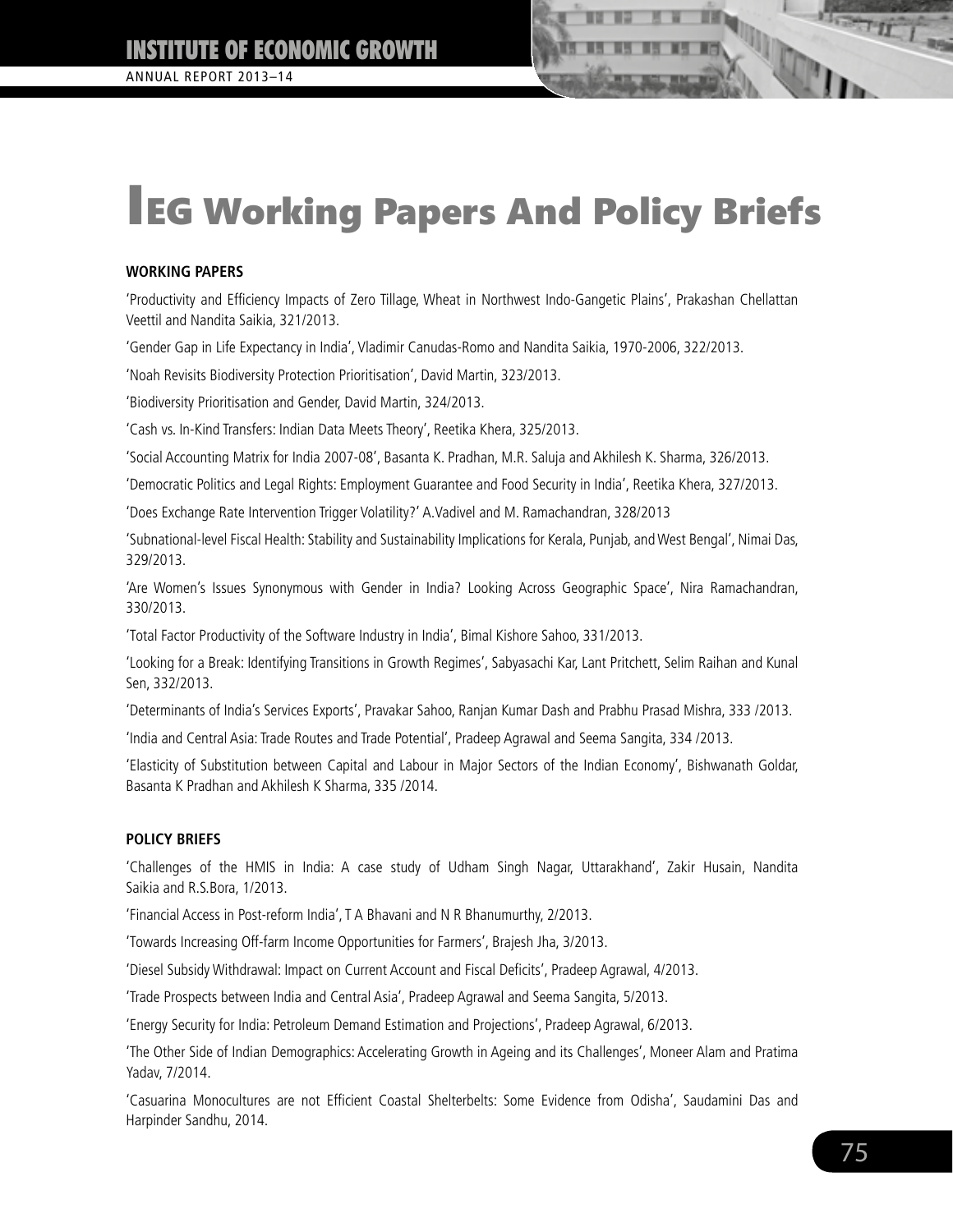# **IEG Working Papers And Policy Briefs**

#### **WORKING PAPERS**

'Productivity and Efficiency Impacts of Zero Tillage, Wheat in Northwest Indo-Gangetic Plains', Prakashan Chellattan Veettil and Nandita Saikia, 321/2013.

'Gender Gap in Life Expectancy in India', Vladimir Canudas-Romo and Nandita Saikia, 1970-2006, 322/2013.

'Noah Revisits Biodiversity Protection Prioritisation', David Martin, 323/2013.

'Biodiversity Prioritisation and Gender, David Martin, 324/2013.

'Cash vs. In-Kind Transfers: Indian Data Meets Theory', Reetika Khera, 325/2013.

'Social Accounting Matrix for India 2007-08', Basanta K. Pradhan, M.R. Saluja and Akhilesh K. Sharma, 326/2013.

'Democratic Politics and Legal Rights: Employment Guarantee and Food Security in India', Reetika Khera, 327/2013.

'Does Exchange Rate Intervention Trigger Volatility?' A.Vadivel and M. Ramachandran, 328/2013

'Subnational-level Fiscal Health: Stability and Sustainability Implications for Kerala, Punjab, and West Bengal', Nimai Das, 329/2013.

'Are Women's Issues Synonymous with Gender in India? Looking Across Geographic Space', Nira Ramachandran, 330/2013.

'Total Factor Productivity of the Software Industry in India', Bimal Kishore Sahoo, 331/2013.

'Looking for a Break: Identifying Transitions in Growth Regimes', Sabyasachi Kar, Lant Pritchett, Selim Raihan and Kunal Sen, 332/2013.

'Determinants of India's Services Exports', Pravakar Sahoo, Ranjan Kumar Dash and Prabhu Prasad Mishra, 333 /2013.

'India and Central Asia: Trade Routes and Trade Potential', Pradeep Agrawal and Seema Sangita, 334 /2013.

'Elasticity of Substitution between Capital and Labour in Major Sectors of the Indian Economy', Bishwanath Goldar, Basanta K Pradhan and Akhilesh K Sharma, 335 /2014.

#### **POLICY BRIEFS**

'Challenges of the HMIS in India: A case study of Udham Singh Nagar, Uttarakhand', Zakir Husain, Nandita Saikia and R.S.Bora, 1/2013.

'Financial Access in Post-reform India', T A Bhavani and N R Bhanumurthy, 2/2013.

'Towards Increasing Off-farm Income Opportunities for Farmers', Brajesh Jha, 3/2013.

'Diesel Subsidy Withdrawal: Impact on Current Account and Fiscal Deficits', Pradeep Agrawal, 4/2013.

'Trade Prospects between India and Central Asia', Pradeep Agrawal and Seema Sangita, 5/2013.

'Energy Security for India: Petroleum Demand Estimation and Projections', Pradeep Agrawal, 6/2013.

'The Other Side of Indian Demographics: Accelerating Growth in Ageing and its Challenges', Moneer Alam and Pratima Yadav, 7/2014.

'Casuarina Monocultures are not Efficient Coastal Shelterbelts: Some Evidence from Odisha', Saudamini Das and Harpinder Sandhu, 2014.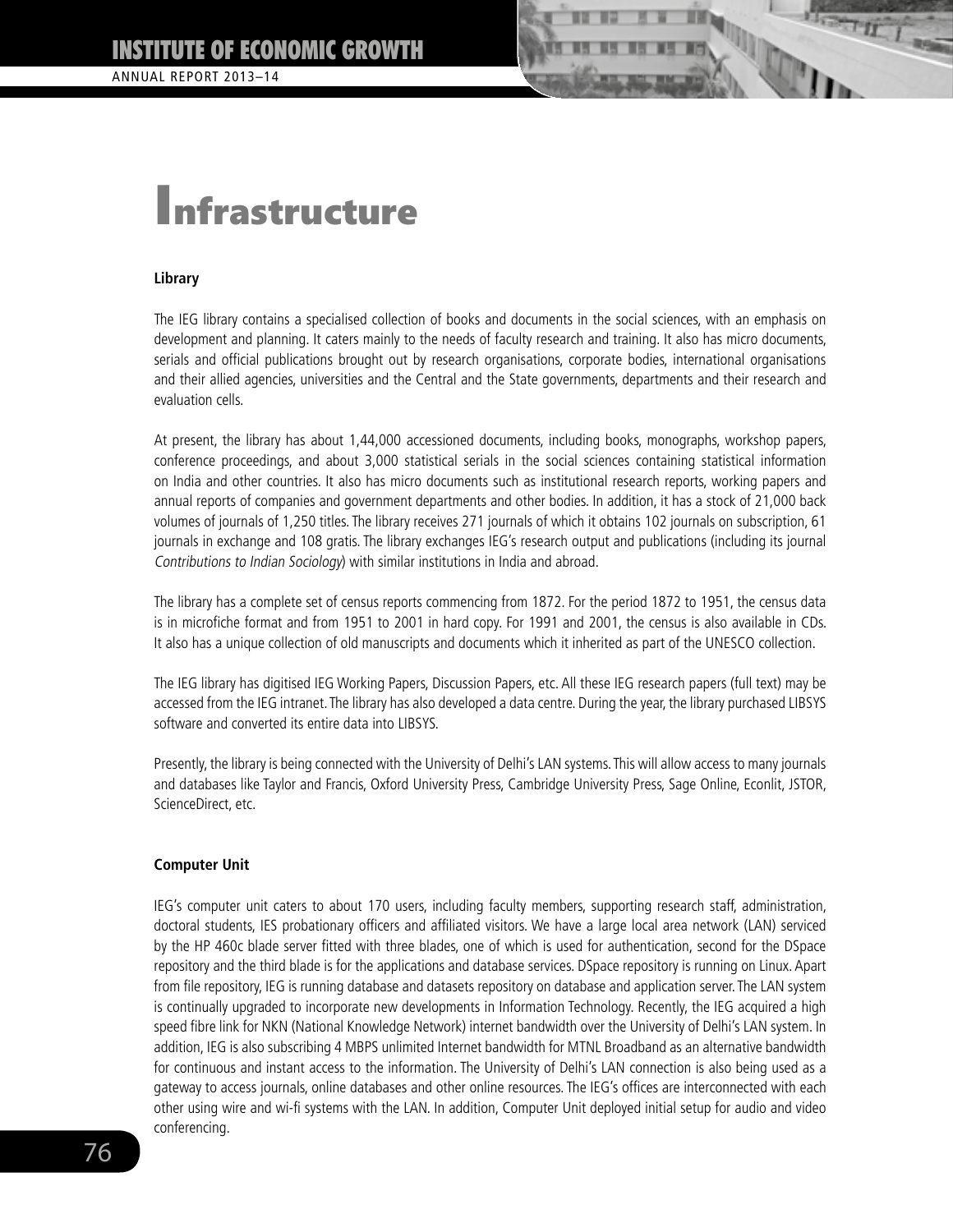## Infrastructure

#### **Library**

The IEG library contains a specialised collection of books and documents in the social sciences, with an emphasis on development and planning. It caters mainly to the needs of faculty research and training. It also has micro documents, serials and official publications brought out by research organisations, corporate bodies, international organisations and their allied agencies, universities and the Central and the State governments, departments and their research and evaluation cells.

At present, the library has about 1,44,000 accessioned documents, including books, monographs, workshop papers, conference proceedings, and about 3,000 statistical serials in the social sciences containing statistical information on India and other countries. It also has micro documents such as institutional research reports, working papers and annual reports of companies and government departments and other bodies. In addition, it has a stock of 21,000 back volumes of journals of 1,250 titles. The library receives 271 journals of which it obtains 102 journals on subscription, 61 journals in exchange and 108 gratis. The library exchanges IEG's research output and publications (including its journal Contributions to Indian Sociology) with similar institutions in India and abroad.

The library has a complete set of census reports commencing from 1872. For the period 1872 to 1951, the census data is in microfiche format and from 1951 to 2001 in hard copy. For 1991 and 2001, the census is also available in CDs. It also has a unique collection of old manuscripts and documents which it inherited as part of the UNESCO collection.

The IEG library has digitised IEG Working Papers, Discussion Papers, etc. All these IEG research papers (full text) may be accessed from the IEG intranet. The library has also developed a data centre. During the year, the library purchased LIBSYS software and converted its entire data into LIBSYS.

Presently, the library is being connected with the University of Delhi's LAN systems. This will allow access to many journals and databases like Taylor and Francis, Oxford University Press, Cambridge University Press, Sage Online, Econlit, JSTOR, ScienceDirect, etc.

#### **Computer Unit**

IEG's computer unit caters to about 170 users, including faculty members, supporting research staff, administration, doctoral students, IES probationary officers and affiliated visitors. We have a large local area network (LAN) serviced by the HP 460c blade server fitted with three blades, one of which is used for authentication, second for the DSpace repository and the third blade is for the applications and database services. DSpace repository is running on Linux. Apart from file repository, IEG is running database and datasets repository on database and application server. The LAN system is continually upgraded to incorporate new developments in Information Technology. Recently, the IEG acquired a high speed fibre link for NKN (National Knowledge Network) internet bandwidth over the University of Delhi's LAN system. In addition, IEG is also subscribing 4 MBPS unlimited Internet bandwidth for MTNL Broadband as an alternative bandwidth for continuous and instant access to the information. The University of Delhi's LAN connection is also being used as a gateway to access journals, online databases and other online resources. The IEG's offices are interconnected with each other using wire and wi-fi systems with the LAN. In addition, Computer Unit deployed initial setup for audio and video conferencing.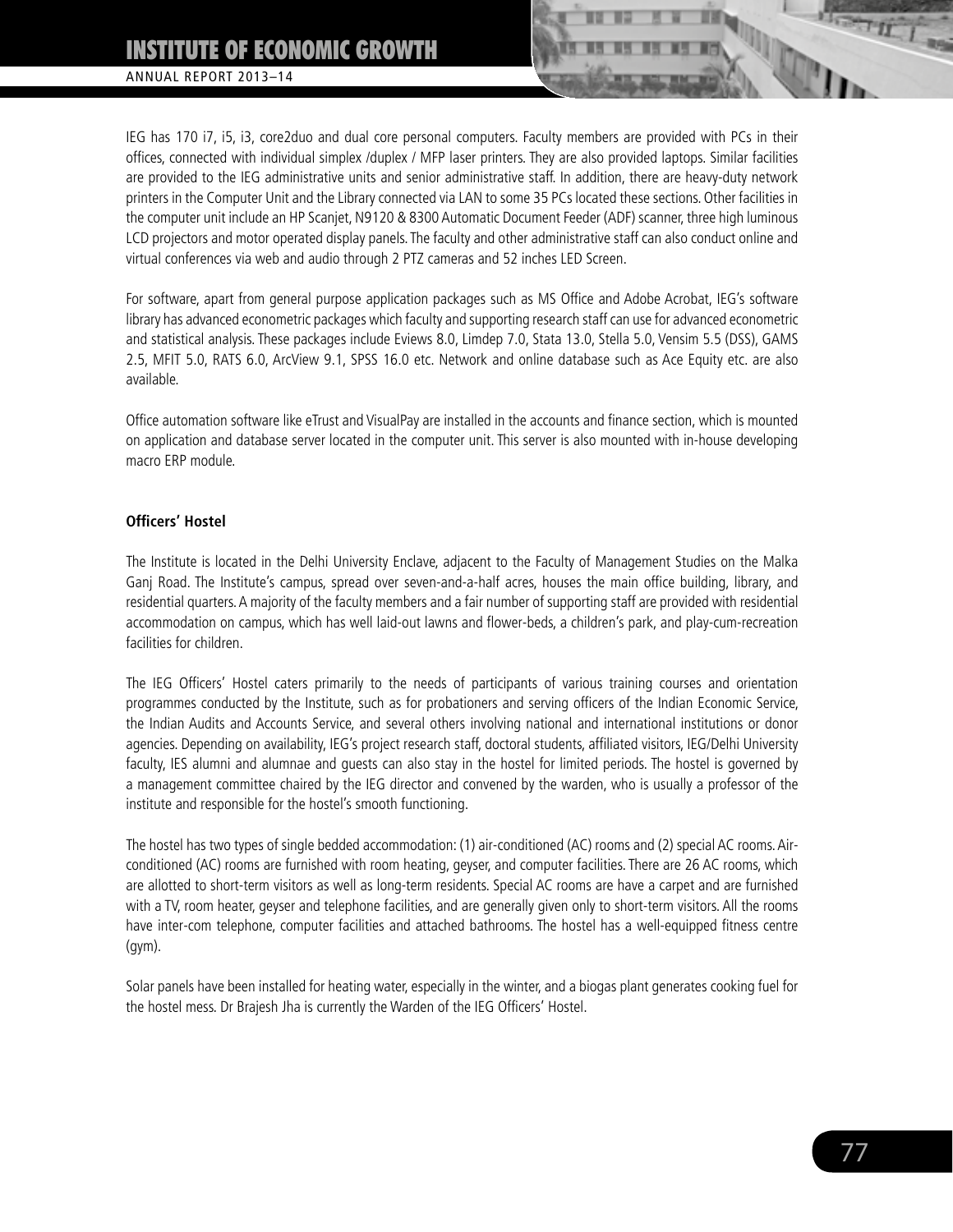IEG has 170 i7, i5, i3, core2duo and dual core personal computers. Faculty members are provided with PCs in their offices, connected with individual simplex /duplex / MFP laser printers. They are also provided laptops. Similar facilities are provided to the IEG administrative units and senior administrative staff. In addition, there are heavy-duty network printers in the Computer Unit and the Library connected via LAN to some 35 PCs located these sections. Other facilities in the computer unit include an HP Scanjet, N9120 & 8300 Automatic Document Feeder (ADF) scanner, three high luminous LCD projectors and motor operated display panels. The faculty and other administrative staff can also conduct online and virtual conferences via web and audio through 2 PTZ cameras and 52 inches LED Screen.

For software, apart from general purpose application packages such as MS Office and Adobe Acrobat, IEG's software library has advanced econometric packages which faculty and supporting research staff can use for advanced econometric and statistical analysis. These packages include Eviews 8.0, Limdep 7.0, Stata 13.0, Stella 5.0, Vensim 5.5 (DSS), GAMS 2.5, MFIT 5.0, RATS 6.0, ArcView 9.1, SPSS 16.0 etc. Network and online database such as Ace Equity etc. are also available.

Office automation software like eTrust and VisualPay are installed in the accounts and finance section, which is mounted on application and database server located in the computer unit. This server is also mounted with in-house developing macro ERP module.

#### **Officers' Hostel**

The Institute is located in the Delhi University Enclave, adjacent to the Faculty of Management Studies on the Malka Ganj Road. The Institute's campus, spread over seven-and-a-half acres, houses the main office building, library, and residential quarters. A majority of the faculty members and a fair number of supporting staff are provided with residential accommodation on campus, which has well laid-out lawns and flower-beds, a children's park, and play-cum-recreation facilities for children.

The IEG Officers' Hostel caters primarily to the needs of participants of various training courses and orientation programmes conducted by the Institute, such as for probationers and serving officers of the Indian Economic Service, the Indian Audits and Accounts Service, and several others involving national and international institutions or donor agencies. Depending on availability, IEG's project research staff, doctoral students, affiliated visitors, IEG/Delhi University faculty, IES alumni and alumnae and guests can also stay in the hostel for limited periods. The hostel is governed by a management committee chaired by the IEG director and convened by the warden, who is usually a professor of the institute and responsible for the hostel's smooth functioning.

The hostel has two types of single bedded accommodation: (1) air-conditioned (AC) rooms and (2) special AC rooms. Airconditioned (AC) rooms are furnished with room heating, geyser, and computer facilities. There are 26 AC rooms, which are allotted to short-term visitors as well as long-term residents. Special AC rooms are have a carpet and are furnished with a TV, room heater, geyser and telephone facilities, and are generally given only to short-term visitors. All the rooms have inter-com telephone, computer facilities and attached bathrooms. The hostel has a well-equipped fitness centre (gym).

Solar panels have been installed for heating water, especially in the winter, and a biogas plant generates cooking fuel for the hostel mess. Dr Brajesh Jha is currently the Warden of the IEG Officers' Hostel.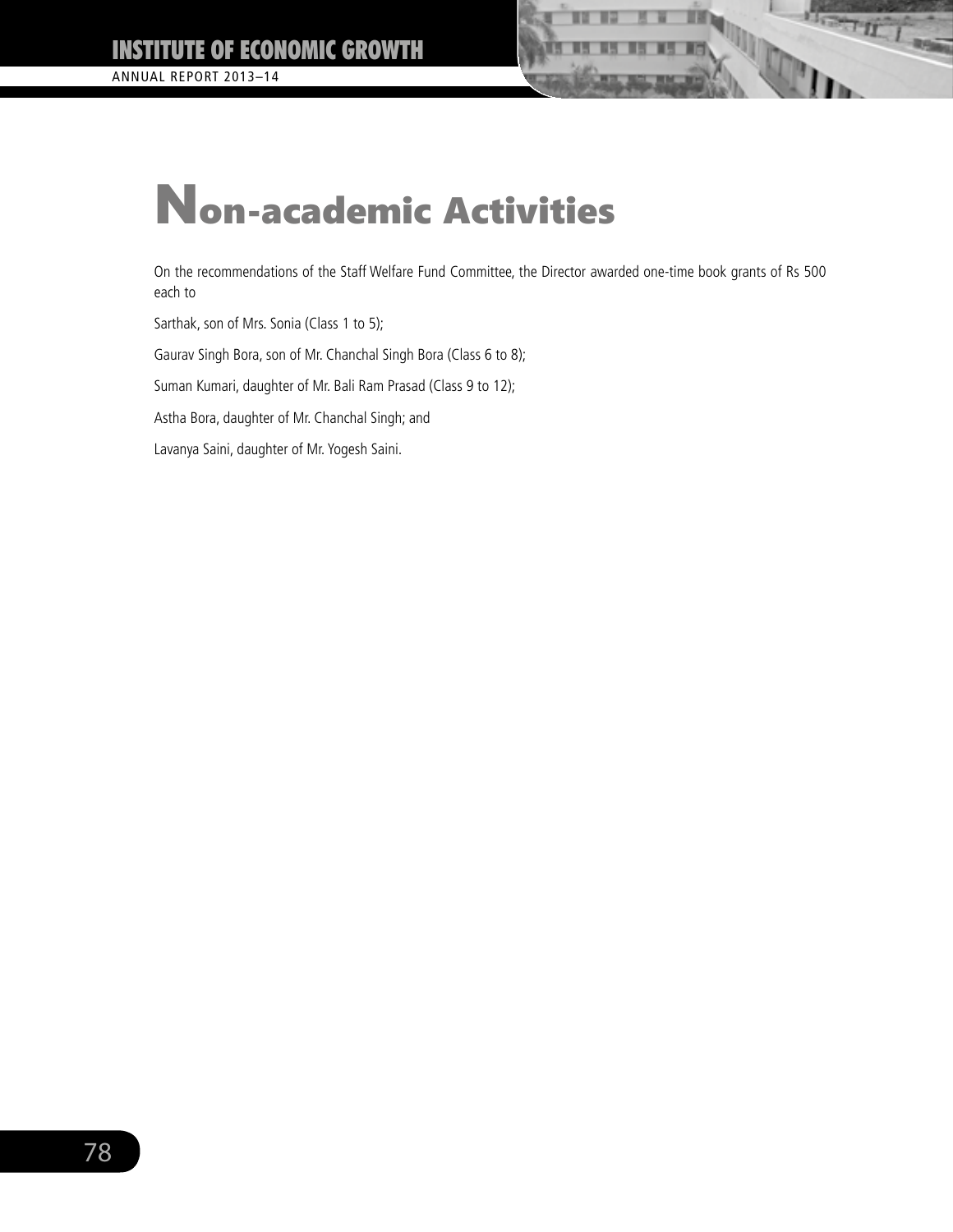# Non-academic Activities

On the recommendations of the Staff Welfare Fund Committee, the Director awarded one-time book grants of Rs 500 each to

m.

Sarthak, son of Mrs. Sonia (Class 1 to 5); Gaurav Singh Bora, son of Mr. Chanchal Singh Bora (Class 6 to 8); Suman Kumari, daughter of Mr. Bali Ram Prasad (Class 9 to 12); Astha Bora, daughter of Mr. Chanchal Singh; and Lavanya Saini, daughter of Mr. Yogesh Saini.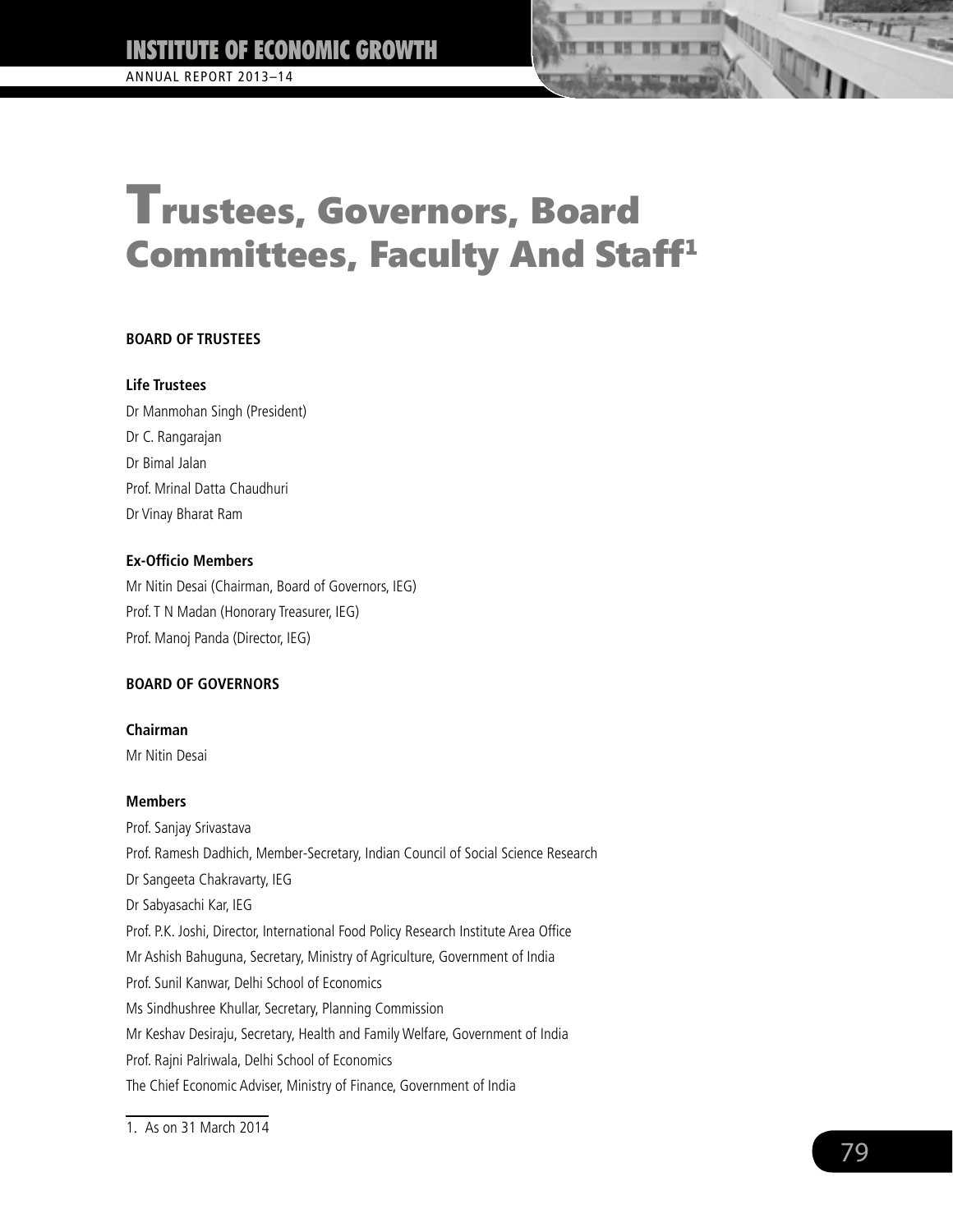## Trustees, Governors, Board **Committees, Faculty And Staff1**

#### **BOARD OF TRUSTEES**

#### **Life Trustees**

Dr Manmohan Singh (President) Dr C. Rangarajan Dr Bimal Jalan Prof. Mrinal Datta Chaudhuri Dr Vinay Bharat Ram

#### **Ex-Officio Members**

Mr Nitin Desai (Chairman, Board of Governors, IEG) Prof. T N Madan (Honorary Treasurer, IEG) Prof. Manoj Panda (Director, IEG)

#### **BOARD OF GOVERNORS**

#### **Chairman**

Mr Nitin Desai

#### **Members**

Prof. Sanjay Srivastava Prof. Ramesh Dadhich, Member-Secretary, Indian Council of Social Science Research Dr Sangeeta Chakravarty, IEG Dr Sabyasachi Kar, IEG Prof. P.K. Joshi, Director, International Food Policy Research Institute Area Office Mr Ashish Bahuguna, Secretary, Ministry of Agriculture, Government of India Prof. Sunil Kanwar, Delhi School of Economics Ms Sindhushree Khullar, Secretary, Planning Commission Mr Keshav Desiraju, Secretary, Health and Family Welfare, Government of India Prof. Rajni Palriwala, Delhi School of Economics The Chief Economic Adviser, Ministry of Finance, Government of India

 $\frac{1}{2}$ 

 $\overline{a}$ 

<sup>1</sup>. As on 31 March 2014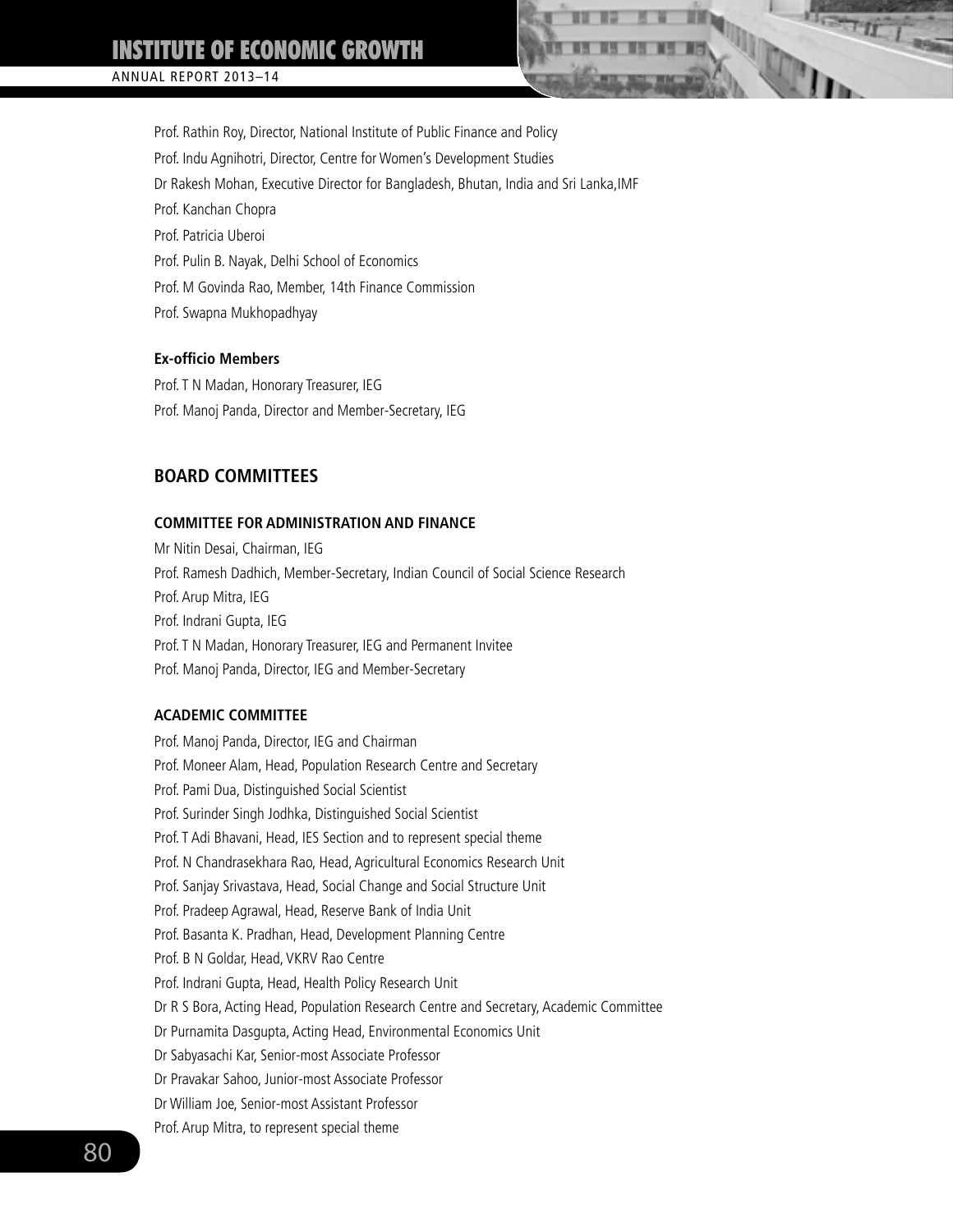Prof. Rathin Roy, Director, National Institute of Public Finance and Policy Prof. Indu Agnihotri, Director, Centre for Women's Development Studies Dr Rakesh Mohan, Executive Director for Bangladesh, Bhutan, India and Sri Lanka,IMF Prof. Kanchan Chopra Prof. Patricia Uberoi Prof. Pulin B. Nayak, Delhi School of Economics Prof. M Govinda Rao, Member, 14th Finance Commission Prof. Swapna Mukhopadhyay

**THE REAL** 

#### **Ex-officio Members**

Prof. T N Madan, Honorary Treasurer, IEG Prof. Manoj Panda, Director and Member-Secretary, IEG

#### **BOARD COMMITTEES**

#### **Committee for Administration and Finance**

Mr Nitin Desai, Chairman, IEG Prof. Ramesh Dadhich, Member-Secretary, Indian Council of Social Science Research Prof. Arup Mitra, IEG Prof. Indrani Gupta, IEG Prof. T N Madan, Honorary Treasurer, IEG and Permanent Invitee Prof. Manoj Panda, Director, IEG and Member-Secretary

#### **Academic Committee**

Prof. Manoj Panda, Director, IEG and Chairman Prof. Moneer Alam, Head, Population Research Centre and Secretary Prof. Pami Dua, Distinguished Social Scientist Prof. Surinder Singh Jodhka, Distinguished Social Scientist Prof. T Adi Bhavani, Head, IES Section and to represent special theme Prof. N Chandrasekhara Rao, Head, Agricultural Economics Research Unit Prof. Sanjay Srivastava, Head, Social Change and Social Structure Unit Prof. Pradeep Agrawal, Head, Reserve Bank of India Unit Prof. Basanta K. Pradhan, Head, Development Planning Centre Prof. B N Goldar, Head, VKRV Rao Centre Prof. Indrani Gupta, Head, Health Policy Research Unit Dr R S Bora, Acting Head, Population Research Centre and Secretary, Academic Committee Dr Purnamita Dasgupta, Acting Head, Environmental Economics Unit Dr Sabyasachi Kar, Senior-most Associate Professor Dr Pravakar Sahoo, Junior-most Associate Professor Dr William Joe, Senior-most Assistant Professor Prof. Arup Mitra, to represent special theme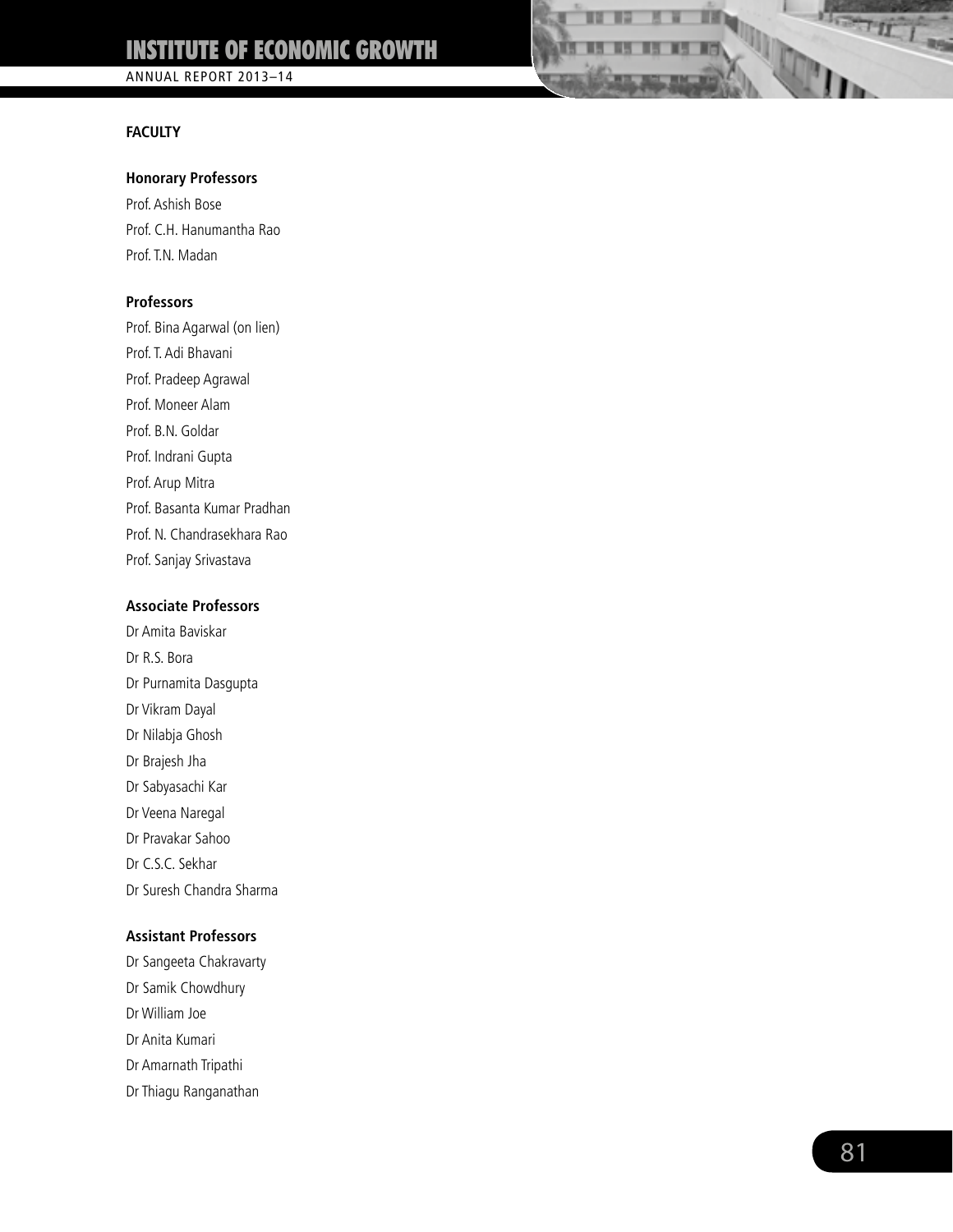### INSTITUTE OF ECONOMIC GROWTH

Annu l Repo t 2013–14 a r

#### **FACULTY**

#### **Honorary Professors**

Prof. Ashish Bose Prof. C.H. Hanumantha Rao Prof. T.N. Madan

#### **Professors**

Prof. Bina Agarwal (on lien) Prof. T. Adi Bhavani Prof. Pradeep Agrawal Prof. Moneer Alam Prof. B.N. Goldar Prof. Indrani Gupta Prof. Arup Mitra Prof. Basanta Kumar Pradhan Prof. N. Chandrasekhara Rao Prof. Sanjay Srivastava

#### **Associate Professors**

Dr Amita Baviskar Dr R.S. Bora Dr Purnamita Dasgupta Dr Vikram Dayal Dr Nilabja Ghosh Dr Brajesh Jha Dr Sabyasachi Kar Dr Veena Naregal Dr Pravakar Sahoo Dr C.S.C. Sekhar Dr Suresh Chandra Sharma

#### **Assistant Professors**

Dr Sangeeta Chakravarty Dr Samik Chowdhury Dr William Joe Dr Anita Kumari Dr Amarnath Tripathi Dr Thiagu Ranganathan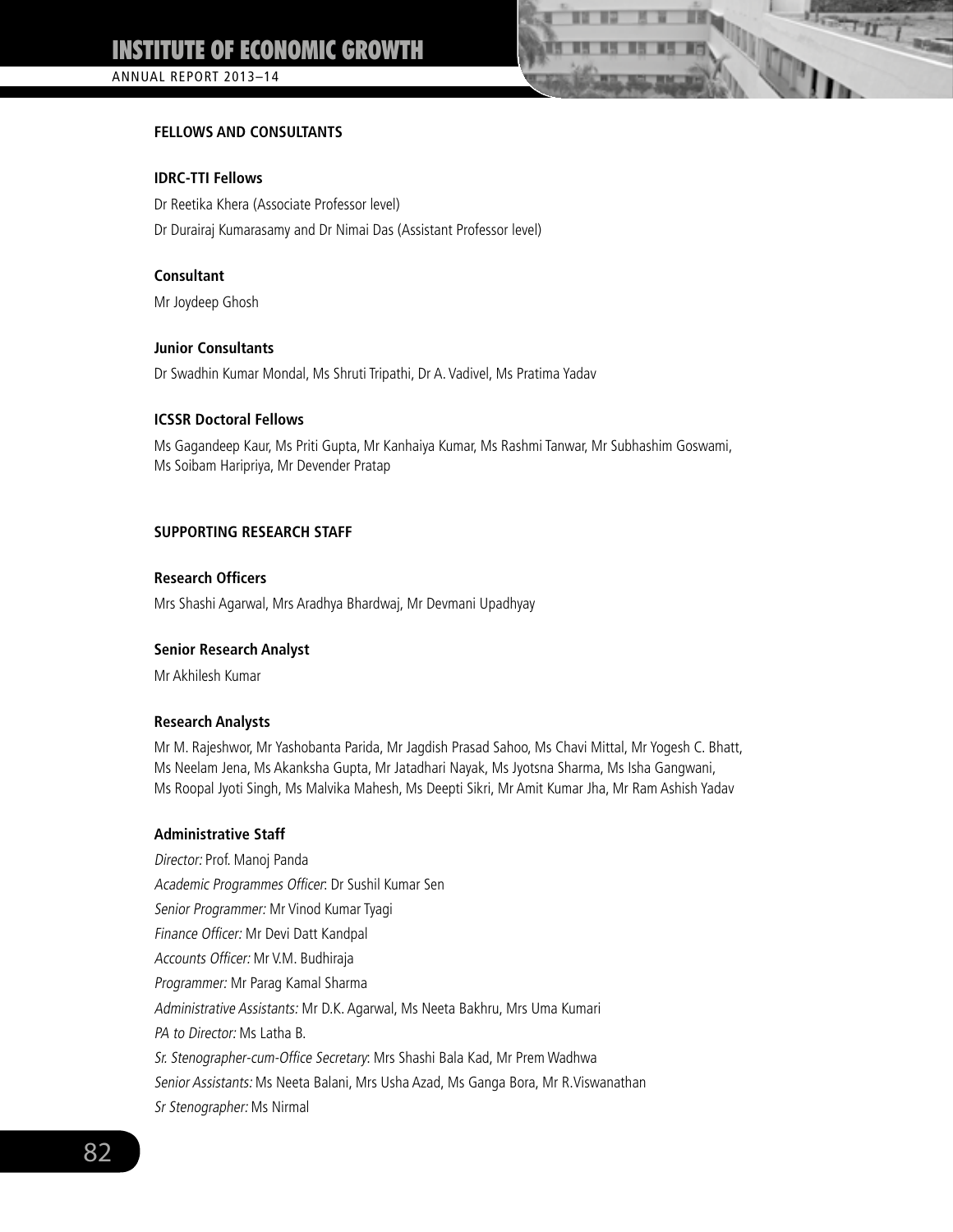#### **FELLOWS AND CONSULTANTS**

#### **IDRC-TTI Fellows**

Dr Reetika Khera (Associate Professor level)

Dr Durairaj Kumarasamy and Dr Nimai Das (Assistant Professor level)

#### **Consultant**

Mr Joydeep Ghosh

#### **Junior Consultants**

Dr Swadhin Kumar Mondal, Ms Shruti Tripathi, Dr A. Vadivel, Ms Pratima Yadav

#### **icssr Doctoral Fellows**

Ms Gagandeep Kaur, Ms Priti Gupta, Mr Kanhaiya Kumar, Ms Rashmi Tanwar, Mr Subhashim Goswami, Ms Soibam Haripriya, Mr Devender Pratap

WELL BE

#### **SUPPORTING RESEARCH STAFF**

#### **Research Officers**

Mrs Shashi Agarwal, Mrs Aradhya Bhardwaj, Mr Devmani Upadhyay

#### **Senior Research Analyst**

Mr Akhilesh Kumar

#### **Research Analysts**

Mr M. Rajeshwor, Mr Yashobanta Parida, Mr Jagdish Prasad Sahoo, Ms Chavi Mittal, Mr Yogesh C. Bhatt, Ms Neelam Jena, Ms Akanksha Gupta, Mr Jatadhari Nayak, Ms Jyotsna Sharma, Ms Isha Gangwani, Ms Roopal Jyoti Singh, Ms Malvika Mahesh, Ms Deepti Sikri, Mr Amit Kumar Jha, Mr Ram Ashish Yadav

#### **Administrative Staff**

Director: Prof. Manoj Panda Academic Programmes Officer: Dr Sushil Kumar Sen Senior Programmer: Mr Vinod Kumar Tyagi Finance Officer: Mr Devi Datt Kandpal Accounts Officer: Mr V.M. Budhiraja Programmer: Mr Parag Kamal Sharma Administrative Assistants: Mr D.K. Agarwal, Ms Neeta Bakhru, Mrs Uma Kumari PA to Director: Ms Latha B. Sr. Stenographer-cum-Office Secretary: Mrs Shashi Bala Kad, Mr Prem Wadhwa Senior Assistants: Ms Neeta Balani, Mrs Usha Azad, Ms Ganga Bora, Mr R.Viswanathan Sr Stenographer: Ms Nirmal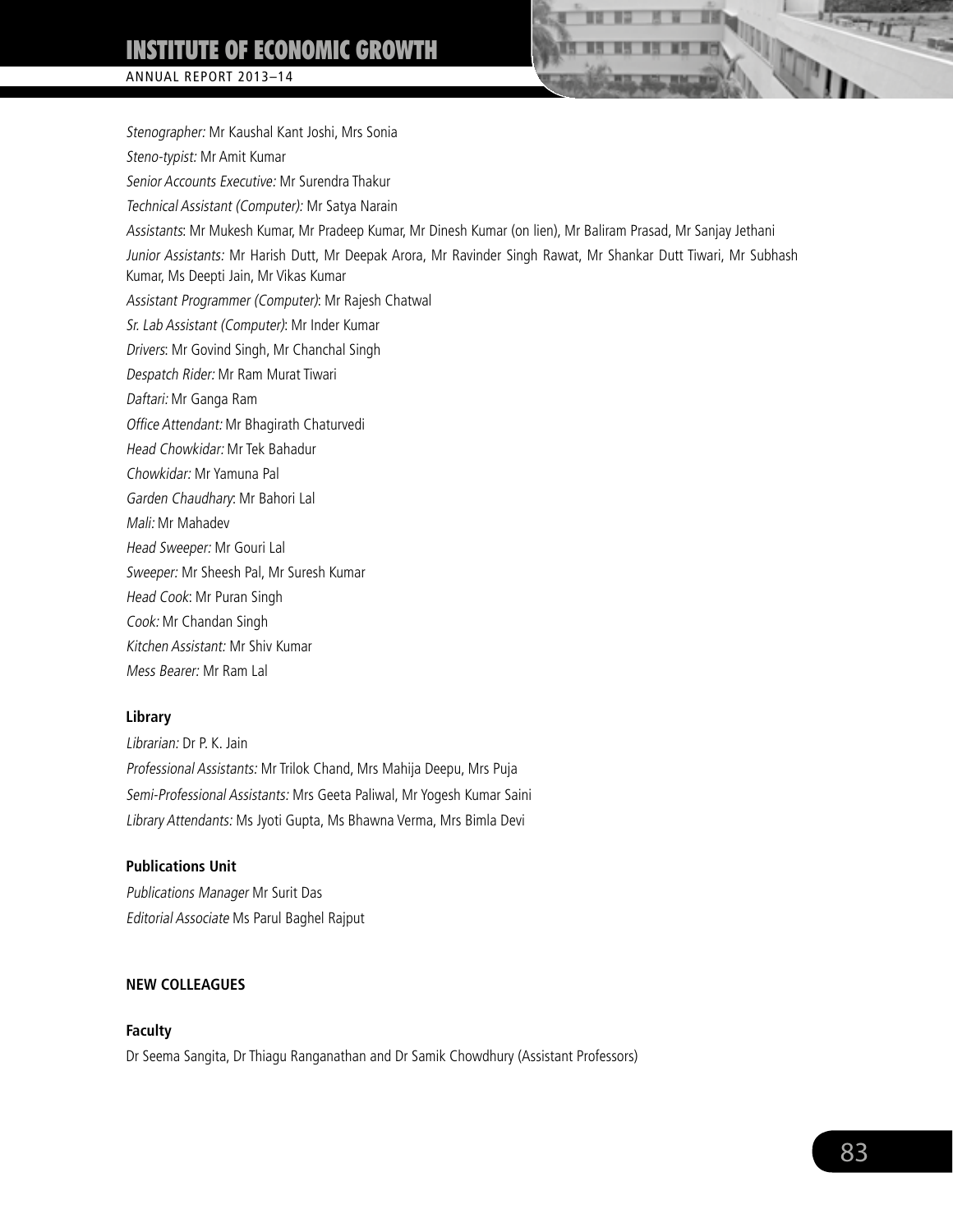### Institute of Economic Growth

Annual Report 2013–14

Stenographer: Mr Kaushal Kant Joshi, Mrs Sonia Steno-typist: Mr Amit Kumar Senior Accounts Executive: Mr Surendra Thakur Technical Assistant (Computer): Mr Satya Narain Assistants: Mr Mukesh Kumar, Mr Pradeep Kumar, Mr Dinesh Kumar (on lien), Mr Baliram Prasad, Mr Sanjay Jethani Junior Assistants: Mr Harish Dutt, Mr Deepak Arora, Mr Ravinder Singh Rawat, Mr Shankar Dutt Tiwari, Mr Subhash Kumar, Ms Deepti Jain, Mr Vikas Kumar Assistant Programmer (Computer): Mr Rajesh Chatwal Sr. Lab Assistant (Computer): Mr Inder Kumar Drivers: Mr Govind Singh, Mr Chanchal Singh Despatch Rider: Mr Ram Murat Tiwari Daftari: Mr Ganga Ram Office Attendant: Mr Bhagirath Chaturvedi Head Chowkidar: Mr Tek Bahadur Chowkidar: Mr Yamuna Pal Garden Chaudhary: Mr Bahori Lal Mali: Mr Mahadev Head Sweeper: Mr Gouri Lal Sweeper: Mr Sheesh Pal, Mr Suresh Kumar Head Cook: Mr Puran Singh Cook: Mr Chandan Singh

Kitchen Assistant: Mr Shiv Kumar

Mess Bearer: Mr Ram Lal

#### **Library**

Librarian: Dr P. K. Jain Professional Assistants: Mr Trilok Chand, Mrs Mahija Deepu, Mrs Puja Semi-Professional Assistants: Mrs Geeta Paliwal, Mr Yogesh Kumar Saini Library Attendants: Ms Jyoti Gupta, Ms Bhawna Verma, Mrs Bimla Devi

#### **Publications Unit**

Publications Manager Mr Surit Das Editorial Associate Ms Parul Baghel Rajput

#### **NEW COLLEAGUES**

#### **Faculty**

Dr Seema Sangita, Dr Thiagu Ranganathan and Dr Samik Chowdhury (Assistant Professors)

**THE CONTRACTOR**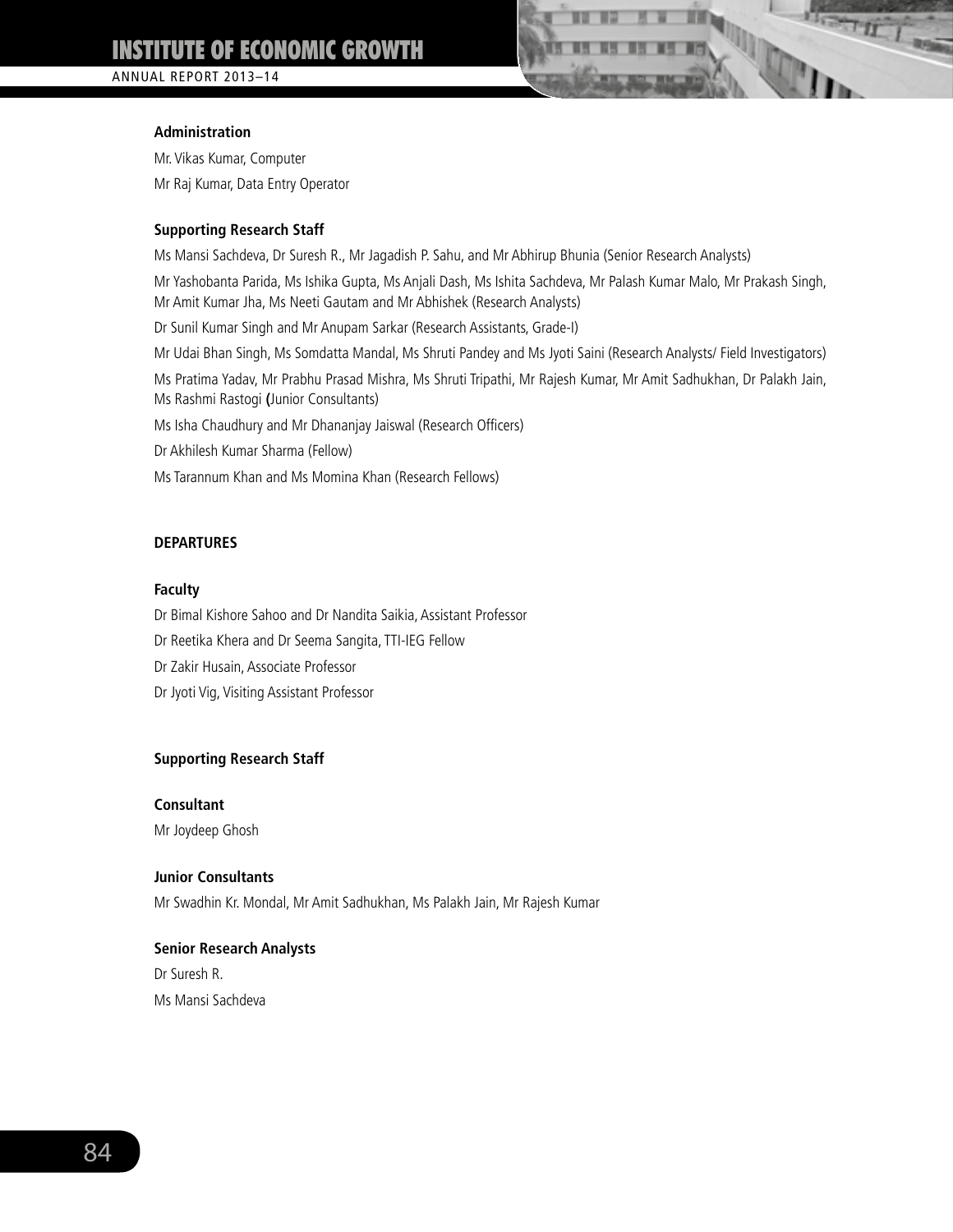#### **Administration**

Mr. Vikas Kumar, Computer Mr Raj Kumar, Data Entry Operator

#### **Supporting Research Staff**

Ms Mansi Sachdeva, Dr Suresh R., Mr Jagadish P. Sahu, and Mr Abhirup Bhunia (Senior Research Analysts) Mr Yashobanta Parida, Ms Ishika Gupta, Ms Anjali Dash, Ms Ishita Sachdeva, Mr Palash Kumar Malo, Mr Prakash Singh, Mr Amit Kumar Jha, Ms Neeti Gautam and Mr Abhishek (Research Analysts) Dr Sunil Kumar Singh and Mr Anupam Sarkar (Research Assistants, Grade-I) Mr Udai Bhan Singh, Ms Somdatta Mandal, Ms Shruti Pandey and Ms Jyoti Saini (Research Analysts/ Field Investigators) Ms Pratima Yadav, Mr Prabhu Prasad Mishra, Ms Shruti Tripathi, Mr Rajesh Kumar, Mr Amit Sadhukhan, Dr Palakh Jain, Ms Rashmi Rastogi **(**Junior Consultants) Ms Isha Chaudhury and Mr Dhananjay Jaiswal (Research Officers) Dr Akhilesh Kumar Sharma (Fellow) Ms Tarannum Khan and Ms Momina Khan (Research Fellows)

**THE REAL PROPERTY** 

#### **DEPARTURES**

#### **Faculty**

Dr Bimal Kishore Sahoo and Dr Nandita Saikia, Assistant Professor

Dr Reetika Khera and Dr Seema Sangita, TTI-IEG Fellow

Dr Zakir Husain, Associate Professor

Dr Jyoti Vig, Visiting Assistant Professor

#### **Supporting Research Staff**

**Consultant**

Mr Joydeep Ghosh

#### **Junior Consultants**

Mr Swadhin Kr. Mondal, Mr Amit Sadhukhan, Ms Palakh Jain, Mr Rajesh Kumar

#### **Senior Research Analysts**

Dr Suresh R. Ms Mansi Sachdeva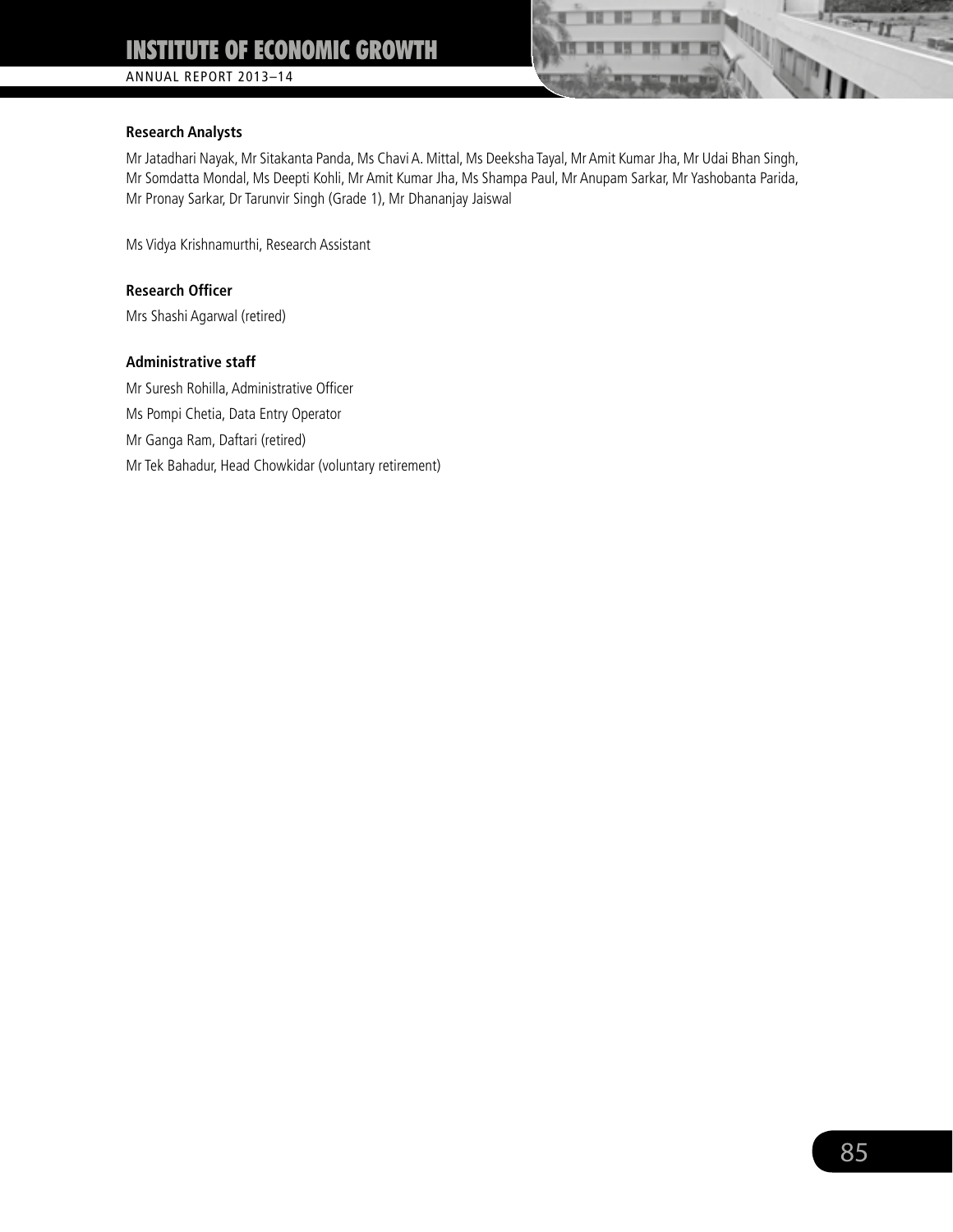## The Contractor

#### **Research Analysts**

Mr Jatadhari Nayak, Mr Sitakanta Panda, Ms Chavi A. Mittal, Ms Deeksha Tayal, Mr Amit Kumar Jha, Mr Udai Bhan Singh, Mr Somdatta Mondal, Ms Deepti Kohli, Mr Amit Kumar Jha, Ms Shampa Paul, Mr Anupam Sarkar, Mr Yashobanta Parida, Mr Pronay Sarkar, Dr Tarunvir Singh (Grade 1), Mr Dhananjay Jaiswal

Ms Vidya Krishnamurthi, Research Assistant

#### **Research Officer**

Mrs Shashi Agarwal (retired)

#### **Administrative staff**

Mr Suresh Rohilla, Administrative Officer Ms Pompi Chetia, Data Entry Operator Mr Ganga Ram, Daftari (retired) Mr Tek Bahadur, Head Chowkidar (voluntary retirement)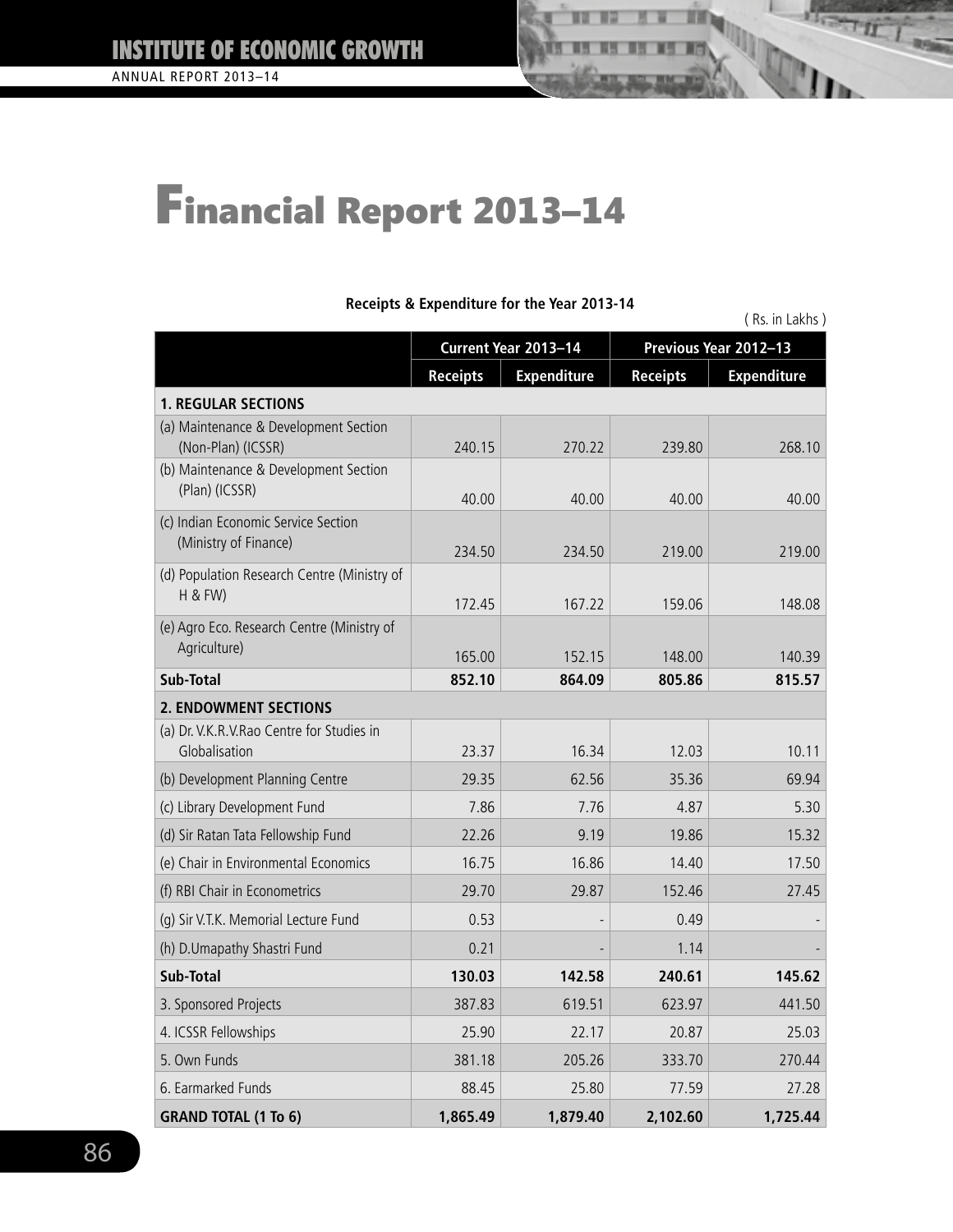# Financial Report 2013–14

#### **Receipts & Expenditure for the Year 2013-14**

( Rs. in Lakhs )

**ILLER** 

**Current Year 2013–14 Previous Year 2012–13** Receipts | Expenditure | Receipts | Expenditure **1. REGULAR SECTIONS** (a) Maintenance & Development Section (Non-Plan) (ICSSR) 240.15 270.22 239.80 268.10 (b) Maintenance & Development Section (Plan) (ICSSR) 40.00 40.00 40.00 40.00 40.00 40.00 40.00 40.00 40.00 40.00 40.00 40.00 40.00 40.00 40.00 40.00  $\frac{40.00}{40.00}$ (c) Indian Economic Service Section (Ministry of Finance) 234.50 234.50 234.50 219.00 219.00 (d) Population Research Centre (Ministry of  $H & E$  FW) 172.45 167.22 159.06 148.08 (e) Agro Eco. Research Centre (Ministry of Agriculture) 165.00 165.00 152.15 148.00 140.39 **Sub-Total 852.10 864.09 805.86 815.57 2. ENDOWMENT SECTIONS** (a) Dr. V.K.R.V.Rao Centre for Studies in Globalisation 23.37 16.34 12.03 10.11 (b) Development Planning Centre 1 29.35 62.56 35.36 69.94 (c) Library Development Fund 7.86 7.76 4.87 5.30 (d) Sir Ratan Tata Fellowship Fund  $22.26$  9.19 19.86 15.32 (e) Chair in Environmental Economics 16.75 16.86 14.40 17.50 (f) RBI Chair in Econometrics 29.70 29.87 152.46 27.45 (g) Sir V.T.K. Memorial Lecture Fund 0.53 - 0.49 - (h) D.Umapathy Shastri Fund  $0.21$   $-1.14$ **Sub-Total 130.03 142.58 240.61 145.62** 3. Sponsored Projects **387.83** 619.51 623.97 441.50 4. ICSSR Fellowships 25.90 22.17 20.87 20.87 25.03 5. Own Funds 381.18 205.26 333.70 270.44 6. Earmarked Funds 88.45 25.80 77.59 27.28 **GRAND TOTAL (1 To 6) 1,865.49 1,879.40 2,102.60 1,725.44**